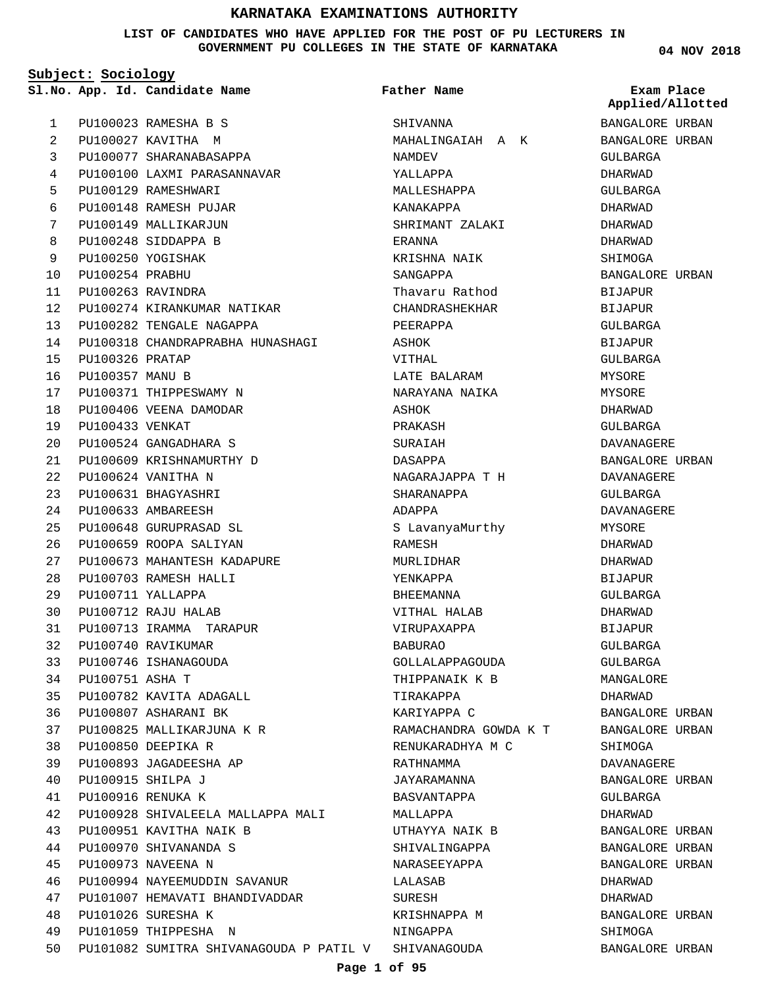**LIST OF CANDIDATES WHO HAVE APPLIED FOR THE POST OF PU LECTURERS IN GOVERNMENT PU COLLEGES IN THE STATE OF KARNATAKA**

**Subject: Sociology**

**04 NOV 2018**

|              |                        | Sl.No. App. Id. Candidate Name                       | Father Name           | Exam Place<br>Applied/Allotted |
|--------------|------------------------|------------------------------------------------------|-----------------------|--------------------------------|
| $\mathbf{1}$ |                        | PU100023 RAMESHA B S                                 | SHIVANNA              | BANGALORE URBAN                |
| 2            |                        | PU100027 KAVITHA M                                   | MAHALINGAIAH A K      | BANGALORE URBAN                |
| 3            |                        | PU100077 SHARANABASAPPA                              | NAMDEV                | GULBARGA                       |
| 4            |                        | PU100100 LAXMI PARASANNAVAR                          | YALLAPPA              | DHARWAD                        |
| 5            |                        | PU100129 RAMESHWARI                                  | MALLESHAPPA           | GULBARGA                       |
| 6            |                        | PU100148 RAMESH PUJAR                                | KANAKAPPA             | DHARWAD                        |
| 7            |                        | PU100149 MALLIKARJUN                                 | SHRIMANT ZALAKI       | DHARWAD                        |
| 8            |                        | PU100248 SIDDAPPA B                                  | ERANNA                | DHARWAD                        |
| 9            |                        | PU100250 YOGISHAK                                    | KRISHNA NAIK          | SHIMOGA                        |
| 10           | PU100254 PRABHU        |                                                      | SANGAPPA              | BANGALORE URBAN                |
| 11           |                        | PU100263 RAVINDRA                                    | Thavaru Rathod        | <b>BIJAPUR</b>                 |
| 12           |                        | PU100274 KIRANKUMAR NATIKAR                          | CHANDRASHEKHAR        | BIJAPUR                        |
| 13           |                        | PU100282 TENGALE NAGAPPA                             | PEERAPPA              | GULBARGA                       |
| 14           |                        | PU100318 CHANDRAPRABHA HUNASHAGI                     | ASHOK                 | <b>BIJAPUR</b>                 |
| 15           | PU100326 PRATAP        |                                                      | VITHAL                | GULBARGA                       |
| 16           | <b>PU100357 MANU B</b> |                                                      | LATE BALARAM          | MYSORE                         |
| 17           |                        | PU100371 THIPPESWAMY N                               | NARAYANA NAIKA        | MYSORE                         |
| 18           |                        | PU100406 VEENA DAMODAR                               | ASHOK                 | DHARWAD                        |
| 19           | PU100433 VENKAT        |                                                      | PRAKASH               | GULBARGA                       |
| 20           |                        | PU100524 GANGADHARA S                                | SURAIAH               | DAVANAGERE                     |
| 21           |                        | PU100609 KRISHNAMURTHY D                             | DASAPPA               | BANGALORE URBAN                |
| 22           |                        | PU100624 VANITHA N                                   | NAGARAJAPPA T H       | DAVANAGERE                     |
| 23           |                        | PU100631 BHAGYASHRI                                  | SHARANAPPA            | GULBARGA                       |
| 24           |                        | PU100633 AMBAREESH                                   | ADAPPA                | DAVANAGERE                     |
| 25           |                        | PU100648 GURUPRASAD SL                               | S LavanyaMurthy       | MYSORE                         |
| 26           |                        | PU100659 ROOPA SALIYAN                               | RAMESH                | DHARWAD                        |
| 27           |                        | PU100673 MAHANTESH KADAPURE                          | MURLIDHAR             | DHARWAD                        |
| 28           |                        | PU100703 RAMESH HALLI                                | YENKAPPA              | BIJAPUR                        |
| 29           |                        | PU100711 YALLAPPA                                    | BHEEMANNA             | GULBARGA                       |
| 30           |                        | PU100712 RAJU HALAB                                  | VITHAL HALAB          | DHARWAD                        |
| 31           |                        | PU100713 IRAMMA TARAPUR                              | VIRUPAXAPPA           | <b>BIJAPUR</b>                 |
| 32           |                        | PU100740 RAVIKUMAR                                   | <b>BABURAO</b>        | <b>GULBARGA</b>                |
| 33           |                        | PU100746 ISHANAGOUDA                                 | GOLLALAPPAGOUDA       | GULBARGA                       |
| 34           | PU100751 ASHA T        |                                                      | THIPPANAIK K B        | MANGALORE                      |
| 35           |                        | PU100782 KAVITA ADAGALL                              | TIRAKAPPA             | DHARWAD                        |
| 36           |                        | PU100807 ASHARANI BK                                 | KARIYAPPA C           | BANGALORE URBAN                |
| 37           |                        | PU100825 MALLIKARJUNA K R                            | RAMACHANDRA GOWDA K T | BANGALORE URBAN                |
| 38           |                        | PU100850 DEEPIKA R                                   | RENUKARADHYA M C      | SHIMOGA                        |
| 39           |                        | PU100893 JAGADEESHA AP                               | RATHNAMMA             | DAVANAGERE                     |
| 40           |                        | PU100915 SHILPA J                                    | JAYARAMANNA           | BANGALORE URBAN                |
| 41           |                        | PU100916 RENUKA K                                    | BASVANTAPPA           | GULBARGA                       |
| 42           |                        | PU100928 SHIVALEELA MALLAPPA MALI                    | MALLAPPA              | DHARWAD                        |
| 43           |                        | PU100951 KAVITHA NAIK B                              | UTHAYYA NAIK B        | BANGALORE URBAN                |
| 44           |                        | PU100970 SHIVANANDA S                                | SHIVALINGAPPA         | BANGALORE URBAN                |
| 45           |                        | PU100973 NAVEENA N                                   | NARASEEYAPPA          | BANGALORE URBAN                |
| 46           |                        | PU100994 NAYEEMUDDIN SAVANUR                         | LALASAB               | DHARWAD                        |
| 47           |                        | PU101007 HEMAVATI BHANDIVADDAR                       | SURESH                | DHARWAD                        |
| 48           |                        | PU101026 SURESHA K                                   | KRISHNAPPA M          | BANGALORE URBAN                |
| 49           |                        | PU101059 THIPPESHA N                                 | NINGAPPA              | SHIMOGA                        |
| 50           |                        | PU101082 SUMITRA SHIVANAGOUDA P PATIL V SHIVANAGOUDA |                       | BANGALORE URBAN                |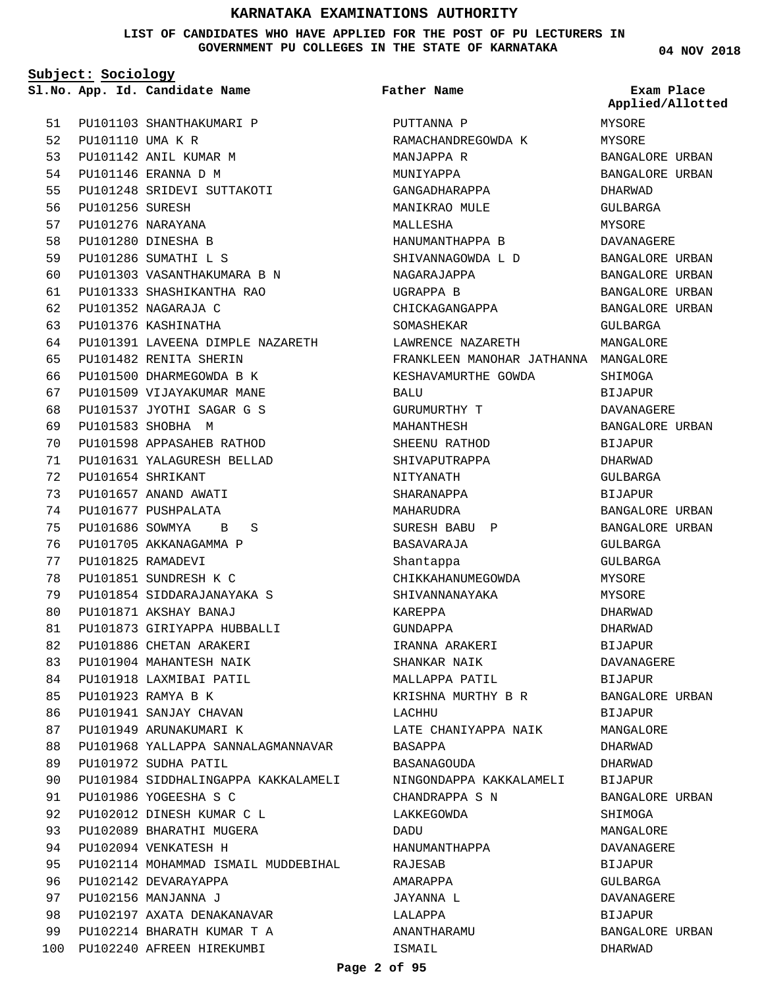**LIST OF CANDIDATES WHO HAVE APPLIED FOR THE POST OF PU LECTURERS IN GOVERNMENT PU COLLEGES IN THE STATE OF KARNATAKA**

**Subject: Sociology**

51

**Father Name**

PU101103 SHANTHAKUMARI P 52 PU101110 UMA K R PU101142 ANIL KUMAR M 53 PU101146 ERANNA D M PU101248 SRIDEVI SUTTAKOTI PU101256 SURESH PU101276 NARAYANA PU101280 DINESHA B PU101286 SUMATHI L S PU101303 VASANTHAKUMARA B N PU101333 SHASHIKANTHA RAO PU101352 NAGARAJA C PU101376 KASHINATHA PU101391 LAVEENA DIMPLE NAZARETH PU101482 RENITA SHERIN PU101500 DHARMEGOWDA B K PU101509 VIJAYAKUMAR MANE PU101537 JYOTHI SAGAR G S PU101583 SHOBHA M PU101598 APPASAHEB RATHOD PU101631 YALAGURESH BELLAD PU101654 SHRIKANT PU101657 ANAND AWATI PU101677 PUSHPALATA PU101686 SOWMYA B S PU101705 AKKANAGAMMA P PU101825 RAMADEVI PU101851 SUNDRESH K C PU101854 SIDDARAJANAYAKA S PU101871 AKSHAY BANAJ PU101873 GIRIYAPPA HUBBALLI PU101886 CHETAN ARAKERI PU101904 MAHANTESH NAIK PU101918 LAXMIBAI PATIL PU101923 RAMYA B K PU101941 SANJAY CHAVAN PU101949 ARUNAKUMARI K PU101968 YALLAPPA SANNALAGMANNAVAR PU101972 SUDHA PATIL PU101984 SIDDHALINGAPPA KAKKALAMELI PU101986 YOGEESHA S C PU102012 DINESH KUMAR C L PU102089 BHARATHI MUGERA PU102094 VENKATESH H PU102114 MOHAMMAD ISMAIL MUDDEBIHAL PU102142 DEVARAYAPPA PU102156 MANJANNA J PU102197 AXATA DENAKANAVAR PU102214 BHARATH KUMAR T A PU102240 AFREEN HIREKUMBI 100 BALU DADU ISMAIL

**App. Id. Candidate Name Sl.No. Exam Place** PUTTANNA P RAMACHANDREGOWDA K MANJAPPA R MUNIYAPPA GANGADHARAPPA MANIKRAO MULE MALLESHA HANUMANTHAPPA B SHIVANNAGOWDA L D NAGARAJAPPA UGRAPPA B CHICKAGANGAPPA SOMASHEKAR LAWRENCE NAZARETH FRANKLEEN MANOHAR JATHANNA MANGALORE KESHAVAMURTHE GOWDA GURUMURTHY T MAHANTHESH SHEENU RATHOD SHIVAPUTRAPPA NITYANATH SHARANAPPA MAHARUDRA SURESH BABU P BASAVARAJA Shantappa CHIKKAHANUMEGOWDA SHIVANNANAYAKA KAREPPA GUNDAPPA IRANNA ARAKERI SHANKAR NAIK MALLAPPA PATIL KRISHNA MURTHY B R LACHHII LATE CHANIYAPPA NAIK BASAPPA BASANAGOUDA NINGONDAPPA KAKKALAMELI CHANDRAPPA S N LAKKEGOWDA HANUMANTHAPPA RAJESAB AMARAPPA JAYANNA L LALAPPA ANANTHARAMU

**04 NOV 2018**

**Applied/Allotted**

MYSORE MYSORE BANGALORE URBAN BANGALORE URBAN DHARWAD GULBARGA MYSORE DAVANAGERE BANGALORE URBAN BANGALORE URBAN BANGALORE URBAN BANGALORE URBAN GULBARGA MANGALORE SHIMOGA BIJAPUR DAVANAGERE BANGALORE URBAN BIJAPUR DHARWAD GULBARGA BIJAPUR BANGALORE URBAN BANGALORE URBAN GULBARGA  $CITIRARGA$ MYSORE MYSORE DHARWAD DHARWAD BIJAPUR DAVANAGERE BIJAPUR BANGALORE URBAN BIJAPUR MANGALORE DHARWAD DHARWAD BIJAPUR BANGALORE URBAN SHIMOGA MANGALORE DAVANAGERE BIJAPUR GULBARGA DAVANAGERE BIJAPUR BANGALORE URBAN DHARWAD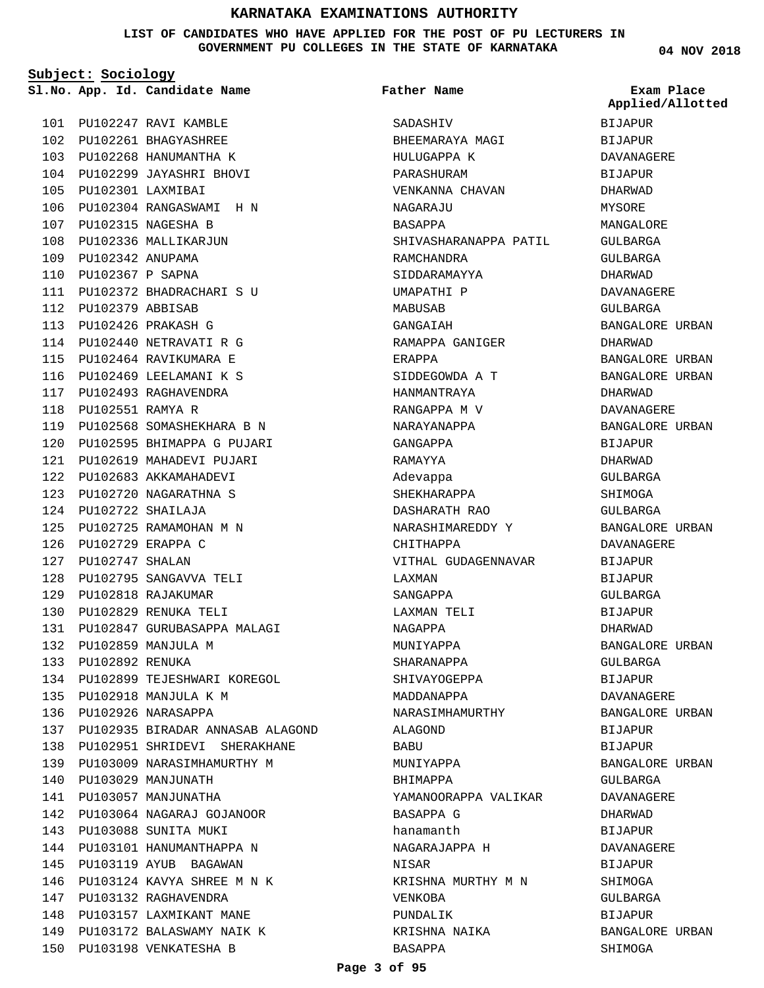**LIST OF CANDIDATES WHO HAVE APPLIED FOR THE POST OF PU LECTURERS IN GOVERNMENT PU COLLEGES IN THE STATE OF KARNATAKA**

**Subject: Sociology**

**App. Id. Candidate Name Sl.No. Exam Place**

PU102247 RAVI KAMBLE 101 PU102261 BHAGYASHREE 102 PU102268 HANUMANTHA K 103 PU102299 JAYASHRI BHOVI 104

PU102301 LAXMIBAI 105

PU102315 NAGESHA B 107 108 PU102336 MALLIKARJUN PU102342 ANUPAMA 109 PU102367 P SAPNA 110

112 PU102379 ABBISAB PU102426 PRAKASH G 113 114 PU102440 NETRAVATI R G PU102464 RAVIKUMARA E 115 PU102469 LEELAMANI K S 116 PU102493 RAGHAVENDRA 117 118 PU102551 RAMYA R

PU102304 RANGASWAMI H N 106

111 PU102372 BHADRACHARI S U

PU102568 SOMASHEKHARA B N 119 PU102595 BHIMAPPA G PUJARI 120 PU102619 MAHADEVI PUJARI 121 PU102683 AKKAMAHADEVI 122 PU102720 NAGARATHNA S 123 PU102722 SHAILAJA 124

PU102725 RAMAMOHAN M N 125

PU102795 SANGAVVA TELI 128 PU102818 RAJAKUMAR 129 PU102829 RENUKA TELI 130

PU102847 GURUBASAPPA MALAGI 131

PU102899 TEJESHWARI KOREGOL 134

PU102935 BIRADAR ANNASAB ALAGOND 137 138 PU102951 SHRIDEVI SHERAKHANE PU103009 NARASIMHAMURTHY M 139

PU102729 ERAPPA C 126 PU102747 SHALAN 127

PU102859 MANJULA M 132 PU102892 RENUKA 133

PU102918 MANJULA K M 135 PU102926 NARASAPPA 136

PU103029 MANJUNATH 140 141 PU103057 MANJUNATHA

PU103088 SUNITA MUKI 143 144 PU103101 HANUMANTHAPPA N 145 PU103119 AYUB BAGAWAN PU103124 KAVYA SHREE M N K 146

147 PU103132 RAGHAVENDRA 148 PU103157 LAXMIKANT MANE PU103172 BALASWAMY NAIK K 149 150 PU103198 VENKATESHA B

PU103064 NAGARAJ GOJANOOR 142

**Father Name**

**SADASHIV** BHEEMARAYA MAGI HULUGAPPA K PARASHURAM VENKANNA CHAVAN NAGARAJU BASAPPA SHIVASHARANAPPA PATIL RAMCHANDRA SIDDARAMAYYA UMAPATHI P MABUSAB GANGAIAH RAMAPPA GANIGER ERAPPA SIDDEGOWDA A T HANMANTRAYA RANGAPPA M V NARAYANAPPA GANGAPPA RAMAYYA Adevappa SHEKHARAPPA DASHARATH RAO NARASHIMAREDDY Y CHITHAPPA VITHAL GUDAGENNAVAR LAXMAN SANGAPPA LAXMAN TELI NAGAPPA MUNIYAPPA SHARANAPPA SHIVAYOGEPPA MADDANAPPA NARASIMHAMURTHY ALAGOND **BABU** MUNIYAPPA BHIMAPPA YAMANOORAPPA VALIKAR BASAPPA G hanamanth NAGARAJAPPA H NISAR KRISHNA MURTHY M N VENKOBA PUNDALIK KRISHNA NAIKA BASAPPA

**04 NOV 2018**

**Applied/Allotted**

BIJAPUR BIJAPUR

# DAVANAGERE BIJAPUR DHARWAD MYSORE MANGALORE GULBARGA GULBARGA DHARWAD DAVANAGERE GULBARGA BANGALORE URBAN DHARWAD BANGALORE URBAN BANGALORE URBAN DHARWAD DAVANAGERE BANGALORE URBAN BIJAPUR DHARWAD GULBARGA SHIMOGA GULBARGA BANGALORE URBAN DAVANAGERE BIJAPUR BIJAPUR GULBARGA BIJAPUR DHARWAD BANGALORE URBAN GULBARGA BIJAPUR DAVANAGERE BANGALORE URBAN BIJAPUR BIJAPUR BANGALORE URBAN GULBARGA DAVANAGERE DHARWAD BIJAPUR DAVANAGERE BIJAPUR SHIMOGA GULBARGA BIJAPUR BANGALORE URBAN SHIMOGA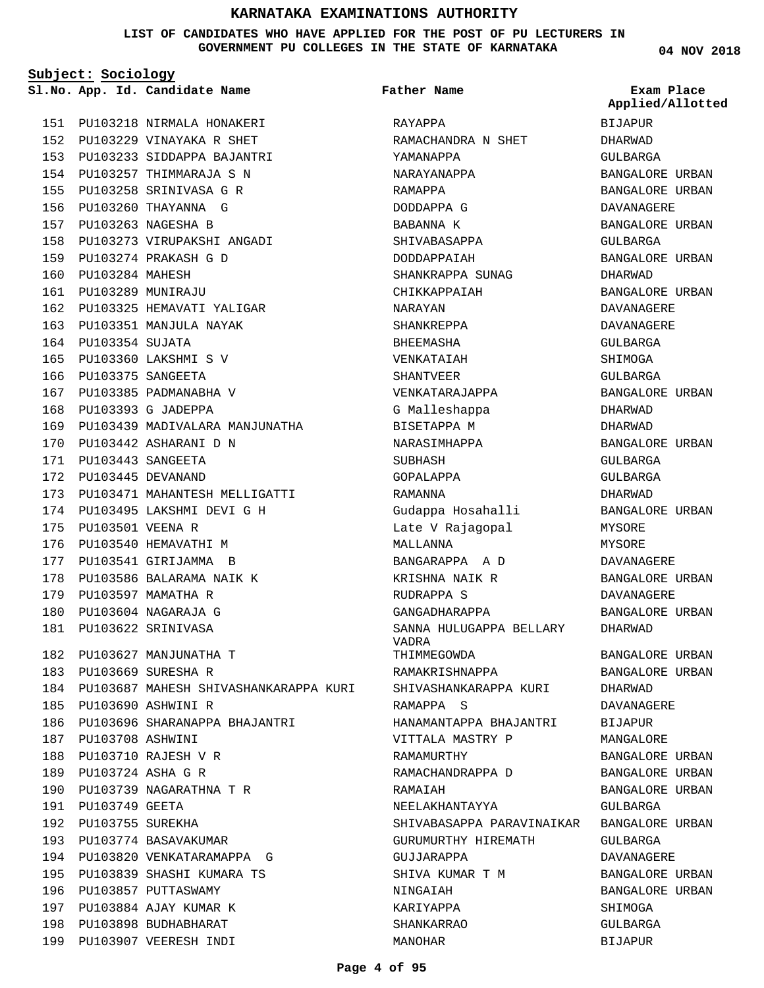**LIST OF CANDIDATES WHO HAVE APPLIED FOR THE POST OF PU LECTURERS IN GOVERNMENT PU COLLEGES IN THE STATE OF KARNATAKA**

**Subject: Sociology**

PU103218 NIRMALA HONAKERI 151 PU103229 VINAYAKA R SHET 152 PU103233 SIDDAPPA BAJANTRI 153 154 PU103257 THIMMARAJA S N PU103258 SRINIVASA G R 155 PU103260 THAYANNA G 156 PU103263 NAGESHA B 157

PU103273 VIRUPAKSHI ANGADI 158

162 PU103325 HEMAVATI YALIGAR 163 PU103351 MANJULA NAYAK

PU103439 MADIVALARA MANJUNATHA 169

PU103471 MAHANTESH MELLIGATTI 173 PU103495 LAKSHMI DEVI G H 174

PU103274 PRAKASH G D 159

PU103360 LAKSHMI S V 165 166 PU103375 SANGEETA 167 PU103385 PADMANABHA V PU103393 G JADEPPA 168

170 PU103442 ASHARANI D N PU103443 SANGEETA 171 PU103445 DEVANAND 172

175 PU103501 VEENA R 176 PU103540 HEMAVATHI M 177 PU103541 GIRIJAMMA B PU103586 BALARAMA NAIK K 178

179 PU103597 MAMATHA R PU103604 NAGARAJA G 180 PU103622 SRINIVASA 181

182 PU103627 MANJUNATHA T PU103669 SURESHA R 183

PU103739 NAGARATHNA T R 190

194 PU103820 VENKATARAMAPPA G PU103839 SHASHI KUMARA TS 195

196 PU103857 PUTTASWAMY 197 PU103884 AJAY KUMAR K PU103898 BUDHABHARAT 198 PU103907 VEERESH INDI 199

PU103690 ASHWINI R 185

PU103708 ASHWINI 187 PU103710 RAJESH V R 188 PU103724 ASHA G R 189

191 PU103749 GEETA 192 PU103755 SUREKHA 193 PU103774 BASAVAKUMAR

PU103687 MAHESH SHIVASHANKARAPPA KURI 184

186 PU103696 SHARANAPPA BHAJANTRI

160 PU103284 MAHESH PU103289 MUNIRAJU 161

164 PU103354 SUJATA

**App. Id. Candidate Name Sl.No. Exam Place** RAYAPPA YAMANAPPA NARAYANAPPA RAMAPPA DODDAPPA G **Father Name**

RAMACHANDRA N SHET BABANNA K SHIVABASAPPA DODDAPPAIAH SHANKRAPPA SUNAG CHIKKAPPAIAH NARAYAN SHANKREPPA BHEEMASHA VENKATAIAH SHANTVEER VENKATARAJAPPA G Malleshappa BISETAPPA M NARASIMHAPPA SUBHASH GOPALAPPA RAMANNA Gudappa Hosahalli Late V Rajagopal MALLANNA BANGARAPPA A D KRISHNA NAIK R RUDRAPPA S GANGADHARAPPA SANNA HULUGAPPA BELLARY VADRA THIMMEGOWDA RAMAKRISHNAPPA SHIVASHANKARAPPA KURI RAMAPPA S HANAMANTAPPA BHAJANTRI VITTALA MASTRY P RAMAMURTHY RAMACHANDRAPPA D RAMAIAH NEELAKHANTAYYA SHIVABASAPPA PARAVINAIKAR GURUMURTHY HIREMATH GUJJARAPPA SHIVA KUMAR T M NINGAIAH KARIYAPPA SHANKARRAO MANOHAR

**04 NOV 2018**

BIJAPUR DHARWAD GULBARGA BANGALORE URBAN BANGALORE URBAN DAVANAGERE BANGALORE URBAN GULBARGA BANGALORE URBAN DHARWAD BANGALORE URBAN DAVANAGERE DAVANAGERE GULBARGA SHIMOGA GULBARGA BANGALORE URBAN DHARWAD DHARWAD BANGALORE URBAN GULBARGA GULBARGA DHARWAD BANGALORE URBAN MYSORE MYSORE DAVANAGERE BANGALORE URBAN DAVANAGERE BANGALORE URBAN DHARWAD BANGALORE URBAN BANGALORE URBAN DHARWAD DAVANAGERE BIJAPUR MANGALORE BANGALORE URBAN BANGALORE URBAN BANGALORE URBAN GULBARGA BANGALORE URBAN GULBARGA DAVANAGERE BANGALORE URBAN BANGALORE URBAN SHIMOGA GULBARGA BIJAPUR **Applied/Allotted**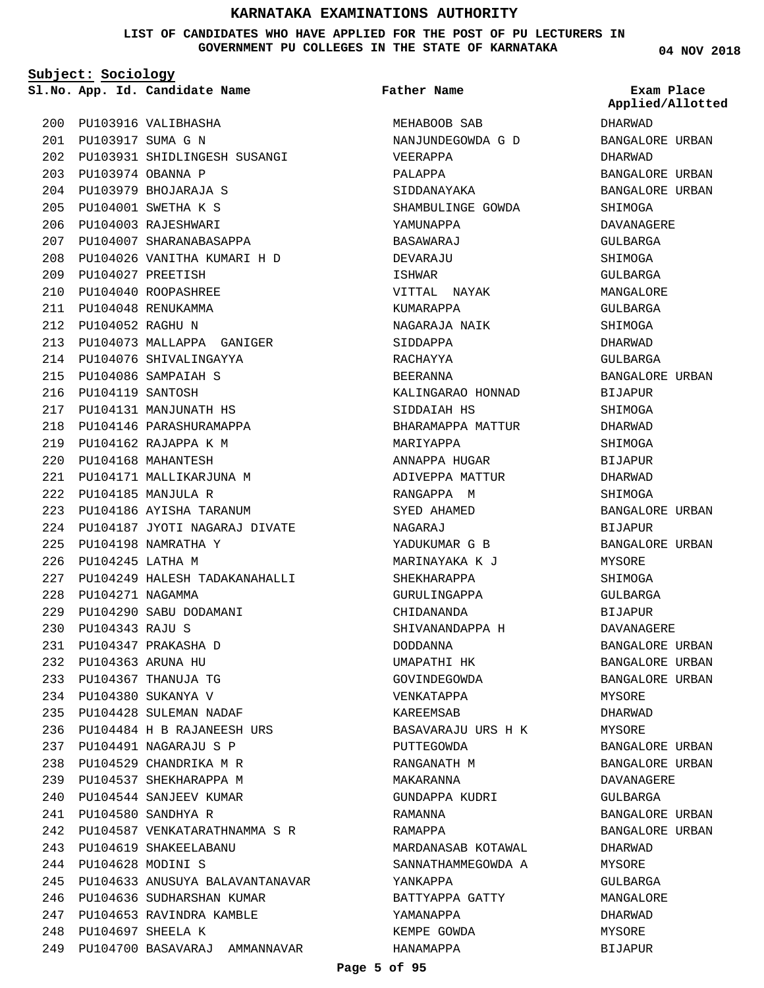**LIST OF CANDIDATES WHO HAVE APPLIED FOR THE POST OF PU LECTURERS IN GOVERNMENT PU COLLEGES IN THE STATE OF KARNATAKA**

**Subject: Sociology**

**App. Id. Candidate Name Sl.No. Exam Place**

PU103916 VALIBHASHA 200

PU103917 SUMA G N 201 PU103931 SHIDLINGESH SUSANGI 202 PU103974 OBANNA P 203 PU103979 BHOJARAJA S 204 PU104001 SWETHA K S 205 PU104003 RAJESHWARI 206 PU104007 SHARANABASAPPA 207 PU104026 VANITHA KUMARI H D 208 PU104027 PREETISH 209 PU104040 ROOPASHREE 210 PU104048 RENUKAMMA 211 PU104052 RAGHU N 212 PU104073 MALLAPPA GANIGER 213 214 PU104076 SHIVALINGAYYA PU104086 SAMPAIAH S 215 PU104119 SANTOSH 216 217 PU104131 MANJUNATH HS 218 PU104146 PARASHURAMAPPA PU104162 RAJAPPA K M 219 PU104168 MAHANTESH 220 PU104171 MALLIKARJUNA M 221 PU104185 MANJULA R 222 PU104186 AYISHA TARANUM 223 PU104187 JYOTI NAGARAJ DIVATE 224 PU104198 NAMRATHA Y 225 PU104245 LATHA M 226 PU104249 HALESH TADAKANAHALLI 227 PU104271 NAGAMMA 228 PU104290 SABU DODAMANI 229 PU104343 RAJU S 230 PU104347 PRAKASHA D 231 PU104363 ARUNA HU 232 PU104367 THANUJA TG 233 PU104380 SUKANYA V 234 PU104428 SULEMAN NADAF 235 PU104484 H B RAJANEESH URS 236 PU104491 NAGARAJU S P 237 PU104529 CHANDRIKA M R 238 239 PU104537 SHEKHARAPPA M PU104544 SANJEEV KUMAR 240 PU104580 SANDHYA R 241 PU104587 VENKATARATHNAMMA S R 242 PU104619 SHAKEELABANU 243 PU104628 MODINI S 244 245 PU104633 ANUSUYA BALAVANTANAVAR 246 PU104636 SUDHARSHAN KUMAR PU104653 RAVINDRA KAMBLE 247 PU104697 SHEELA K 248 PU104700 BASAVARAJ AMMANNAVAR 249

MEHABOOB SAB NANJUNDEGOWDA G D VEERAPPA PALAPPA SIDDANAYAKA SHAMBULINGE GOWDA YAMUNAPPA BASAWARAJ DEVAR AJII ISHWAR VITTAL NAYAK KUMARAPPA NAGARAJA NAIK SIDDAPPA RACHAYYA BEERANNA KALINGARAO HONNAD SIDDAIAH HS BHARAMAPPA MATTUR MARIYAPPA ANNAPPA HUGAR ADIVEPPA MATTUR RANGAPPA M SYED AHAMED NAGARAJ YADUKUMAR G B MARINAYAKA K J SHEKHARAPPA GURULINGAPPA CHIDANANDA SHIVANANDAPPA H DODDANNA UMAPATHI HK GOVINDEGOWDA VENKATAPPA KAREEMSAB BASAVARAJU URS H K PUTTEGOWDA RANGANATH M MAKARANNA GUNDAPPA KUDRI RAMANNA RAMAPPA MARDANASAB KOTAWAL SANNATHAMMEGOWDA A YANKAPPA BATTYAPPA GATTY YAMANAPPA KEMPE GOWDA **Father Name**

**04 NOV 2018**

DHARWAD BANGALORE URBAN DHARWAD BANGALORE URBAN BANGALORE URBAN SHIMOGA DAVANAGERE GULBARGA SHIMOGA GULBARGA MANGALORE GULBARGA SHIMOGA DHARWAD GULBARGA BANGALORE URBAN BIJAPUR **SHIMOGA** DHARWAD **SHIMOGA** BIJAPUR DHARWAD SHIMOGA BANGALORE URBAN BIJAPUR BANGALORE URBAN MYSORE **SHIMOGA** GULBARGA BIJAPUR DAVANAGERE BANGALORE URBAN BANGALORE URBAN BANGALORE URBAN MYSORE DHARWAD MYSORE BANGALORE URBAN BANGALORE URBAN DAVANAGERE GULBARGA BANGALORE URBAN BANGALORE URBAN DHARWAD MYSORE GULBARGA MANGALORE DHARWAD MYSORE BIJAPUR **Applied/Allotted**

HANAMAPPA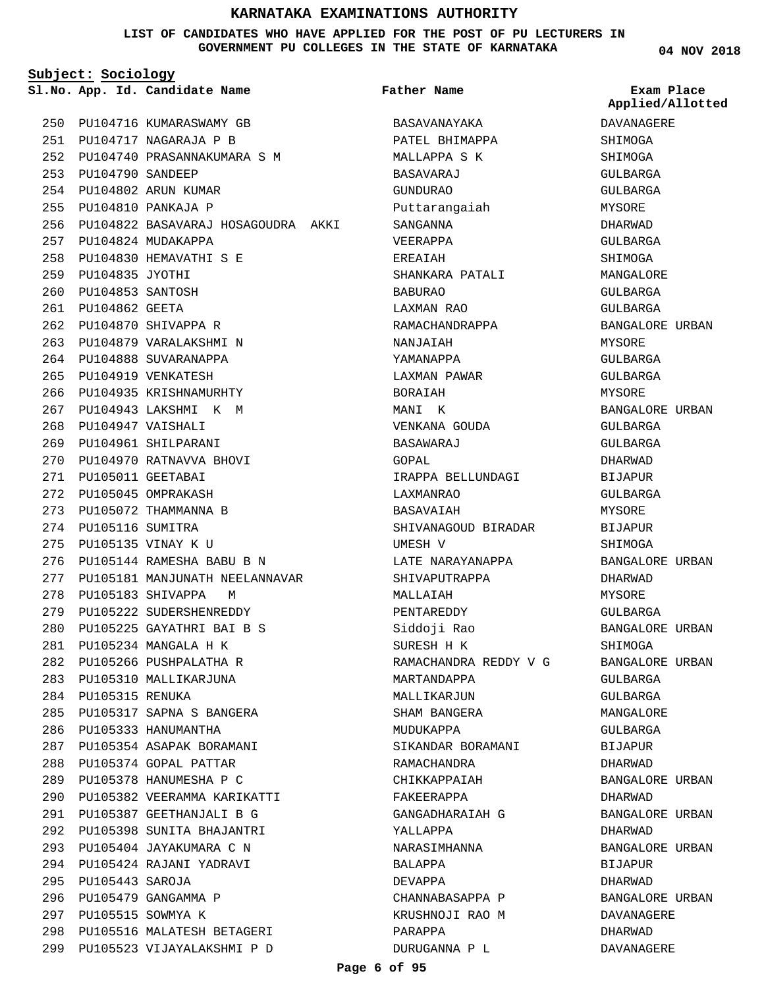#### **LIST OF CANDIDATES WHO HAVE APPLIED FOR THE POST OF PU LECTURERS IN GOVERNMENT PU COLLEGES IN THE STATE OF KARNATAKA**

**Subject: Sociology**

PU104716 KUMARASWAMY GB 250 PU104717 NAGARAJA P B 251 PU104740 PRASANNAKUMARA S M 252 PU104790 SANDEEP 253 PU104802 ARUN KUMAR 254 PU104810 PANKAJA P 255 PU104822 BASAVARAJ HOSAGOUDRA AKKI 256 PU104824 MUDAKAPPA 257 PU104830 HEMAVATHI S E 258 PU104835 JYOTHI 259 PU104853 SANTOSH 260 261 PU104862 GEETA PU104870 SHIVAPPA R 262 PU104879 VARALAKSHMI N 263 264 PU104888 SUVARANAPPA PU104919 VENKATESH 265 266 PU104935 KRISHNAMURHTY PU104943 LAKSHMI K M 267 PU104947 VAISHALI 268 PU104961 SHILPARANI 269 PU104970 RATNAVVA BHOVI 270 PU105011 GEETABAI 271 PU105045 OMPRAKASH 272 PU105072 THAMMANNA B 273 274 PU105116 SUMITRA PU105135 VINAY K U 275 PU105144 RAMESHA BABU B N 276 277 PU105181 MANJUNATH NEELANNAVAR 278 PU105183 SHIVAPPA M PU105222 SUDERSHENREDDY 279 PU105225 GAYATHRI BAI B S 280 PU105234 MANGALA H K 281 PU105266 PUSHPALATHA R 282 283 PU105310 MALLIKARJUNA 284 PU105315 RENUKA PU105317 SAPNA S BANGERA 285 PU105333 HANUMANTHA 286 PU105354 ASAPAK BORAMANI 287 288 PU105374 GOPAL PATTAR PU105378 HANUMESHA P C 289 PU105382 VEERAMMA KARIKATTI 290 PU105387 GEETHANJALI B G 291 PU105398 SUNITA BHAJANTRI 292 PU105404 JAYAKUMARA C N 293 PU105424 RAJANI YADRAVI 294 PU105443 SAROJA 295 PU105479 GANGAMMA P 296 297 PU105515 SOWMYA K PU105516 MALATESH BETAGERI 298 PU105523 VIJAYALAKSHMI P D 299

**App. Id. Candidate Name Sl.No. Exam Place** BASAVANAYAKA PATEL BHIMAPPA MALLAPPA S K BASAVARAJ GUNDURAO Puttarangaiah SANGANNA VEERAPPA EREAIAH SHANKARA PATALI BABURAO LAXMAN RAO RAMACHANDRAPPA NANJAIAH YAMANAPPA LAXMAN PAWAR BORAIAH MANI K VENKANA GOUDA **BASAWARAJ** GOPAL IRAPPA BELLUNDAGI LAXMANRAO BASAVAIAH SHIVANAGOUD BIRADAR UMESH V LATE NARAYANAPPA SHIVAPUTRAPPA MALLAIAH PENTAREDDY Siddoji Rao SURESH H K RAMACHANDRA REDDY V G MARTANDAPPA MALLIKARJUN SHAM BANGERA MUDUKAPPA SIKANDAR BORAMANI RAMACHANDRA CHIKKAPPAIAH FAKEERAPPA GANGADHARAIAH G YALLAPPA NARASIMHANNA BALAPPA DEVAPPA CHANNABASAPPA P KRUSHNOJI RAO M PARAPPA DURUGANNA P L **Father Name** BANGALORE URBAN BANGALORE URBAN DHARWAD DAVANAGERE DHARWAD DAVANAGERE

**04 NOV 2018** DAVANAGERE SHIMOGA SHIMOGA GULBARGA GULBARGA MYSORE DHARWAD GULBARGA SHIMOGA MANGALORE GULBARGA GULBARGA BANGALORE URBAN MYSORE GULBARGA GULBARGA MYSORE BANGALORE URBAN GULBARGA GULBARGA DHARWAD BIJAPUR GULBARGA MYSORE BIJAPUR SHIMOGA BANGALORE URBAN DHARWAD MYSORE GULBARGA BANGALORE URBAN SHIMOGA BANGALORE URBAN GULBARGA **Applied/Allotted**

GULBARGA MANGALORE GULBARGA BIJAPUR DHARWAD

DHARWAD

DHARWAD

BIJAPUR

BANGALORE URBAN

BANGALORE URBAN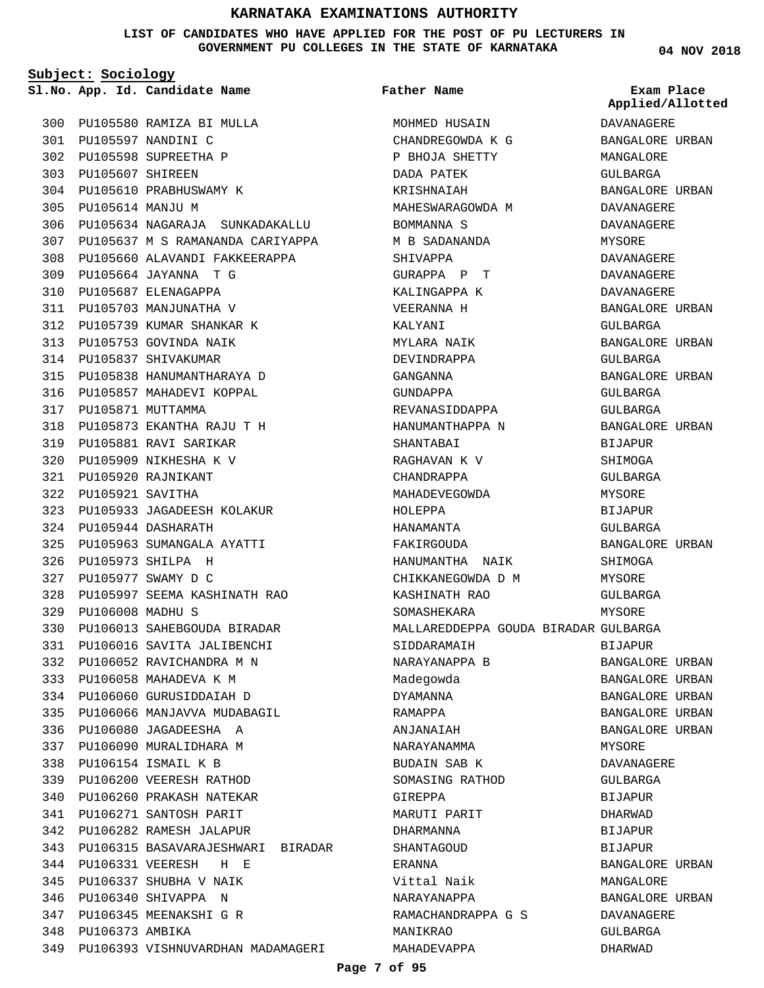**LIST OF CANDIDATES WHO HAVE APPLIED FOR THE POST OF PU LECTURERS IN GOVERNMENT PU COLLEGES IN THE STATE OF KARNATAKA**

**Subject: Sociology**

**App. Id. Candidate Name Sl.No. Exam Place**

PU105597 NANDINI C 301 PU105598 SUPREETHA P 302

PU105580 RAMIZA BI MULLA 300

PU105607 SHIREEN 303 PU105610 PRABHUSWAMY K 304 PU105614 MANJU M 305 PU105634 NAGARAJA SUNKADAKALLU 306 307 PU105637 M S RAMANANDA CARIYAPPA PU105660 ALAVANDI FAKKEERAPPA 308 PU105664 JAYANNA T G 309 PU105687 ELENAGAPPA 310 311 PU105703 MANJUNATHA V PU105739 KUMAR SHANKAR K 312 313 PU105753 GOVINDA NAIK 314 PU105837 SHIVAKUMAR PU105838 HANUMANTHARAYA D 315 316 PU105857 MAHADEVI KOPPAL 317 PU105871 MUTTAMMA PU105873 EKANTHA RAJU T H 318 PU105881 RAVI SARIKAR 319 PU105909 NIKHESHA K V 320 PU105920 RAJNIKANT 321 PU105921 SAVITHA 322 PU105933 JAGADEESH KOLAKUR 323 PU105944 DASHARATH 324 PU105963 SUMANGALA AYATTI 325 PU105973 SHILPA H 326 PU105977 SWAMY D C 327 PU105997 SEEMA KASHINATH RAO 328 PU106008 MADHU S 329 PU106013 SAHEBGOUDA BIRADAR 330 PU106016 SAVITA JALIBENCHI 331 PU106052 RAVICHANDRA M N 332 PU106058 MAHADEVA K M 333 PU106060 GURUSIDDAIAH D 334 PU106066 MANJAVVA MUDABAGIL 335 PU106080 JAGADEESHA A 336 337 PU106090 MURALIDHARA M PU106154 ISMAIL K B 338 PU106200 VEERESH RATHOD 339 PU106260 PRAKASH NATEKAR 340 PU106271 SANTOSH PARIT 341 PU106282 RAMESH JALAPUR 342 PU106315 BASAVARAJESHWARI BIRADAR 343 PU106331 VEERESH H E 344 PU106337 SHUBHA V NAIK 345 PU106340 SHIVAPPA N 346 PU106345 MEENAKSHI G R 347 348 PU106373 AMBIKA 349 PU106393 VISHNUVARDHAN MADAMAGERI

# MOHMED HUSAIN CHANDREGOWDA K G P BHOJA SHETTY **Father Name**

DADA PATEK KRISHNAIAH MAHESWARAGOWDA M BOMMANNA S M B SADANANDA SHIVAPPA GURAPPA P T KALINGAPPA K VEERANNA H KALYANI MYLARA NAIK DEVINDRAPPA GANGANNA GUNDAPPA REVANASIDDAPPA HANUMANTHAPPA N SHANTARAT RAGHAVAN K V CHANDRAPPA MAHADEVEGOWDA HOLEPPA HANAMANTA FAKIRGOUDA HANUMANTHA NAIK CHIKKANEGOWDA D M KASHINATH RAO SOMASHEKARA MALLAREDDEPPA GOUDA BIRADAR GULBARGA SIDDARAMAIH NARAYANAPPA B Madegowda DYAMANNA RAMAPPA ANJANAIAH NARAYANAMMA BUDAIN SAB K SOMASING RATHOD GIREPPA MARUTI PARIT DHARMANNA SHANTAGOUD ERANNA Vittal Naik NARAYANAPPA RAMACHANDRAPPA G S MANIKRAO MAHADEVAPPA

**04 NOV 2018**

**Applied/Allotted**

# DAVANAGERE BANGALORE URBAN MANGALORE GULBARGA BANGALORE URBAN DAVANAGERE DAVANAGERE MYSORE DAVANAGERE DAVANAGERE DAVANAGERE BANGALORE URBAN GULBARGA BANGALORE URBAN GULBARGA BANGALORE URBAN GULBARGA GULBARGA BANGALORE URBAN BIJAPUR SHIMOGA GULBARGA MYSORE BIJAPUR GULBARGA BANGALORE URBAN **SHIMOGA** MYSORE GULBARGA MYSORE. BIJAPUR BANGALORE URBAN BANGALORE URBAN BANGALORE URBAN BANGALORE URBAN BANGALORE URBAN MYSORE DAVANAGERE GULBARGA BIJAPUR DHARWAD BIJAPUR **BIJAPUR** BANGALORE URBAN MANGALORE BANGALORE URBAN DAVANAGERE GULBARGA DHARWAD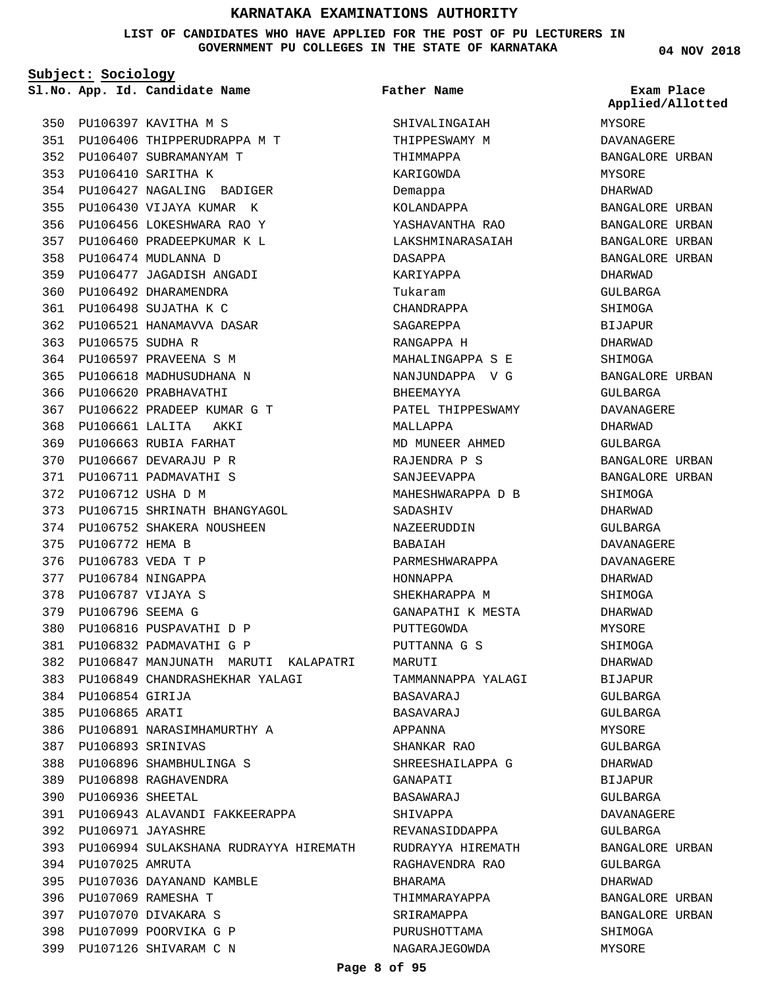**LIST OF CANDIDATES WHO HAVE APPLIED FOR THE POST OF PU LECTURERS IN GOVERNMENT PU COLLEGES IN THE STATE OF KARNATAKA**

**Subject: Sociology**

**App. Id. Candidate Name Sl.No. Exam Place**

PU106397 KAVITHA M S 350

PU106406 THIPPERUDRAPPA M T 351 PU106407 SUBRAMANYAM T 352 PU106410 SARITHA K 353 PU106427 NAGALING BADIGER 354 PU106430 VIJAYA KUMAR K 355 PU106456 LOKESHWARA RAO Y 356 PU106460 PRADEEPKUMAR K L 357 PU106474 MUDLANNA D 358 PU106477 JAGADISH ANGADI 359 360 PU106492 DHARAMENDRA PU106498 SUJATHA K C 361 PU106521 HANAMAVVA DASAR 362 PU106575 SUDHA R 363 364 PU106597 PRAVEENA S M PU106618 MADHUSUDHANA N 365 366 PU106620 PRABHAVATHI PU106622 PRADEEP KUMAR G T 367 PU106661 LALITA AKKI 368 369 PU106663 RUBIA FARHAT PU106667 DEVARAJU P R 370 PU106711 PADMAVATHI S 371 PU106712 USHA D M 372 PU106715 SHRINATH BHANGYAGOL 373 PU106752 SHAKERA NOUSHEEN 374 375 PU106772 HEMA B PU106783 VEDA T P 376 377 PU106784 NINGAPPA PU106787 VIJAYA S 378 PU106796 SEEMA G 379 PU106816 PUSPAVATHI D P 380 PU106832 PADMAVATHI G P 381 PU106847 MANJUNATH MARUTI KALAPATRI 382 PU106849 CHANDRASHEKHAR YALAGI 383 PU106854 GIRIJA 384 385 PU106865 ARATI PU106891 NARASIMHAMURTHY A 386 PU106893 SRINIVAS 387 PU106896 SHAMBHULINGA S 388 PU106898 RAGHAVENDRA 389 PU106936 SHEETAL 390 PU106943 ALAVANDI FAKKEERAPPA 391 PU106971 JAYASHRE 392 PU106994 SULAKSHANA RUDRAYYA HIREMATH 393 394 PU107025 AMRUTA PU107036 DAYANAND KAMBLE 395 PU107069 RAMESHA T 396 PU107070 DIVAKARA S 397 PU107099 POORVIKA G P 398

399 PU107126 SHIVARAM C N

SHIVALINGAIAH THIPPESWAMY M THIMMAPPA KARIGOWDA Demappa KOLANDAPPA YASHAVANTHA RAO LAKSHMINARASAIAH DASAPPA KARIYAPPA Tukaram CHANDRAPPA SAGAREPPA RANGAPPA H MAHALINGAPPA S E NANJUNDAPPA V G BHEEMAYYA PATEL THIPPESWAMY MALLAPPA MD MUNEER AHMED RAJENDRA P S SANJEEVAPPA MAHESHWARAPPA D B SADASHIV NAZEERUDDIN BABAIAH PARMESHWARAPPA HONNAPPA SHEKHARAPPA M GANAPATHI K MESTA PUTTEGOWDA PUTTANNA G S MARIITT TAMMANNAPPA YALAGI BASAVARAJ BASAVARAJ APPANNA SHANKAR RAO SHREESHAILAPPA G GANAPATI BASAWARAJ SHIVAPPA REVANASIDDAPPA RUDRAYYA HIREMATH RAGHAVENDRA RAO BHARAMA THIMMARAYAPPA SRIRAMAPPA PURUSHOTTAMA NAGARAJEGOWDA **Father Name**

**04 NOV 2018**

MYSORE DAVANAGERE BANGALORE URBAN MYSORE DHARWAD BANGALORE URBAN BANGALORE URBAN BANGALORE URBAN BANGALORE URBAN DHARWAD GULBARGA SHIMOGA BIJAPUR DHARWAD SHIMOGA BANGALORE URBAN GULBARGA DAVANAGERE DHARWAD GULBARGA BANGALORE URBAN BANGALORE URBAN SHIMOGA DHARWAD GULBARGA DAVANAGERE DAVANAGERE DHARWAD SHIMOGA DHARWAD MYSORE SHIMOGA DHARWAD BIJAPUR GULBARGA GULBARGA MYSORE GULBARGA DHARWAD BIJAPUR GULBARGA DAVANAGERE GULBARGA BANGALORE URBAN GULBARGA DHARWAD BANGALORE URBAN BANGALORE URBAN SHIMOGA MYSORE **Applied/Allotted**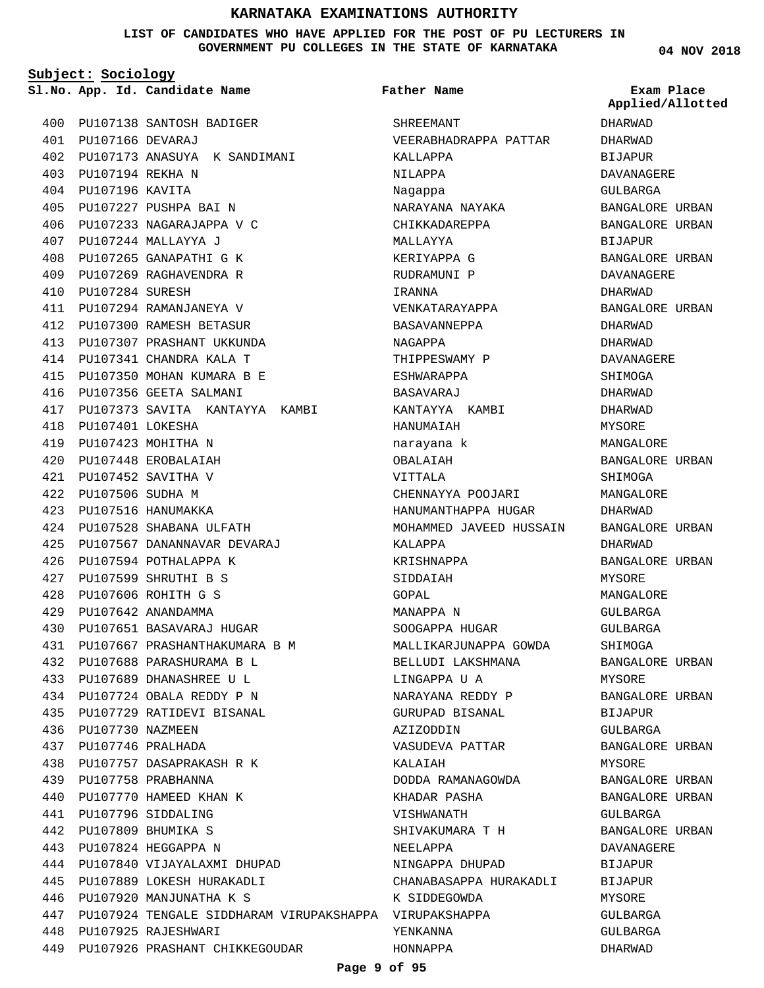**LIST OF CANDIDATES WHO HAVE APPLIED FOR THE POST OF PU LECTURERS IN GOVERNMENT PU COLLEGES IN THE STATE OF KARNATAKA**

**Subject: Sociology**

PU107138 SANTOSH BADIGER 400 PU107166 DEVARAJ 401 PU107173 ANASUYA K SANDIMANI 402 PU107194 REKHA N 403 PU107196 KAVITA 404 PU107227 PUSHPA BAI N 405 PU107233 NAGARAJAPPA V C 406 PU107244 MALLAYYA J 407 PU107265 GANAPATHI G K 408 PU107269 RAGHAVENDRA R 409 PU107284 SURESH 410 PU107294 RAMANJANEYA V 411 PU107300 RAMESH BETASUR 412 PU107307 PRASHANT UKKUNDA 413 PU107341 CHANDRA KALA T 414 PU107350 MOHAN KUMARA B E 415 416 PU107356 GEETA SALMANI 417 PU107373 SAVITA KANTAYYA KAMBI PU107401 LOKESHA 418 PU107423 MOHITHA N 419 PU107448 EROBALAIAH 420 PU107452 SAVITHA V 421 PU107506 SUDHA M 422 PU107516 HANUMAKKA 423 PU107528 SHABANA ULFATH 424 PU107567 DANANNAVAR DEVARAJ 425 426 PU107594 POTHALAPPA K PU107599 SHRUTHI B S 427 PU107606 ROHITH G S 428 PU107642 ANANDAMMA 429 PU107651 BASAVARAJ HUGAR 430 PU107667 PRASHANTHAKUMARA B M 431 PU107688 PARASHURAMA B L 432 PU107689 DHANASHREE U L 433 PU107724 OBALA REDDY P N 434 PU107729 RATIDEVI BISANAL 435 436 PU107730 NAZMEEN PU107746 PRALHADA 437 PU107757 DASAPRAKASH R K 438 PU107758 PRABHANNA 439 440 PU107770 HAMEED KHAN K PU107796 SIDDALING 441 PU107809 BHUMIKA S 442 PU107824 HEGGAPPA N 443 PU107840 VIJAYALAXMI DHUPAD 444 PU107889 LOKESH HURAKADLI 445 PU107920 MANJUNATHA K S 446 PU107924 TENGALE SIDDHARAM VIRUPAKSHAPPA VIRUPAKSHAPPA 447 PU107925 RAJESHWARI 448 PU107926 PRASHANT CHIKKEGOUDAR 449

**App. Id. Candidate Name Sl.No. Exam Place** SHREEMANT VEERABHADRAPPA PATTAR KALLAPPA NILAPPA Nagappa NARAYANA NAYAKA CHIKKADAREPPA MALLAYYA KERIYAPPA G RUDRAMUNI P IRANNA VENKATARAYAPPA BASAVANNEPPA NAGAPPA THIPPESWAMY P ESHWARAPPA BASAVARAJ KANTAYYA KAMBI HANUMAIAH narayana k OBALAIAH VITTALA CHENNAYYA POOJARI HANUMANTHAPPA HUGAR MOHAMMED JAVEED HUSSAIN KALAPPA KRISHNAPPA SIDDAIAH GOPAL MANAPPA N SOOGAPPA HUGAR MALLIKARJUNAPPA GOWDA BELLUDI LAKSHMANA LINGAPPA U A NARAYANA REDDY P GURUPAD BISANAL AZIZODDIN VASUDEVA PATTAR KALAIAH DODDA RAMANAGOWDA KHADAR PASHA VISHWANATH SHIVAKUMARA T H NEELAPPA NINGAPPA DHUPAD CHANABASAPPA HURAKADLI K SIDDEGOWDA YENKANNA **Father Name**

**04 NOV 2018**

DHARWAD DHARWAD BIJAPUR DAVANAGERE GULBARGA BANGALORE URBAN BANGALORE URBAN BIJAPUR BANGALORE URBAN **DAVANAGERE** DHARWAD BANGALORE URBAN DHARWAD DHARWAD DAVANAGERE SHIMOGA DHARWAD DHARWAD MYSORE **MANGALORE** BANGALORE URBAN SHIMOGA MANGALORE DHARWAD BANGALORE URBAN DHARWAD BANGALORE URBAN MYSORE MANGALORE GULBARGA GULBARGA SHIMOGA BANGALORE URBAN MYSORE BANGALORE URBAN BIJAPUR GULBARGA BANGALORE URBAN MYSORE BANGALORE URBAN BANGALORE URBAN GULBARGA BANGALORE URBAN DAVANAGERE BIJAPUR BIJAPUR MYSORE GULBARGA GULBARGA DHARWAD **Applied/Allotted**

HONNAPPA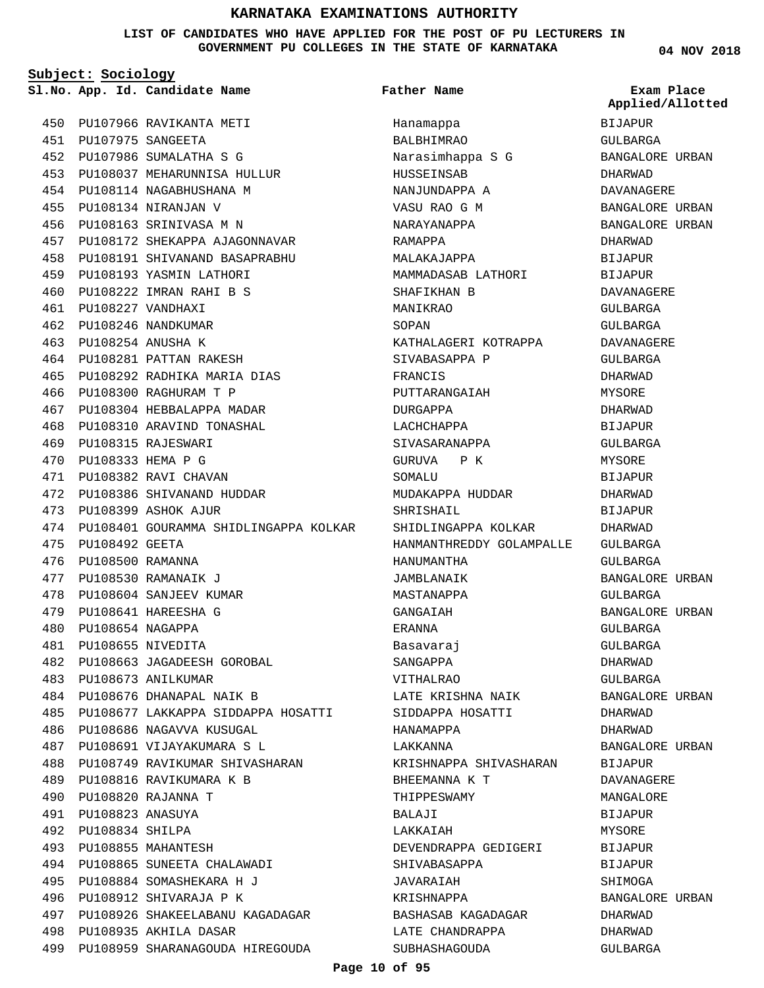**LIST OF CANDIDATES WHO HAVE APPLIED FOR THE POST OF PU LECTURERS IN GOVERNMENT PU COLLEGES IN THE STATE OF KARNATAKA**

**Subject: Sociology**

450 PU107966 RAVIKANTA METI PU107975 SANGEETA 451 PU107986 SUMALATHA S G 452 454 PU108114 NAGABHUSHANA M PU108134 NIRANJAN V 455

PU108037 MEHARUNNISA HULLUR 453 PU108163 SRINIVASA M N 456 PU108172 SHEKAPPA AJAGONNAVAR 457 PU108191 SHIVANAND BASAPRABHU 458 459 PU108193 YASMIN LATHORI PU108222 IMRAN RAHI B S 460 PU108227 VANDHAXI 461 PU108246 NANDKUMAR 462 PU108254 ANUSHA K 463 464 PU108281 PATTAN RAKESH PU108292 RADHIKA MARIA DIAS 465 PU108300 RAGHURAM T P 466 PU108304 HEBBALAPPA MADAR 467 PU108310 ARAVIND TONASHAL 468 PU108315 RAJESWARI 469 PU108333 HEMA P G 470 PU108382 RAVI CHAVAN 471 PU108386 SHIVANAND HUDDAR 472 PU108399 ASHOK AJUR 473 474 PU108401 GOURAMMA SHIDLINGAPPA KOLKAR 475 PU108492 GEETA PU108500 RAMANNA 476 PU108530 RAMANAIK J 477 478 PU108604 SANJEEV KUMAR PU108641 HAREESHA G 479 PU108654 NAGAPPA 480 PU108655 NIVEDITA 481 PU108663 JAGADEESH GOROBAL 482 PU108673 ANILKUMAR 483 PU108676 DHANAPAL NAIK B 484 PU108677 LAKKAPPA SIDDAPPA HOSATTI 485 PU108686 NAGAVVA KUSUGAL 486 PU108691 VIJAYAKUMARA S L 487 PU108749 RAVIKUMAR SHIVASHARAN 488 PU108816 RAVIKUMARA K B 489 PU108820 RAJANNA T 490 PU108823 ANASUYA 491 PU108834 SHILPA 492 PU108855 MAHANTESH 493 PU108865 SUNEETA CHALAWADI 494 PU108884 SOMASHEKARA H J 495 PU108912 SHIVARAJA P K 496 497 PU108926 SHAKEELABANU KAGADAGAR 498 PU108935 AKHILA DASAR 499 PU108959 SHARANAGOUDA HIREGOUDA

**App. Id. Candidate Name Sl.No. Exam Place** Hanamappa BALBHIMRAO Narasimhappa S G HUSSEINSAB NANJUNDAPPA A VASU RAO G M NARAYANAPPA RAMAPPA MALAKAJAPPA MAMMADASAB LATHORI SHAFIKHAN B MANIKRAO SOPAN KATHALAGERI KOTRAPPA SIVABASAPPA P FRANCIS PUTTARANGAIAH DURGAPPA LACHCHAPPA SIVASARANAPPA GURUVA P K SOMALU MUDAKAPPA HUDDAR SHRISHAIL SHIDLINGAPPA KOLKAR HANMANTHREDDY GOLAMPALLE GULBARGA HANUMANTHA JAMBLANAIK MASTANAPPA GANGAIAH ERANNA Basavaraj SANGAPPA VITHALRAO LATE KRISHNA NAIK SIDDAPPA HOSATTI HANAMAPPA LAKKANNA KRISHNAPPA SHIVASHARAN BHEEMANNA K T THIPPESWAMY BALAJI LAKKAIAH DEVENDRAPPA GEDIGERI SHIVABASAPPA JAVARAIAH KRISHNAPPA BASHASAB KAGADAGAR LATE CHANDRAPPA SUBHASHAGOUDA **Father Name**

**04 NOV 2018**

BIJAPUR GULBARGA BANGALORE URBAN DHARWAD DAVANAGERE BANGALORE URBAN BANGALORE URBAN DHARWAD **BIJAPUR** BIJAPUR DAVANAGERE GULBARGA GULBARGA DAVANAGERE GULBARGA DHARWAD MYSORE DHARWAD BIJAPUR GULBARGA MYSORE. BIJAPUR DHARWAD **BIJAPUR** DHARWAD GULBARGA BANGALORE URBAN GULBARGA BANGALORE URBAN GULBARGA GULBARGA DHARWAD GULBARGA BANGALORE URBAN DHARWAD DHARWAD BANGALORE URBAN BIJAPUR DAVANAGERE MANGALORE BIJAPUR MYSORE **BIJAPUR** BIJAPUR SHIMOGA BANGALORE URBAN DHARWAD DHARWAD GULBARGA **Applied/Allotted**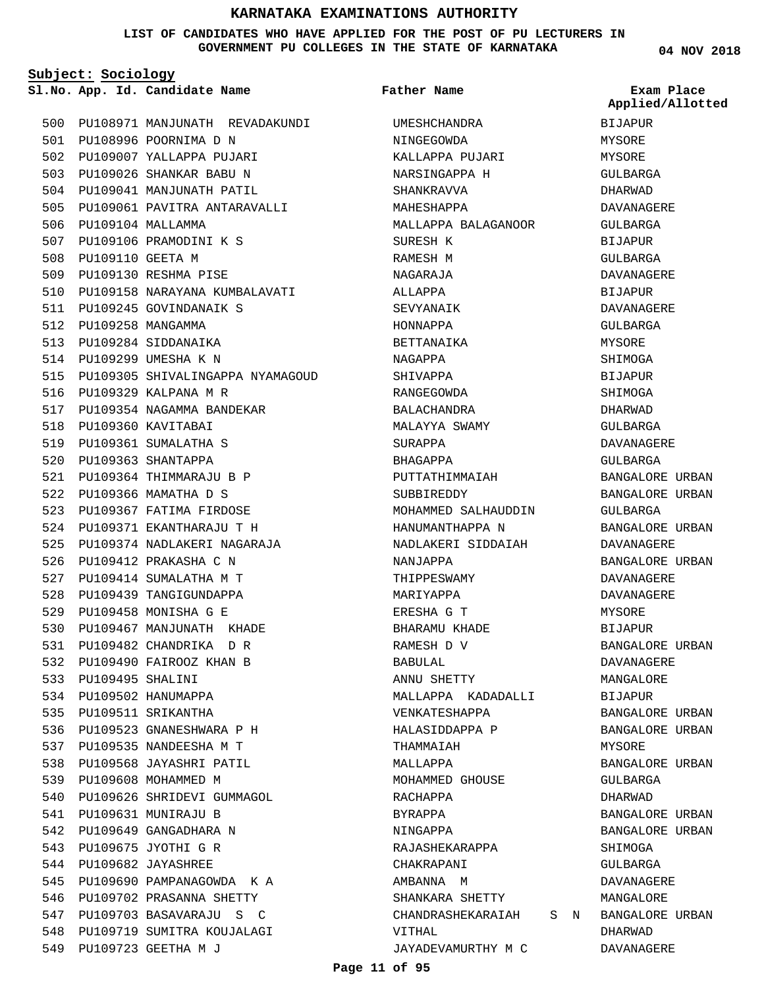#### **LIST OF CANDIDATES WHO HAVE APPLIED FOR THE POST OF PU LECTURERS IN GOVERNMENT PU COLLEGES IN THE STATE OF KARNATAKA**

**Subject: Sociology**

**App. Id. Candidate Name Sl.No. Exam Place**

**Father Name**

500 PU108971 MANJUNATH REVADAKUNDI 501 PU108996 POORNIMA D N 502 PU109007 YALLAPPA PUJARI PU109026 SHANKAR BABU N 503 504 PU109041 MANJUNATH PATIL 505 PU109061 PAVITRA ANTARAVALLI 506 PU109104 MALLAMMA PU109106 PRAMODINI K S 507 508 PU109110 GEETA M PU109130 RESHMA PISE 509 510 PU109158 NARAYANA KUMBALAVATI 511 PU109245 GOVINDANAIK S 512 PU109258 MANGAMMA 513 PU109284 SIDDANAIKA 514 PU109299 UMESHA K N 515 PU109305 SHIVALINGAPPA NYAMAGOUD 516 PU109329 KALPANA M R 517 PU109354 NAGAMMA BANDEKAR 518 PU109360 KAVITABAI PU109361 SUMALATHA S 519 PU109363 SHANTAPPA 520 PU109364 THIMMARAJU B P 521 PU109366 MAMATHA D S 522 523 PU109367 FATIMA FIRDOSE PU109371 EKANTHARAJU T H 524 PU109374 NADLAKERI NAGARAJA 525 526 PU109412 PRAKASHA C N 527 PU109414 SUMALATHA M T 528 PU109439 TANGIGUNDAPPA PU109458 MONISHA G E 529 PU109467 MANJUNATH KHADE 530 PU109482 CHANDRIKA D R 531 532 PU109490 FAIROOZ KHAN B PU109495 SHALINI 533 534 PU109502 HANUMAPPA 535 PU109511 SRIKANTHA PU109523 GNANESHWARA P H 536 537 PU109535 NANDEESHA M T 538 PU109568 JAYASHRI PATIL 539 PU109608 MOHAMMED M 540 PU109626 SHRIDEVI GUMMAGOL PU109631 MUNIRAJU B 541 542 PU109649 GANGADHARA N 543 PU109675 JYOTHI G R PU109682 JAYASHREE 544 545 PU109690 PAMPANAGOWDA KA 546 PU109702 PRASANNA SHETTY 547 PU109703 BASAVARAJU S C 548 PU109719 SUMITRA KOUJALAGI PU109723 GEETHA M J 549

UMESHCHANDRA NINGEGOWDA KALLAPPA PUJARI NARSINGAPPA H SHANKRAVVA MAHESHAPPA MALLAPPA BALAGANOOR SURESH K RAMESH M NAGARAJA ALLAPPA SEVYANAIK HONNAPPA BETTANAIKA NAGAPPA SHIVAPPA RANGEGOWDA BALACHANDRA MALAYYA SWAMY SURAPPA BHAGAPPA PUTTATHIMMAIAH SUBBIREDDY MOHAMMED SALHAUDDIN HANUMANTHAPPA N NADLAKERI SIDDAIAH NANJAPPA THIPPESWAMY MARIYAPPA ERESHA G T BHARAMU KHADE RAMESH D V BABULAL ANNU SHETTY MALLAPPA KADADALLI VENKATESHAPPA HALASIDDAPPA P THAMMAIAH MALLAPPA MOHAMMED GHOUSE RACHAPPA BYRAPPA NINGAPPA RAJASHEKARAPPA CHAKRAPANI AMBANNA M SHANKARA SHETTY CHANDRASHEKARAIAH S N BANGALORE URBAN VITHAL JAYADEVAMURTHY M C

**04 NOV 2018**

**Applied/Allotted**

BIJAPUR MYSORE MYSORE GULBARGA DHARWAD DAVANAGERE GULBARGA BIJAPUR GULBARGA DAVANAGERE **BIJAPUR** DAVANAGERE GULBARGA MYSORE SHIMOGA BIJAPUR SHIMOGA DHARWAD GULBARGA DAVANAGERE GULBARGA BANGALORE URBAN BANGALORE URBAN GULBARGA BANGALORE URBAN DAVANAGERE BANGALORE URBAN DAVANAGERE DAVANAGERE MYSORE BIJAPUR BANGALORE URBAN DAVANAGERE MANGALORE BIJAPUR BANGALORE URBAN BANGALORE URBAN MYSORE BANGALORE URBAN GULBARGA DHARWAD BANGALORE URBAN BANGALORE URBAN SHIMOGA CIILBARGA DAVANAGERE MANGALORE DHARWAD DAVANAGERE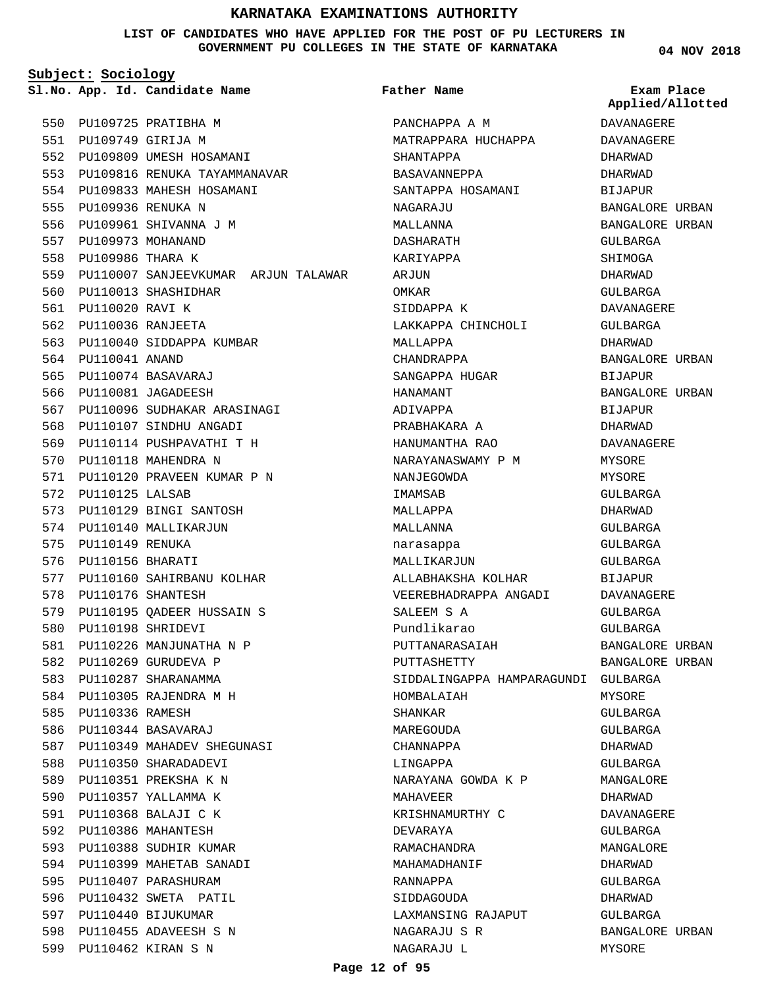**LIST OF CANDIDATES WHO HAVE APPLIED FOR THE POST OF PU LECTURERS IN GOVERNMENT PU COLLEGES IN THE STATE OF KARNATAKA**

**Subject: Sociology**

**App. Id. Candidate Name Sl.No. Exam Place**

**Father Name**

550 PU109725 PRATIBHA M PU109749 GIRIJA M 551 552 PU109809 UMESH HOSAMANI 553 PU109816 RENUKA TAYAMMANAVAR PU109833 MAHESH HOSAMANI 554 PU109936 RENUKA N 555 556 PU109961 SHIVANNA J M 557 PU109973 MOHANAND 558 PU109986 THARA K 559 PU110007 SANJEEVKUMAR ARJUN TALAWAR 560 PU110013 SHASHIDHAR 561 PU110020 RAVI K PU110036 RANJEETA 562 563 PU110040 SIDDAPPA KUMBAR 564 PU110041 ANAND PU110074 BASAVARAJ 565 566 PU110081 JAGADEESH PU110096 SUDHAKAR ARASINAGI 567 568 PU110107 SINDHU ANGADI PU110114 PUSHPAVATHI T H 569 570 PU110118 MAHENDRA N PU110120 PRAVEEN KUMAR P N 571 572 PU110125 LALSAB 573 PU110129 BINGI SANTOSH 574 PU110140 MALLIKARJUN 575 PU110149 RENUKA 576 PU110156 BHARATI 577 PU110160 SAHIRBANU KOLHAR 578 PU110176 SHANTESH PU110195 QADEER HUSSAIN S 579 PU110198 SHRIDEVI 580 581 PU110226 MANJUNATHA N P 582 PU110269 GURUDEVA P 583 PU110287 SHARANAMMA 584 PU110305 RAJENDRA M H 585 PU110336 RAMESH PU110344 BASAVARAJ 586 PU110349 MAHADEV SHEGUNASI 587 588 PU110350 SHARADADEVI 589 PU110351 PREKSHA K N 590 PU110357 YALLAMMA K PU110368 BALAJI C K 591 592 PU110386 MAHANTESH 593 PU110388 SUDHIR KUMAR 594 PU110399 MAHETAB SANADI 595 PU110407 PARASHURAM 596 PU110432 SWETA PATIL 597 PU110440 BIJUKUMAR 598 PU110455 ADAVEESH S N PU110462 KIRAN S N 599

PANCHAPPA A M MATRAPPARA HUCHAPPA SHANTAPPA BASAVANNEPPA SANTAPPA HOSAMANI NAGARAJU MALLANNA DASHARATH KARIYAPPA ARJUN OMKAR SIDDAPPA K LAKKAPPA CHINCHOLI MALLAPPA CHANDRAPPA SANGAPPA HUGAR HANAMANT ADIVAPPA PRABHAKARA A HANUMANTHA RAO NARAYANASWAMY P M NANJEGOWDA IMAMSAB MALLAPPA MALLANNA narasappa MALLIKARJUN ALLABHAKSHA KOLHAR VEEREBHADRAPPA ANGADI SALEEM S A Pundlikarao PUTTANARASAIAH PUTTASHETTY SIDDALINGAPPA HAMPARAGUNDI GULBARGA HOMBALAIAH SHANKAR MAREGOUDA CHANNAPPA LINGAPPA NARAYANA GOWDA K P MAHAVEER KRISHNAMURTHY C DEVARAYA RAMACHANDRA MAHAMADHANIF RANNAPPA SIDDAGOUDA LAXMANSING RAJAPUT NAGARAJU S R NAGARAJU L

**04 NOV 2018**

**Applied/Allotted**

DAVANAGERE DAVANAGERE

DHARWAD DHARWAD BIJAPUR BANGALORE URBAN BANGALORE URBAN GULBARGA SHIMOGA DHARWAD GULBARGA DAVANAGERE GULBARGA DHARWAD BANGALORE URBAN BIJAPUR BANGALORE URBAN **BIJAPUR** DHARWAD DAVANAGERE MYSORE MYSORE GULBARGA DHARWAD GULBARGA GULBARGA GULBARGA BIJAPUR DAVANAGERE GULBARGA GULBARGA BANGALORE URBAN BANGALORE URBAN MYSORE GULBARGA GULBARGA DHARWAD GULBARGA MANGALORE DHARWAD DAVANAGERE GULBARGA MANGALORE DHARWAD GULBARGA DHARWAD GULBARGA BANGALORE URBAN MYSORE

#### **Page 12 of 95**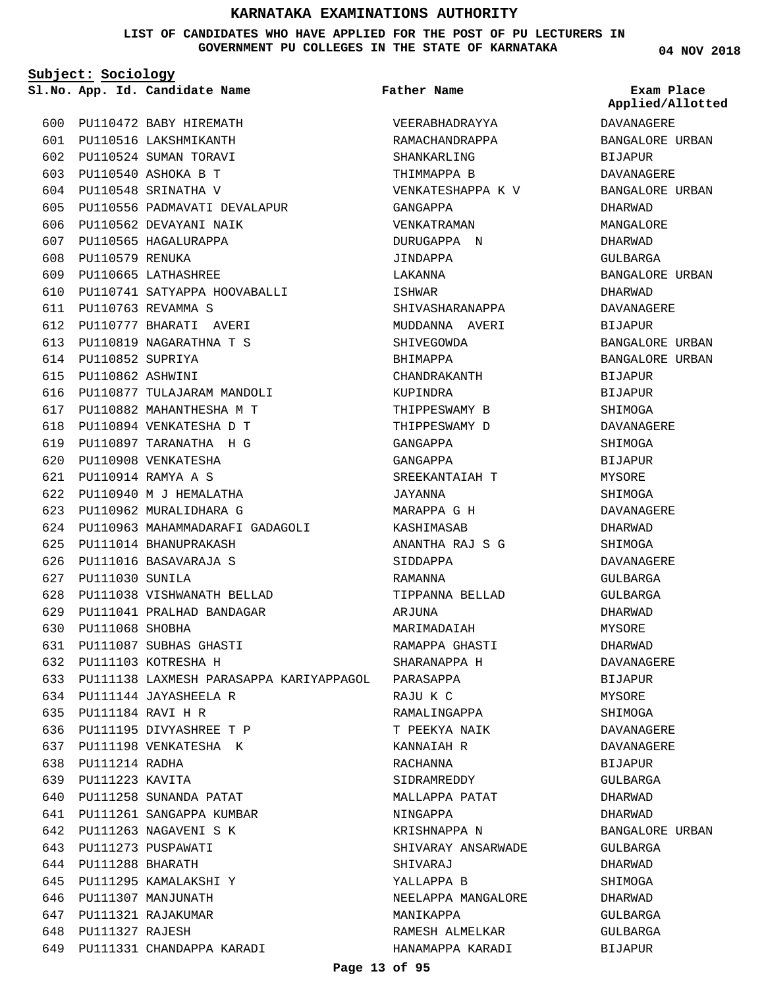**LIST OF CANDIDATES WHO HAVE APPLIED FOR THE POST OF PU LECTURERS IN GOVERNMENT PU COLLEGES IN THE STATE OF KARNATAKA**

**Subject: Sociology**

**App. Id. Candidate Name Sl.No. Exam Place**

**Father Name**

PU110472 BABY HIREMATH 600 PU110516 LAKSHMIKANTH 601 602 PU110524 SUMAN TORAVI PU110540 ASHOKA B T 603 PU110548 SRINATHA V 604 605 PU110556 PADMAVATI DEVALAPUR 606 PU110562 DEVAYANI NAIK 607 PU110565 HAGALURAPPA 608 PU110579 RENUKA PU110665 LATHASHREE 609 PU110741 SATYAPPA HOOVABALLI 610 PU110763 REVAMMA S 611 PU110777 BHARATI AVERI 612 PU110819 NAGARATHNA T S 613 614 PU110852 SUPRIYA PU110862 ASHWINI 615 616 PU110877 TULAJARAM MANDOLI PU110882 MAHANTHESHA M T 617 PU110894 VENKATESHA D T 618 PU110897 TARANATHA H G 619 620 PU110908 VENKATESHA PU110914 RAMYA A S 621 PU110940 M J HEMALATHA 622 623 PU110962 MURALIDHARA G 624 PU110963 MAHAMMADARAFI GADAGOLI PU111014 BHANUPRAKASH 625 626 PU111016 BASAVARAJA S PU111030 SUNILA 627 PU111038 VISHWANATH BELLAD 628 PU111041 PRALHAD BANDAGAR 629 630 PU111068 SHOBHA PU111087 SUBHAS GHASTI 631 632 PU111103 KOTRESHA H PU111138 LAXMESH PARASAPPA KARIYAPPAGOL 633 PU111144 JAYASHEELA R 634 PU111184 RAVI H R 635 636 PU111195 DIVYASHREE T P 637 PU111198 VENKATESHA K 638 PU111214 RADHA 639 PU111223 KAVITA 640 PU111258 SUNANDA PATAT PU111261 SANGAPPA KUMBAR 641 642 PU111263 NAGAVENI S K 643 PU111273 PUSPAWATI 644 PU111288 BHARATH 645 PU111295 KAMALAKSHI Y 646 PU111307 MANJUNATH PU111321 RAJAKUMAR 647 648 PU111327 RAJESH 649 PU111331 CHANDAPPA KARADI

VEERABHADRAYYA RAMACHANDRAPPA SHANKARLING THIMMAPPA B VENKATESHAPPA K V GANGAPPA VENKATRAMAN DURUGAPPA N JINDAPPA LAKANNA ISHWAR SHIVASHARANAPPA MUDDANNA AVERI SHIVEGOWDA BHIMAPPA CHANDRAKANTH KUPINDRA THIPPESWAMY B THIPPESWAMY D GANGAPPA GANGAPPA SREEKANTAIAH T JAYANNA MARAPPA G H KASHIMASAB ANANTHA RAJ S G SIDDAPPA RAMANNA TIPPANNA BELLAD ARJUNA MARIMADAIAH RAMAPPA GHASTI SHARANAPPA H PARASAPPA RAJU K C RAMALINGAPPA T PEEKYA NAIK KANNAIAH R RACHANNA SIDRAMREDDY MALLAPPA PATAT NINGAPPA KRISHNAPPA N SHIVARAY ANSARWADE SHIVARAJ YALLAPPA B NEELAPPA MANGALORE MANIKAPPA RAMESH ALMELKAR HANAMAPPA KARADI

**04 NOV 2018**

DAVANAGERE BANGALORE URBAN BIJAPUR DAVANAGERE BANGALORE URBAN DHARWAD MANGALORE DHARWAD GULBARGA BANGALORE URBAN DHARWAD DAVANAGERE BIJAPUR BANGALORE URBAN BANGALORE URBAN BIJAPUR BIJAPUR **SHIMOGA** DAVANAGERE **SHIMOGA BIJAPUR** MYSORE SHIMOGA DAVANAGERE DHARWAD SHIMOGA DAVANAGERE GULBARGA GULBARGA DHARWAD MYSORE DHARWAD DAVANAGERE BIJAPUR MYSORE **SHIMOGA** DAVANAGERE DAVANAGERE BIJAPUR GULBARGA DHARWAD DHARWAD BANGALORE URBAN GULBARGA DHARWAD SHIMOGA DHARWAD GULBARGA GULBARGA BIJAPUR **Applied/Allotted**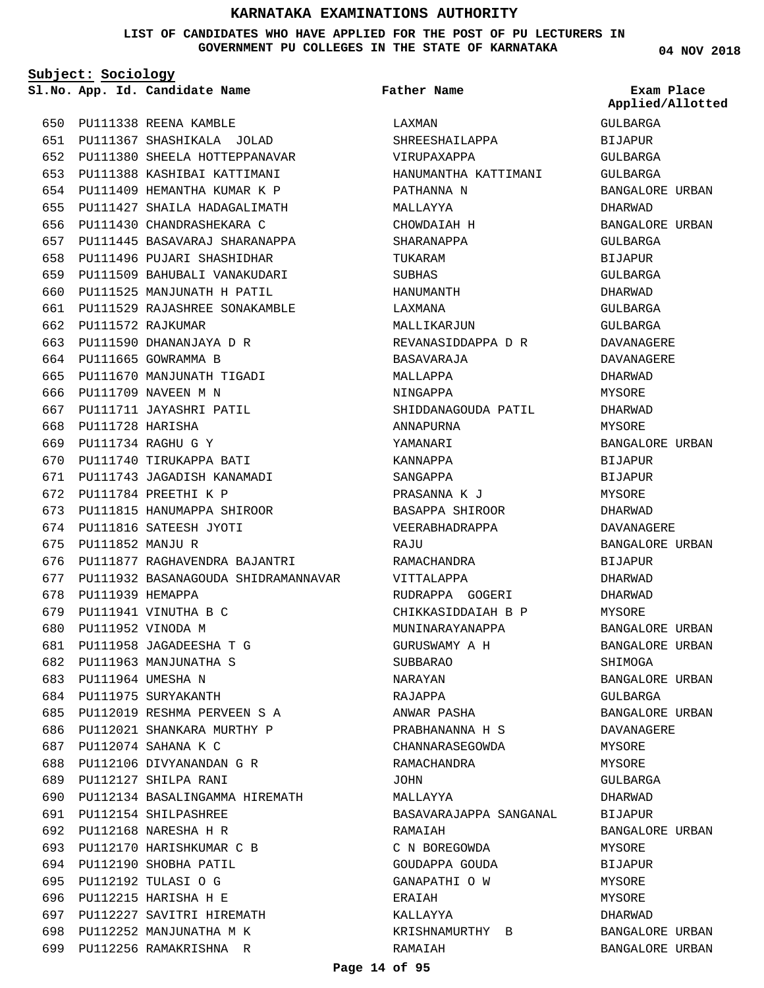**LIST OF CANDIDATES WHO HAVE APPLIED FOR THE POST OF PU LECTURERS IN GOVERNMENT PU COLLEGES IN THE STATE OF KARNATAKA**

**Subject: Sociology**

**App. Id. Candidate Name Sl.No. Exam Place**

**Father Name**

650 PU111338 REENA KAMBLE PU111367 SHASHIKALA JOLAD 651 652 PU111380 SHEELA HOTTEPPANAVAR PU111388 KASHIBAI KATTIMANI 653 PU111409 HEMANTHA KUMAR K P 654 PU111427 SHAILA HADAGALIMATH 655 656 PU111430 CHANDRASHEKARA C PU111445 BASAVARAJ SHARANAPPA 657 PU111496 PUJARI SHASHIDHAR 658 PU111509 BAHUBALI VANAKUDARI 659 660 PU111525 MANJUNATH H PATIL PU111529 RAJASHREE SONAKAMBLE 661 662 PU111572 RAJKUMAR PU111590 DHANANJAYA D R 663 664 PU111665 GOWRAMMA B PU111670 MANJUNATH TIGADI 666 PU111709 NAVEEN M N 667 PU111711 JAYASHRI PATIL 668 PU111728 HARISHA PU111734 RAGHU G Y 669 670 PU111740 TIRUKAPPA BATI PU111743 JAGADISH KANAMADI 671 PU111784 PREETHI K P 672 673 PU111815 HANUMAPPA SHIROOR 674 PU111816 SATEESH JYOTI 675 PU111852 MANJU R 676 PU111877 RAGHAVENDRA BAJANTRI 677 PU111932 BASANAGOUDA SHIDRAMANNAVAR 678 PU111939 HEMAPPA PU111941 VINUTHA B C 679 680 PU111952 VINODA M PU111958 JAGADEESHA T G 681 682 PU111963 MANJUNATHA S 683 PU111964 UMESHA N 684 PU111975 SURYAKANTH PU112019 RESHMA PERVEEN S A 685 686 PU112021 SHANKARA MURTHY P PU112074 SAHANA K C 687 688 PU112106 DIVYANANDAN G R PU112127 SHILPA RANI 689 PU112134 BASALINGAMMA HIREMATH PU112154 SHILPASHREE 691 PU112168 NARESHA H R 692 693 PU112170 HARISHKUMAR C B 694 PU112190 SHOBHA PATIL PU112192 TULASI O G 695 PU112215 HARISHA H E 696 PU112227 SAVITRI HIREMATH 697 698 PU112252 MANJUNATHA M K 699 PU112256 RAMAKRISHNA R 665 690

LAXMAN SHREESHAILAPPA VIRUPAXAPPA HANUMANTHA KATTIMANI PATHANNA N MALLAYYA CHOWDAIAH H SHARANAPPA TIIKARAM **SUBHAS** HANUMANTH LAXMANA MALLIKARJUN REVANASIDDAPPA D R BASAVARAJA MALLAPPA NINGAPPA SHIDDANAGOUDA PATIL ANNAPURNA YAMANARI KANNAPPA SANGAPPA PRASANNA K J BASAPPA SHIROOR VEERABHADRAPPA RAJU RAMACHANDRA VITTALAPPA RUDRAPPA GOGERI CHIKKASIDDAIAH B P MUNINARAYANAPPA GURUSWAMY A H SUBBARAO NARAYAN RAJAPPA ANWAR PASHA PRABHANANNA H S CHANNARASEGOWDA RAMACHANDRA JOHN MALLAYYA BASAVARAJAPPA SANGANAL RAMAIAH C N BOREGOWDA GOUDAPPA GOUDA GANAPATHI O W ERAIAH KALLAYYA KRISHNAMURTHY B RAMAIAH

**04 NOV 2018**

GULBARGA BIJAPUR GULBARGA GULBARGA BANGALORE URBAN DHARWAD BANGALORE URBAN GULBARGA **BIJAPUR** GULBARGA DHARWAD GULBARGA GULBARGA DAVANAGERE DAVANAGERE DHARWAD MYSORE DHARWAD MYSORE BANGALORE URBAN BIJAPUR BIJAPUR MYSORE DHARWAD DAVANAGERE BANGALORE URBAN **BIJAPUR** DHARWAD DHARWAD MYSORE BANGALORE URBAN BANGALORE URBAN SHIMOGA BANGALORE URBAN GULBARGA BANGALORE URBAN DAVANAGERE MYSORE MYSORE GULBARGA DHARWAD BIJAPUR BANGALORE URBAN MYSORE BIJAPUR MYSORE. MYSORE DHARWAD BANGALORE URBAN BANGALORE URBAN **Applied/Allotted**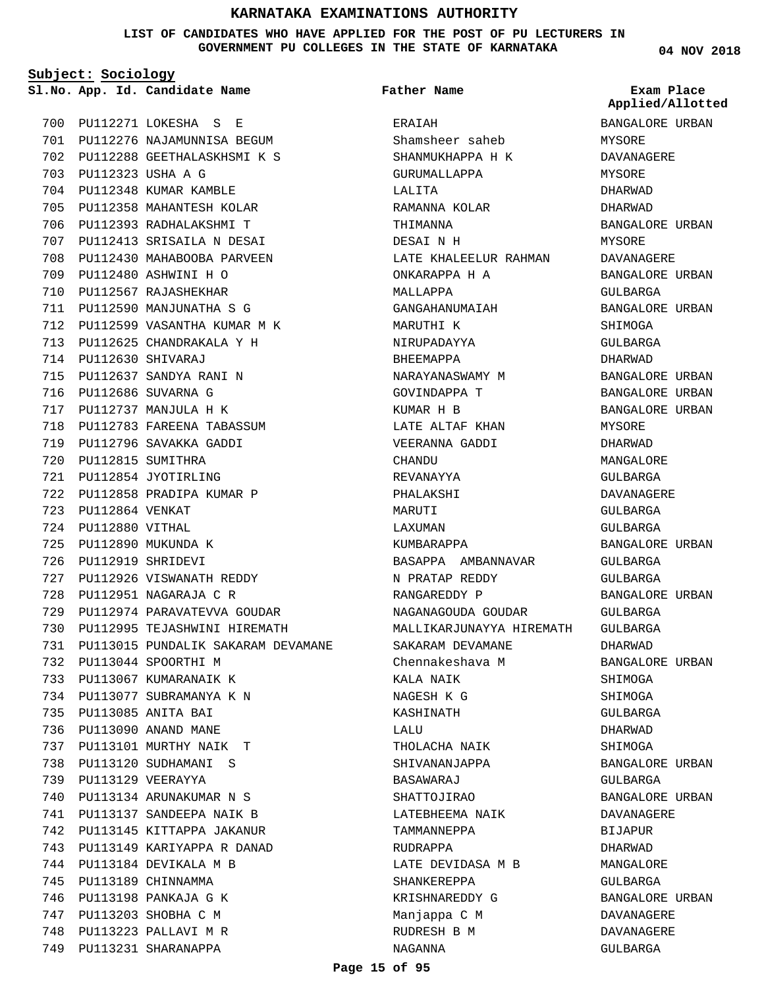**LIST OF CANDIDATES WHO HAVE APPLIED FOR THE POST OF PU LECTURERS IN GOVERNMENT PU COLLEGES IN THE STATE OF KARNATAKA**

**Subject: Sociology**

**App. Id. Candidate Name Sl.No. Exam Place**

PU112271 LOKESHA S E 700 PU112276 NAJAMUNNISA BEGUM 701 PU112288 GEETHALASKHSMI K S 702 PU112323 USHA A G 703 704 PU112348 KUMAR KAMBLE 705 PU112358 MAHANTESH KOLAR 706 PU112393 RADHALAKSHMI T PU112413 SRISAILA N DESAI 707 708 PU112430 MAHABOOBA PARVEEN PU112480 ASHWINI H O 709 710 PU112567 RAJASHEKHAR PU112590 MANJUNATHA S G 711 PU112599 VASANTHA KUMAR M K 712 PU112625 CHANDRAKALA Y H 713 PU112630 SHIVARAJ 714 PU112637 SANDYA RANI N 715 PU112686 SUVARNA G 716 PU112737 MANJULA H K 717 718 PU112783 FAREENA TABASSUM 719 PU112796 SAVAKKA GADDI PU112815 SUMITHRA 720 PU112854 JYOTIRLING 721 PU112858 PRADIPA KUMAR P 722 PU112864 VENKAT 723 PU112880 VITHAL 724 PU112890 MUKUNDA K 725 PU112919 SHRIDEVI 726 PU112926 VISWANATH REDDY 727 PU112951 NAGARAJA C R 728 729 PU112974 PARAVATEVVA GOUDAR 730 PU112995 TEJASHWINI HIREMATH PU113015 PUNDALIK SAKARAM DEVAMANE 731 PU113044 SPOORTHI M 732 733 PU113067 KUMARANAIK K PU113077 SUBRAMANYA K N 734 PU113085 ANITA BAI 735 PU113090 ANAND MANE 736 PU113101 MURTHY NAIK T 737 738 PU113120 SUDHAMANI S PU113129 VEERAYYA 739 PU113134 ARUNAKUMAR N S 740 PU113137 SANDEEPA NAIK B 741 742 PU113145 KITTAPPA JAKANUR PU113149 KARIYAPPA R DANAD 743 PU113184 DEVIKALA M B 744 PU113189 CHINNAMMA 745 PU113198 PANKAJA G K 746 PU113203 SHOBHA C M 747 PU113223 PALLAVI M R 748 749 PU113231 SHARANAPPA

**Father Name**

ERAIAH Shamsheer saheb SHANMUKHAPPA H K GURUMALLAPPA LALITA RAMANNA KOLAR THIMANNA DESAI N H LATE KHALEELUR RAHMAN ONKARAPPA H A MALLAPPA GANGAHANUMAIAH MARUTHI K NIRUPADAYYA BHEEMAPPA NARAYANASWAMY M GOVINDAPPA T KUMAR H B LATE ALTAF KHAN VEERANNA GADDI CHANDU REVANAYYA PHALAKSHI MARITTT LAXUMAN KUMBARAPPA BASAPPA AMBANNAVAR N PRATAP REDDY RANGAREDDY P NAGANAGOUDA GOUDAR MALLIKARJUNAYYA HIREMATH GULBARGA SAKARAM DEVAMANE Chennakeshava M KALA NAIK NAGESH K G KASHINATH  $T.A T.TT$ THOLACHA NAIK SHIVANANJAPPA BASAWARAJ SHATTOJIRAO LATEBHEEMA NAIK TAMMANNEPPA RUDRAPPA LATE DEVIDASA M B SHANKEREPPA KRISHNAREDDY G Manjappa C M RUDRESH B M NAGANNA

**04 NOV 2018**

**Applied/Allotted**

BANGALORE URBAN MYSORE DAVANAGERE MYSORE DHARWAD DHARWAD BANGALORE URBAN MYSORE DAVANAGERE BANGALORE URBAN GULBARGA BANGALORE URBAN SHIMOGA GULBARGA DHARWAD BANGALORE URBAN BANGALORE URBAN BANGALORE URBAN MYSORE DHARWAD MANGALORE GULBARGA DAVANAGERE GULBARGA GULBARGA BANGALORE URBAN GULBARGA GULBARGA BANGALORE URBAN GULBARGA DHARWAD BANGALORE URBAN SHIMOGA SHIMOGA GULBARGA DHARWAD SHIMOGA BANGALORE URBAN GULBARGA BANGALORE URBAN DAVANAGERE BIJAPUR DHARWAD MANGALORE GULBARGA BANGALORE URBAN DAVANAGERE DAVANAGERE

GULBARGA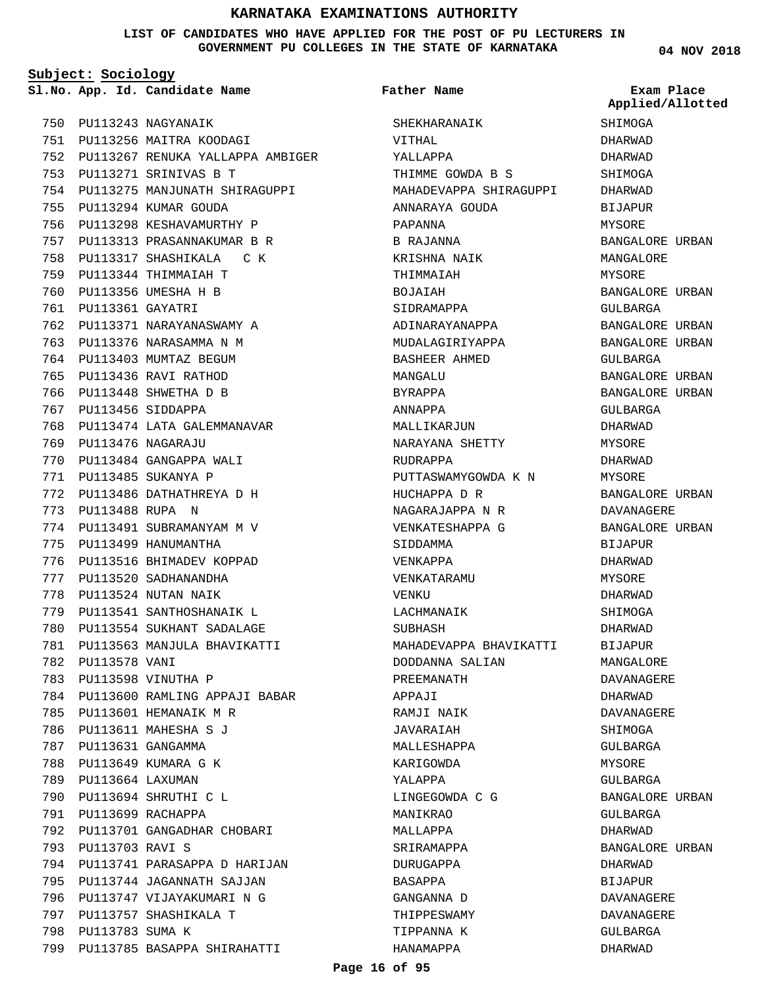#### **LIST OF CANDIDATES WHO HAVE APPLIED FOR THE POST OF PU LECTURERS IN GOVERNMENT PU COLLEGES IN THE STATE OF KARNATAKA**

**Subject: Sociology**

**04 NOV 2018**

| 750 |                        | PU113243 NAGYANAIK               |
|-----|------------------------|----------------------------------|
| 751 |                        | PU113256 MAITRA KOODAGI          |
| 752 |                        | PU113267 RENUKA YALLAPPA AMBIGER |
| 753 | PU113271               | SRINIVAS B T                     |
| 754 | PU113275               | MANJUNATH SHIRAGUPPI             |
| 755 | PU113294               | KUMAR GOUDA                      |
| 756 | PU113298               | KESHAVAMURTHY P                  |
| 757 | PU113313               | PRASANNAKUMAR B R                |
| 758 |                        | PU113317 SHASHIKALA C<br>K       |
| 759 | PU113344               | THIMMAIAH T                      |
| 760 | PU113356               | UMESHA H B                       |
| 761 | PU113361               | GAYATRI                          |
| 762 | PU113371               | NARAYANASWAMY<br>Α               |
| 763 | PU113376               | NARASAMMA N M                    |
| 764 | PU113403               | MUMTAZ BEGUM                     |
| 765 | PU113436               | RAVI RATHOD                      |
| 766 |                        | PU113448 SHWETHA D B             |
| 767 | PU113456               | SIDDAPPA                         |
| 768 | PU113474               | LATA GALEMMANAVAR                |
| 769 | PU113476               | NAGARAJU                         |
| 770 |                        | PU113484 GANGAPPA WALI           |
| 771 | PU113485               | SUKANYA P                        |
| 772 | PU113486               | DATHATHREYA D<br>Н               |
| 773 | PU113488               | RUPA<br>N                        |
| 774 |                        | PU113491 SUBRAMANYAM M V         |
| 775 | PU113499               | HANUMANTHA                       |
| 776 | PU113516               | BHIMADEV KOPPAD                  |
| 777 | PU113520               | SADHANANDHA                      |
| 778 | PU113524               | NUTAN NAIK                       |
| 779 |                        | PU113541 SANTHOSHANAIK<br>L      |
| 780 |                        | PU113554 SUKHANT SADALAGE        |
| 781 | PU113563               | MANJULA BHAVIKATTI               |
| 782 | PU113578 VANI          |                                  |
| 783 |                        | PU113598 VINUTHA P               |
| 784 |                        | PU113600 RAMLING APPAJI BABAR    |
| 785 |                        | PU113601 HEMANAIK M R            |
| 786 |                        | PU113611 MAHESHA S J             |
| 787 |                        | PU113631 GANGAMMA                |
| 788 |                        | PU113649 KUMARA G K              |
| 789 | PU113664 LAXUMAN       |                                  |
| 790 |                        | PU113694 SHRUTHI C L             |
| 791 |                        | PU113699 RACHAPPA                |
| 792 |                        | PU113701 GANGADHAR CHOBARI       |
| 793 | <b>PU113703 RAVI S</b> |                                  |
| 794 |                        | PU113741 PARASAPPA D HARIJAN     |
| 795 |                        | PU113744 JAGANNATH SAJJAN        |
| 796 |                        | PU113747 VIJAYAKUMARI N G        |
| 797 |                        | PU113757 SHASHIKALA T            |
| 798 | PU113783 SUMA K        |                                  |
| 799 |                        | PU113785 BASAPPA SHIRAHATTI      |
|     |                        |                                  |

|     |                        | Sl.No. App. Id. Candidate Name   | Father Name            | Exam Place<br>Applied/Allotted |
|-----|------------------------|----------------------------------|------------------------|--------------------------------|
| 750 |                        | PU113243 NAGYANAIK               | SHEKHARANAIK           | SHIMOGA                        |
| 751 |                        | PU113256 MAITRA KOODAGI          | VITHAL                 | DHARWAD                        |
| 752 |                        | PU113267 RENUKA YALLAPPA AMBIGER | YALLAPPA               | DHARWAD                        |
| 753 |                        | PU113271 SRINIVAS B T            | THIMME GOWDA B S       | SHIMOGA                        |
| 754 |                        | PU113275 MANJUNATH SHIRAGUPPI    | MAHADEVAPPA SHIRAGUPPI | DHARWAD                        |
| 755 |                        | PU113294 KUMAR GOUDA             | ANNARAYA GOUDA         | <b>BIJAPUR</b>                 |
| 756 |                        | PU113298 KESHAVAMURTHY P         | PAPANNA                | MYSORE                         |
| 757 |                        | PU113313 PRASANNAKUMAR B R       | B RAJANNA              | BANGALORE URBAN                |
| 758 |                        | PU113317 SHASHIKALA<br>с к       | KRISHNA NAIK           | MANGALORE                      |
| 759 |                        | PU113344 THIMMAIAH T             | THIMMAIAH              | MYSORE                         |
| 760 |                        | PU113356 UMESHA H B              | BOJAIAH                | BANGALORE URBAN                |
| 761 | PU113361 GAYATRI       |                                  | SIDRAMAPPA             | GULBARGA                       |
| 762 |                        | PU113371 NARAYANASWAMY A         | ADINARAYANAPPA         | BANGALORE URBAN                |
| 763 |                        | PU113376 NARASAMMA N M           | MUDALAGIRIYAPPA        | BANGALORE URBAN                |
| 764 |                        | PU113403 MUMTAZ BEGUM            | BASHEER AHMED          | GULBARGA                       |
| 765 |                        | PU113436 RAVI RATHOD             | MANGALU                | BANGALORE URBAN                |
| 766 |                        | PU113448 SHWETHA D B             | BYRAPPA                | BANGALORE URBAN                |
| 767 |                        | PU113456 SIDDAPPA                | ANNAPPA                | GULBARGA                       |
| 768 |                        | PU113474 LATA GALEMMANAVAR       | MALLIKARJUN            | DHARWAD                        |
| 769 |                        | PU113476 NAGARAJU                | NARAYANA SHETTY        | MYSORE                         |
| 770 |                        | PU113484 GANGAPPA WALI           | RUDRAPPA               | DHARWAD                        |
| 771 |                        | PU113485 SUKANYA P               | PUTTASWAMYGOWDA K N    | MYSORE                         |
| 772 |                        | PU113486 DATHATHREYA D H         | HUCHAPPA D R           | BANGALORE URBAN                |
| 773 | <b>PU113488 RUPA N</b> |                                  | NAGARAJAPPA N R        | DAVANAGERE                     |
| 774 |                        | PU113491 SUBRAMANYAM M V         | VENKATESHAPPA G        | BANGALORE URBAN                |
| 775 |                        | PU113499 HANUMANTHA              | SIDDAMMA               | <b>BIJAPUR</b>                 |
| 776 |                        | PU113516 BHIMADEV KOPPAD         | VENKAPPA               | DHARWAD                        |
| 777 |                        | PU113520 SADHANANDHA             | VENKATARAMU            | MYSORE                         |
| 778 |                        | PU113524 NUTAN NAIK              | VENKU                  | DHARWAD                        |
| 779 |                        | PU113541 SANTHOSHANAIK L         | LACHMANAIK             | SHIMOGA                        |
| 780 |                        | PU113554 SUKHANT SADALAGE        | SUBHASH                | DHARWAD                        |
|     |                        | 781 PU113563 MANJULA BHAVIKATTI  | MAHADEVAPPA BHAVIKATTI | <b>BIJAPUR</b>                 |
|     | 782 PU113578 VANI      |                                  | DODDANNA SALIAN        | MANGALORE                      |
| 783 |                        | PU113598 VINUTHA P               | PREEMANATH             | DAVANAGERE                     |
| 784 |                        | PU113600 RAMLING APPAJI BABAR    | APPAJI                 | DHARWAD                        |
| 785 |                        | PU113601 HEMANAIK M R            | RAMJI NAIK             | DAVANAGERE                     |
| 786 |                        | PU113611 MAHESHA S J             | JAVARAIAH              | SHIMOGA                        |
| 787 |                        | PU113631 GANGAMMA                | MALLESHAPPA            | GULBARGA                       |
| 788 |                        | PU113649 KUMARA G K              | KARIGOWDA              | MYSORE                         |
|     | 789 PU113664 LAXUMAN   |                                  | YALAPPA                | GULBARGA                       |
| 790 |                        | PU113694 SHRUTHI C L             | LINGEGOWDA C G         | BANGALORE URBAN                |
| 791 |                        | PU113699 RACHAPPA                | MANIKRAO               | GULBARGA                       |
| 792 |                        | PU113701 GANGADHAR CHOBARI       | MALLAPPA               | DHARWAD                        |
| 793 | <b>PU113703 RAVI S</b> |                                  | SRIRAMAPPA             | BANGALORE URBAN                |
| 794 |                        | PU113741 PARASAPPA D HARIJAN     | DURUGAPPA              | DHARWAD                        |
| 795 |                        | PU113744 JAGANNATH SAJJAN        | BASAPPA                | BIJAPUR                        |
| 796 |                        | PU113747 VIJAYAKUMARI N G        | GANGANNA D             | DAVANAGERE                     |
| 797 |                        | PU113757 SHASHIKALA T            | THIPPESWAMY            | DAVANAGERE                     |
| 798 | PU113783 SUMA K        |                                  | TIPPANNA K             | GULBARGA                       |
| 799 |                        | PU113785 BASAPPA SHIRAHATTI      | HANAMAPPA              | DHARWAD                        |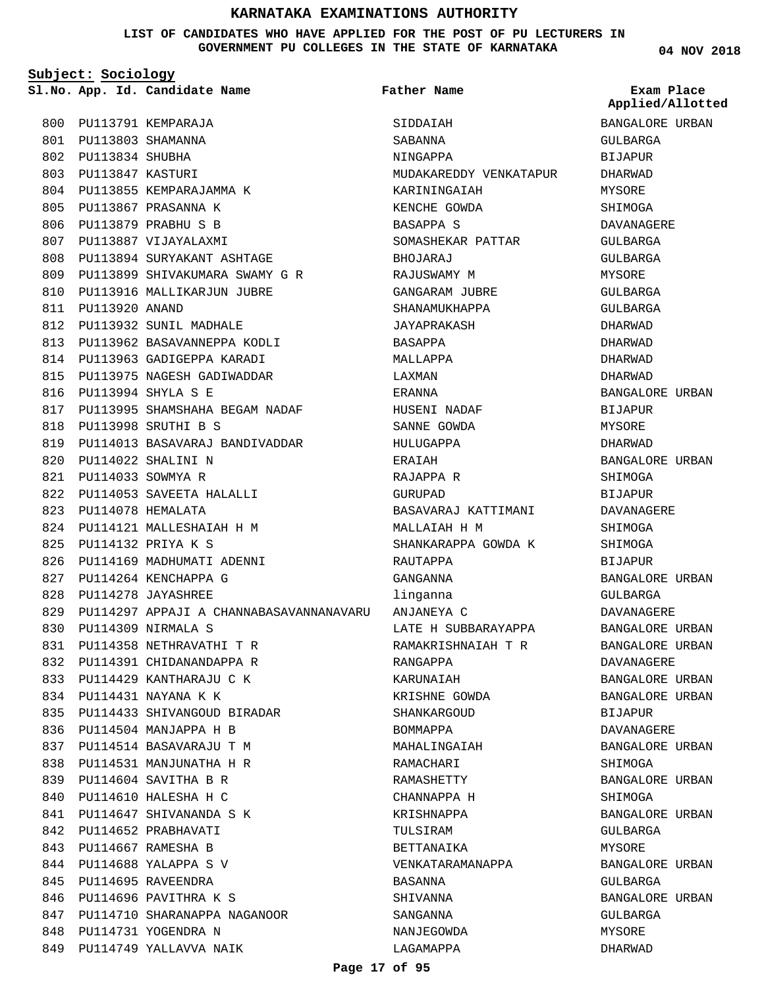**LIST OF CANDIDATES WHO HAVE APPLIED FOR THE POST OF PU LECTURERS IN GOVERNMENT PU COLLEGES IN THE STATE OF KARNATAKA**

**Subject: Sociology**

**App. Id. Candidate Name Sl.No. Exam Place**

804 PU113855 KEMPARAJAMMA K PU113867 PRASANNA K 805 PU113879 PRABHU S B 806 807 PU113887 VIJAYALAXMI

PU113894 SURYAKANT ASHTAGE 808 PU113899 SHIVAKUMARA SWAMY G R 809 810 PU113916 MALLIKARJUN JUBRE

813 PU113962 BASAVANNEPPA KODLI 814 PU113963 GADIGEPPA KARADI PU113975 NAGESH GADIWADDAR 815

817 PU113995 SHAMSHAHA BEGAM NADAF

PU114013 BASAVARAJ BANDIVADDAR 819

812 PU113932 SUNIL MADHALE

PU113994 SHYLA S E 816

PU113998 SRUTHI B S 818

PU114022 SHALINI N 820 PU114033 SOWMYA R 821

823 PU114078 HEMALATA

PU114132 PRIYA K S 825

PU114309 NIRMALA S 830

827 PU114264 KENCHAPPA G PU114278 JAYASHREE 828

PU114053 SAVEETA HALALLI 822

PU114121 MALLESHAIAH H M 824

826 PU114169 MADHUMATI ADENNI

PU114358 NETHRAVATHI T R 831 832 PU114391 CHIDANANDAPPA R 833 PU114429 KANTHARAJU C K PU114431 NAYANA K K 834

PU114433 SHIVANGOUD BIRADAR 835

847 PU114710 SHARANAPPA NAGANOOR

848 PU114731 YOGENDRA N 849 PU114749 YALLAVVA NAIK

836 PU114504 MANJAPPA H B PU114514 BASAVARAJU T M 837 838 PU114531 MANJUNATHA H R PU114604 SAVITHA B R 839 PU114610 HALESHA H C 840 PU114647 SHIVANANDA S K 841 842 PU114652 PRABHAVATI PU114667 RAMESHA B 843 PU114688 YALAPPA S V 844 845 PU114695 RAVEENDRA 846 PU114696 PAVITHRA K S

PU114297 APPAJI A CHANNABASAVANNANAVARU 829

800 PU113791 KEMPARAJA PU113803 SHAMANNA 801 PU113834 SHUBHA 802 PU113847 KASTURI 803

811 PU113920 ANAND

**Father Name**

SIDDAIAH SABANNA NINGAPPA MUDAKAREDDY VENKATAPUR KARININGAIAH KENCHE GOWDA BASAPPA S SOMASHEKAR PATTAR **BHOJARAJ** RAJUSWAMY M GANGARAM JURRE SHANAMUKHAPPA JAYAPRAKASH BASAPPA MALLAPPA LAXMAN ERANNA HUSENI NADAF SANNE GOWDA HULUGAPPA ERAIAH RAJAPPA R GURUPAD BASAVARAJ KATTIMANI MALLAIAH H M SHANKARAPPA GOWDA K **RAUTAPPA** GANGANNA linganna ANJANEYA C LATE H SUBBARAYAPPA RAMAKRISHNAIAH T R RANGAPPA KARUNAIAH KRISHNE GOWDA SHANKARGOUD BOMMAPPA MAHALINGAIAH RAMACHARI RAMASHETTY CHANNAPPA H KRISHNAPPA TULSIRAM BETTANAIKA VENKATARAMANAPPA BASANNA SHIVANNA SANGANNA NANJEGOWDA LAGAMAPPA

**04 NOV 2018**

**Applied/Allotted**

BANGALORE URBAN

GULBARGA

# BIJAPUR DHARWAD MYSORE SHIMOGA DAVANAGERE GULBARGA GULBARGA **MYSORE** GULBARGA GULBARGA DHARWAD DHARWAD DHARWAD DHARWAD BANGALORE URBAN **BIJAPUR** MYSORE DHARWAD BANGALORE URBAN SHIMOGA BIJAPUR DAVANAGERE SHIMOGA SHIMOGA BIJAPUR BANGALORE URBAN GULBARGA DAVANAGERE BANGALORE URBAN BANGALORE URBAN DAVANAGERE BANGALORE URBAN BANGALORE URBAN BIJAPUR DAVANAGERE BANGALORE URBAN SHIMOGA BANGALORE URBAN SHIMOGA BANGALORE URBAN GULBARGA MYSORE BANGALORE URBAN GULBARGA BANGALORE URBAN GULBARGA MYSORE DHARWAD

#### **Page 17 of 95**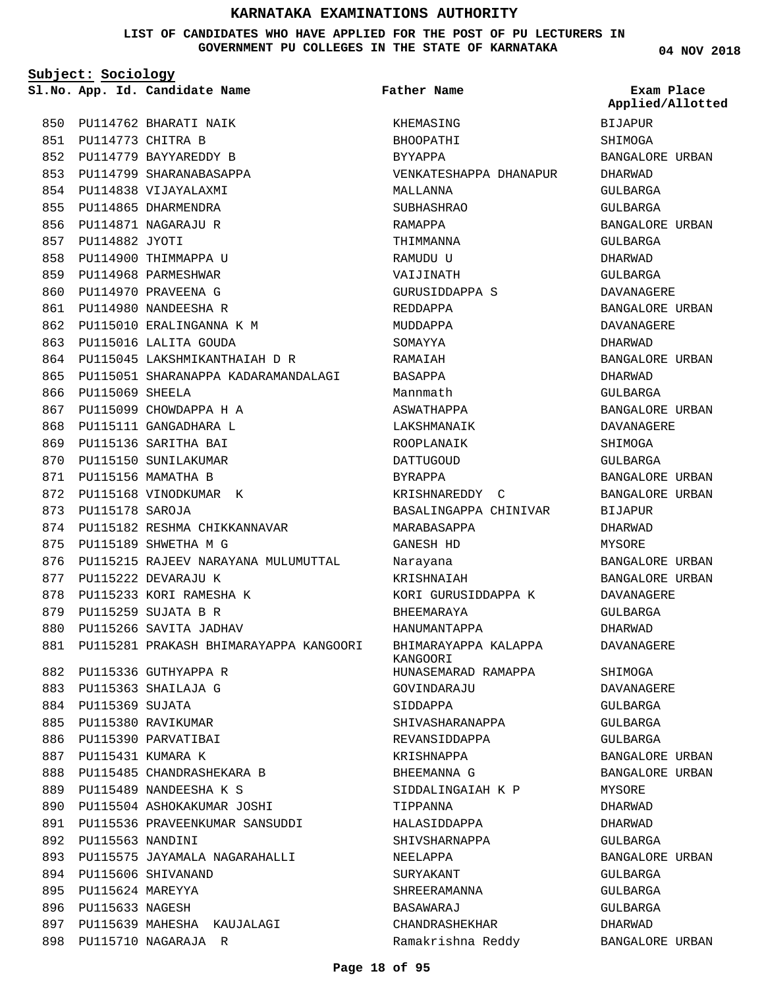#### **LIST OF CANDIDATES WHO HAVE APPLIED FOR THE POST OF PU LECTURERS IN GOVERNMENT PU COLLEGES IN THE STATE OF KARNATAKA**

**Subject: Sociology**

865

PU115710 NAGARAJA R 898

**Father Name**

850 PU114762 BHARATI NAIK PU114773 CHITRA B 851 852 PU114779 BAYYAREDDY B 853 PU114799 SHARANABASAPPA 854 PU114838 VIJAYALAXMI 855 PU114865 DHARMENDRA 856 PU114871 NAGARAJU R 857 PU114882 JYOTI 858 PU114900 THIMMAPPA U 859 PU114968 PARMESHWAR 860 PU114970 PRAVEENA G 861 PU114980 NANDEESHA R 862 PU115010 ERALINGANNA K M 863 PU115016 LALITA GOUDA 864 PU115045 LAKSHMIKANTHAIAH D R PU115051 SHARANAPPA KADARAMANDALAGI 866 PU115069 SHEELA 867 PU115099 CHOWDAPPA H A 868 PU115111 GANGADHARA L 869 PU115136 SARITHA BAI 870 PU115150 SUNILAKUMAR PU115156 MAMATHA B 871 872 PU115168 VINODKUMAR K 873 PU115178 SAROJA 874 PU115182 RESHMA CHIKKANNAVAR PU115189 SHWETHA M G 875 876 PU115215 RAJEEV NARAYANA MULUMUTTAL 877 PU115222 DEVARAJU K 878 PU115233 KORI RAMESHA K 879 PU115259 SUJATA B R 880 PU115266 SAVITA JADHAV PU115281 PRAKASH BHIMARAYAPPA KANGOORI 881 PU115336 GUTHYAPPA R 882 PU115363 SHAILAJA G 883 884 PU115369 SUJATA 885 PU115380 RAVIKUMAR 886 PU115390 PARVATIBAI 887 PU115431 KUMARA K 888 PU115485 CHANDRASHEKARA B PU115489 NANDEESHA K S 889 890 PU115504 ASHOKAKUMAR JOSHI 891 PU115536 PRAVEENKUMAR SANSUDDI 892 PU115563 NANDINI 893 PU115575 JAYAMALA NAGARAHALLI PU115606 SHIVANAND 894 895 PU115624 MAREYYA 896 PU115633 NAGESH 897 PU115639 MAHESHA KAUJALAGI

**App. Id. Candidate Name Sl.No. Exam Place** KHEMASING BHOOPATHI BYYAPPA VENKATESHAPPA DHANAPUR MALLANNA SUBHASHRAO RAMAPPA THIMMANNA RAMIDII II VAIJINATH GURUSIDDAPPA S REDDAPPA MUDDAPPA SOMAYYA RAMAIAH BASAPPA Mannmath ASWATHAPPA LAKSHMANAIK ROOPLANAIK DATTUGOUD BYRAPPA KRISHNAREDDY C BASALINGAPPA CHINIVAR MARABASAPPA GANESH HD Narayana KRISHNAIAH KORI GURUSIDDAPPA K BHEEMARAYA HANUMANTAPPA BHIMARAYAPPA KALAPPA KANGOORI HUNASEMARAD RAMAPPA GOVINDARAJU SIDDAPPA SHIVASHARANAPPA REVANSIDDAPPA KRISHNAPPA BHEEMANNA G SIDDALINGAIAH K P TIPPANNA HALASIDDAPPA SHIVSHARNAPPA NEELAPPA SURYAKANT SHREERAMANNA BASAWARAJ CHANDRASHEKHAR Ramakrishna Reddy

**04 NOV 2018**

BIJAPUR SHIMOGA BANGALORE URBAN DHARWAD GULBARGA GULBARGA BANGALORE URBAN GULBARGA DHARWAD GULBARGA DAVANAGERE BANGALORE URBAN DAVANAGERE DHARWAD BANGALORE URBAN DHARWAD GULBARGA BANGALORE URBAN DAVANAGERE **SHIMOGA** GULBARGA BANGALORE URBAN BANGALORE URBAN BIJAPUR DHARWAD MYSORE BANGALORE URBAN BANGALORE URBAN DAVANAGERE GULBARGA DHARWAD DAVANAGERE SHIMOGA DAVANAGERE GULBARGA GULBARGA GULBARGA BANGALORE URBAN BANGALORE URBAN MYSORE DHARWAD DHARWAD GULBARGA BANGALORE URBAN GULBARGA GULBARGA GULBARGA DHARWAD BANGALORE URBAN **Applied/Allotted**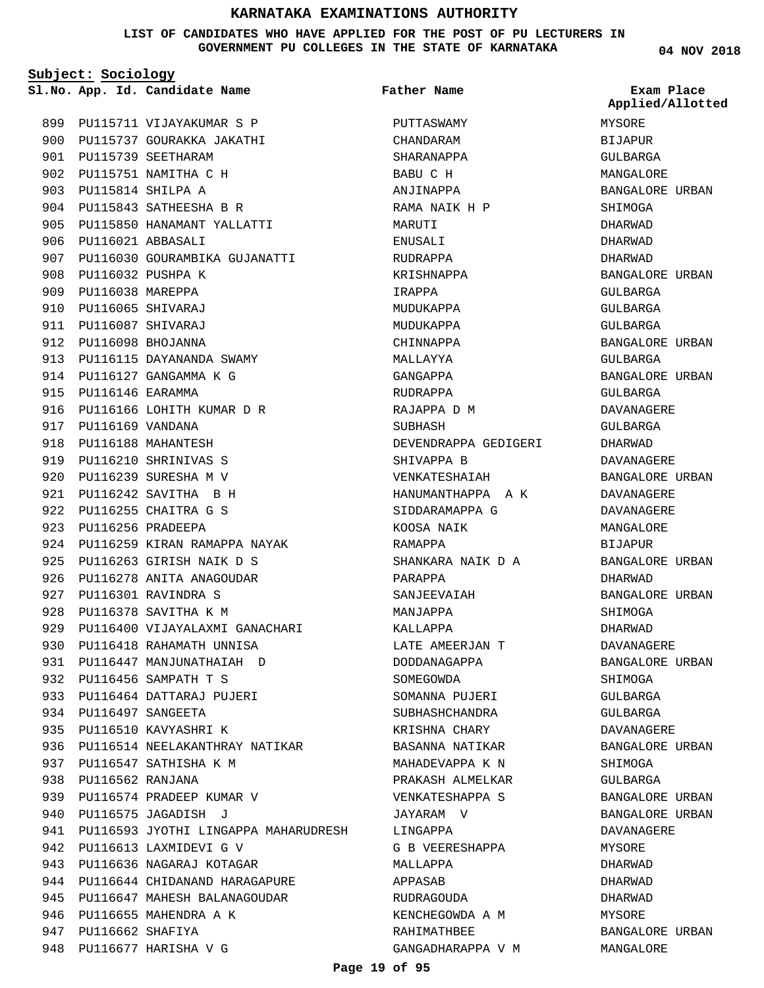#### **LIST OF CANDIDATES WHO HAVE APPLIED FOR THE POST OF PU LECTURERS IN GOVERNMENT PU COLLEGES IN THE STATE OF KARNATAKA**

**Subject: Sociology**

**04 NOV 2018**

|     |                      | Sl.No. App. Id. Candidate Name       | Father Name          | Exam Place<br>Applied/Allotted |
|-----|----------------------|--------------------------------------|----------------------|--------------------------------|
| 899 |                      | PU115711 VIJAYAKUMAR S P             | PUTTASWAMY           | MYSORE                         |
| 900 |                      | PU115737 GOURAKKA JAKATHI            | CHANDARAM            | <b>BIJAPUR</b>                 |
| 901 |                      | PU115739 SEETHARAM                   | SHARANAPPA           | GULBARGA                       |
| 902 |                      | PU115751 NAMITHA C H                 | BABU C H             | MANGALORE                      |
| 903 |                      | PU115814 SHILPA A                    | ANJINAPPA            | BANGALORE URBAN                |
| 904 |                      | PU115843 SATHEESHA B R               | RAMA NAIK H P        | SHIMOGA                        |
| 905 |                      | PU115850 HANAMANT YALLATTI           | MARUTI               | <b>DHARWAD</b>                 |
| 906 | PU116021 ABBASALI    |                                      | ENUSALI              | DHARWAD                        |
| 907 |                      | PU116030 GOURAMBIKA GUJANATTI        | RUDRAPPA             | DHARWAD                        |
| 908 |                      | PU116032 PUSHPA K                    | KRISHNAPPA           | BANGALORE URBAN                |
| 909 | PU116038 MAREPPA     |                                      | IRAPPA               | GULBARGA                       |
| 910 |                      | PU116065 SHIVARAJ                    | MUDUKAPPA            | GULBARGA                       |
| 911 |                      | PU116087 SHIVARAJ                    | MUDUKAPPA            | GULBARGA                       |
| 912 |                      | PU116098 BHOJANNA                    | CHINNAPPA            |                                |
| 913 |                      |                                      |                      | BANGALORE URBAN                |
|     |                      | PU116115 DAYANANDA SWAMY             | MALLAYYA             | GULBARGA                       |
| 914 |                      | PU116127 GANGAMMA K G                | GANGAPPA             | BANGALORE URBAN                |
| 915 | PU116146 EARAMMA     |                                      | RUDRAPPA             | GULBARGA                       |
| 916 |                      | PU116166 LOHITH KUMAR D R            | RAJAPPA D M          | <b>DAVANAGERE</b>              |
| 917 | PU116169 VANDANA     |                                      | SUBHASH              | GULBARGA                       |
| 918 |                      | PU116188 MAHANTESH                   | DEVENDRAPPA GEDIGERI | DHARWAD                        |
| 919 |                      | PU116210 SHRINIVAS S                 | SHIVAPPA B           | DAVANAGERE                     |
| 920 |                      | PU116239 SURESHA M V                 | VENKATESHAIAH        | BANGALORE URBAN                |
| 921 |                      | PU116242 SAVITHA B H                 | HANUMANTHAPPA A K    | DAVANAGERE                     |
| 922 |                      | PU116255 CHAITRA G S                 | SIDDARAMAPPA G       | DAVANAGERE                     |
| 923 |                      | PU116256 PRADEEPA                    | KOOSA NAIK           | MANGALORE                      |
| 924 |                      | PU116259 KIRAN RAMAPPA NAYAK         | RAMAPPA              | <b>BIJAPUR</b>                 |
| 925 |                      | PU116263 GIRISH NAIK D S             | SHANKARA NAIK D A    | BANGALORE URBAN                |
| 926 |                      | PU116278 ANITA ANAGOUDAR             | PARAPPA              | DHARWAD                        |
| 927 |                      | PU116301 RAVINDRA S                  | SANJEEVAIAH          | BANGALORE URBAN                |
| 928 |                      | PU116378 SAVITHA K M                 | MANJAPPA             | SHIMOGA                        |
| 929 |                      | PU116400 VIJAYALAXMI GANACHARI       | KALLAPPA             | DHARWAD                        |
|     |                      | 930 PU116418 RAHAMATH UNNISA         | LATE AMEERJAN T      | DAVANAGERE                     |
|     |                      | 931 PU116447 MANJUNATHAIAH D         | DODDANAGAPPA         | BANGALORE URBAN                |
|     |                      | 932 PU116456 SAMPATH T S             | SOMEGOWDA            | SHIMOGA                        |
|     |                      | 933 PU116464 DATTARAJ PUJERI         | SOMANNA PUJERI       | GULBARGA                       |
|     |                      | 934 PU116497 SANGEETA                | SUBHASHCHANDRA       | GULBARGA                       |
| 935 |                      | PU116510 KAVYASHRI K                 | KRISHNA CHARY        | DAVANAGERE                     |
|     |                      | 936 PU116514 NEELAKANTHRAY NATIKAR   | BASANNA NATIKAR      | BANGALORE URBAN                |
|     |                      | 937 PU116547 SATHISHA K M            | MAHADEVAPPA K N      | SHIMOGA                        |
|     | 938 PU116562 RANJANA |                                      | PRAKASH ALMELKAR     | GULBARGA                       |
|     |                      | 939 PU116574 PRADEEP KUMAR V         | VENKATESHAPPA S      | BANGALORE URBAN                |
|     |                      | 940 PU116575 JAGADISH J              | JAYARAM V            | BANGALORE URBAN                |
| 941 |                      | PU116593 JYOTHI LINGAPPA MAHARUDRESH | LINGAPPA             | DAVANAGERE                     |
|     |                      | 942 PU116613 LAXMIDEVI G V           | G B VEERESHAPPA      | MYSORE                         |
|     |                      | 943 PU116636 NAGARAJ KOTAGAR         | MALLAPPA             | DHARWAD                        |
|     |                      | 944 PU116644 CHIDANAND HARAGAPURE    | APPASAB              | DHARWAD                        |
|     |                      | 945 PU116647 MAHESH BALANAGOUDAR     | RUDRAGOUDA           | DHARWAD                        |
|     |                      | 946 PU116655 MAHENDRA A K            | KENCHEGOWDA A M      | MYSORE                         |
|     | 947 PU116662 SHAFIYA |                                      | RAHIMATHBEE          | BANGALORE URBAN                |
|     |                      | 948 PU116677 HARISHA V G             | GANGADHARAPPA V M    | MANGALORE                      |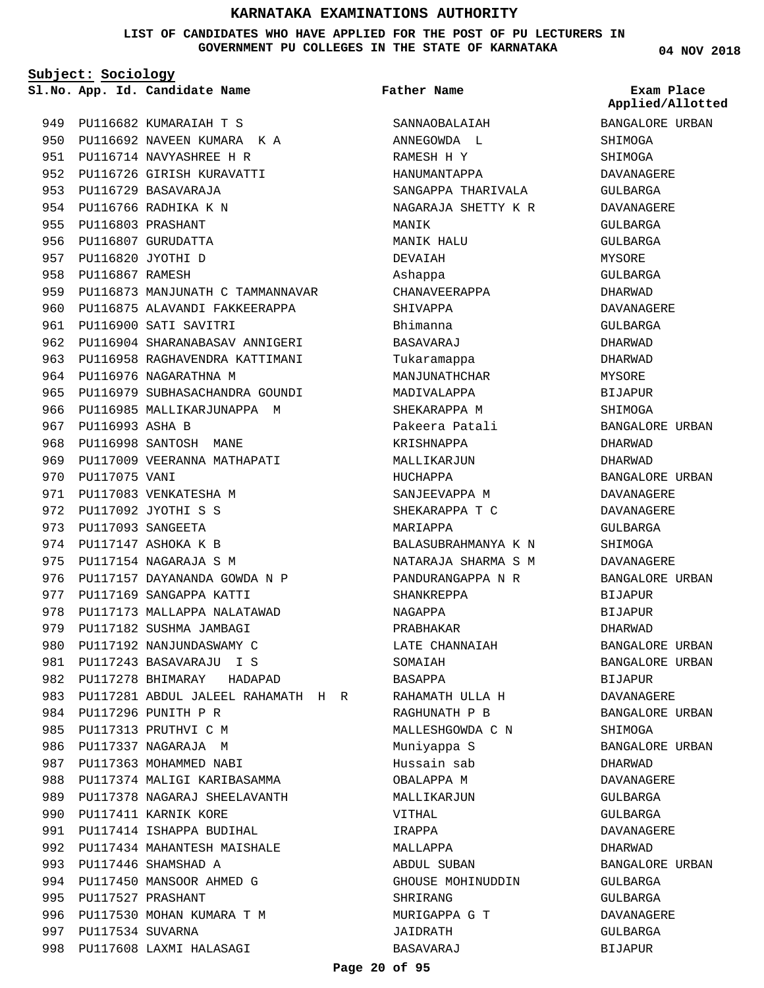**LIST OF CANDIDATES WHO HAVE APPLIED FOR THE POST OF PU LECTURERS IN GOVERNMENT PU COLLEGES IN THE STATE OF KARNATAKA**

**Subject: Sociology**

**App. Id. Candidate Name Sl.No. Exam Place**

949 PU116682 KUMARAIAH T S 950 PU116692 NAVEEN KUMARA KA 951 PU116714 NAVYASHREE H R 952 PU116726 GIRISH KURAVATTI 953 PU116729 BASAVARAJA 954 PU116766 RADHIKA K N 955 PU116803 PRASHANT 956 PU116807 GURUDATTA PU116820 JYOTHI D 957 958 PU116867 RAMESH 959 PU116873 MANJUNATH C TAMMANNAVAR 960 PU116875 ALAVANDI FAKKEERAPPA 961 PU116900 SATI SAVITRI 962 PU116904 SHARANABASAV ANNIGERI 963 PU116958 RAGHAVENDRA KATTIMANI 964 PU116976 NAGARATHNA M 965 PU116979 SUBHASACHANDRA GOUNDI 966 PU116985 MALLIKARJUNAPPA M 967 PU116993 ASHA B 968 PU116998 SANTOSH MANE 969 PU117009 VEERANNA MATHAPATI 970 PU117075 VANI 971 PU117083 VENKATESHA M PU117092 JYOTHI S S 972 973 PU117093 SANGEETA 974 PU117147 ASHOKA K B 975 PU117154 NAGARAJA S M 976 PU117157 DAYANANDA GOWDA N P 977 PU117169 SANGAPPA KATTI 978 PU117173 MALLAPPA NALATAWAD 979 PU117182 SUSHMA JAMBAGI 980 PU117192 NANJUNDASWAMY C PU117243 BASAVARAJU I S 981 982 PU117278 BHIMARAY HADAPAD PU117281 ABDUL JALEEL RAHAMATH H R 983 PU117296 PUNITH P R 984 985 PU117313 PRUTHVI C M 986 PU117337 NAGARAJA M 987 PU117363 MOHAMMED NABI 988 PU117374 MALIGI KARIBASAMMA 989 PU117378 NAGARAJ SHEELAVANTH 990 PU117411 KARNIK KORE 991 PU117414 ISHAPPA BUDIHAL 992 PU117434 MAHANTESH MAISHALE 993 PU117446 SHAMSHAD A 994 PU117450 MANSOOR AHMED G 995 PU117527 PRASHANT 996 PU117530 MOHAN KUMARA T M 997 PU117534 SUVARNA 998 PU117608 LAXMI HALASAGI

SANNAOBALAIAH ANNEGOWDA L RAMESH H Y HANUMANTAPPA SANGAPPA THARIVALA NAGARAJA SHETTY K R MANIK MANIK HALU DEVAIAH Ashappa CHANAVEERAPPA SHIVAPPA Bhimanna BASAVARAJ Tukaramappa MANJUNATHCHAR MADIVALAPPA SHEKARAPPA M Pakeera Patali KRISHNAPPA MALLIKARJUN HUCHAPPA SANJEEVAPPA M SHEKARAPPA T C MARIAPPA BALASUBRAHMANYA K N NATARAJA SHARMA S M PANDURANGAPPA N R SHANKREPPA NAGAPPA PRABHAKAR LATE CHANNAIAH SOMAIAH BASAPPA RAHAMATH ULLA H RAGHUNATH P B MALLESHGOWDA C N Muniyappa S Hussain sab OBALAPPA M MALLIKARJUN VITHAL IRAPPA MALLAPPA ABDUL SUBAN GHOUSE MOHINUDDIN SHRIRANG MURIGAPPA G T JAIDRATH BASAVARAJ **Father Name**

**04 NOV 2018**

**Applied/Allotted**

BANGALORE URBAN SHIMOGA SHIMOGA DAVANAGERE GULBARGA DAVANAGERE GULBARGA GULBARGA MYSORE GULBARGA DHARWAD DAVANAGERE GULBARGA DHARWAD DHARWAD MYSORE BIJAPUR **SHIMOGA** BANGALORE URBAN DHARWAD DHARWAD BANGALORE URBAN DAVANAGERE DAVANAGERE GULBARGA SHIMOGA DAVANAGERE BANGALORE URBAN BIJAPUR BIJAPUR DHARWAD BANGALORE URBAN BANGALORE URBAN BIJAPUR DAVANAGERE BANGALORE URBAN SHIMOGA BANGALORE URBAN DHARWAD DAVANAGERE GULBARGA GULBARGA DAVANAGERE DHARWAD BANGALORE URBAN GULBARGA GULBARGA DAVANAGERE GULBARGA

BIJAPUR

**Page 20 of 95**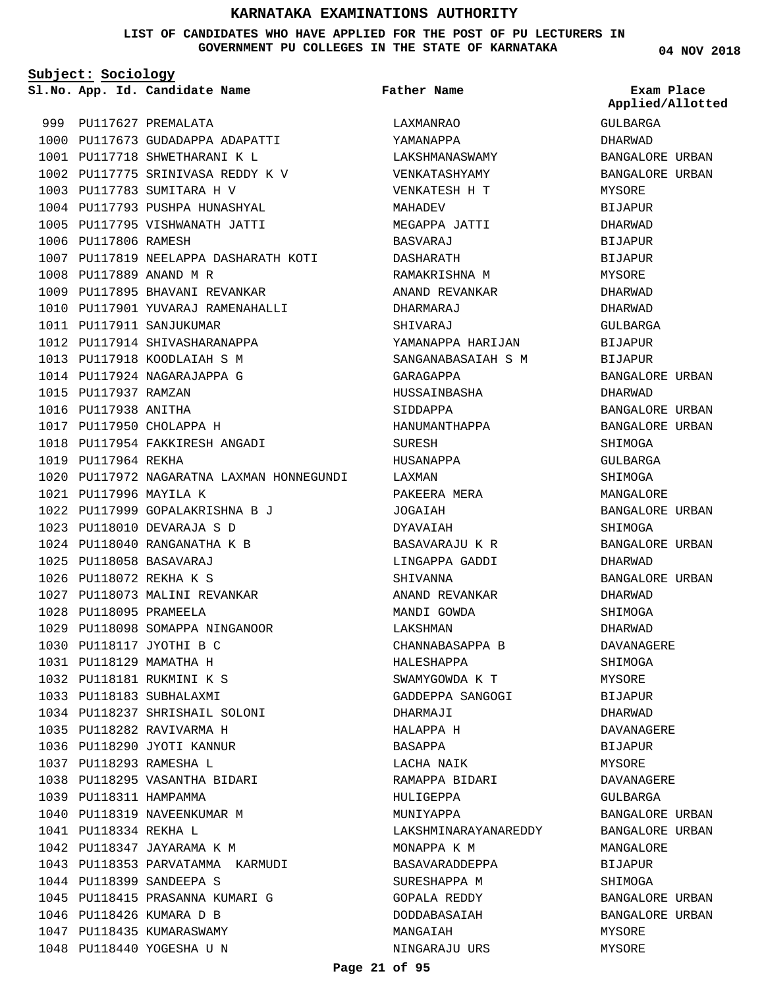#### **LIST OF CANDIDATES WHO HAVE APPLIED FOR THE POST OF PU LECTURERS IN GOVERNMENT PU COLLEGES IN THE STATE OF KARNATAKA**

**Subject: Sociology**

**App. Id. Candidate Name Sl.No. Exam Place**

**Father Name**

999 PU117627 PREMALATA 1000 PU117673 GUDADAPPA ADAPATTI 1001 PU117718 SHWETHARANI K L 1002 PU117775 SRINIVASA REDDY K V 1003 PU117783 SUMITARA H V 1004 PU117793 PUSHPA HUNASHYAL 1005 PU117795 VISHWANATH JATTI 1006 PU117806 RAMESH 1007 PU117819 NEELAPPA DASHARATH KOTI PU117889 ANAND M R 1008 1009 PU117895 BHAVANI REVANKAR 1010 PU117901 YUVARAJ RAMENAHALLI 1011 PU117911 SANJUKUMAR 1012 PU117914 SHIVASHARANAPPA 1013 PU117918 KOODLAIAH S M 1014 PU117924 NAGARAJAPPA G 1015 PU117937 RAMZAN 1016 PU117938 ANITHA 1017 PU117950 CHOLAPPA H 1018 PU117954 FAKKIRESH ANGADI 1019 PU117964 REKHA 1020 PU117972 NAGARATNA LAXMAN HONNEGUNDI PU117996 MAYILA K 1021 PU117999 GOPALAKRISHNA B J 1022 PU118010 DEVARAJA S D 1023 1024 PU118040 RANGANATHA K B PU118058 BASAVARAJ 1025 PU118072 REKHA K S 1026 1027 PU118073 MALINI REVANKAR PU118095 PRAMEELA 1028 1029 PU118098 SOMAPPA NINGANOOR 1030 PU118117 JYOTHI B C PU118129 MAMATHA H 1031 PU118181 RUKMINI K S 1032 1033 PU118183 SUBHALAXMI 1034 PU118237 SHRISHAIL SOLONI PU118282 RAVIVARMA H 1035 1036 PU118290 JYOTI KANNUR PU118293 RAMESHA L 1037 1038 PU118295 VASANTHA BIDARI 1039 PU118311 HAMPAMMA 1040 PU118319 NAVEENKUMAR M PU118334 REKHA L 1041 1042 PU118347 JAYARAMA K M 1043 PU118353 PARVATAMMA KARMUDI 1044 PU118399 SANDEEPA S 1045 PU118415 PRASANNA KUMARI G 1046 PU118426 KUMARA D B 1047 PU118435 KUMARASWAMY 1048 PU118440 YOGESHA U N LAXMANRAO YAMANAPPA LAKSHMANASWAMY VENKATASHYAMY VENKATESH H T MAHADEV MEGAPPA JATTI BASVARAJ DASHARATH RAMAKRISHNA M ANAND REVANKAR DHARMARAJ SHIVARAJ YAMANAPPA HARIJAN SANGANABASAIAH S M GARAGAPPA HUSSAINBASHA SIDDAPPA HANUMANTHAPPA **SUBESH** HUSANAPPA LAXMAN PAKEERA MERA JOGAIAH DYAVAIAH BASAVARAJU K R LINGAPPA GADDI SHIVANNA ANAND REVANKAR MANDI GOWDA LAKSHMAN CHANNABASAPPA B HALESHAPPA SWAMYGOWDA K T GADDEPPA SANGOGI DHARMAJI HALAPPA H BASAPPA LACHA NAIK RAMAPPA BIDARI HULIGEPPA MUNIYAPPA LAKSHMINARAYANAREDDY MONAPPA K M BASAVARADDEPPA SURESHAPPA M GOPALA REDDY DODDABASAIAH MANGAIAH NINGARAJU URS

GULBARGA DHARWAD BANGALORE URBAN BANGALORE URBAN MYSORE BIJAPUR DHARWAD BIJAPUR BIJAPUR MYSORE DHARWAD DHARWAD GULBARGA BIJAPUR BIJAPUR BANGALORE URBAN DHARWAD BANGALORE URBAN BANGALORE URBAN SHIMOGA GULBARGA SHIMOGA MANGALORE BANGALORE URBAN SHIMOGA BANGALORE URBAN DHARWAD BANGALORE URBAN DHARWAD SHIMOGA DHARWAD DAVANAGERE SHIMOGA MYSORE BIJAPUR DHARWAD DAVANAGERE BIJAPUR MYSORE DAVANAGERE GULBARGA BANGALORE URBAN BANGALORE URBAN MANGALORE BIJAPUR SHIMOGA BANGALORE URBAN BANGALORE URBAN MYSORE MYSORE

**Applied/Allotted**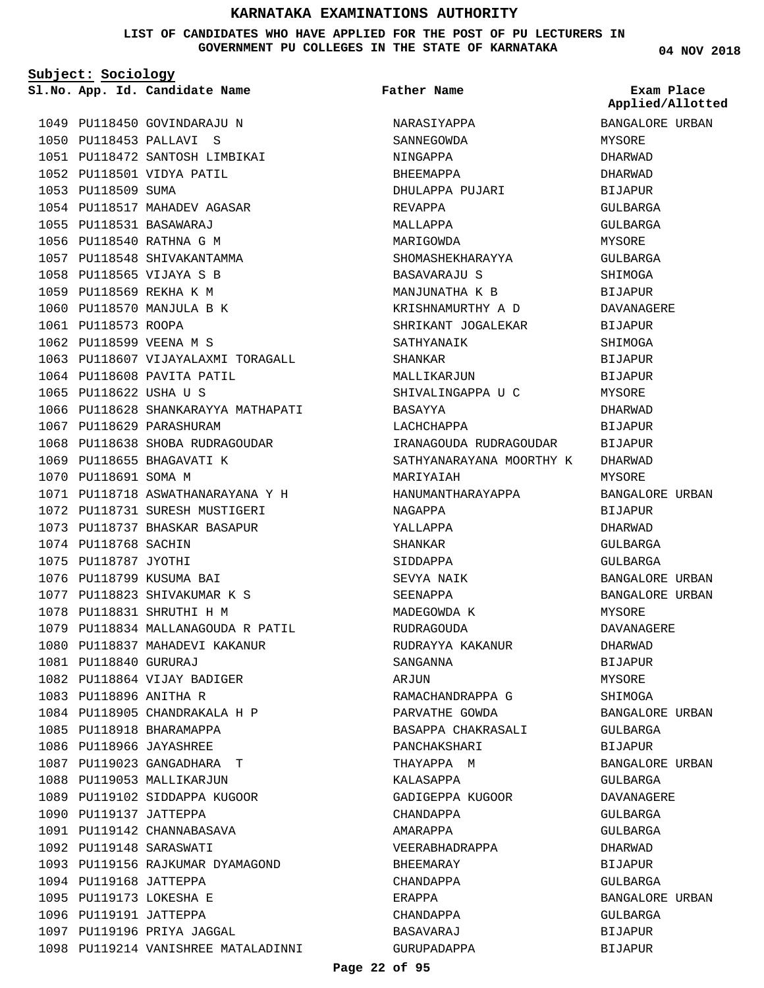#### **LIST OF CANDIDATES WHO HAVE APPLIED FOR THE POST OF PU LECTURERS IN GOVERNMENT PU COLLEGES IN THE STATE OF KARNATAKA**

**Subject: Sociology**

**App. Id. Candidate Name Sl.No. Exam Place**

**Father Name**

**04 NOV 2018**

|                        |                                     |                                  | Applied/Allotted |
|------------------------|-------------------------------------|----------------------------------|------------------|
|                        | 1049 PU118450 GOVINDARAJU N         | NARASIYAPPA                      | BANGALORE URBAN  |
|                        | 1050 PU118453 PALLAVI S             | SANNEGOWDA                       | MYSORE           |
|                        | 1051 PU118472 SANTOSH LIMBIKAI      | NINGAPPA                         | DHARWAD          |
|                        | 1052 PU118501 VIDYA PATIL           | BHEEMAPPA                        | DHARWAD          |
| 1053 PU118509 SUMA     |                                     | DHULAPPA PUJARI                  | BIJAPUR          |
|                        | 1054 PU118517 MAHADEV AGASAR        | REVAPPA                          | GULBARGA         |
|                        | 1055 PU118531 BASAWARAJ             | MALLAPPA                         | GULBARGA         |
|                        | 1056 PU118540 RATHNA G M            | MARIGOWDA                        | MYSORE           |
|                        | 1057 PU118548 SHIVAKANTAMMA         | SHOMASHEKHARAYYA                 | GULBARGA         |
|                        | 1058 PU118565 VIJAYA S B            | BASAVARAJU S                     | SHIMOGA          |
|                        | 1059 PU118569 REKHA K M             | MANJUNATHA K B                   | BIJAPUR          |
|                        | 1060 PU118570 MANJULA B K           | KRISHNAMURTHY A D                | DAVANAGERE       |
| 1061 PU118573 ROOPA    |                                     | SHRIKANT JOGALEKAR               | BIJAPUR          |
|                        | 1062 PU118599 VEENA M S             | SATHYANAIK                       | SHIMOGA          |
|                        |                                     |                                  | BIJAPUR          |
|                        | 1064 PU118608 PAVITA PATIL          | MALLIKARJUN                      | BIJAPUR          |
| 1065 PU118622 USHA U S |                                     | SHIVALINGAPPA U C                | MYSORE           |
|                        | 1066 PU118628 SHANKARAYYA MATHAPATI | BASAYYA                          | DHARWAD          |
|                        | 1067 PU118629 PARASHURAM            | LACHCHAPPA                       | <b>BIJAPUR</b>   |
|                        | 1068 PU118638 SHOBA RUDRAGOUDAR     | IRANAGOUDA RUDRAGOUDAR BIJAPUR   |                  |
|                        | 1069 PU118655 BHAGAVATI K           | SATHYANARAYANA MOORTHY K DHARWAD |                  |
| 1070 PU118691 SOMA M   |                                     | MARIYAIAH                        | MYSORE           |
|                        | 1071 PU118718 ASWATHANARAYANA Y H   | HANUMANTHARAYAPPA                | BANGALORE URBAN  |
|                        | 1072 PU118731 SURESH MUSTIGERI      | NAGAPPA                          | BIJAPUR          |
|                        | 1073 PU118737 BHASKAR BASAPUR       | YALLAPPA                         | DHARWAD          |
| 1074 PU118768 SACHIN   |                                     | SHANKAR                          | GULBARGA         |
| 1075 PU118787 JYOTHI   |                                     | SIDDAPPA                         | GULBARGA         |
|                        | 1076 PU118799 KUSUMA BAI            | SEVYA NAIK                       | BANGALORE URBAN  |
|                        | 1077 PU118823 SHIVAKUMAR K S        | SEENAPPA                         | BANGALORE URBAN  |
|                        | 1078 PU118831 SHRUTHI H M           | MADEGOWDA K                      | MYSORE           |
|                        | 1079 PU118834 MALLANAGOUDA R PATIL  | RUDRAGOUDA                       | DAVANAGERE       |
|                        | 1080 PU118837 MAHADEVI KAKANUR      | RUDRAYYA KAKANUR                 | DHARWAD          |
| 1081 PU118840 GURURAJ  |                                     | SANGANNA                         | BIJAPUR          |
|                        | 1082 PU118864 VIJAY BADIGER         | ARJUN                            | MYSORE           |
| 1083 PU118896 ANITHA R |                                     | RAMACHANDRAPPA G                 | SHIMOGA          |
|                        | 1084 PU118905 CHANDRAKALA H P       | PARVATHE GOWDA                   | BANGALORE URBAN  |
|                        | 1085 PU118918 BHARAMAPPA            | BASAPPA CHAKRASALI               | GULBARGA         |
|                        | 1086 PU118966 JAYASHREE             | PANCHAKSHARI                     | BIJAPUR          |
|                        | 1087 PU119023 GANGADHARA T          | THAYAPPA M                       | BANGALORE URBAN  |
|                        | 1088 PU119053 MALLIKARJUN           | KALASAPPA                        | GULBARGA         |
|                        | 1089 PU119102 SIDDAPPA KUGOOR       | GADIGEPPA KUGOOR                 | DAVANAGERE       |
| 1090 PU119137 JATTEPPA |                                     | CHANDAPPA                        | GULBARGA         |
|                        | 1091 PU119142 CHANNABASAVA          | AMARAPPA                         | GULBARGA         |
|                        | 1092 PU119148 SARASWATI             | VEERABHADRAPPA                   | DHARWAD          |
|                        | 1093 PU119156 RAJKUMAR DYAMAGOND    | BHEEMARAY                        | BIJAPUR          |
| 1094 PU119168 JATTEPPA |                                     | CHANDAPPA                        | GULBARGA         |
|                        | 1095 PU119173 LOKESHA E             | ERAPPA                           | BANGALORE URBAN  |
| 1096 PU119191 JATTEPPA |                                     | CHANDAPPA                        | GULBARGA         |
|                        | 1097 PU119196 PRIYA JAGGAL          | BASAVARAJ                        | BIJAPUR          |
|                        | 1098 PU119214 VANISHREE MATALADINNI | GURUPADAPPA                      | BIJAPUR          |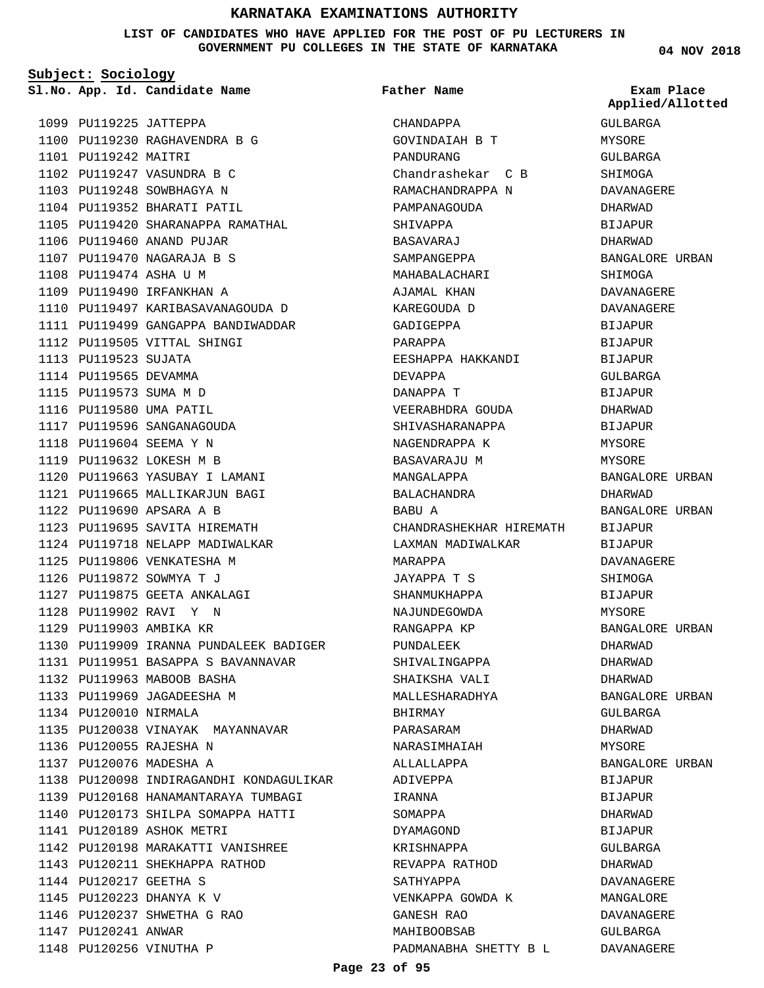**LIST OF CANDIDATES WHO HAVE APPLIED FOR THE POST OF PU LECTURERS IN GOVERNMENT PU COLLEGES IN THE STATE OF KARNATAKA**

**Subject: Sociology**

**Father Name**

**04 NOV 2018**

|                        | Sl.No. App. Id. Candidate Name          | Father Name             | Exam Place<br>Applied/Allotted |
|------------------------|-----------------------------------------|-------------------------|--------------------------------|
| 1099 PU119225 JATTEPPA |                                         | CHANDAPPA               | GULBARGA                       |
|                        | 1100 PU119230 RAGHAVENDRA B G           | GOVINDAIAH B T          | MYSORE                         |
| 1101 PU119242 MAITRI   |                                         | PANDURANG               | GULBARGA                       |
|                        | 1102 PU119247 VASUNDRA B C              | Chandrashekar C B       | SHIMOGA                        |
|                        | 1103 PU119248 SOWBHAGYA N               | RAMACHANDRAPPA N        | DAVANAGERE                     |
|                        | 1104 PU119352 BHARATI PATIL             | PAMPANAGOUDA            | DHARWAD                        |
|                        | 1105 PU119420 SHARANAPPA RAMATHAL       | SHIVAPPA                | BIJAPUR                        |
|                        | 1106 PU119460 ANAND PUJAR               | BASAVARAJ               | DHARWAD                        |
|                        | 1107 PU119470 NAGARAJA B S              | SAMPANGEPPA             | BANGALORE URBAN                |
| 1108 PU119474 ASHA U M |                                         | MAHABALACHARI           | SHIMOGA                        |
|                        | 1109 PU119490 IRFANKHAN A               | AJAMAL KHAN             | DAVANAGERE                     |
|                        | 1110 PU119497 KARIBASAVANAGOUDA D       | KAREGOUDA D             | DAVANAGERE                     |
|                        | 1111 PU119499 GANGAPPA BANDIWADDAR      | GADIGEPPA               | <b>BIJAPUR</b>                 |
|                        | 1112 PU119505 VITTAL SHINGI             | PARAPPA                 | <b>BIJAPUR</b>                 |
| 1113 PU119523 SUJATA   |                                         | EESHAPPA HAKKANDI       | BIJAPUR                        |
| 1114 PU119565 DEVAMMA  |                                         | DEVAPPA                 | GULBARGA                       |
| 1115 PU119573 SUMA M D |                                         | DANAPPA T               | <b>BIJAPUR</b>                 |
|                        | 1116 PU119580 UMA PATIL                 | VEERABHDRA GOUDA        | DHARWAD                        |
|                        | 1117 PU119596 SANGANAGOUDA              | SHIVASHARANAPPA         | <b>BIJAPUR</b>                 |
|                        | 1118 PU119604 SEEMA Y N                 | NAGENDRAPPA K           | MYSORE                         |
|                        | 1119 PU119632 LOKESH M B                | BASAVARAJU M            | MYSORE                         |
|                        | 1120 PU119663 YASUBAY I LAMANI          | MANGALAPPA              | BANGALORE URBAN                |
|                        | 1121 PU119665 MALLIKARJUN BAGI          | BALACHANDRA             | DHARWAD                        |
|                        | 1122 PU119690 APSARA A B                | BABU A                  | BANGALORE URBAN                |
|                        | 1123 PU119695 SAVITA HIREMATH           | CHANDRASHEKHAR HIREMATH | <b>BIJAPUR</b>                 |
|                        | 1124 PU119718 NELAPP MADIWALKAR         | LAXMAN MADIWALKAR       | BIJAPUR                        |
|                        | 1125 PU119806 VENKATESHA M              | MARAPPA                 | DAVANAGERE                     |
|                        | 1126 PU119872 SOWMYA T J                | JAYAPPA T S             | SHIMOGA                        |
|                        | 1127 PU119875 GEETA ANKALAGI            | SHANMUKHAPPA            | <b>BIJAPUR</b>                 |
|                        | 1128 PU119902 RAVI Y N                  | NAJUNDEGOWDA            | MYSORE                         |
|                        | 1129 PU119903 AMBIKA KR                 | RANGAPPA KP             | BANGALORE URBAN                |
|                        | 1130 PU119909 IRANNA PUNDALEEK BADIGER  | PUNDALEEK               | DHARWAD                        |
|                        | 1131 PU119951 BASAPPA S BAVANNAVAR      | SHIVALINGAPPA           | DHARWAD                        |
|                        | 1132 PU119963 MABOOB BASHA              | SHAIKSHA VALI           | DHARWAD                        |
|                        | 1133 PU119969 JAGADEESHA M              | MALLESHARADHYA          | BANGALORE URBAN                |
| 1134 PU120010 NIRMALA  |                                         | BHIRMAY                 | GULBARGA                       |
|                        | 1135 PU120038 VINAYAK MAYANNAVAR        | PARASARAM               | DHARWAD                        |
|                        | 1136 PU120055 RAJESHA N                 | NARASIMHAIAH            | MYSORE                         |
|                        | 1137 PU120076 MADESHA A                 | ALLALLAPPA              | BANGALORE URBAN                |
|                        | 1138 PU120098 INDIRAGANDHI KONDAGULIKAR | ADIVEPPA                | BIJAPUR                        |
|                        | 1139 PU120168 HANAMANTARAYA TUMBAGI     | IRANNA                  | BIJAPUR                        |
|                        | 1140 PU120173 SHILPA SOMAPPA HATTI      | SOMAPPA                 | DHARWAD                        |
|                        | 1141 PU120189 ASHOK METRI               | DYAMAGOND               | BIJAPUR                        |
|                        | 1142 PU120198 MARAKATTI VANISHREE       | KRISHNAPPA              | GULBARGA                       |
|                        | 1143 PU120211 SHEKHAPPA RATHOD          | REVAPPA RATHOD          | DHARWAD                        |
| 1144 PU120217 GEETHA S |                                         | SATHYAPPA               | DAVANAGERE                     |
|                        | 1145 PU120223 DHANYA K V                | VENKAPPA GOWDA K        | MANGALORE                      |
|                        | 1146 PU120237 SHWETHA G RAO             | GANESH RAO              | DAVANAGERE                     |
| 1147 PU120241 ANWAR    |                                         | MAHIBOOBSAB             | GULBARGA                       |
|                        | 1148 PU120256 VINUTHA P                 | PADMANABHA SHETTY B L   | DAVANAGERE                     |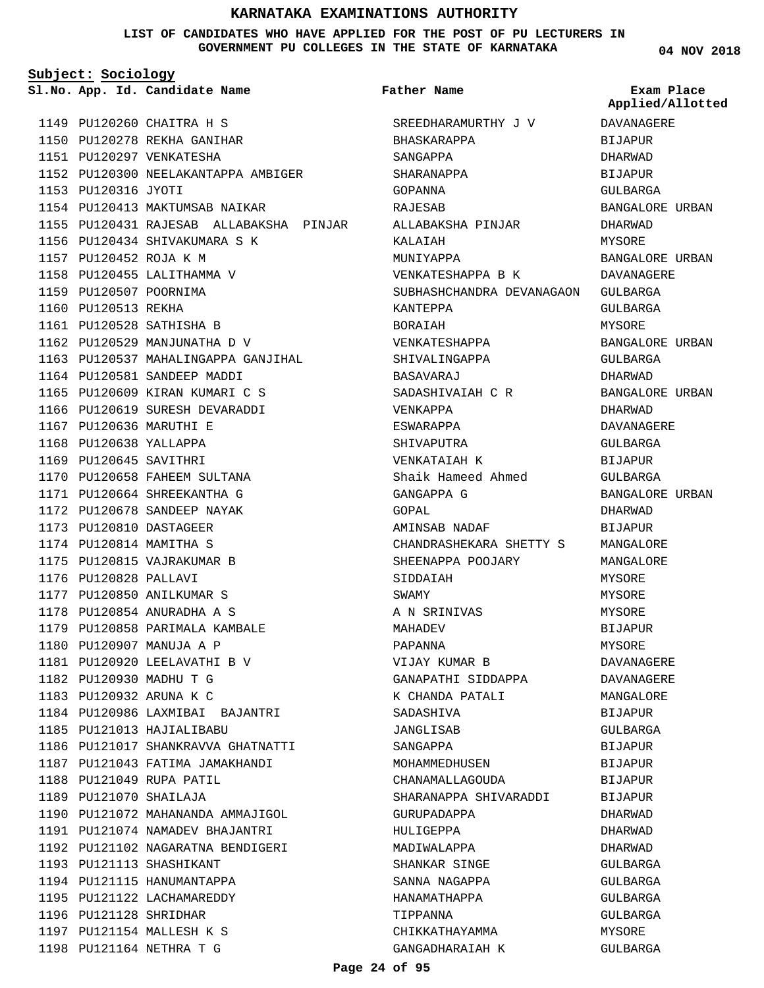#### **LIST OF CANDIDATES WHO HAVE APPLIED FOR THE POST OF PU LECTURERS IN GOVERNMENT PU COLLEGES IN THE STATE OF KARNATAKA**

**Subject: Sociology**

PU120260 CHAITRA H S 1149 PU120278 REKHA GANIHAR 1150 1151 PU120297 VENKATESHA 1152 PU120300 NEELAKANTAPPA AMBIGER 1153 PU120316 JYOTI 1154 PU120413 MAKTUMSAB NAIKAR 1155 PU120431 RAJESAB ALLABAKSHA PINJAR 1156 PU120434 SHIVAKUMARA S K PU120452 ROJA K M 1157 1158 PU120455 LALITHAMMA V 1159 PU120507 POORNIMA 1160 PU120513 REKHA 1161 PU120528 SATHISHA B 1162 PU120529 MANJUNATHA D V 1163 PU120537 MAHALINGAPPA GANJIHAL 1164 PU120581 SANDEEP MADDI 1165 PU120609 KIRAN KUMARI C S 1166 PU120619 SURESH DEVARADDI 1167 PU120636 MARUTHI E 1168 PU120638 YALLAPPA 1169 PU120645 SAVITHRI 1170 PU120658 FAHEEM SULTANA PU120664 SHREEKANTHA G 1171 PU120678 SANDEEP NAYAK 1172 PU120810 DASTAGEER 1173 1174 PU120814 MAMITHA S 1175 PU120815 VAJRAKUMAR B 1176 PU120828 PALLAVI PU120850 ANILKUMAR S 1177 PU120854 ANURADHA A S 1178 1179 PU120858 PARIMALA KAMBALE 1180 PU120907 MANUJA A P 1181 PU120920 LEELAVATHI B V 1182 PU120930 MADHU T G 1183 PU120932 ARUNA K C PU120986 LAXMIBAI BAJANTRI 1184 1185 PU121013 HAJIALIBABU 1186 PU121017 SHANKRAVVA GHATNATTI 1187 PU121043 FATIMA JAMAKHANDI 1188 PU121049 RUPA PATIL PU121070 SHAILAJA 1189 1190 PU121072 MAHANANDA AMMAJIGOL PU121074 NAMADEV BHAJANTRI 1191 1192 PU121102 NAGARATNA BENDIGERI 1193 PU121113 SHASHIKANT 1194 PU121115 HANUMANTAPPA 1195 PU121122 LACHAMAREDDY 1196 PU121128 SHRIDHAR 1197 PU121154 MALLESH K S 1198 PU121164 NETHRA T G

**App. Id. Candidate Name Sl.No. Exam Place** SREEDHARAMURTHY J V BHASKARAPPA SANGAPPA SHARANAPPA GOPANNA RAJESAB ALLABAKSHA PINJAR KALAIAH MUNIYAPPA VENKATESHAPPA B K SUBHASHCHANDRA DEVANAGAON GULBARGA KANTEPPA BORAIAH VENKATESHAPPA SHIVALINGAPPA BASAVARAJ SADASHIVAIAH C R VENKAPPA ESWARAPPA SHIVAPUTRA VENKATAIAH K Shaik Hameed Ahmed GANGAPPA G GOPAL AMINSAB NADAF CHANDRASHEKARA SHETTY S SHEENAPPA POOJARY SIDDAIAH SWAMY A N SRINIVAS MAHADEV PAPANNA VIJAY KUMAR B GANAPATHI SIDDAPPA K CHANDA PATALI SADASHIVA JANGLISAB SANGAPPA MOHAMMEDHUSEN CHANAMALLAGOUDA SHARANAPPA SHIVARADDI GURUPADAPPA HULIGEPPA MADIWALAPPA SHANKAR SINGE SANNA NAGAPPA HANAMATHAPPA TIPPANNA CHIKKATHAYAMMA GANGADHARAIAH K **Father Name** DAVANAGERE BIJAPUR DHARWAD BIJAPUR GULBARGA BANGALORE URBAN DHARWAD MYSORE BANGALORE URBAN DAVANAGERE GULBARGA MYSORE BANGALORE URBAN GULBARGA DHARWAD BANGALORE URBAN DHARWAD DAVANAGERE GULBARGA BIJAPUR GULBARGA BANGALORE URBAN DHARWAD BIJAPUR MANGALORE MANGALOR**E** MYSORE MYSORE MYSORE BIJAPUR MYSORE DAVANAGERE DAVANAGERE MANGALORE BIJAPUR GULBARGA BIJAPUR BIJAPUR BIJAPUR **BIJAPUR** DHARWAD DHARWAD DHARWAD GULBARGA GULBARGA GULBARGA GULBARGA MYSORE GULBARGA

**04 NOV 2018**

**Applied/Allotted**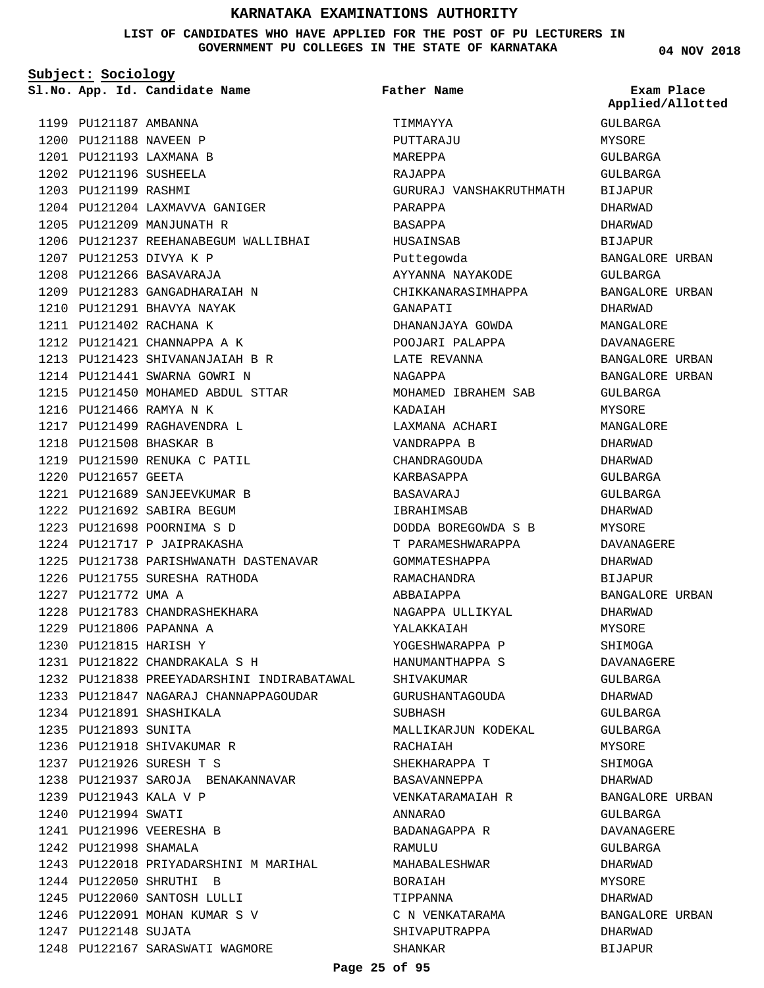#### **LIST OF CANDIDATES WHO HAVE APPLIED FOR THE POST OF PU LECTURERS IN GOVERNMENT PU COLLEGES IN THE STATE OF KARNATAKA**

**Subject: Sociology**

**Father Name**

**04 NOV 2018**

|                        | Sl.No. App. Id. Candidate Name             | Father Name             | Exam Place<br>Applied/Allotted |
|------------------------|--------------------------------------------|-------------------------|--------------------------------|
| 1199 PU121187 AMBANNA  |                                            | TIMMAYYA                | GULBARGA                       |
| 1200 PU121188 NAVEEN P |                                            | PUTTARAJU               | MYSORE                         |
|                        | 1201 PU121193 LAXMANA B                    | MAREPPA                 | GULBARGA                       |
| 1202 PU121196 SUSHEELA |                                            | RAJAPPA                 | GULBARGA                       |
| 1203 PU121199 RASHMI   |                                            | GURURAJ VANSHAKRUTHMATH | BIJAPUR                        |
|                        | 1204 PU121204 LAXMAVVA GANIGER             | PARAPPA                 | DHARWAD                        |
|                        | 1205 PU121209 MANJUNATH R                  | BASAPPA                 | DHARWAD                        |
|                        | 1206 PU121237 REEHANABEGUM WALLIBHAI       | HUSAINSAB               | BIJAPUR                        |
|                        | 1207 PU121253 DIVYA K P                    | Puttegowda              | BANGALORE URBAN                |
|                        | 1208 PU121266 BASAVARAJA                   | AYYANNA NAYAKODE        | GULBARGA                       |
|                        | 1209 PU121283 GANGADHARAIAH N              | CHIKKANARASIMHAPPA      | BANGALORE URBAN                |
|                        | 1210 PU121291 BHAVYA NAYAK                 | GANAPATI                | DHARWAD                        |
|                        | 1211 PU121402 RACHANA K                    | DHANANJAYA GOWDA        | MANGALORE                      |
|                        | 1212 PU121421 CHANNAPPA A K                | POOJARI PALAPPA         | DAVANAGERE                     |
|                        | 1213 PU121423 SHIVANANJAIAH B R            | LATE REVANNA            | BANGALORE URBAN                |
|                        | 1214 PU121441 SWARNA GOWRI N               | NAGAPPA                 | BANGALORE URBAN                |
|                        | 1215 PU121450 MOHAMED ABDUL STTAR          | MOHAMED IBRAHEM SAB     | GULBARGA                       |
|                        | 1216 PU121466 RAMYA N K                    | KADAIAH                 | MYSORE                         |
|                        | 1217 PU121499 RAGHAVENDRA L                | LAXMANA ACHARI          | MANGALORE                      |
|                        | 1218 PU121508 BHASKAR B                    | VANDRAPPA B             | DHARWAD                        |
|                        | 1219 PU121590 RENUKA C PATIL               | CHANDRAGOUDA            | DHARWAD                        |
| 1220 PU121657 GEETA    |                                            | KARBASAPPA              | GULBARGA                       |
|                        | 1221 PU121689 SANJEEVKUMAR B               | BASAVARAJ               | GULBARGA                       |
|                        | 1222 PU121692 SABIRA BEGUM                 | IBRAHIMSAB              | DHARWAD                        |
|                        | 1223 PU121698 POORNIMA S D                 | DODDA BOREGOWDA S B     | MYSORE                         |
|                        | 1224 PU121717 P JAIPRAKASHA                | T PARAMESHWARAPPA       | DAVANAGERE                     |
|                        | 1225 PU121738 PARISHWANATH DASTENAVAR      | GOMMATESHAPPA           | DHARWAD                        |
|                        | 1226 PU121755 SURESHA RATHODA              | RAMACHANDRA             | BIJAPUR                        |
| 1227 PU121772 UMA A    |                                            | ABBAIAPPA               | BANGALORE URBAN                |
|                        | 1228 PU121783 CHANDRASHEKHARA              | NAGAPPA ULLIKYAL        | DHARWAD                        |
|                        | 1229 PU121806 PAPANNA A                    | YALAKKAIAH              | <b>MYSORE</b>                  |
|                        | 1230 PU121815 HARISH Y                     | YOGESHWARAPPA P         | SHIMOGA                        |
|                        | 1231 PU121822 CHANDRAKALA S H              | HANUMANTHAPPA S         | DAVANAGERE                     |
|                        | 1232 PU121838 PREEYADARSHINI INDIRABATAWAL | SHIVAKUMAR              | GULBARGA                       |
|                        | 1233 PU121847 NAGARAJ CHANNAPPAGOUDAR      | GURUSHANTAGOUDA         | DHARWAD                        |
|                        | 1234 PU121891 SHASHIKALA                   | SUBHASH                 | GULBARGA                       |
| 1235 PU121893 SUNITA   |                                            | MALLIKARJUN KODEKAL     | GULBARGA                       |
|                        | 1236 PU121918 SHIVAKUMAR R                 | RACHAIAH                | MYSORE                         |
|                        | 1237 PU121926 SURESH T S                   | SHEKHARAPPA T           | SHIMOGA                        |
|                        | 1238 PU121937 SAROJA BENAKANNAVAR          | BASAVANNEPPA            | DHARWAD                        |
|                        | 1239 PU121943 KALA V P                     | VENKATARAMAIAH R        | BANGALORE URBAN                |
| 1240 PU121994 SWATI    |                                            | ANNARAO                 | GULBARGA                       |
|                        | 1241 PU121996 VEERESHA B                   | BADANAGAPPA R           | DAVANAGERE                     |
| 1242 PU121998 SHAMALA  |                                            | RAMULU                  | GULBARGA                       |
|                        | 1243 PU122018 PRIYADARSHINI M MARIHAL      | MAHABALESHWAR           | DHARWAD                        |
|                        | 1244 PU122050 SHRUTHI B                    | BORAIAH                 | MYSORE                         |
|                        | 1245 PU122060 SANTOSH LULLI                | TIPPANNA                | DHARWAD                        |
|                        | 1246 PU122091 MOHAN KUMAR S V              | C N VENKATARAMA         | BANGALORE URBAN                |
| 1247 PU122148 SUJATA   |                                            | SHIVAPUTRAPPA           | DHARWAD                        |
|                        | 1248 PU122167 SARASWATI WAGMORE            | SHANKAR                 | BIJAPUR                        |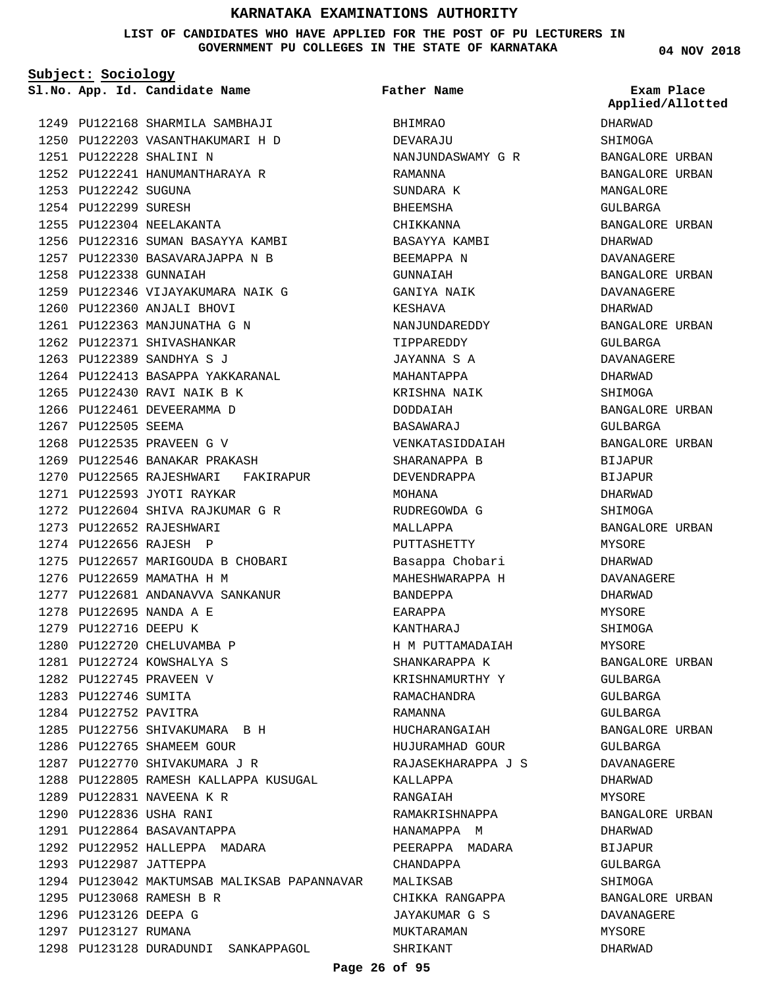#### **LIST OF CANDIDATES WHO HAVE APPLIED FOR THE POST OF PU LECTURERS IN GOVERNMENT PU COLLEGES IN THE STATE OF KARNATAKA**

**Subject: Sociology**

**App. Id. Candidate Name Sl.No. Exam Place**

PU122168 SHARMILA SAMBHAJI 1249 PU122203 VASANTHAKUMARI H D 1250 PU122228 SHALINI N 1251 1252 PU122241 HANUMANTHARAYA R 1253 PU122242 SUGUNA 1254 PU122299 SURESH 1255 PU122304 NEELAKANTA 1256 PU122316 SUMAN BASAYYA KAMBI 1257 PU122330 BASAVARAJAPPA N B 1258 PU122338 GUNNAIAH 1259 PU122346 VIJAYAKUMARA NAIK G 1260 PU122360 ANJALI BHOVI 1261 PU122363 MANJUNATHA G N 1262 PU122371 SHIVASHANKAR 1263 PU122389 SANDHYA S J 1264 PU122413 BASAPPA YAKKARANAL 1265 PU122430 RAVI NAIK B K 1266 PU122461 DEVEERAMMA D 1267 PU122505 SEEMA 1268 PU122535 PRAVEEN G V 1269 PU122546 BANAKAR PRAKASH 1270 PU122565 RAJESHWARI FAKIRAPUR 1271 PU122593 JYOTI RAYKAR PU122604 SHIVA RAJKUMAR G R 1272 1273 PU122652 RAJESHWARI 1274 PU122656 RAJESH P 1275 PU122657 MARIGOUDA B CHOBARI 1276 PU122659 MAMATHA H M 1277 PU122681 ANDANAVVA SANKANUR PU122695 NANDA A E 1278 1279 PU122716 DEEPU K 1280 PU122720 CHELUVAMBA P PU122724 KOWSHALYA S 1281 1282 PU122745 PRAVEEN V 1283 PU122746 SUMITA 1284 PU122752 PAVITRA 1285 PU122756 SHIVAKUMARA B H 1286 PU122765 SHAMEEM GOUR 1287 PU122770 SHIVAKUMARA J R 1288 PU122805 RAMESH KALLAPPA KUSUGAL 1289 PU122831 NAVEENA K R PU122836 USHA RANI 1290 1291 PU122864 BASAVANTAPPA 1292 PU122952 HALLEPPA MADARA 1293 PU122987 JATTEPPA 1294 PU123042 MAKTUMSAB MALIKSAB PAPANNAVAR PU123068 RAMESH B R 1295 1296 PU123126 DEEPA G 1297 PU123127 RUMANA 1298 PU123128 DURADUNDI SANKAPPAGOL

BHIMRAO DEVARAJU NANJUNDASWAMY G R RAMANNA SUNDARA K BHEEMSHA CHIKKANNA BASAYYA KAMBI BEEMAPPA N GUNNAIAH GANIYA NAIK KESHAVA NANJUNDAREDDY TIPPAREDDY JAYANNA S A MAHANTAPPA KRISHNA NAIK DODDAIAH BASAWARAJ VENKATASIDDAIAH SHARANAPPA B DEVENDRAPPA MOHANA RUDREGOWDA G MALLAPPA PUTTASHETTY Basappa Chobari MAHESHWARAPPA H BANDEPPA EARAPPA KANTHARAJ H M PUTTAMADAIAH SHANKARAPPA K KRISHNAMURTHY Y RAMACHANDRA RAMANNA HUCHARANGAIAH HUJURAMHAD GOUR RAJASEKHARAPPA J S KALLAPPA RANGAIAH RAMAKRISHNAPPA HANAMAPPA M PEERAPPA MADARA CHANDAPPA MALIKSAR CHIKKA RANGAPPA JAYAKUMAR G S MUKTARAMAN SHRIKANT **Father Name**

**04 NOV 2018**

DHARWAD SHIMOGA BANGALORE URBAN BANGALORE URBAN MANGALORE GULBARGA BANGALORE URBAN DHARWAD DAVANAGERE BANGALORE URBAN DAVANAGERE DHARWAD BANGALORE URBAN GULBARGA DAVANAGERE DHARWAD SHIMOGA BANGALORE URBAN GULBARGA BANGALORE URBAN BIJAPUR BIJAPUR DHARWAD SHIMOGA BANGALORE URBAN MYSORE DHARWAD DAVANAGERE DHARWAD MYSORE SHIMOGA MYSORE BANGALORE URBAN GULBARGA GULBARGA GULBARGA BANGALORE URBAN GULBARGA DAVANAGERE DHARWAD MYSORE BANGALORE URBAN DHARWAD **BIJAPUR** GULBARGA SHIMOGA BANGALORE URBAN DAVANAGERE MYSORE DHARWAD **Applied/Allotted**

#### **Page 26 of 95**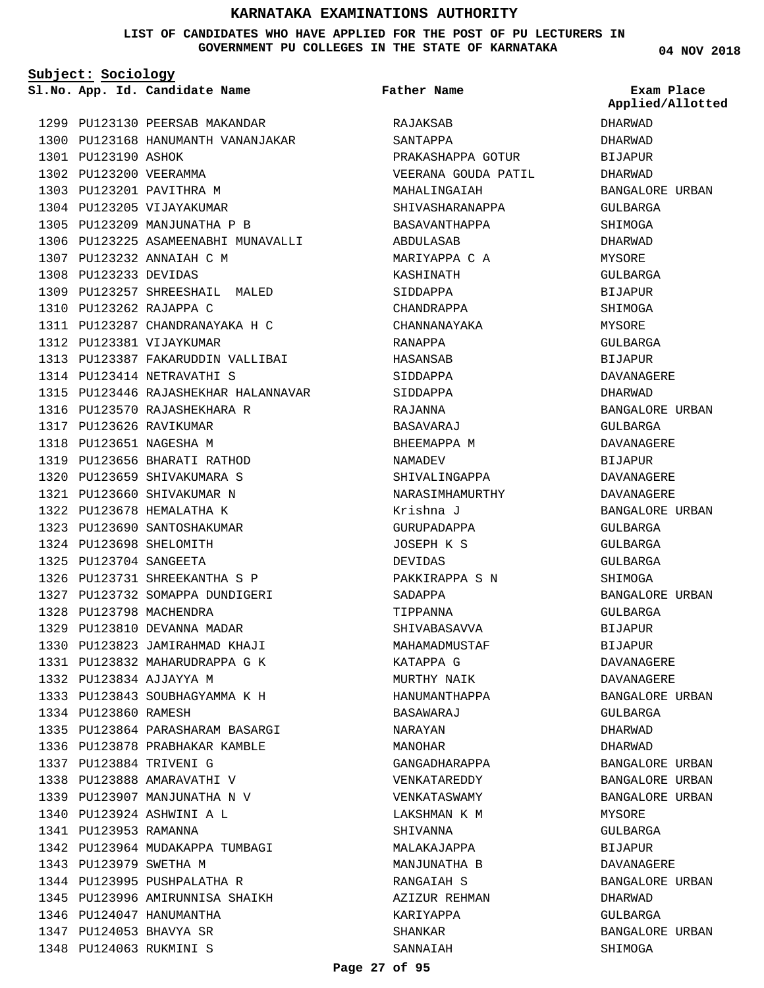#### **LIST OF CANDIDATES WHO HAVE APPLIED FOR THE POST OF PU LECTURERS IN GOVERNMENT PU COLLEGES IN THE STATE OF KARNATAKA**

**Subject: Sociology**

**App. Id. Candidate Name Sl.No. Exam Place**

| 1299 | PU123130               | PEERSAB MAKANDAR                                          |
|------|------------------------|-----------------------------------------------------------|
| 1300 |                        | PU123168 HANUMANTH VANANJAKAR                             |
| 1301 | PU123190 ASHOK         |                                                           |
| 1302 | PU123200 VEERAMMA      |                                                           |
| 1303 |                        | PU123201 PAVITHRA M                                       |
| 1304 |                        | PU123205 VIJAYAKUMAR                                      |
| 1305 | PU123209               | MANJUNATHA P B                                            |
| 1306 | PU123225               | ASAMEENABHI MUNAVALLI                                     |
| 1307 | PU123232               | ANNAIAH C M                                               |
| 1308 | PU123233               | DEVIDAS                                                   |
| 1309 | PU123257               | SHREESHAIL MALED                                          |
| 1310 | PU123262               | RAJAPPA C                                                 |
| 1311 | PU123287               | CHANDRANAYAKA H C                                         |
| 1312 |                        | PU123381 VIJAYKUMAR                                       |
|      | 1313 PU123387          | FAKARUDDIN VALLIBAI                                       |
|      | 1314 PU123414          | NETRAVATHI S                                              |
| 1315 | PU123446               | RAJASHEKHAR HALANNAVAR                                    |
|      | 1316 PU123570          | RAJASHEKHARA R                                            |
|      | 1317 PU123626          | RAVIKUMAR                                                 |
| 1318 | PU123651               | NAGESHA M                                                 |
| 1319 | PU123656               | BHARATI RATHOD                                            |
|      | 1320 PU123659          | SHIVAKUMARA S                                             |
| 1321 | PU123660               | SHIVAKUMAR N                                              |
| 1322 | PU123678               | HEMALATHA K                                               |
| 1323 | PU123690               | SANTOSHAKUMAR                                             |
| 1324 | PU123698               | SHELOMITH                                                 |
| 1325 | PU123704               |                                                           |
| 1326 | PU123731               | SANGEETA                                                  |
| 1327 |                        | SHREEKANTHA S P<br>SOMAPPA DUNDIGERI                      |
|      | PU123732               | MACHENDRA                                                 |
| 1328 | PU123798               |                                                           |
|      | 1329 PU123810          | DEVANNA MADAR                                             |
|      | 1330 PU123823          | JAMIRAHMAD KHAJI                                          |
|      |                        | 1331 PU123832 MAHARUDRAPPA G K<br>1332 PU123834 AJJAYYA M |
|      |                        |                                                           |
|      |                        | 1333 PU123843 SOUBHAGYAMMA K H                            |
|      | 1334 PU123860 RAMESH   |                                                           |
|      |                        | 1335 PU123864 PARASHARAM BASARGI                          |
|      |                        | 1336 PU123878 PRABHAKAR KAMBLE                            |
|      |                        | 1337 PU123884 TRIVENI G                                   |
|      |                        | 1338 PU123888 AMARAVATHI V                                |
|      |                        | 1339 PU123907 MANJUNATHA N V                              |
|      |                        | 1340 PU123924 ASHWINI A L                                 |
|      | 1341 PU123953 RAMANNA  |                                                           |
|      | 1342 PU123964          | MUDAKAPPA TUMBAGI                                         |
|      | 1343 PU123979 SWETHA M |                                                           |
|      |                        | 1344 PU123995 PUSHPALATHA R                               |
|      |                        | 1345 PU123996 AMIRUNNISA SHAIKH                           |
|      | 1346 PU124047          | HANUMANTHA                                                |
|      |                        | 1347 PU124053 BHAVYA SR                                   |
|      |                        | 1348 PU124063 RUKMINI S                                   |

RAJAKSAB SANTAPPA PRAKASHAPPA GOTUR VEERANA GOUDA PATIL MAHALINGAIAH SHIVASHARANAPPA BASAVANTHAPPA ABDULASAB MARIYAPPA C A KASHINATH SIDDAPPA CHANDRAPPA CHANNANAYAKA RANAPPA HASANSAB SIDDAPPA SIDDAPPA RAJANNA BASAVARAJ BHEEMAPPA M NAMADEV SHIVALINGAPPA NARASIMHAMURTHY Krishna J GURUPADAPPA JOSEPH K S DEVIDAS PAKKIRAPPA S N SADAPPA TIPPANNA SHIVABASAVVA MAHAMADMUSTAF KATAPPA G MURTHY NAIK HANUMANTHAPPA BASAWARAJ NARAYAN MANOHAR GANGADHARAPPA VENKATAREDDY VENKATASWAMY LAKSHMAN K M SHIVANNA MALAKAJAPPA MANJUNATHA B RANGAIAH S AZIZUR REHMAN KARIYAPPA SHANKAR SANNAIAH **Father Name**

**04 NOV 2018**

DHARWAD DHARWAD BIJAPUR DHARWAD BANGALORE URBAN GULBARGA SHIMOGA DHARWAD **MYSORE** GULBARGA BIJAPUR SHIMOGA MYSORE GULBARGA BIJAPUR DAVANAGERE DHARWAD BANGALORE URBAN GULBARGA DAVANAGERE BIJAPUR DAVANAGERE DAVANAGERE BANGALORE URBAN GULBARGA GULBARGA GULBARGA SHIMOGA BANGALORE URBAN GULBARGA BIJAPUR BIJAPUR DAVANAGERE DAVANAGERE BANGALORE URBAN GULBARGA DHARWAD DHARWAD BANGALORE URBAN BANGALORE URBAN BANGALORE URBAN MYSORE GULBARGA BIJAPUR DAVANAGERE BANGALORE URBAN DHARWAD GULBARGA BANGALORE URBAN SHIMOGA **Applied/Allotted**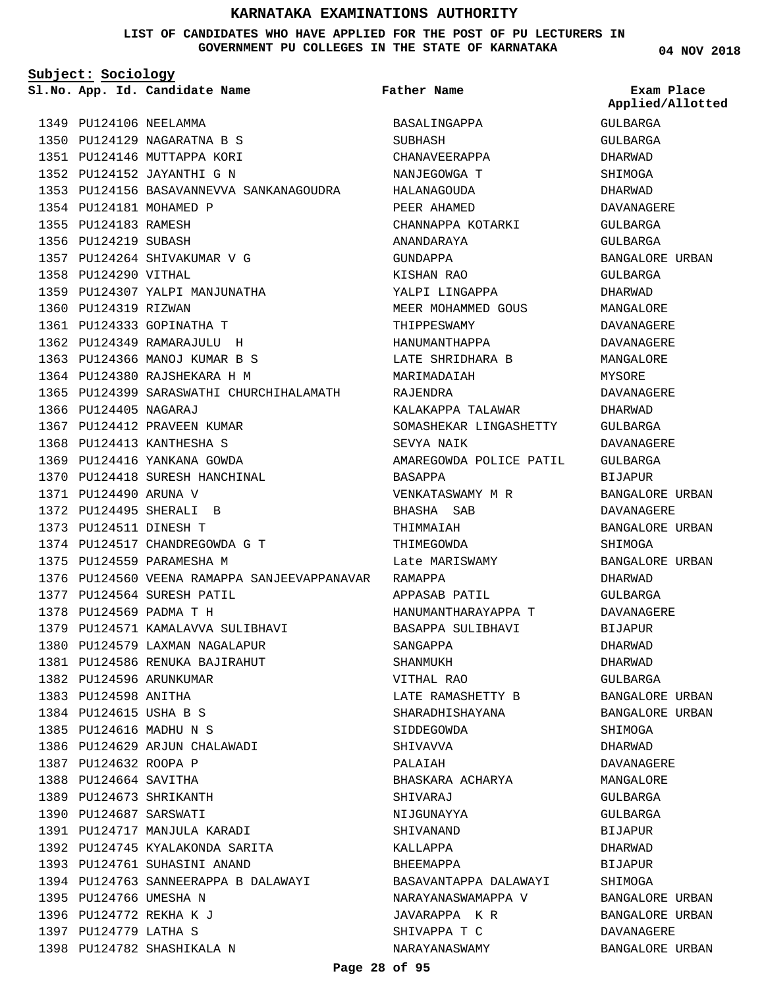**LIST OF CANDIDATES WHO HAVE APPLIED FOR THE POST OF PU LECTURERS IN GOVERNMENT PU COLLEGES IN THE STATE OF KARNATAKA**

**Subject: Sociology**

**App. Id. Candidate Name Sl.No. Exam Place**

PU124129 NAGARATNA B S 1350 1351 PU124146 MUTTAPPA KORI PU124152 JAYANTHI G N 1352

1357 PU124264 SHIVAKUMAR V G

1359 PU124307 YALPI MANJUNATHA

1353 PU124156 BASAVANNEVVA SANKANAGOUDRA

1365 PU124399 SARASWATHI CHURCHIHALAMATH

1349 PU124106 NEELAMMA

1354 PU124181 MOHAMED P 1355 PU124183 RAMESH 1356 PU124219 SUBASH

1358 PU124290 VITHAL

1360 PU124319 RIZWAN

1366 PU124405 NAGARAJ

1371 PU124490 ARUNA V 1372 PU124495 SHERALI B PU124511 DINESH T 1373

1367 PU124412 PRAVEEN KUMAR 1368 PU124413 KANTHESHA S 1369 PU124416 YANKANA GOWDA 1370 PU124418 SURESH HANCHINAL

1374 PU124517 CHANDREGOWDA G T

1379 PU124571 KAMALAVVA SULIBHAVI 1380 PU124579 LAXMAN NAGALAPUR PU124586 RENUKA BAJIRAHUT 1381

1375 PU124559 PARAMESHA M

1377 PU124564 SURESH PATIL PU124569 PADMA T H 1378

1382 PU124596 ARUNKUMAR 1383 PU124598 ANITHA 1384 PU124615 USHA B S PU124616 MADHU N S 1385

1387 PU124632 ROOPA P 1388 PU124664 SAVITHA PU124673 SHRIKANTH 1389 1390 PU124687 SARSWATI

1395 PU124766 UMESHA N 1396 PU124772 REKHA K J 1397 PU124779 LATHA S

1398 PU124782 SHASHIKALA N

1386 PU124629 ARJUN CHALAWADI

1391 PU124717 MANJULA KARADI PU124745 KYALAKONDA SARITA 1392 1393 PU124761 SUHASINI ANAND

PU124763 SANNEERAPPA B DALAWAYI 1394

1361 PU124333 GOPINATHA T PU124349 RAMARAJULU H 1362 1363 PU124366 MANOJ KUMAR B S 1364 PU124380 RAJSHEKARA H M

**Father Name**

1376 PU124560 VEENA RAMAPPA SANJEEVAPPANAVAR RAMAPPA BASALINGAPPA SUBHASH CHANAVEERAPPA NANJEGOWGA T HALANAGOUDA PEER AHAMED CHANNAPPA KOTARKI ANANDARAYA GUNDAPPA KISHAN RAO YALPI LINGAPPA MEER MOHAMMED GOUS THIPPESWAMY HANUMANTHAPPA LATE SHRIDHARA B MARIMADAIAH RAJENDRA KALAKAPPA TALAWAR SOMASHEKAR LINGASHETTY SEVYA NAIK AMAREGOWDA POLICE PATIL BASAPPA VENKATASWAMY M R BHASHA SAB THIMMAIAH THIMEGOWDA Late MARISWAMY APPASAB PATIL HANUMANTHARAYAPPA T BASAPPA SULIBHAVI SANGAPPA SHANMUKH VITHAL RAO LATE RAMASHETTY B SHARADHISHAYANA SIDDEGOWDA SHIVAVVA PALAIAH BHASKARA ACHARYA SHIVARAJ NIJGUNAYYA SHIVANAND KALLAPPA BHEEMAPPA BASAVANTAPPA DALAWAYI NARAYANASWAMAPPA V JAVARAPPA K R SHIVAPPA T C NARAYANASWAMY

**04 NOV 2018**

**Applied/Allotted**

GULBARGA GULBARGA

DHARWAD SHIMOGA DHARWAD DAVANAGERE GULBARGA GULBARGA BANGALORE URBAN GULBARGA DHARWAD MANGALORE DAVANAGERE DAVANAGERE MANGALORE MYSORE DAVANAGERE DHARWAD GULBARGA DAVANAGERE GULBARGA BIJAPUR BANGALORE URBAN DAVANAGERE BANGALORE URBAN SHIMOGA BANGALORE URBAN DHARWAD GULBARGA DAVANAGERE BIJAPUR DHARWAD DHARWAD GULBARGA BANGALORE URBAN BANGALORE URBAN SHIMOGA DHARWAD DAVANAGERE MANGALORE GULBARGA GULBARGA BIJAPUR DHARWAD BIJAPUR SHIMOGA BANGALORE URBAN BANGALORE URBAN DAVANAGERE BANGALORE URBAN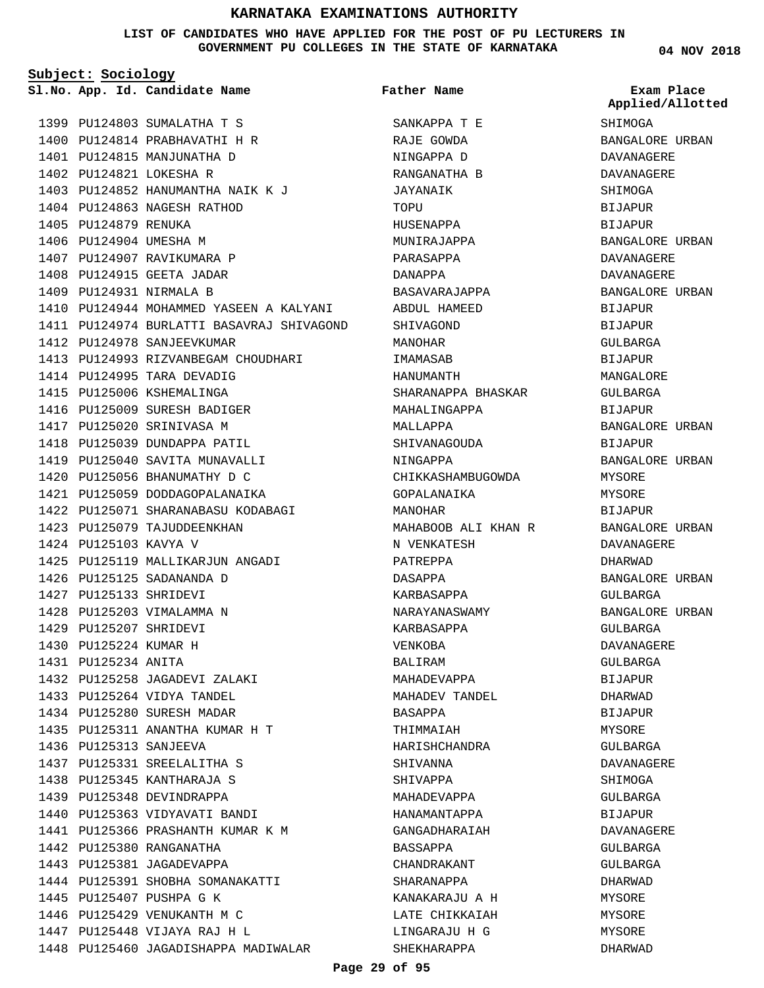**LIST OF CANDIDATES WHO HAVE APPLIED FOR THE POST OF PU LECTURERS IN GOVERNMENT PU COLLEGES IN THE STATE OF KARNATAKA**

**Subject: Sociology**

PU124803 SUMALATHA T S 1399 1400 PU124814 PRABHAVATHI H R 1401 PU124815 MANJUNATHA D 1402 PU124821 LOKESHA R

1403 PU124852 HANUMANTHA NAIK K J

1404 PU124863 NAGESH RATHOD 1405 PU124879 RENUKA 1406 PU124904 UMESHA M 1407 PU124907 RAVIKUMARA P 1408 PU124915 GEETA JADAR 1409 PU124931 NIRMALA B 1410 PU124944 MOHAMMED YASEEN A KALYANI 1411 PU124974 BURLATTI BASAVRAJ SHIVAGOND 1412 PU124978 SANJEEVKUMAR 1413 PU124993 RIZVANBEGAM CHOUDHARI 1414 PU124995 TARA DEVADIG 1415 PU125006 KSHEMALINGA 1416 PU125009 SURESH BADIGER 1417 PU125020 SRINIVASA M 1418 PU125039 DUNDAPPA PATIL 1419 PU125040 SAVITA MUNAVALLI 1420 PU125056 BHANUMATHY D C 1421 PU125059 DODDAGOPALANAIKA 1422 PU125071 SHARANABASU KODABAGI 1423 PU125079 TAJUDDEENKHAN 1424 PU125103 KAVYA V 1425 PU125119 MALLIKARJUN ANGADI 1426 PU125125 SADANANDA D 1427 PU125133 SHRIDEVI 1428 PU125203 VIMALAMMA N PU125207 SHRIDEVI 1429 1430 PU125224 KUMAR H PU125234 ANITA 1431 1432 PU125258 JAGADEVI ZALAKI PU125264 VIDYA TANDEL 1433 1434 PU125280 SURESH MADAR 1435 PU125311 ANANTHA KUMAR H T 1436 PU125313 SANJEEVA 1437 PU125331 SREELALITHA S 1438 PU125345 KANTHARAJA S 1439 PU125348 DEVINDRAPPA 1440 PU125363 VIDYAVATI BANDI 1441 PU125366 PRASHANTH KUMAR K M 1442 PU125380 RANGANATHA 1443 PU125381 JAGADEVAPPA 1444 PU125391 SHOBHA SOMANAKATTI 1445 PU125407 PUSHPA G K 1446 PU125429 VENUKANTH M C 1447 PU125448 VIJAYA RAJ H L 1448 PU125460 JAGADISHAPPA MADIWALAR

**App. Id. Candidate Name Sl.No. Exam Place** SANKAPPA T E RAJE GOWDA NINGAPPA D RANGANATHA B JAYANAIK TOPU HUSENAPPA MUNIRAJAPPA PARASAPPA DANAPPA BASAVARAJAPPA ABDUL HAMEED SHIVAGOND MANOHAR IMAMASAB HANUMANTH SHARANAPPA BHASKAR MAHALINGAPPA MALLAPPA SHIVANAGOUDA NINGAPPA CHIKKASHAMBUGOWDA GOPALANAIKA MANOHAR MAHABOOB ALI KHAN R N VENKATESH PATREPPA DASAPPA KARBASAPPA NARAYANASWAMY KARBASAPPA VENKOBA BALIRAM MAHADEVAPPA MAHADEV TANDEL BASAPPA THIMMAIAH HARISHCHANDRA SHIVANNA SHIVAPPA MAHADEVAPPA HANAMANTAPPA GANGADHARAIAH BASSAPPA CHANDRAKANT SHARANAPPA KANAKARAJU A H LATE CHIKKAIAH LINGARAJU H G SHEKHARAPPA **Father Name**

**04 NOV 2018**

**SHIMOGA** BANGALORE URBAN DAVANAGERE DAVANAGERE SHIMOGA BIJAPUR BIJAPUR BANGALORE URBAN DAVANAGERE DAVANAGERE BANGALORE URBAN BIJAPUR BIJAPUR GULBARGA BIJAPUR MANGALORE GULBARGA BIJAPUR BANGALORE URBAN BIJAPUR BANGALORE URBAN MYSORE MYSORE BIJAPUR BANGALORE URBAN DAVANAGERE DHARWAD BANGALORE URBAN GULBARGA BANGALORE URBAN GULBARGA DAVANAGERE GULBARGA BIJAPUR DHARWAD BIJAPUR MYSORE GULBARGA DAVANAGERE SHIMOGA GULBARGA BIJAPUR DAVANAGERE GULBARGA GULBARGA DHARWAD MYSORE MYSORE MYSORE DHARWAD **Applied/Allotted**

#### **Page 29 of 95**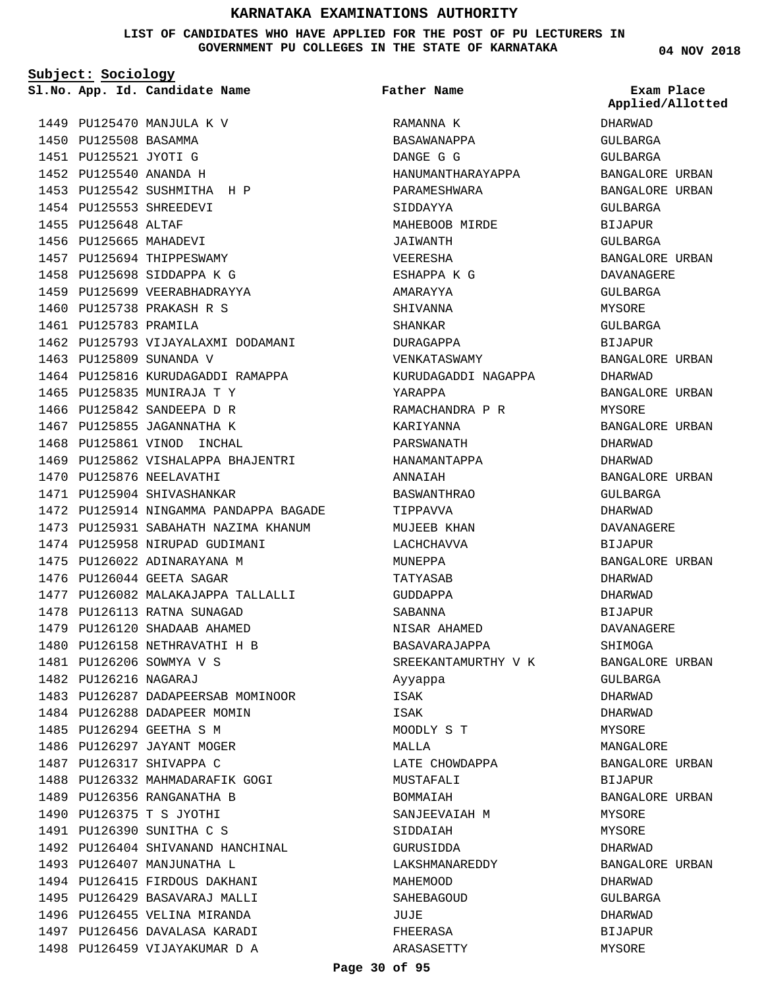**LIST OF CANDIDATES WHO HAVE APPLIED FOR THE POST OF PU LECTURERS IN GOVERNMENT PU COLLEGES IN THE STATE OF KARNATAKA**

**Subject: Sociology**

1449 PU125470 MANJULA K V 1450 PU125508 BASAMMA

1451 PU125521 JYOTI G PU125540 ANANDA H 1452 1453 PU125542 SUSHMITHA H P 1454 PU125553 SHREEDEVI 1455 PU125648 ALTAF 1456 PU125665 MAHADEVI 1457 PU125694 THIPPESWAMY 1458 PU125698 SIDDAPPA K G 1459 PU125699 VEERABHADRAYYA 1460 PU125738 PRAKASH R S 1461 PU125783 PRAMILA 1462 PU125793 VIJAYALAXMI DODAMANI 1463 PU125809 SUNANDA V 1464 PU125816 KURUDAGADDI RAMAPPA 1465 PU125835 MUNIRAJA T Y 1466 PU125842 SANDEEPA D R 1467 PU125855 JAGANNATHA K 1468 PU125861 VINOD INCHAL 1469 PU125862 VISHALAPPA BHAJENTRI 1470 PU125876 NEELAVATHI 1471 PU125904 SHIVASHANKAR 1472 PU125914 NINGAMMA PANDAPPA BAGADE 1473 PU125931 SABAHATH NAZIMA KHANUM 1474 PU125958 NIRUPAD GUDIMANI 1475 PU126022 ADINARAYANA M 1476 PU126044 GEETA SAGAR 1477 PU126082 MALAKAJAPPA TALLALLI 1478 PU126113 RATNA SUNAGAD 1479 PU126120 SHADAAB AHAMED 1480 PU126158 NETHRAVATHI H B PU126206 SOWMYA V S 1481 1482 PU126216 NAGARAJ 1483 PU126287 DADAPEERSAB MOMINOOR 1484 PU126288 DADAPEER MOMIN 1485 PU126294 GEETHA S M 1486 PU126297 JAYANT MOGER 1487 PU126317 SHIVAPPA C 1488 PU126332 MAHMADARAFIK GOGI 1489 PU126356 RANGANATHA B 1490 PU126375 T S JYOTHI 1491 PU126390 SUNITHA C S 1492 PU126404 SHIVANAND HANCHINAL 1493 PU126407 MANJUNATHA L 1494 PU126415 FIRDOUS DAKHANI 1495 PU126429 BASAVARAJ MALLI 1496 PU126455 VELINA MIRANDA 1497 PU126456 DAVALASA KARADI 1498 PU126459 VIJAYAKUMAR D A

# **App. Id. Candidate Name Sl.No. Exam Place** RAMANNA K BASAWANAPPA DANGE G G HANUMANTHARAYAPPA PARAMESHWARA SIDDAYYA MAHEBOOB MIRDE JAIWANTH VEERESHA ESHAPPA K G AMARAYYA SHIVANNA SHANKAR DURAGAPPA VENKATASWAMY KURUDAGADDI NAGAPPA YARAPPA RAMACHANDRA P R KARIYANNA PARSWANATH HANAMANTAPPA ANNAIAH BASWANTHRAO TIPPAVVA MUJEEB KHAN LACHCHAVVA MINEPPA TATYASAB GUDDAPPA SABANNA NISAR AHAMED BASAVARAJAPPA SREEKANTAMURTHY V K Ayyappa ISAK ISAK MOODLY S T MALLA LATE CHOWDAPPA MUSTAFALI BOMMAIAH SANJEEVAIAH M SIDDAIAH GURUSIDDA LAKSHMANAREDDY MAHEMOOD SAHEBAGOUD JUJE FHEERASA ARASASETTY **Father Name**

**04 NOV 2018**

DHARWAD GULBARGA GULBARGA BANGALORE URBAN BANGALORE URBAN GULBARGA BIJAPUR GULBARGA BANGALORE URBAN DAVANAGERE GULBARGA MYSORE GULBARGA BIJAPUR BANGALORE URBAN DHARWAD BANGALORE URBAN MYSORE BANGALORE URBAN DHARWAD DHARWAD BANGALORE URBAN GULBARGA DHARWAD DAVANAGERE BIJAPUR BANGALORE URBAN DHARWAD DHARWAD BIJAPUR DAVANAGERE SHIMOGA BANGALORE URBAN GULBARGA DHARWAD DHARWAD MYSORE MANGALORE BANGALORE URBAN BIJAPUR BANGALORE URBAN MYSORE MYSORE DHARWAD BANGALORE URBAN DHARWAD GULBARGA DHARWAD BIJAPUR MYSORE **Applied/Allotted**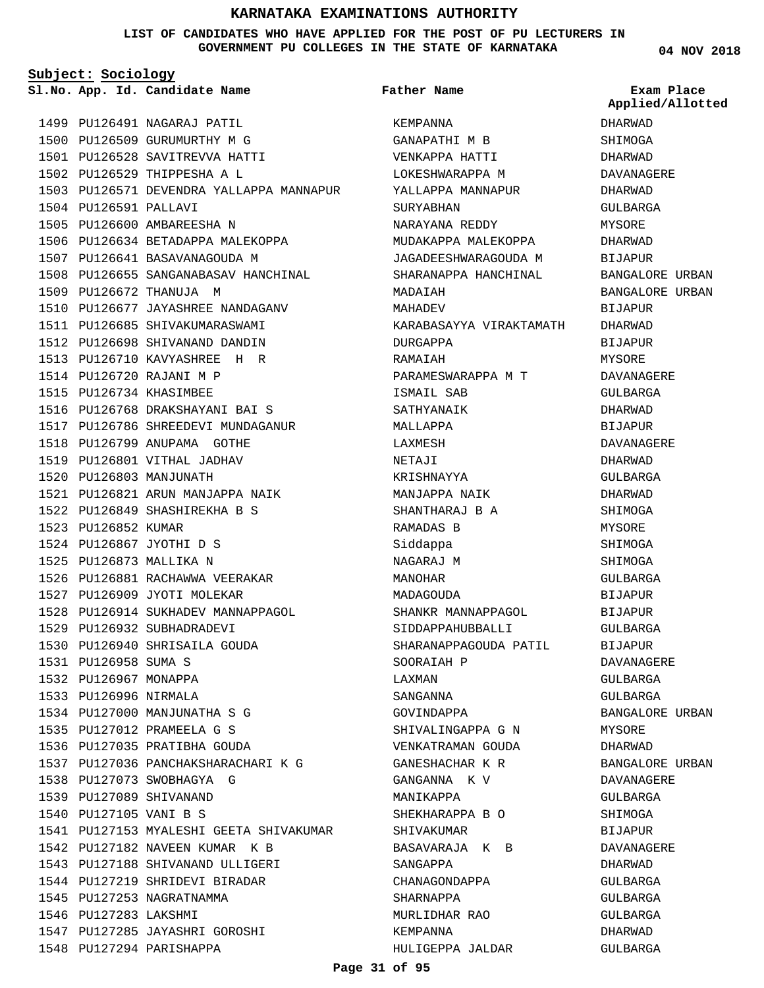**LIST OF CANDIDATES WHO HAVE APPLIED FOR THE POST OF PU LECTURERS IN GOVERNMENT PU COLLEGES IN THE STATE OF KARNATAKA**

**Subject: Sociology**

1499 PU126491 NAGARAJ PATIL 1500 PU126509 GURUMURTHY M G PU126528 SAVITREVVA HATTI 1501 1502 PU126529 THIPPESHA A L 1503 PU126571 DEVENDRA YALLAPPA MANNAPUR 1504 PU126591 PALLAVI 1505 PU126600 AMBAREESHA N 1506 PU126634 BETADAPPA MALEKOPPA 1507 PU126641 BASAVANAGOUDA M 1508 PU126655 SANGANABASAV HANCHINAL 1509 PU126672 THANUJA M 1510 PU126677 JAYASHREE NANDAGANV 1511 PU126685 SHIVAKUMARASWAMI 1512 PU126698 SHIVANAND DANDIN PU126710 KAVYASHREE H R 1513 1514 PU126720 RAJANI M P 1515 PU126734 KHASIMBEE 1516 PU126768 DRAKSHAYANI BAI S 1517 PU126786 SHREEDEVI MUNDAGANUR 1518 PU126799 ANUPAMA GOTHE 1519 PU126801 VITHAL JADHAV 1520 PU126803 MANJUNATH PU126821 ARUN MANJAPPA NAIK 1521 PU126849 SHASHIREKHA B S 1522 1523 PU126852 KUMAR PU126867 JYOTHI D S 1524 1525 PU126873 MALLIKA N 1526 PU126881 RACHAWWA VEERAKAR 1527 PU126909 JYOTI MOLEKAR 1528 PU126914 SUKHADEV MANNAPPAGOL 1529 PU126932 SUBHADRADEVI 1530 PU126940 SHRISAILA GOUDA 1531 PU126958 SUMA S 1532 PU126967 MONAPPA 1533 PU126996 NIRMALA 1534 PU127000 MANJUNATHA S G PU127012 PRAMEELA G S 1535 1536 PU127035 PRATIBHA GOUDA 1537 PU127036 PANCHAKSHARACHARI K G 1538 PU127073 SWOBHAGYA G 1539 PU127089 SHIVANAND 1540 PU127105 VANI B S 1541 PU127153 MYALESHI GEETA SHIVAKUMAR 1542 PU127182 NAVEEN KUMAR K B 1543 PU127188 SHIVANAND ULLIGERI 1544 PU127219 SHRIDEVI BIRADAR 1545 PU127253 NAGRATNAMMA 1546 PU127283 LAKSHMI 1547 PU127285 JAYASHRI GOROSHI 1548 PU127294 PARISHAPPA

**App. Id. Candidate Name Sl.No. Exam Place** KEMPANNA GANAPATHI M B VENKAPPA HATTI LOKESHWARAPPA M YALLAPPA MANNAPUR SURYABHAN NARAYANA REDDY MUDAKAPPA MALEKOPPA JAGADEESHWARAGOUDA M SHARANAPPA HANCHINAL MADAIAH MAHADEV KARABASAYYA VIRAKTAMATH DURGAPPA RAMAIAH PARAMESWARAPPA M T ISMAIL SAB SATHYANAIK MALLAPPA LAXMESH NETAJI KRISHNAYYA MANJAPPA NAIK SHANTHARAJ B A RAMADAS B Siddappa NAGARAJ M MANOHAR MADAGOUDA SHANKR MANNAPPAGOL SIDDAPPAHUBBALLI SHARANAPPAGOUDA PATIL SOORAIAH P LAXMAN SANGANNA GOVINDAPPA SHIVALINGAPPA G N VENKATRAMAN GOUDA GANESHACHAR K R GANGANNA K V MANIKAPPA SHEKHARAPPA B O SHIVAKUMAR BASAVARAJA K B SANGAPPA CHANAGONDAPPA SHARNAPPA MURLIDHAR RAO KEMPANNA HULIGEPPA JALDAR **Father Name** DHARWAD SHIMOGA DHARWAD DAVANAGERE DHARWAD GULBARGA MYSORE DHARWAD **BIJAPUR** BANGALORE URBAN BANGALORE URBAN BIJAPUR DHARWAD BIJAPUR MYSORE DAVANAGERE GULBARGA DHARWAD **BIJAPUR** DAVANAGERE DHARWAD GULBARGA DHARWAD SHIMOGA MYSORE SHIMOGA **SHIMOGA** GULBARGA BIJAPUR BIJAPUR GULBARGA BIJAPUR DAVANAGERE GULBARGA GULBARGA BANGALORE URBAN MYSORE DHARWAD BANGALORE URBAN DAVANAGERE GULBARGA SHIMOGA BIJAPUR DAVANAGERE DHARWAD GULBARGA GULBARGA GULBARGA DHARWAD GULBARGA **Applied/Allotted**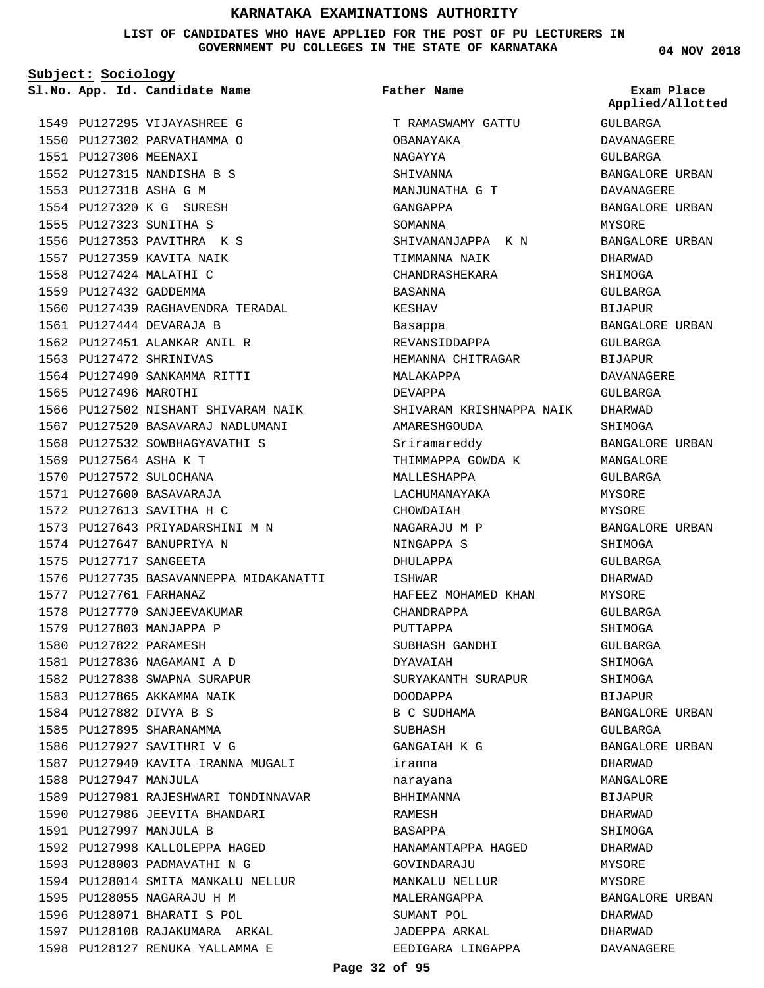**LIST OF CANDIDATES WHO HAVE APPLIED FOR THE POST OF PU LECTURERS IN GOVERNMENT PU COLLEGES IN THE STATE OF KARNATAKA**

**Subject: Sociology**

1549 PU127295 VIJAYASHREE G 1550 PU127302 PARVATHAMMA O 1551 PU127306 MEENAXI PU127315 NANDISHA B S 1552 PU127318 ASHA G M 1553 1554 PU127320 K G SURESH PU127323 SUNITHA S 1555 1556 PU127353 PAVITHRA K S 1557 PU127359 KAVITA NAIK 1558 PU127424 MALATHI C 1559 PU127432 GADDEMMA 1560 PU127439 RAGHAVENDRA TERADAL 1561 PU127444 DEVARAJA B 1562 PU127451 ALANKAR ANIL R 1563 PU127472 SHRINIVAS 1564 PU127490 SANKAMMA RITTI 1565 PU127496 MAROTHI 1566 PU127502 NISHANT SHIVARAM NAIK 1567 PU127520 BASAVARAJ NADLUMANI 1568 PU127532 SOWBHAGYAVATHI S 1569 PU127564 ASHA K T 1570 PU127572 SULOCHANA 1571 PU127600 BASAVARAJA 1572 PU127613 SAVITHA H C PU127643 PRIYADARSHINI M N 1573 1574 PU127647 BANUPRIYA N 1575 PU127717 SANGEETA 1576 PU127735 BASAVANNEPPA MIDAKANATTI PU127761 FARHANAZ 1577 1578 PU127770 SANJEEVAKUMAR 1579 PU127803 MANJAPPA P 1580 PU127822 PARAMESH PU127836 NAGAMANI A D 1581 1582 PU127838 SWAPNA SURAPUR 1583 PU127865 AKKAMMA NAIK PU127882 DIVYA B S 1584 1585 PU127895 SHARANAMMA 1586 PU127927 SAVITHRI V G 1587 PU127940 KAVITA IRANNA MUGALI 1588 PU127947 MANJULA 1589 PU127981 RAJESHWARI TONDINNAVAR 1590 PU127986 JEEVITA BHANDARI PU127997 MANJULA B 1591 1592 PU127998 KALLOLEPPA HAGED 1593 PU128003 PADMAVATHI N G

1594 PU128014 SMITA MANKALU NELLUR

1595 PU128055 NAGARAJU H M 1596 PU128071 BHARATI S POL 1597 PU128108 RAJAKUMARA ARKAL PU128127 RENUKA YALLAMMA E 1598

**App. Id. Candidate Name Sl.No. Exam Place** T RAMASWAMY GATTU OBANAYAKA NAGAYYA SHIVANNA MANJUNATHA G T GANGAPPA SOMANNA SHIVANANJAPPA K N TIMMANNA NAIK CHANDRASHEKARA BASANNA KESHAV Basappa REVANSIDDAPPA HEMANNA CHITRAGAR MALAKAPPA DEVAPPA SHIVARAM KRISHNAPPA NAIK AMARESHGOUDA Sriramareddy THIMMAPPA GOWDA K MALLESHAPPA LACHUMANAYAKA CHOWDAIAH NAGARAJU M P NINGAPPA S DHIII.APPA ISHWAR HAFEEZ MOHAMED KHAN CHANDRAPPA PUTTAPPA SUBHASH GANDHI DYAVAIAH SURYAKANTH SURAPUR DOODAPPA B C SUDHAMA SUBHASH GANGAIAH K G iranna narayana BHHIMANNA RAMESH BASAPPA HANAMANTAPPA HAGED GOVINDARAJU MANKALU NELLUR MALERANGAPPA SUMANT POL JADEPPA ARKAL EEDIGARA LINGAPPA **Father Name**

**04 NOV 2018**

GULBARGA DAVANAGERE GULBARGA BANGALORE URBAN DAVANAGERE BANGALORE URBAN MYSORE BANGALORE URBAN DHARWAD SHIMOGA GULBARGA BIJAPUR BANGALORE URBAN GULBARGA BIJAPUR DAVANAGERE GULBARGA DHARWAD SHIMOGA BANGALORE URBAN MANGALORE GULBARGA MYSORE MYSORE BANGALORE URBAN SHIMOGA  $CITIRARCA$ DHARWAD **MYSORE** GULBARGA SHIMOGA GULBARGA SHIMOGA SHIMOGA BIJAPUR BANGALORE URBAN GULBARGA BANGALORE URBAN DHARWAD MANGALORE BIJAPUR DHARWAD SHIMOGA DHARWAD MYSORE **MYSORE** BANGALORE URBAN DHARWAD DHARWAD DAVANAGERE **Applied/Allotted**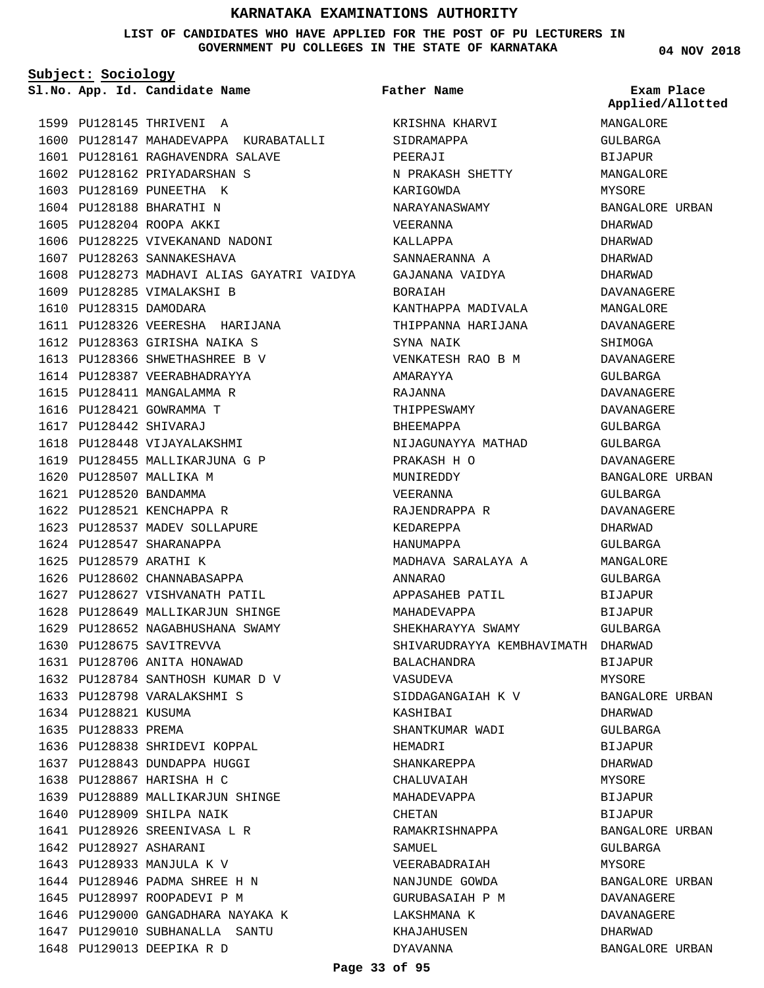#### **LIST OF CANDIDATES WHO HAVE APPLIED FOR THE POST OF PU LECTURERS IN GOVERNMENT PU COLLEGES IN THE STATE OF KARNATAKA**

**Subject: Sociology**

1599 PU128145 THRIVENI A 1600 PU128147 MAHADEVAPPA KURABATALLI PU128161 RAGHAVENDRA SALAVE 1601 1602 PU128162 PRIYADARSHAN S 1603 PU128169 PUNEETHA K 1604 PU128188 BHARATHI N 1605 PU128204 ROOPA AKKI 1606 PU128225 VIVEKANAND NADONI 1607 PU128263 SANNAKESHAVA 1608 PU128273 MADHAVI ALIAS GAYATRI VAIDYA 1609 PU128285 VIMALAKSHI B 1610 PU128315 DAMODARA 1611 PU128326 VEERESHA HARIJANA 1612 PU128363 GIRISHA NAIKA S 1613 PU128366 SHWETHASHREE B V 1614 PU128387 VEERABHADRAYYA 1615 PU128411 MANGALAMMA R 1616 PU128421 GOWRAMMA T PU128442 SHIVARAJ 1617 1618 PU128448 VIJAYALAKSHMI 1619 PU128455 MALLIKARJUNA G P 1620 PU128507 MALLIKA M PU128520 BANDAMMA 1621 1622 PU128521 KENCHAPPA R 1623 PU128537 MADEV SOLLAPURE 1624 PU128547 SHARANAPPA 1625 PU128579 ARATHI K 1626 PU128602 CHANNABASAPPA 1627 PU128627 VISHVANATH PATIL 1628 PU128649 MALLIKARJUN SHINGE 1629 PU128652 NAGABHUSHANA SWAMY 1630 PU128675 SAVITREVVA 1631 PU128706 ANITA HONAWAD PU128784 SANTHOSH KUMAR D V 1632 1633 PU128798 VARALAKSHMI S 1634 PU128821 KUSUMA 1635 PU128833 PREMA 1636 PU128838 SHRIDEVI KOPPAL 1637 PU128843 DUNDAPPA HUGGI 1638 PU128867 HARISHA H C PU128889 MALLIKARJUN SHINGE 1639 1640 PU128909 SHILPA NAIK 1641 PU128926 SREENIVASA L R 1642 PU128927 ASHARANI 1643 PU128933 MANJULA K V PU128946 PADMA SHREE H N 1644 1645 PU128997 ROOPADEVI P M 1646 PU129000 GANGADHARA NAYAKA K 1647 PU129010 SUBHANALLA SANTU 1648 PU129013 DEEPIKA R D

**App. Id. Candidate Name Sl.No. Exam Place** KRISHNA KHARVI SIDRAMAPPA PEERAJI N PRAKASH SHETTY KARIGOWDA NARAYANASWAMY VEERANNA KALLAPPA SANNAERANNA A GAJANANA VAIDYA BORAIAH KANTHAPPA MADIVALA THIPPANNA HARIJANA SYNA NAIK VENKATESH RAO B M AMARAYYA RAJANNA THIPPESWAMY BHEEMAPPA NIJAGUNAYYA MATHAD PRAKASH H O MUNIREDDY VEERANNA RAJENDRAPPA R KEDAREPPA HANUMAPPA MADHAVA SARALAYA A ANNARAO APPASAHEB PATIL MAHADEVAPPA SHEKHARAYYA SWAMY SHIVARUDRAYYA KEMBHAVIMATH DHARWAD BALACHANDRA VASUDEVA SIDDAGANGAIAH K V **KASHIRAT** SHANTKUMAR WADI HEMADRI SHANKAREPPA CHALUVAIAH MAHADEVAPPA CHETAN RAMAKRISHNAPPA SAMIJEL. VEERABADRAIAH NANJUNDE GOWDA GURUBASAIAH P M LAKSHMANA K KHAJAHUSEN DYAVANNA **Father Name**

**04 NOV 2018**

MANGALORE GULBARGA BIJAPUR MANGALORE MYSORE BANGALORE URBAN DHARWAD DHARWAD DHARWAD DHARWAD DAVANAGERE MANGALORE DAVANAGERE SHIMOGA DAVANAGERE GULBARGA DAVANAGERE DAVANAGERE GULBARGA GULBARGA DAVANAGERE BANGALORE URBAN GULBARGA DAVANAGERE DHARWAD GULBARGA **MANGALORE** GULBARGA BIJAPUR BIJAPUR GULBARGA BIJAPUR MYSORE BANGALORE URBAN DHARWAD GULBARGA BIJAPUR DHARWAD MYSORE BIJAPUR BIJAPUR BANGALORE URBAN GULBARGA MYSORE BANGALORE URBAN DAVANAGERE DAVANAGERE DHARWAD BANGALORE URBAN **Applied/Allotted**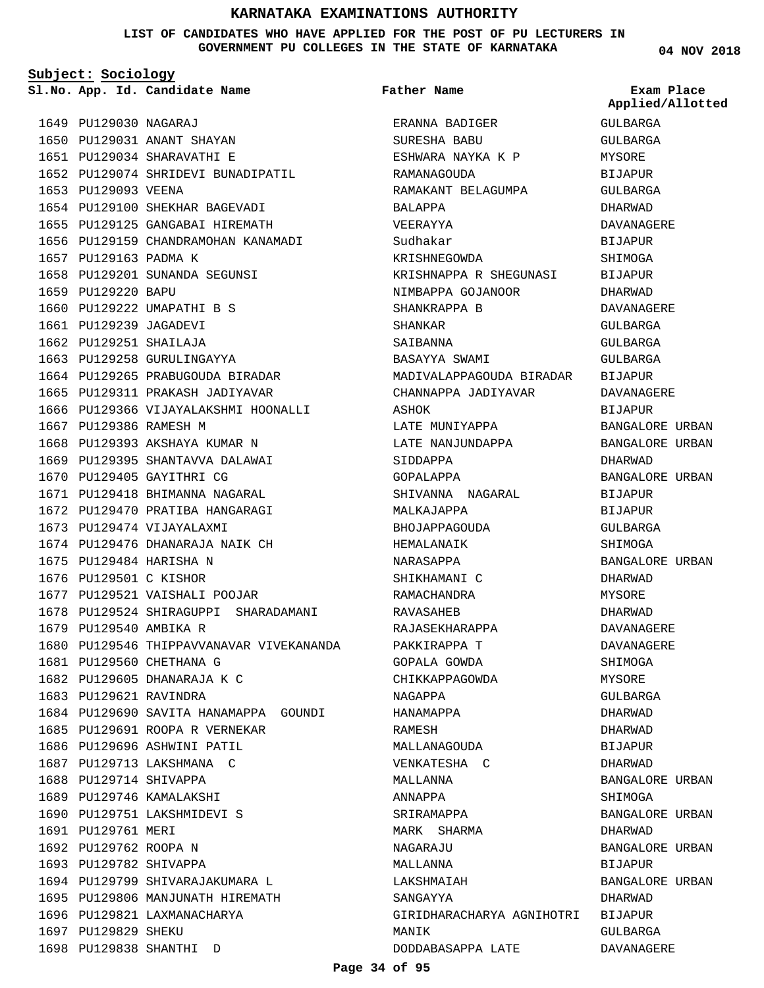**LIST OF CANDIDATES WHO HAVE APPLIED FOR THE POST OF PU LECTURERS IN GOVERNMENT PU COLLEGES IN THE STATE OF KARNATAKA**

**Subject: Sociology**

1650 PU129031 ANANT SHAYAN PU129034 SHARAVATHI E 1651

1652 PU129074 SHRIDEVI BUNADIPATIL

1654 PU129100 SHEKHAR BAGEVADI 1655 PU129125 GANGABAI HIREMATH 1656 PU129159 CHANDRAMOHAN KANAMADI

1658 PU129201 SUNANDA SEGUNSI

1664 PU129265 PRABUGOUDA BIRADAR 1665 PU129311 PRAKASH JADIYAVAR

1668 PU129393 AKSHAYA KUMAR N 1669 PU129395 SHANTAVVA DALAWAI

1671 PU129418 BHIMANNA NAGARAL 1672 PU129470 PRATIBA HANGARAGI

1674 PU129476 DHANARAJA NAIK CH

1677 PU129521 VAISHALI POOJAR

1685 PU129691 ROOPA R VERNEKAR 1686 PU129696 ASHWINI PATIL 1687 PU129713 LAKSHMANA C 1688 PU129714 SHIVAPPA 1689 PU129746 KAMALAKSHI 1690 PU129751 LAKSHMIDEVI S

1694 PU129799 SHIVARAJAKUMARA L PU129806 MANJUNATH HIREMATH 1695

1696 PU129821 LAXMANACHARYA

1698 PU129838 SHANTHI D

1678 PU129524 SHIRAGUPPI SHARADAMANI

1680 PU129546 THIPPAVVANAVAR VIVEKANANDA

1684 PU129690 SAVITA HANAMAPPA GOUNDI

1666 PU129366 VIJAYALAKSHMI HOONALLI

1660 PU129222 UMAPATHI B S 1661 PU129239 JAGADEVI 1662 PU129251 SHAILAJA 1663 PU129258 GURULINGAYYA

1649 PU129030 NAGARAJ

1653 PU129093 VEENA

1657 PU129163 PADMA K

1667 PU129386 RAMESH M

1670 PU129405 GAYITHRI CG

1673 PU129474 VIJAYALAXMI

1675 PU129484 HARISHA N 1676 PU129501 C KISHOR

1679 PU129540 AMBIKA R

1683 PU129621 RAVINDRA

1691 PU129761 MERI 1692 PU129762 ROOPA N 1693 PU129782 SHIVAPPA

1697 PU129829 SHEKU

1681 PU129560 CHETHANA G 1682 PU129605 DHANARAJA K C

1659 PU129220 BAPU

**Father Name**

**App. Id. Candidate Name Sl.No. Exam Place** ERANNA BADIGER SURESHA BABU ESHWARA NAYKA K P RAMANAGOUDA RAMAKANT BELAGUMPA BALAPPA VEERAYYA Sudhakar KRISHNEGOWDA KRISHNAPPA R SHEGUNASI NIMBAPPA GOJANOOR SHANKRAPPA B SHANKAR SAIBANNA BASAYYA SWAMI MADIVALAPPAGOUDA BIRADAR CHANNAPPA JADIYAVAR ASHOK LATE MUNIYAPPA LATE NANJUNDAPPA SIDDAPPA GOPALAPPA SHIVANNA NAGARAL MALKAJAPPA BHOJAPPAGOUDA HEMALANAIK NARASAPPA SHIKHAMANI C RAMACHANDRA RAVASAHEB RAJASEKHARAPPA PAKKIRAPPA T GOPALA GOWDA CHIKKAPPAGOWDA NAGAPPA HANAMAPPA RAMESH MALLANAGOUDA VENKATESHA C MALLANNA ANNAPPA SRIRAMAPPA MARK SHARMA NAGARAJU MALLANNA LAKSHMAIAH SANGAYYA GIRIDHARACHARYA AGNIHOTRI BIJAPUR MANIK DODDABASAPPA LATE GULBARGA GULBARGA MYSORE BIJAPUR

**04 NOV 2018**

**Applied/Allotted**

# GULBARGA DHARWAD DAVANAGERE BIJAPUR **SHIMOGA** BIJAPUR DHARWAD DAVANAGERE GULBARGA GULBARGA GULBARGA BIJAPUR DAVANAGERE BIJAPUR BANGALORE URBAN BANGALORE URBAN DHARWAD BANGALORE URBAN BIJAPUR BIJAPUR GULBARGA SHIMOGA BANGALORE URBAN DHARWAD MYSORE DHARWAD DAVANAGERE DAVANAGERE SHIMOGA MYSORE GULBARGA DHARWAD DHARWAD BIJAPUR DHARWAD BANGALORE URBAN SHIMOGA BANGALORE URBAN DHARWAD BANGALORE URBAN BIJAPUR BANGALORE URBAN DHARWAD GULBARGA DAVANAGERE

#### **Page 34 of 95**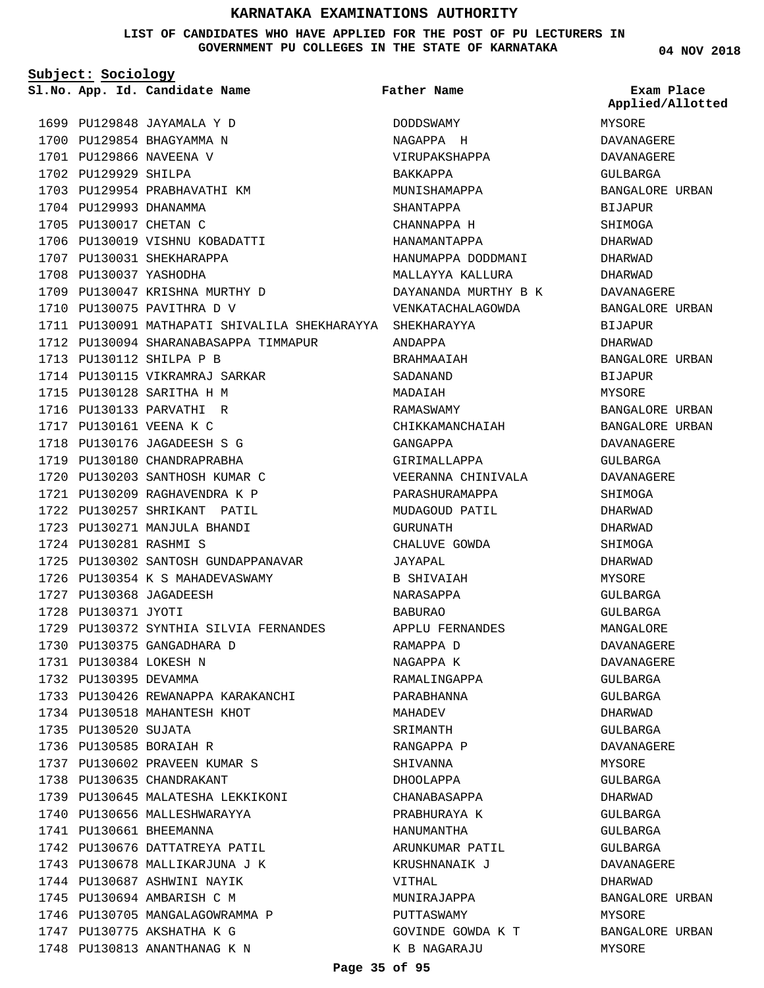**LIST OF CANDIDATES WHO HAVE APPLIED FOR THE POST OF PU LECTURERS IN GOVERNMENT PU COLLEGES IN THE STATE OF KARNATAKA**

**Subject: Sociology**

1699 PU129848 JAYAMALA Y D 1700 PU129854 BHAGYAMMA N 1701 PU129866 NAVEENA V 1702 PU129929 SHILPA 1703 PU129954 PRABHAVATHI KM 1704 PU129993 DHANAMMA 1705 PU130017 CHETAN C 1706 PU130019 VISHNU KOBADATTI 1707 PU130031 SHEKHARAPPA 1708 PU130037 YASHODHA 1709 PU130047 KRISHNA MURTHY D 1710 PU130075 PAVITHRA D V PU130091 MATHAPATI SHIVALILA SHEKHARAYYA SHEKHARAYYA 1711 1712 PU130094 SHARANABASAPPA TIMMAPUR 1713 PU130112 SHILPA P B 1714 PU130115 VIKRAMRAJ SARKAR 1715 PU130128 SARITHA H M 1716 PU130133 PARVATHI R 1717 PU130161 VEENA K C 1718 PU130176 JAGADEESH S G 1719 PU130180 CHANDRAPRABHA 1720 PU130203 SANTHOSH KUMAR C PU130209 RAGHAVENDRA K P 1721 1722 PU130257 SHRIKANT PATIL 1723 PU130271 MANJULA BHANDI PU130281 RASHMI S 1724 1725 PU130302 SANTOSH GUNDAPPANAVAR 1726 PU130354 K S MAHADEVASWAMY 1727 PU130368 JAGADEESH 1728 PU130371 JYOTI PU130372 SYNTHIA SILVIA FERNANDES 1729 PU130375 GANGADHARA D 1730 PU130384 LOKESH N 1731 1732 PU130395 DEVAMMA 1733 PU130426 REWANAPPA KARAKANCHI 1734 PU130518 MAHANTESH KHOT 1735 PU130520 SUJATA 1736 PU130585 BORAIAH R PU130602 PRAVEEN KUMAR S 1737 1738 PU130635 CHANDRAKANT 1739 PU130645 MALATESHA LEKKIKONI 1740 PU130656 MALLESHWARAYYA 1741 PU130661 BHEEMANNA 1742 PU130676 DATTATREYA PATIL 1743 PU130678 MALLIKARJUNA J K 1744 PU130687 ASHWINI NAYIK 1745 PU130694 AMBARISH C M 1746 PU130705 MANGALAGOWRAMMA P 1747 PU130775 AKSHATHA K G **App. Id. Candidate Name Sl.No. Exam Place**

1748 PU130813 ANANTHANAG K N

DODDSWAMY NAGAPPA H VIRUPAKSHAPPA BAKKAPPA MUNISHAMAPPA SHANTAPPA CHANNAPPA H HANAMANTAPPA HANUMAPPA DODDMANI MALLAYYA KALLURA DAYANANDA MURTHY B K VENKATACHALAGOWDA ANDAPPA BRAHMAAIAH SADANAND MADAIAH RAMASWAMY CHIKKAMANCHAIAH GANGAPPA GIRIMALLAPPA VEERANNA CHINIVALA PARASHURAMAPPA MUDAGOUD PATIL GURUNATH CHALUVE GOWDA JAYAPAL B SHIVAIAH NARASAPPA BABURAO APPLU FERNANDES RAMAPPA D NAGAPPA K RAMALINGAPPA PARABHANNA **MAHADEV** SRIMANTH RANGAPPA P SHIVANNA DHOOLAPPA CHANABASAPPA PRABHURAYA K HANUMANTHA ARUNKUMAR PATIL KRUSHNANAIK J VITHAL MUNIRAJAPPA PUTTASWAMY GOVINDE GOWDA K T K B NAGARAJU **Father Name**

**04 NOV 2018**

MYSORE DAVANAGERE DAVANAGERE GULBARGA BANGALORE URBAN BIJAPUR SHIMOGA DHARWAD DHARWAD DHARWAD DAVANAGERE BANGALORE URBAN BIJAPUR DHARWAD BANGALORE URBAN BIJAPUR MYSORE BANGALORE URBAN BANGALORE URBAN DAVANAGERE GULBARGA DAVANAGERE SHIMOGA DHARWAD DHARWAD SHIMOGA DHARWAD MYSORE GULBARGA GULBARGA MANGALORE DAVANAGERE DAVANAGERE GULBARGA GULBARGA DHARWAD GULBARGA DAVANAGERE MYSORE GULBARGA DHARWAD GULBARGA GULBARGA GULBARGA DAVANAGERE DHARWAD BANGALORE URBAN MYSORE BANGALORE URBAN MYSORE **Applied/Allotted**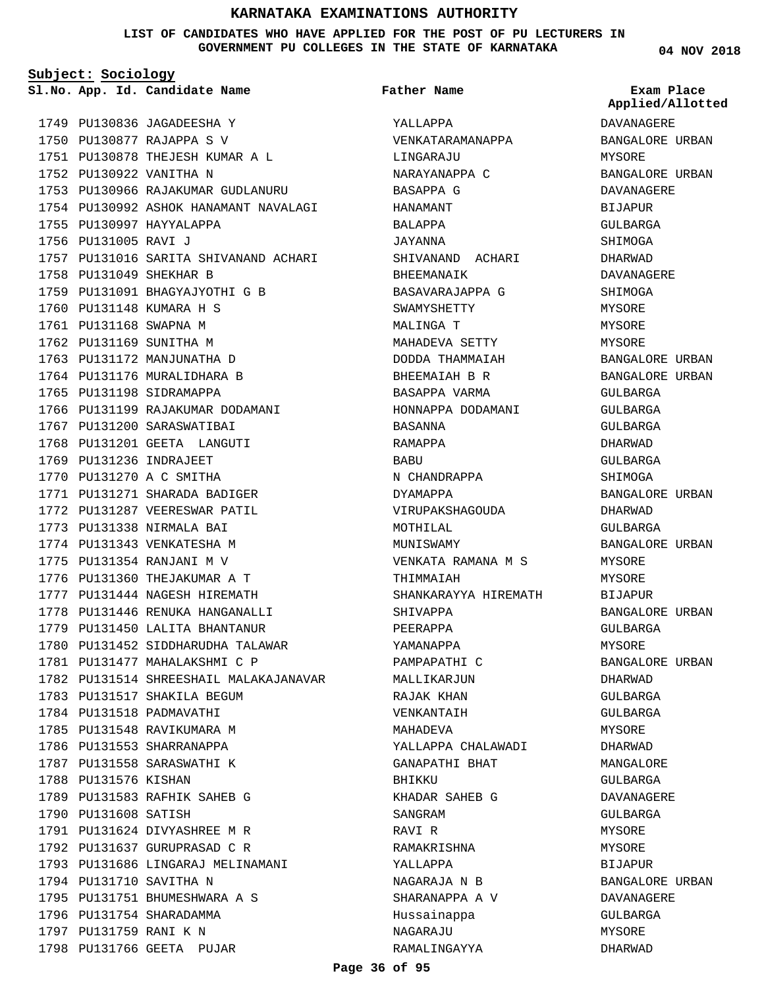**LIST OF CANDIDATES WHO HAVE APPLIED FOR THE POST OF PU LECTURERS IN GOVERNMENT PU COLLEGES IN THE STATE OF KARNATAKA**

**Subject: Sociology**

**App. Id. Candidate Name Sl.No. Exam Place**

1749 PU130836 JAGADEESHA Y PU130877 RAJAPPA S V 1750 PU130878 THEJESH KUMAR A L 1751 1752 PU130922 VANITHA N 1753 PU130966 RAJAKUMAR GUDLANURU 1754 PU130992 ASHOK HANAMANT NAVALAGI 1755 PU130997 HAYYALAPPA 1756 PU131005 RAVI J 1757 PU131016 SARITA SHIVANAND ACHARI 1758 PU131049 SHEKHAR B 1759 PU131091 BHAGYAJYOTHI G B 1760 PU131148 KUMARA H S 1761 PU131168 SWAPNA M 1762 PU131169 SUNITHA M 1763 PU131172 MANJUNATHA D 1764 PU131176 MURALIDHARA B 1765 PU131198 SIDRAMAPPA 1766 PU131199 RAJAKUMAR DODAMANI 1767 PU131200 SARASWATIBAI 1768 PU131201 GEETA LANGUTI 1769 PU131236 INDRAJEET 1770 PU131270 A C SMITHA 1771 PU131271 SHARADA BADIGER 1772 PU131287 VEERESWAR PATIL 1773 PU131338 NIRMALA BAI 1774 PU131343 VENKATESHA M 1775 PU131354 RANJANI M V 1776 PU131360 THEJAKUMAR A T 1777 PU131444 NAGESH HIREMATH 1778 PU131446 RENUKA HANGANALLI 1779 PU131450 LALITA BHANTANUR 1780 PU131452 SIDDHARUDHA TALAWAR 1781 PU131477 MAHALAKSHMI C P 1782 PU131514 SHREESHAIL MALAKAJANAVAR 1783 PU131517 SHAKILA BEGUM 1784 PU131518 PADMAVATHI 1785 PU131548 RAVIKUMARA M 1786 PU131553 SHARRANAPPA 1787 PU131558 SARASWATHI K 1788 PU131576 KISHAN 1789 PU131583 RAFHIK SAHEB G 1790 PU131608 SATISH 1791 PU131624 DIVYASHREE M R 1792 PU131637 GURUPRASAD C R 1793 PU131686 LINGARAJ MELINAMANI 1794 PU131710 SAVITHA N 1795 PU131751 BHUMESHWARA A S 1796 PU131754 SHARADAMMA 1797 PU131759 RANI K N 1798 PU131766 GEETA PUJAR

YALLAPPA VENKATARAMANAPPA LINGARAJU NARAYANAPPA C BASAPPA G HANAMANT BALAPPA JAYANNA SHIVANAND ACHARI BHEEMANAIK BASAVARAJAPPA G SWAMYSHETTY MALINGA T MAHADEVA SETTY DODDA THAMMAIAH BHEEMAIAH B R **Father Name**

> BASAPPA VARMA HONNAPPA DODAMANI

N CHANDRAPPA DYAMAPPA

VIRUPAKSHAGOUDA

VENKATA RAMANA M S

SHANKARAYYA HIREMATH

YALLAPPA CHALAWADI GANAPATHI BHAT

KHADAR SAHEB G

RAMAKRISHNA YALLAPPA

NAGARAJA N B SHARANAPPA A V Hussainappa NAGARAJU RAMALINGAYYA

BASANNA RAMAPPA BABU

MOTHILAL MUNISWAMY

THIMMAIAH

SHIVAPPA PEERAPPA YAMANAPPA PAMPAPATHI C MALLIKARJUN RAJAK KHAN VENKANTAIH MAHADEVA

BHIKKU

SANGRAM RAVI R

DAVANAGERE BANGALORE URBAN MYSORE BANGALORE URBAN DAVANAGERE BIJAPUR GULBARGA SHIMOGA DHARWAD DAVANAGERE SHIMOGA MYSORE MYSORE MYSORE BANGALORE URBAN BANGALORE URBAN GULBARGA GULBARGA GULBARGA DHARWAD GULBARGA SHIMOGA BANGALORE URBAN DHARWAD GULBARGA BANGALORE URBAN **MYSORE** MYSORE BIJAPUR BANGALORE URBAN GULBARGA MYSORE BANGALORE URBAN DHARWAD GULBARGA GULBARGA MYSORE DHARWAD MANGALORE GULBARGA DAVANAGERE GULBARGA MYSORE **MYSORE** BIJAPUR BANGALORE URBAN DAVANAGERE GULBARGA MYSORE DHARWAD

**Applied/Allotted**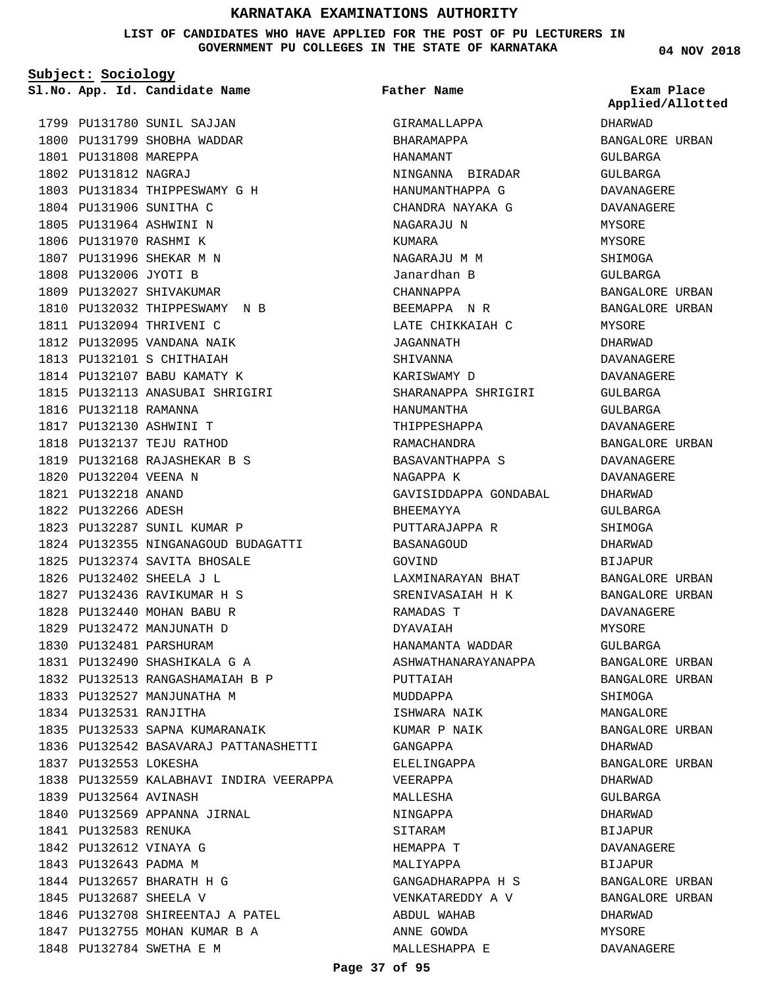**LIST OF CANDIDATES WHO HAVE APPLIED FOR THE POST OF PU LECTURERS IN GOVERNMENT PU COLLEGES IN THE STATE OF KARNATAKA**

**Subject: Sociology**

1799 PU131780 SUNIL SAJJAN

1800 PU131799 SHOBHA WADDAR 1801 PU131808 MAREPPA 1802 PU131812 NAGRAJ 1803 PU131834 THIPPESWAMY G H 1804 PU131906 SUNITHA C 1805 PU131964 ASHWINI N 1806 PU131970 RASHMI K 1807 PU131996 SHEKAR M N 1808 PU132006 JYOTI B 1809 PU132027 SHIVAKUMAR 1810 PU132032 THIPPESWAMY N B 1811 PU132094 THRIVENI C 1812 PU132095 VANDANA NAIK PU132101 S CHITHAIAH 1813 1814 PU132107 BABU KAMATY K PU132113 ANASUBAI SHRIGIRI 1815 1816 PU132118 RAMANNA 1817 PU132130 ASHWINI T 1818 PU132137 TEJU RATHOD 1819 PU132168 RAJASHEKAR B S 1820 PU132204 VEENA N PU132218 ANAND 1821 1822 PU132266 ADESH 1823 PU132287 SUNIL KUMAR P 1824 PU132355 NINGANAGOUD BUDAGATTI 1825 PU132374 SAVITA BHOSALE PU132402 SHEELA J L 1826 PU132436 RAVIKUMAR H S 1827 PU132440 MOHAN BABU R 1828 1829 PU132472 MANJUNATH D 1830 PU132481 PARSHURAM 1831 PU132490 SHASHIKALA G A PU132513 RANGASHAMAIAH B P 1832 1833 PU132527 MANJUNATHA M 1834 PU132531 RANJITHA 1835 PU132533 SAPNA KUMARANAIK 1836 PU132542 BASAVARAJ PATTANASHETTI 1837 PU132553 LOKESHA 1838 PU132559 KALABHAVI INDIRA VEERAPPA 1839 PU132564 AVINASH 1840 PU132569 APPANNA JIRNAL 1841 PU132583 RENUKA 1842 PU132612 VINAYA G 1843 PU132643 PADMA M 1844 PU132657 BHARATH H G 1845 PU132687 SHEELA V 1846 PU132708 SHIREENTAJ A PATEL 1847 PU132755 MOHAN KUMAR B A 1848 PU132784 SWETHA E M

**App. Id. Candidate Name Sl.No. Exam Place** GIRAMALLAPPA BHARAMAPPA HANAMANT NINGANNA BIRADAR HANUMANTHAPPA G CHANDRA NAYAKA G NAGARAJU N KUMARA NAGARAJII M M Janardhan B CHANNAPPA BEEMAPPA N R LATE CHIKKAIAH C JAGANNATH SHIVANNA KARISWAMY D SHARANAPPA SHRIGIRI HANUMANTHA THIPPESHAPPA RAMACHANDRA BASAVANTHAPPA S NAGAPPA K GAVISIDDAPPA GONDABAL BHEEMAYYA PUTTARAJAPPA R BASANAGOUD GOVIND LAXMINARAYAN BHAT SRENIVASAIAH H K RAMADAS T DYAVAIAH HANAMANTA WADDAR ASHWATHANARAYANAPPA PUTTAIAH MUDDAPPA ISHWARA NAIK KUMAR P NAIK GANGAPPA ELELINGAPPA VEERAPPA MALLESHA NINGAPPA SITARAM HEMAPPA T MALIYAPPA GANGADHARAPPA H S VENKATAREDDY A V ABDUL WAHAB ANNE GOWDA MALLESHAPPA E **Father Name**

**04 NOV 2018**

DHARWAD BANGALORE URBAN GULBARGA GULBARGA DAVANAGERE DAVANAGERE MYSORE MYSORE SHIMOGA GULBARGA BANGALORE URBAN BANGALORE URBAN MYSORE DHARWAD DAVANAGERE DAVANAGERE GULBARGA GULBARGA DAVANAGERE BANGALORE URBAN DAVANAGERE DAVANAGERE DHARWAD GULBARGA SHIMOGA DHARWAD BIJAPUR BANGALORE URBAN BANGALORE URBAN DAVANAGERE MYSORE GULBARGA BANGALORE URBAN BANGALORE URBAN SHIMOGA MANGALORE BANGALORE URBAN DHARWAD BANGALORE URBAN DHARWAD GULBARGA DHARWAD BIJAPUR DAVANAGERE BIJAPUR BANGALORE URBAN BANGALORE URBAN DHARWAD MYSORE DAVANAGERE **Applied/Allotted**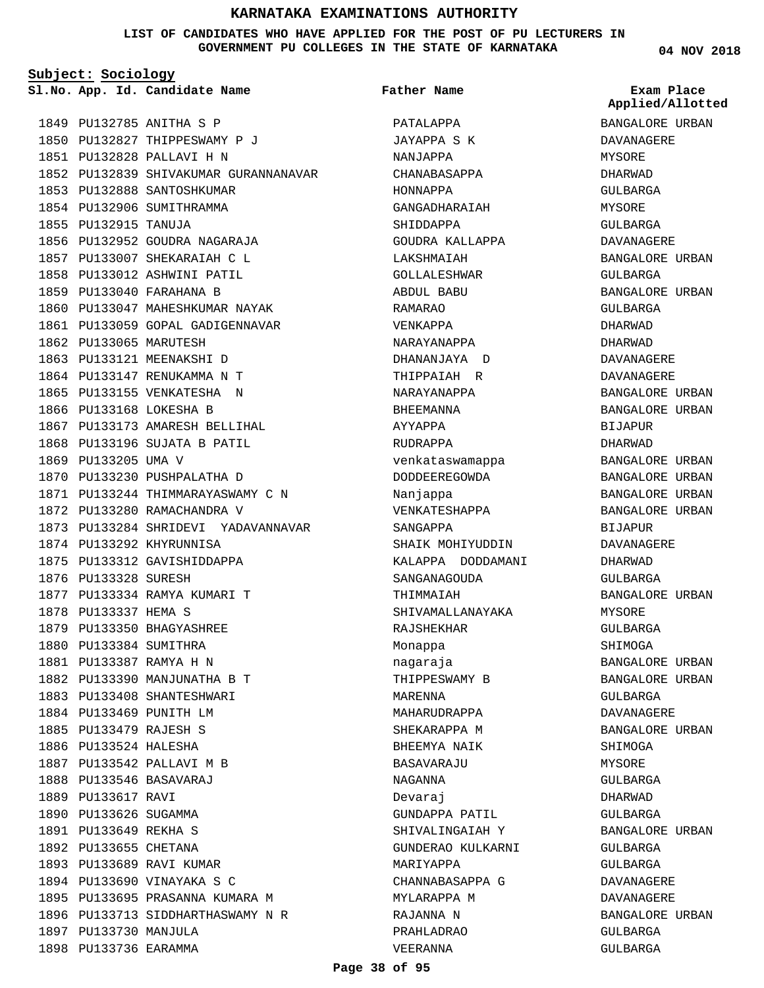## **LIST OF CANDIDATES WHO HAVE APPLIED FOR THE POST OF PU LECTURERS IN GOVERNMENT PU COLLEGES IN THE STATE OF KARNATAKA**

**Subject: Sociology**

**App. Id. Candidate Name Sl.No. Exam Place**

**Father Name**

1849 PU132785 ANITHA S P 1850 PU132827 THIPPESWAMY P J PU132828 PALLAVI H N 1851 1852 PU132839 SHIVAKUMAR GURANNANAVAR 1853 PU132888 SANTOSHKUMAR 1854 PU132906 SUMITHRAMMA 1855 PU132915 TANUJA 1856 PU132952 GOUDRA NAGARAJA 1857 PU133007 SHEKARAIAH C L 1858 PU133012 ASHWINI PATIL 1859 PU133040 FARAHANA B 1860 PU133047 MAHESHKUMAR NAYAK 1861 PU133059 GOPAL GADIGENNAVAR 1862 PU133065 MARUTESH 1863 PU133121 MEENAKSHI D 1864 PU133147 RENUKAMMA N T 1865 PU133155 VENKATESHA N 1866 PU133168 LOKESHA B 1867 PU133173 AMARESH BELLIHAL 1868 PU133196 SUJATA B PATIL 1869 PU133205 UMA V 1870 PU133230 PUSHPALATHA D 1871 PU133244 THIMMARAYASWAMY C N 1872 PU133280 RAMACHANDRA V 1873 PU133284 SHRIDEVI YADAVANNAVAR 1874 PU133292 KHYRUNNISA 1875 PU133312 GAVISHIDDAPPA 1876 PU133328 SURESH 1877 PU133334 RAMYA KUMARI T 1878 PU133337 HEMA S 1879 PU133350 BHAGYASHREE 1880 PU133384 SUMITHRA PU133387 RAMYA H N 1881 1882 PU133390 MANJUNATHA B T 1883 PU133408 SHANTESHWARI 1884 PU133469 PUNITH LM PU133479 RAJESH S 1885 1886 PU133524 HALESHA 1887 PU133542 PALLAVI M B PU133546 BASAVARAJ 1888 1889 PU133617 RAVI 1890 PU133626 SUGAMMA PU133649 REKHA S 1891 1892 PU133655 CHETANA 1893 PU133689 RAVI KUMAR 1894 PU133690 VINAYAKA S C 1895 PU133695 PRASANNA KUMARA M 1896 PU133713 SIDDHARTHASWAMY N R 1897 PU133730 MANJULA 1898 PU133736 EARAMMA

PATALAPPA JAYAPPA S K NANJAPPA CHANABASAPPA HONNAPPA GANGADHARAIAH SHIDDAPPA GOUDRA KALLAPPA **LAKSHMATAH** GOLLALESHWAR ABDUL BABU RAMARAO VENKAPPA NARAYANAPPA DHANANJAYA D THIPPAIAH R NARAYANAPPA **BHEEMANNA** AYYAPPA RUDRAPPA venkataswamappa DODDEEREGOWDA Nanjappa VENKATESHAPPA SANGAPPA SHAIK MOHIYUDDIN KALAPPA DODDAMANI SANGANAGOUDA THIMMAIAH SHIVAMALLANAYAKA RAJSHEKHAR Monappa nagaraja THIPPESWAMY B MARENNA MAHARUDRAPPA SHEKARAPPA M BHEEMYA NAIK BASAVARAJU NAGANNA Devaraj GUNDAPPA PATIL SHIVALINGAIAH Y GUNDERAO KULKARNI MARIYAPPA CHANNABASAPPA G MYLARAPPA M RAJANNA N PRAHLADRAO VEERANNA

**04 NOV 2018**

BANGALORE URBAN DAVANAGERE MYSORE DHARWAD GULBARGA MYSORE GULBARGA DAVANAGERE BANGALORE URBAN GULBARGA BANGALORE URBAN GULBARGA DHARWAD DHARWAD DAVANAGERE DAVANAGERE BANGALORE URBAN BANGALORE URBAN BIJAPUR DHARWAD BANGALORE URBAN BANGALORE URBAN BANGALORE URBAN BANGALORE URBAN BIJAPUR DAVANAGERE DHARWAD CIILBARGA BANGALORE URBAN MYSORE GULBARGA SHIMOGA BANGALORE URBAN BANGALORE URBAN GULBARGA DAVANAGERE BANGALORE URBAN SHIMOGA MYSORE GULBARGA DHARWAD GULBARGA BANGALORE URBAN GULBARGA GULBARGA DAVANAGERE DAVANAGERE BANGALORE URBAN GULBARGA GULBARGA **Applied/Allotted**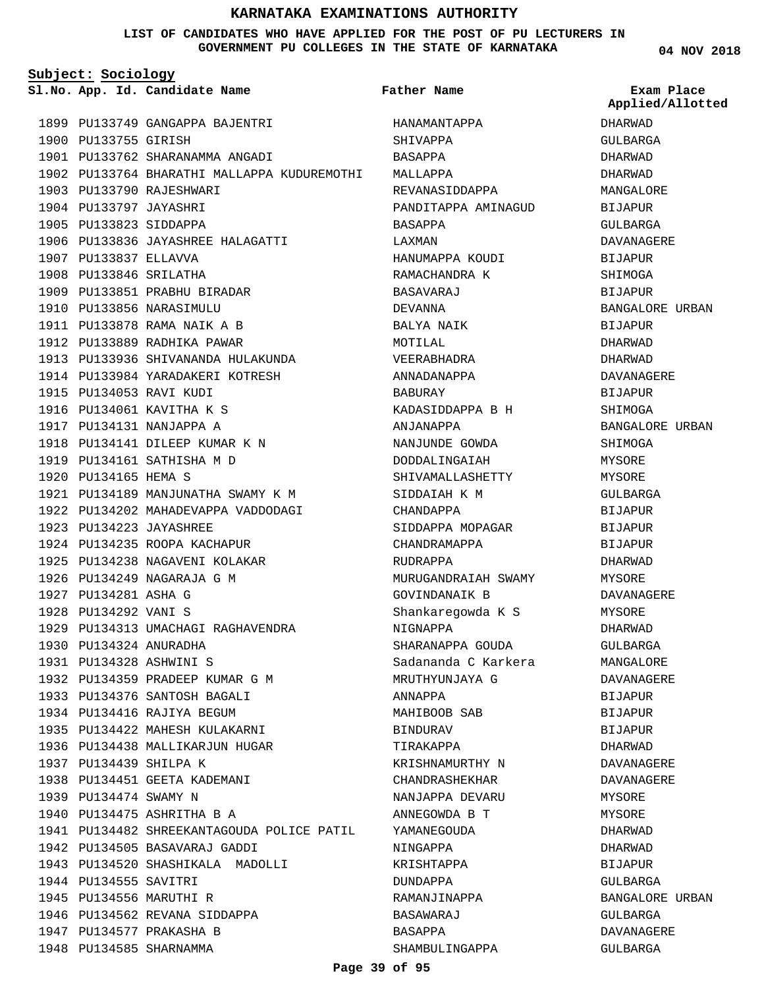## **LIST OF CANDIDATES WHO HAVE APPLIED FOR THE POST OF PU LECTURERS IN GOVERNMENT PU COLLEGES IN THE STATE OF KARNATAKA**

**Subject: Sociology**

**App. Id. Candidate Name Sl.No. Exam Place**

1899 PU133749 GANGAPPA BAJENTRI 1900 PU133755 GIRISH PU133762 SHARANAMMA ANGADI 1901 1902 PU133764 BHARATHI MALLAPPA KUDUREMOTHI 1903 PU133790 RAJESHWARI 1904 PU133797 JAYASHRI 1905 PU133823 SIDDAPPA 1906 PU133836 JAYASHREE HALAGATTI 1907 PU133837 ELLAVVA 1908 PU133846 SRILATHA 1909 PU133851 PRABHU BIRADAR 1910 PU133856 NARASIMULU PU133878 RAMA NAIK A B 1911 1912 PU133889 RADHIKA PAWAR 1913 PU133936 SHIVANANDA HULAKUNDA 1914 PU133984 YARADAKERI KOTRESH 1915 PU134053 RAVI KUDI 1916 PU134061 KAVITHA K S 1917 PU134131 NANJAPPA A 1918 PU134141 DILEEP KUMAR K N 1919 PU134161 SATHISHA M D 1920 PU134165 HEMA S 1921 PU134189 MANJUNATHA SWAMY K M 1922 PU134202 MAHADEVAPPA VADDODAGI PU134223 JAYASHREE 1923 1924 PU134235 ROOPA KACHAPUR 1925 PU134238 NAGAVENI KOLAKAR 1926 PU134249 NAGARAJA G M 1927 PU134281 ASHA G 1928 PU134292 VANI S 1929 PU134313 UMACHAGI RAGHAVENDRA 1930 PU134324 ANURADHA PU134328 ASHWINI S 1931 PU134359 PRADEEP KUMAR G M 1932 1933 PU134376 SANTOSH BAGALI 1934 PU134416 RAJIYA BEGUM PU134422 MAHESH KULAKARNI 1935 1936 PU134438 MALLIKARJUN HUGAR 1937 PU134439 SHILPA K 1938 PU134451 GEETA KADEMANI 1939 PU134474 SWAMY N 1940 PU134475 ASHRITHA B A 1941 PU134482 SHREEKANTAGOUDA POLICE PATIL 1942 PU134505 BASAVARAJ GADDI 1943 PU134520 SHASHIKALA MADOLLI 1944 PU134555 SAVITRI 1945 PU134556 MARUTHI R 1946 PU134562 REVANA SIDDAPPA 1947 PU134577 PRAKASHA B 1948 PU134585 SHARNAMMA

HANAMANTAPPA SHIVAPPA BASAPPA MALLAPPA REVANASIDDAPPA PANDITAPPA AMINAGUD BASAPPA LAXMAN HANIIMAPPA KOUDI RAMACHANDRA K BASAVARAJ DEVANNA BALYA NAIK MOTILAL VEERABHADRA ANNADANAPPA BABURAY KADASIDDAPPA B H ANJANAPPA NANJUNDE GOWDA DODDALINGAIAH SHIVAMALLASHETTY SIDDAIAH K M CHANDAPPA SIDDAPPA MOPAGAR CHANDRAMAPPA RUDRAPPA MURUGANDRAIAH SWAMY GOVINDANAIK B Shankaregowda K S NIGNAPPA SHARANAPPA GOUDA Sadananda C Karkera MRUTHYUNJAYA G ANNAPPA MAHIBOOB SAB BINDURAV TIRAKAPPA KRISHNAMURTHY N CHANDRASHEKHAR NANJAPPA DEVARU ANNEGOWDA B T YAMANEGOUDA NINGAPPA KRISHTAPPA DUNDAPPA RAMANJINAPPA BASAWARAJ BASAPPA SHAMBULINGAPPA **Father Name**

**04 NOV 2018**

DHARWAD GULBARGA DHARWAD DHARWAD MANGALORE BIJAPUR GULBARGA DAVANAGERE **BIJAPUR** SHIMOGA BIJAPUR BANGALORE URBAN BIJAPUR DHARWAD DHARWAD DAVANAGERE BIJAPUR **SHIMOGA** BANGALORE URBAN SHIMOGA MYSORE MYSORE GULBARGA BIJAPUR BIJAPUR BIJAPUR DHARWAD MYSORE DAVANAGERE MYSORE DHARWAD GULBARGA MANGALORE DAVANAGERE BIJAPUR BIJAPUR BIJAPUR DHARWAD DAVANAGERE DAVANAGERE MYSORE MYSORE DHARWAD DHARWAD BIJAPUR GULBARGA BANGALORE URBAN GULBARGA DAVANAGERE GULBARGA **Applied/Allotted**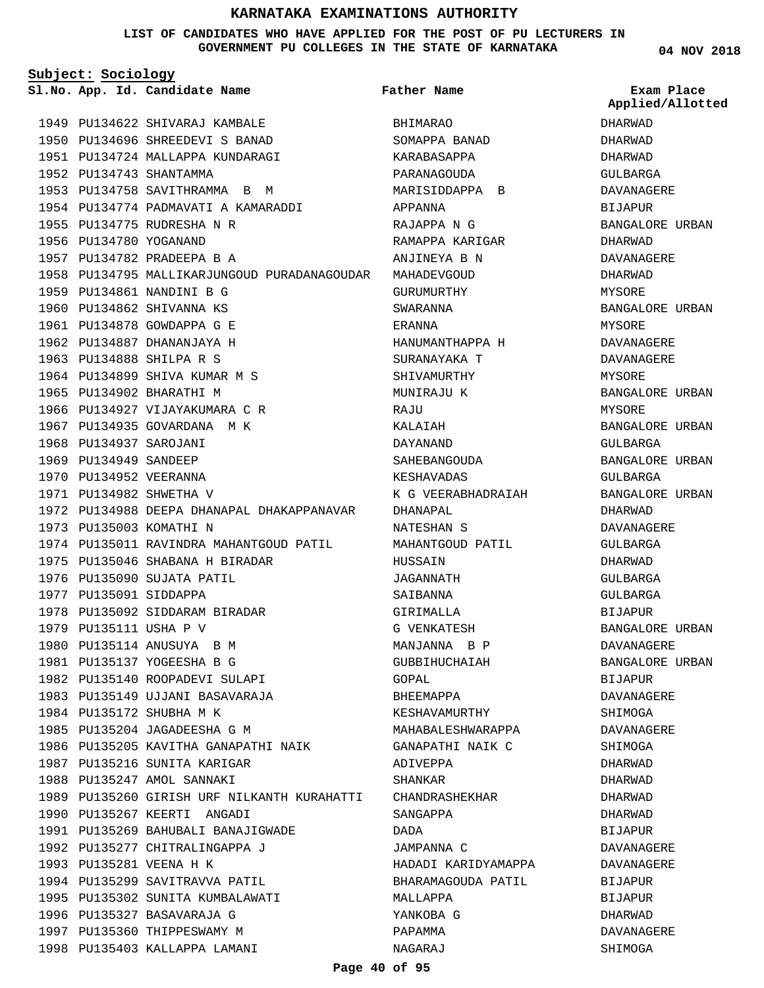## **LIST OF CANDIDATES WHO HAVE APPLIED FOR THE POST OF PU LECTURERS IN GOVERNMENT PU COLLEGES IN THE STATE OF KARNATAKA**

**Subject: Sociology**

**App. Id. Candidate Name Sl.No. Exam Place**

1949 PU134622 SHIVARAJ KAMBALE PU134696 SHREEDEVI S BANAD 1950 PU134724 MALLAPPA KUNDARAGI 1951 1952 PU134743 SHANTAMMA 1953 PU134758 SAVITHRAMMA B M 1954 PU134774 PADMAVATI A KAMARADDI PU134775 RUDRESHA N R 1955 1956 PU134780 YOGANAND PU134782 PRADEEPA B A 1957 1958 PU134795 MALLIKARJUNGOUD PURADANAGOUDAR 1959 PU134861 NANDINI B G 1960 PU134862 SHIVANNA KS 1961 PU134878 GOWDAPPA G E 1962 PU134887 DHANANJAYA H 1963 PU134888 SHILPA R S 1964 PU134899 SHIVA KUMAR M S 1965 PU134902 BHARATHI M 1966 PU134927 VIJAYAKUMARA C R 1967 PU134935 GOVARDANA M K 1968 PU134937 SAROJANI 1969 PU134949 SANDEEP 1970 PU134952 VEERANNA 1971 PU134982 SHWETHA V 1972 PU134988 DEEPA DHANAPAL DHAKAPPANAVAR 1973 PU135003 KOMATHI N 1974 PU135011 RAVINDRA MAHANTGOUD PATIL 1975 PU135046 SHABANA H BIRADAR 1976 PU135090 SUJATA PATIL 1977 PU135091 SIDDAPPA 1978 PU135092 SIDDARAM BIRADAR 1979 PU135111 USHA P V 1980 PU135114 ANUSUYA B M PU135137 YOGEESHA B G 1981 1982 PU135140 ROOPADEVI SULAPI 1983 PU135149 UJJANI BASAVARAJA 1984 PU135172 SHUBHA M K 1985 PU135204 JAGADEESHA G M 1986 PU135205 KAVITHA GANAPATHI NAIK 1987 PU135216 SUNITA KARIGAR 1988 PU135247 AMOL SANNAKI 1989 PU135260 GIRISH URF NILKANTH KURAHATTI 1990 PU135267 KEERTI ANGADI 1991 PU135269 BAHUBALI BANAJIGWADE 1992 PU135277 CHITRALINGAPPA J 1993 PU135281 VEENA H K 1994 PU135299 SAVITRAVVA PATIL 1995 PU135302 SUNITA KUMBALAWATI 1996 PU135327 BASAVARAJA G 1997 PU135360 THIPPESWAMY M 1998 PU135403 KALLAPPA LAMANI

BHIMARAO SOMAPPA BANAD KARABASAPPA PARANAGOUDA MARISIDDAPPA B APPANNA RAJAPPA N G RAMAPPA KARIGAR ANJINEYA B N MAHADEVGOUD GURUMURTHY SWARANNA ERANNA HANUMANTHAPPA H SURANAYAKA T SHIVAMURTHY MUNIRAJU K  $P A.$ TIT KALAIAH DAYANAND SAHEBANGOUDA KESHAVADAS K G VEERABHADRAIAH DHANAPAL NATESHAN S MAHANTGOUD PATIL **HUSSAIN** JAGANNATH SAIBANNA GIRIMALLA G VENKATESH MANJANNA B P GUBBIHUCHAIAH GOPAL BHEEMAPPA KESHAVAMURTHY MAHABALESHWARAPPA GANAPATHI NAIK C ADIVEPPA SHANKAR CHANDRASHEKHAR SANGAPPA DADA JAMPANNA C HADADI KARIDYAMAPPA BHARAMAGOUDA PATIL MALLAPPA YANKOBA G PAPAMMA **Father Name**

**04 NOV 2018**

DHARWAD DHARWAD DHARWAD GULBARGA DAVANAGERE BIJAPUR BANGALORE URBAN DHARWAD DAVANAGERE DHARWAD MYSORE BANGALORE URBAN MYSORE DAVANAGERE DAVANAGERE MYSORE BANGALORE URBAN MYSORE BANGALORE URBAN GULBARGA BANGALORE URBAN GULBARGA BANGALORE URBAN DHARWAD DAVANAGERE GULBARGA DHARWAD GULBARGA GULBARGA BIJAPUR BANGALORE URBAN DAVANAGERE BANGALORE URBAN BIJAPUR DAVANAGERE **SHIMOGA** DAVANAGERE SHIMOGA DHARWAD DHARWAD DHARWAD DHARWAD BIJAPUR DAVANAGERE DAVANAGERE **BIJAPUR** BIJAPUR DHARWAD DAVANAGERE SHIMOGA **Applied/Allotted**

NAGARAJ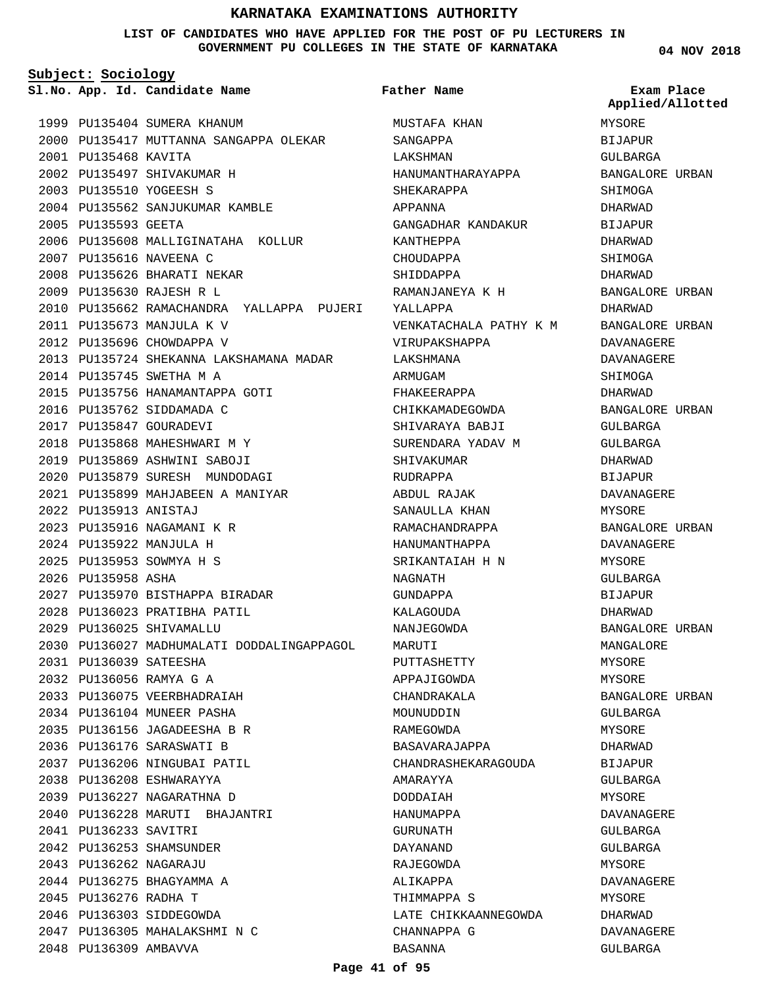## **LIST OF CANDIDATES WHO HAVE APPLIED FOR THE POST OF PU LECTURERS IN GOVERNMENT PU COLLEGES IN THE STATE OF KARNATAKA**

**Subject: Sociology**

**App. Id. Candidate Name Sl.No. Exam Place**

1999 PU135404 SUMERA KHANUM 2000 PU135417 MUTTANNA SANGAPPA OLEKAR PU135468 KAVITA 2001 PU135497 SHIVAKUMAR H 2002 PU135510 YOGEESH S 2003 2004 PU135562 SANJUKUMAR KAMBLE 2005 PU135593 GEETA 2006 PU135608 MALLIGINATAHA KOLLUR 2007 PU135616 NAVEENA C 2008 PU135626 BHARATI NEKAR PU135630 RAJESH R L 2009 2010 PU135662 RAMACHANDRA YALLAPPA PUJERI PU135673 MANJULA K V 2011 2012 PU135696 CHOWDAPPA V 2013 PU135724 SHEKANNA LAKSHAMANA MADAR 2014 PU135745 SWETHA M A 2015 PU135756 HANAMANTAPPA GOTI 2016 PU135762 SIDDAMADA C 2017 PU135847 GOURADEVI 2018 PU135868 MAHESHWARI M Y 2019 PU135869 ASHWINI SABOJI PU135879 SURESH MUNDODAGI 2020 PU135899 MAHJABEEN A MANIYAR 2021 PU135913 ANISTAJ 2022 PU135916 NAGAMANI K R 2023 PU135922 MANJULA H 2024 PU135953 SOWMYA H S 2025 2026 PU135958 ASHA PU135970 BISTHAPPA BIRADAR 2027 2028 PU136023 PRATIBHA PATIL PU136025 SHIVAMALLU 2029 2030 PU136027 MADHUMALATI DODDALINGAPPAGOL PU136039 SATEESHA 2031 PU136056 RAMYA G A 2032 2033 PU136075 VEERBHADRAIAH 2034 PU136104 MUNEER PASHA PU136156 JAGADEESHA B R 2035 2036 PU136176 SARASWATI B 2037 PU136206 NINGUBAI PATIL PU136208 ESHWARAYYA 2038 PU136227 NAGARATHNA D 2039 PU136228 MARUTI BHAJANTRI 2040 PU136233 SAVITRI 2041 2042 PU136253 SHAMSUNDER PU136262 NAGARAJU 2043 2044 PU136275 BHAGYAMMA A 2045 PU136276 RADHA T 2046 PU136303 SIDDEGOWDA PU136305 MAHALAKSHMI N C 2047 2048 PU136309 AMBAVVA

MUSTAFA KHAN SANGAPPA LAKSHMAN HANUMANTHARAYAPPA SHEKARAPPA APPANNA GANGADHAR KANDAKUR KANTHEPPA CHOUDAPPA SHIDDAPPA RAMANJANEYA K H YALLAPPA VENKATACHALA PATHY K M VIRUPAKSHAPPA LAKSHMANA ARMUGAM FHAKEERAPPA CHIKKAMADEGOWDA SHIVARAYA BABJI SURENDARA YADAV M SHIVAKUMAR RUDRAPPA ABDUL RAJAK SANAULLA KHAN RAMACHANDRAPPA HANUMANTHAPPA SRIKANTAIAH H N NAGNATH GUNDAPPA KALAGOUDA NANJEGOWDA MARUTI PUTTASHETTY APPAJIGOWDA CHANDRAKALA MOUNUDDIN RAMEGOWDA BASAVARAJAPPA CHANDRASHEKARAGOUDA AMARAYYA DODDAIAH HANUMAPPA GURUNATH DAYANAND RAJEGOWDA ALIKAPPA THIMMAPPA S LATE CHIKKAANNEGOWDA CHANNAPPA G BASANNA **Father Name**

**04 NOV 2018**

MYSORE **BIJAPUR** GULBARGA BANGALORE URBAN SHIMOGA DHARWAD BIJAPUR DHARWAD SHIMOGA DHARWAD BANGALORE URBAN DHARWAD BANGALORE URBAN DAVANAGERE DAVANAGERE SHIMOGA DHARWAD BANGALORE URBAN GULBARGA GULBARGA DHARWAD BIJAPUR DAVANAGERE MYSORE BANGALORE URBAN DAVANAGERE MYSORE GULBARGA BIJAPUR DHARWAD BANGALORE URBAN MANGALORE MYSORE MYSORE BANGALORE URBAN GULBARGA MYSORE DHARWAD BIJAPUR GULBARGA MYSORE DAVANAGERE GULBARGA GULBARGA MYSORE DAVANAGERE MYSORE DHARWAD DAVANAGERE GULBARGA **Applied/Allotted**

## **Page 41 of 95**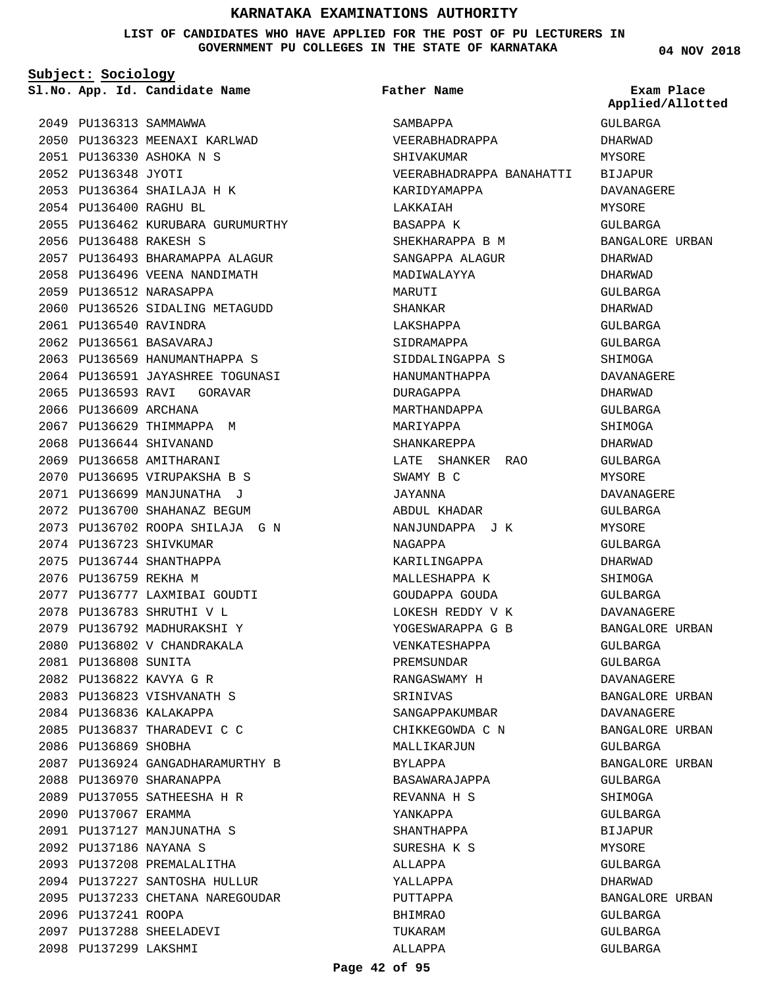## **LIST OF CANDIDATES WHO HAVE APPLIED FOR THE POST OF PU LECTURERS IN GOVERNMENT PU COLLEGES IN THE STATE OF KARNATAKA**

**Subject: Sociology**

**App. Id. Candidate Name Sl.No. Exam Place**

2050 PU136323 MEENAXI KARLWAD

2055 PU136462 KURUBARA GURUMURTHY

2057 PU136493 BHARAMAPPA ALAGUR 2058 PU136496 VEENA NANDIMATH

2060 PU136526 SIDALING METAGUDD

2063 PU136569 HANUMANTHAPPA S 2064 PU136591 JAYASHREE TOGUNASI 2065 PU136593 RAVI GORAVAR

2049 PU136313 SAMMAWWA

PU136488 RAKESH S 2056

2059 PU136512 NARASAPPA

PU136540 RAVINDRA 2061 PU136561 BASAVARAJ 2062

2066 PU136609 ARCHANA

2074 PU136723 SHIVKUMAR 2075 PU136744 SHANTHAPPA 2076 PU136759 REKHA M

2081 PU136808 SUNITA PU136822 KAVYA G R 2082 PU136823 VISHVANATH S 2083 2084 PU136836 KALAKAPPA PU136837 THARADEVI C C 2085

2086 PU136869 SHOBHA

2090 PU137067 ERAMMA

2096 PU137241 ROOPA

2097 PU137288 SHEELADEVI 2098 PU137299 LAKSHMI

2088 PU136970 SHARANAPPA PU137055 SATHEESHA H R 2089

PU137127 MANJUNATHA S 2091 PU137186 NAYANA S 2092 2093 PU137208 PREMALALITHA 2094 PU137227 SANTOSHA HULLUR 2095 PU137233 CHETANA NAREGOUDAR

2077 PU136777 LAXMIBAI GOUDTI PU136783 SHRUTHI V L 2078 2079 PU136792 MADHURAKSHI Y 2080 PU136802 V CHANDRAKALA

PU136924 GANGADHARAMURTHY B 2087

2067 PU136629 THIMMAPPA M 2068 PU136644 SHIVANAND 2069 PU136658 AMITHARANI PU136695 VIRUPAKSHA B S 2070 PU136699 MANJUNATHA J 2071 2072 PU136700 SHAHANAZ BEGUM PU136702 ROOPA SHILAJA G N 2073

PU136348 JYOTI 2052

PU136330 ASHOKA N S 2051

PU136364 SHAILAJA H K 2053 PU136400 RAGHU BL 2054

**Father Name**

SAMBAPPA

LAKKAIAH BASAPPA K

MARITTT SHANKAR LAKSHAPPA SIDRAMAPPA

VEERABHADRAPPA SHIVAKUMAR

KARIDYAMAPPA

SHEKHARAPPA B M SANGAPPA ALAGUR MADIWALAYYA

SIDDALINGAPPA S HANUMANTHAPPA DURAGAPPA MARTHANDAPPA MARIYAPPA SHANKAREPPA

LATE SHANKER RAO

NANJUNDAPPA J K

SWAMY B C JAYANNA

NAGAPPA

SRINIVAS

BYLAPPA

SANGAPPAKUMBAR CHIKKEGOWDA C N MALLIKARJUN

BASAWARAJAPPA REVANNA H S YANKAPPA SHANTHAPPA SURESHA K S ALLAPPA YALLAPPA PUTTAPPA BHIMRAO TUKARAM ALLAPPA

ABDUL KHADAR

KARILINGAPPA MALLESHAPPA K GOUDAPPA GOUDA LOKESH REDDY V K YOGESWARAPPA G B VENKATESHAPPA PREMSUNDAR RANGASWAMY H

VEERABHADRAPPA BANAHATTI GULBARGA DHARWAD MYSORE BIJAPUR DAVANAGERE MYSORE GULBARGA BANGALORE URBAN DHARWAD DHARWAD GULBARGA DHARWAD GULBARGA GULBARGA SHIMOGA DAVANAGERE DHARWAD GULBARGA SHIMOGA DHARWAD GULBARGA MYSORE DAVANAGERE GULBARGA MYSORE GULBARGA DHARWAD SHIMOGA GULBARGA DAVANAGERE BANGALORE URBAN GULBARGA GULBARGA DAVANAGERE BANGALORE URBAN DAVANAGERE BANGALORE URBAN GULBARGA BANGALORE URBAN GULBARGA SHIMOGA GULBARGA BIJAPUR MYSORE GULBARGA DHARWAD BANGALORE URBAN GULBARGA GULBARGA GULBARGA **Applied/Allotted**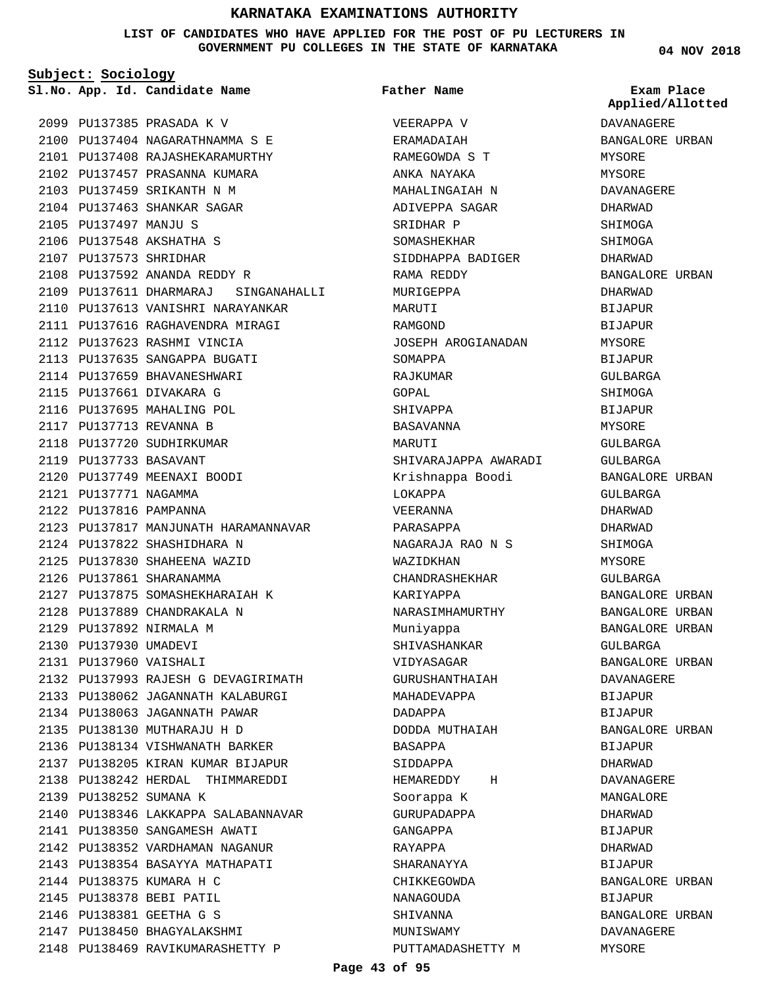**LIST OF CANDIDATES WHO HAVE APPLIED FOR THE POST OF PU LECTURERS IN GOVERNMENT PU COLLEGES IN THE STATE OF KARNATAKA**

**Subject: Sociology**

**App. Id. Candidate Name Sl.No. Exam Place**

**Father Name**

PU137385 PRASADA K V 2099 PU137404 NAGARATHNAMMA S E 2100 PU137408 RAJASHEKARAMURTHY 2101 2102 PU137457 PRASANNA KUMARA PU137459 SRIKANTH N M 2103 2104 PU137463 SHANKAR SAGAR 2105 PU137497 MANJU S 2106 PU137548 AKSHATHA S 2107 PU137573 SHRIDHAR 2108 PU137592 ANANDA REDDY R PU137611 DHARMARAJ SINGANAHALLI 2109 2110 PU137613 VANISHRI NARAYANKAR PU137616 RAGHAVENDRA MIRAGI 2111 2112 PU137623 RASHMI VINCIA 2113 PU137635 SANGAPPA BUGATI 2114 PU137659 BHAVANESHWARI 2115 PU137661 DIVAKARA G 2116 PU137695 MAHALING POL PU137713 REVANNA B 2117 2118 PU137720 SUDHIRKUMAR PU137733 BASAVANT 2119 PU137749 MEENAXI BOODI 2120 2121 PU137771 NAGAMMA PU137816 PAMPANNA 2122 2123 PU137817 MANJUNATH HARAMANNAVAR PU137822 SHASHIDHARA N 2124 2125 PU137830 SHAHEENA WAZID 2126 PU137861 SHARANAMMA PU137875 SOMASHEKHARAIAH K 2127 PU137889 CHANDRAKALA N 2128 2129 PU137892 NIRMALA M 2130 PU137930 UMADEVI PU137960 VAISHALI 2131 2132 PU137993 RAJESH G DEVAGIRIMATH PU138062 JAGANNATH KALABURGI 2133 2134 PU138063 JAGANNATH PAWAR PU138130 MUTHARAJU H D 2135 PU138134 VISHWANATH BARKER 2136 PU138205 KIRAN KUMAR BIJAPUR 2137 PU138242 HERDAL THIMMAREDDI 2138 2139 PU138252 SUMANA K 2140 PU138346 LAKKAPPA SALABANNAVAR 2141 PU138350 SANGAMESH AWATI 2142 PU138352 VARDHAMAN NAGANUR PU138354 BASAYYA MATHAPATI 2143 2144 PU138375 KUMARA H C 2145 PU138378 BEBI PATIL PU138381 GEETHA G S 2146 2147 PU138450 BHAGYALAKSHMI 2148 PU138469 RAVIKUMARASHETTY P

VEERAPPA V **ERAMADAIAH** RAMEGOWDA S T ANKA NAYAKA MAHALINGAIAH N ADIVEPPA SAGAR SRIDHAR P SOMASHEKHAR SIDDHAPPA BADIGER RAMA REDDY MURIGEPPA MARUTI RAMGOND JOSEPH AROGIANADAN SOMAPPA RAJKUMAR GOPAL SHIVAPPA BASAVANNA MARITTI SHIVARAJAPPA AWARADI Krishnappa Boodi LOKAPPA VEERANNA PARASAPPA NAGARAJA RAO N S WAZIDKHAN CHANDRASHEKHAR KARIYAPPA NARASIMHAMURTHY Muniyappa SHIVASHANKAR VIDYASAGAR GURUSHANTHAIAH MAHADEVAPPA DADAPPA DODDA MUTHAIAH BASAPPA SIDDAPPA HEMAREDDY H Soorappa K GURUPADAPPA GANGAPPA RAYAPPA SHARANAYYA CHIKKEGOWDA NANAGOUDA SHIVANNA MUNISWAMY PUTTAMADASHETTY M **04 NOV 2018**

DAVANAGERE BANGALORE URBAN MYSORE MYSORE DAVANAGERE DHARWAD SHIMOGA SHIMOGA DHARWAD BANGALORE URBAN DHARWAD **BIJAPUR** BIJAPUR MYSORE **BIJAPUR** GULBARGA SHIMOGA **BIJAPUR** MYSORE GULBARGA GULBARGA BANGALORE URBAN GULBARGA DHARWAD DHARWAD SHIMOGA MYSORE GULBARGA BANGALORE URBAN BANGALORE URBAN BANGALORE URBAN GULBARGA BANGALORE URBAN DAVANAGERE BIJAPUR BIJAPUR BANGALORE URBAN BIJAPUR DHARWAD DAVANAGERE MANGALORE DHARWAD BIJAPUR DHARWAD BIJAPUR BANGALORE URBAN BIJAPUR BANGALORE URBAN DAVANAGERE MYSORE **Applied/Allotted**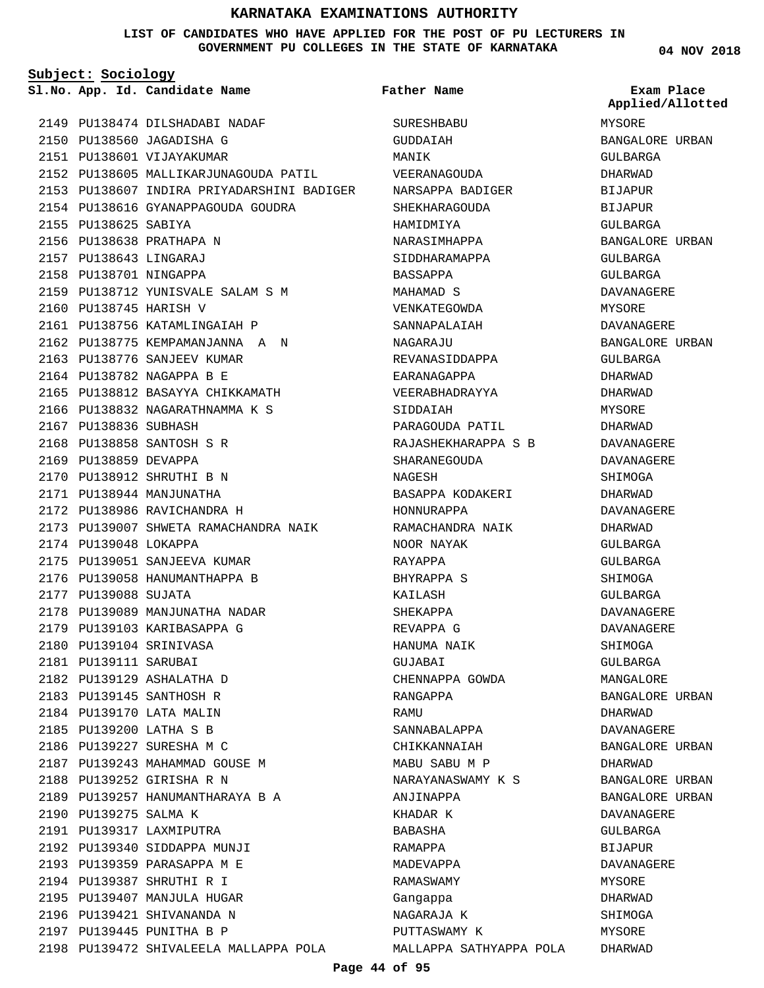## **LIST OF CANDIDATES WHO HAVE APPLIED FOR THE POST OF PU LECTURERS IN GOVERNMENT PU COLLEGES IN THE STATE OF KARNATAKA**

**Subject: Sociology**

**App. Id. Candidate Name Sl.No. Exam Place**

2149 PU138474 DILSHADABI NADAF PU138560 JAGADISHA G 2150 2151 PU138601 VIJAYAKUMAR 2152 PU138605 MALLIKARJUNAGOUDA PATIL 2153 PU138607 INDIRA PRIYADARSHINI BADIGER 2154 PU138616 GYANAPPAGOUDA GOUDRA 2155 PU138625 SABIYA 2156 PU138638 PRATHAPA N PU138643 LINGARAJ 2157 2158 PU138701 NINGAPPA PU138712 YUNISVALE SALAM S M 2159 2160 PU138745 HARISH V 2161 PU138756 KATAMLINGAIAH P 2162 PU138775 KEMPAMANJANNA A N 2163 PU138776 SANJEEV KUMAR 2164 PU138782 NAGAPPA B E PU138812 BASAYYA CHIKKAMATH 2165 PU138832 NAGARATHNAMMA K S 2166 2167 PU138836 SUBHASH PU138858 SANTOSH S R 2168 2169 PU138859 DEVAPPA PU138912 SHRUTHI B N 2170 2171 PU138944 MANJUNATHA 2172 PU138986 RAVICHANDRA H 2173 PU139007 SHWETA RAMACHANDRA NAIK 2174 PU139048 LOKAPPA 2175 PU139051 SANJEEVA KUMAR 2176 PU139058 HANUMANTHAPPA B 2177 PU139088 SUJATA 2178 PU139089 MANJUNATHA NADAR 2179 PU139103 KARIBASAPPA G PU139104 SRINIVASA 2180 2181 PU139111 SARUBAI PU139129 ASHALATHA D 2182 2183 PU139145 SANTHOSH R 2184 PU139170 LATA MALIN PU139200 LATHA S B 2185 2186 PU139227 SURESHA M C 2187 PU139243 MAHAMMAD GOUSE M 2188 PU139252 GIRISHA R N 2189 PU139257 HANUMANTHARAYA B A 2190 PU139275 SALMA K PU139317 LAXMIPUTRA 2191 2192 PU139340 SIDDAPPA MUNJI 2193 PU139359 PARASAPPA M E PU139387 SHRUTHI R I 2194 2195 PU139407 MANJULA HUGAR 2196 PU139421 SHIVANANDA N 2197 PU139445 PUNITHA B P 2198 PU139472 SHIVALEELA MALLAPPA POLA

SURESHBABU GUDDAIAH MANIK VEERANAGOUDA NARSAPPA BADIGER SHEKHARAGOUDA HAMIDMIYA NARASIMHAPPA SIDDHARAMAPPA BASSAPPA MAHAMAD S VENKATEGOWDA SANNAPALAIAH NAGARAJU REVANASIDDAPPA EARANAGAPPA VEERABHADRAYYA SIDDAIAH PARAGOUDA PATIL RAJASHEKHARAPPA S B SHARANEGOUDA NAGESH BASAPPA KODAKERI HONNURAPPA RAMACHANDRA NAIK NOOR NAYAK RAYAPPA BHYRAPPA S KAILASH SHEKAPPA REVAPPA G HANUMA NAIK GUJABAI CHENNAPPA GOWDA RANGAPPA **RAMIT** SANNABALAPPA CHIKKANNAIAH MABU SABU M P NARAYANASWAMY K S ANJINAPPA KHADAR K BABASHA RAMAPPA MADEVAPPA RAMASWAMY Gangappa NAGARAJA K PUTTASWAMY K MALLAPPA SATHYAPPA POLA **Father Name**

**04 NOV 2018**

MYSORE BANGALORE URBAN GULBARGA DHARWAD BIJAPUR BIJAPUR GULBARGA BANGALORE URBAN GULBARGA GULBARGA DAVANAGERE MYSORE DAVANAGERE BANGALORE URBAN GULBARGA DHARWAD DHARWAD MYSORE DHARWAD DAVANAGERE DAVANAGERE SHIMOGA DHARWAD DAVANAGERE DHARWAD GULBARGA GULBARGA SHIMOGA GULBARGA DAVANAGERE DAVANAGERE SHIMOGA GULBARGA MANGALORE BANGALORE URBAN DHARWAD DAVANAGERE BANGALORE URBAN DHARWAD BANGALORE URBAN BANGALORE URBAN DAVANAGERE GULBARGA **BIJAPUR** DAVANAGERE **MYSORE** DHARWAD SHIMOGA MYSORE DHARWAD **Applied/Allotted**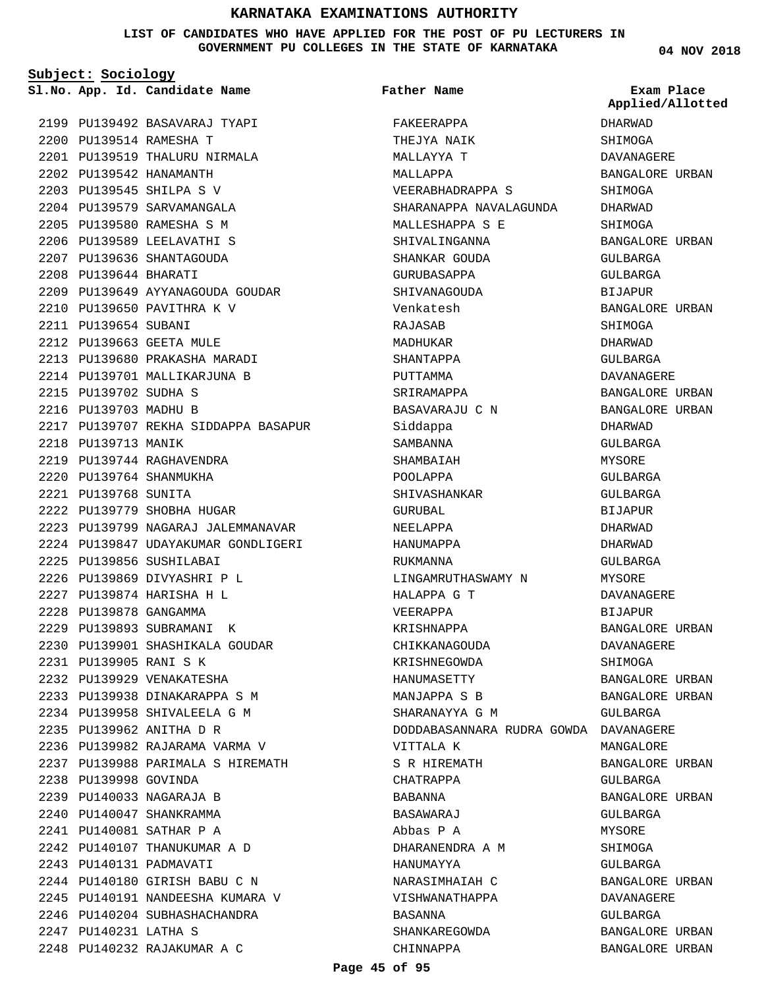## **LIST OF CANDIDATES WHO HAVE APPLIED FOR THE POST OF PU LECTURERS IN GOVERNMENT PU COLLEGES IN THE STATE OF KARNATAKA**

**Subject: Sociology**

PU139514 RAMESHA T 2200

PU139542 HANAMANTH 2202 PU139545 SHILPA S V 2203 2204 PU139579 SARVAMANGALA PU139580 RAMESHA S M 2205 2206 PU139589 LEELAVATHI S 2207 PU139636 SHANTAGOUDA PU139644 BHARATI 2208

2199 PU139492 BASAVARAJ TYAPI

2201 PU139519 THALURU NIRMALA

PU139649 AYYANAGOUDA GOUDAR 2209

PU139650 PAVITHRA K V 2210

2213 PU139680 PRAKASHA MARADI 2214 PU139701 MALLIKARJUNA B

PU139707 REKHA SIDDAPPA BASAPUR 2217

2223 PU139799 NAGARAJ JALEMMANAVAR 2224 PU139847 UDAYAKUMAR GONDLIGERI

PU139901 SHASHIKALA GOUDAR 2230

2236 PU139982 RAJARAMA VARMA V PU139988 PARIMALA S HIREMATH 2237

2211 PU139654 SUBANI PU139663 GEETA MULE 2212

2215 PU139702 SUDHA S 2216 PU139703 MADHU B

2218 PU139713 MANIK

PU139744 RAGHAVENDRA 2219 PU139764 SHANMUKHA 2220 PU139768 SUNITA 2221

PU139779 SHOBHA HUGAR 2222

2225 PU139856 SUSHILABAI PU139869 DIVYASHRI P L 2226 PU139874 HARISHA H L 2227 PU139878 GANGAMMA 2228 2229 PU139893 SUBRAMANI K

PU139905 RANI S K 2231 2232 PU139929 VENAKATESHA PU139938 DINAKARAPPA S M 2233 PU139958 SHIVALEELA G M 2234 PU139962 ANITHA D R 2235

2238 PU139998 GOVINDA PU140033 NAGARAJA B 2239 2240 PU140047 SHANKRAMMA PU140081 SATHAR P A 2241 2242 PU140107 THANUKUMAR A D

PU140131 PADMAVATI 2243

PU140231 LATHA S 2247

PU140180 GIRISH BABU C N 2244 PU140191 NANDEESHA KUMARA V 2245 2246 PU140204 SUBHASHACHANDRA

PU140232 RAJAKUMAR A C 2248

**Father Name**

**App. Id. Candidate Name Sl.No. Exam Place** FAKEERAPPA THEJYA NAIK MALLAYYA T MALLAPPA VEERABHADRAPPA S SHARANAPPA NAVALAGUNDA MALLESHAPPA S E SHIVALINGANNA SHANKAR GOUDA GURUBASAPPA SHIVANAGOUDA Venkatesh RAJASAB MADHUKAR SHANTAPPA PUTTAMMA SRIRAMAPPA BASAVARAJU C N Siddappa SAMBANNA SHAMBAIAH POOLAPPA SHIVASHANKAR GURUBAL NEELAPPA HANUMAPPA RIIKMANNA LINGAMRUTHASWAMY N HALAPPA G T VEERAPPA KRISHNAPPA CHIKKANAGOUDA KRISHNEGOWDA HANUMASETTY MANJAPPA S B SHARANAYYA G M DODDABASANNARA RUDRA GOWDA DAVANAGERE VITTALA K S R HIREMATH CHATRAPPA BABANNA BASAWARAJ Abbas P A DHARANENDRA A M HANUMAYYA NARASIMHAIAH C VISHWANATHAPPA BASANNA SHANKAREGOWDA CHINNAPPA BANGALORE URBAN

**04 NOV 2018**

DHARWAD SHIMOGA DAVANAGERE BANGALORE URBAN SHIMOGA DHARWAD SHIMOGA BANGALORE URBAN GULBARGA GULBARGA **BIJAPUR** BANGALORE URBAN SHIMOGA DHARWAD GULBARGA DAVANAGERE BANGALORE URBAN BANGALORE URBAN DHARWAD GULBARGA MYSORE GULBARGA GULBARGA BIJAPUR DHARWAD DHARWAD GULBARGA MYSORE DAVANAGERE BIJAPUR BANGALORE URBAN DAVANAGERE SHIMOGA BANGALORE URBAN BANGALORE URBAN GULBARGA MANGALORE BANGALORE URBAN GULBARGA BANGALORE URBAN GULBARGA MYSORE SHIMOGA GULBARGA BANGALORE URBAN DAVANAGERE GULBARGA BANGALORE URBAN **Applied/Allotted**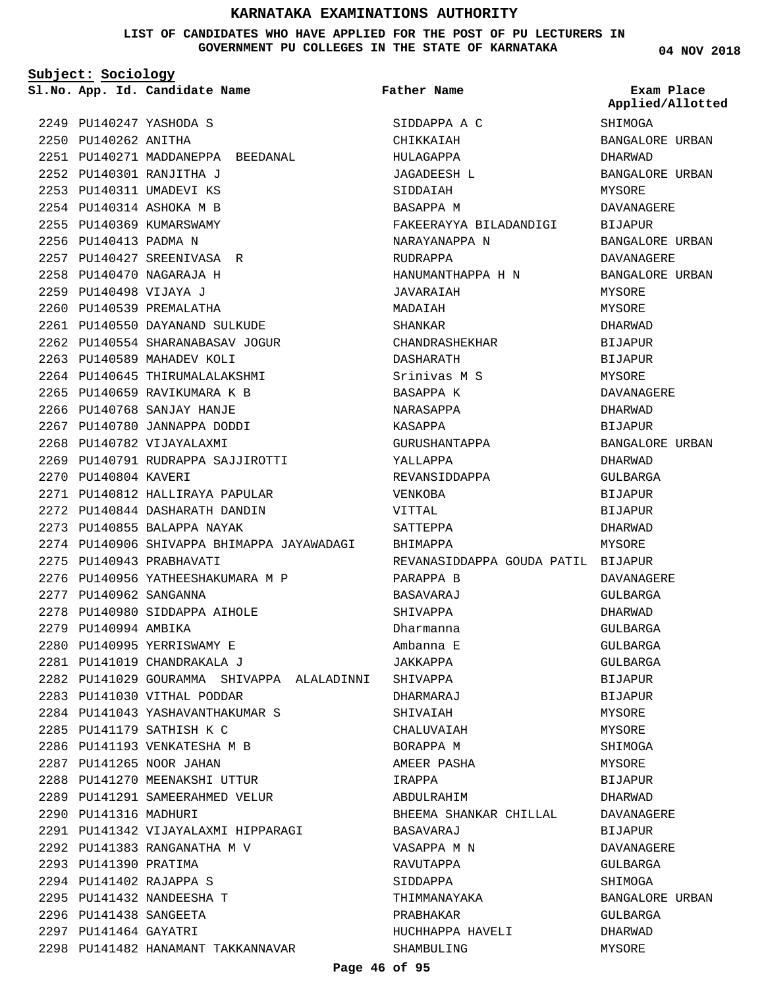## **LIST OF CANDIDATES WHO HAVE APPLIED FOR THE POST OF PU LECTURERS IN GOVERNMENT PU COLLEGES IN THE STATE OF KARNATAKA**

**Subject: Sociology**

2251 PU140271 MADDANEPPA BEEDANAL

PU140247 YASHODA S 2249 2250 PU140262 ANITHA

PU140301 RANJITHA J 2252 2253 PU140311 UMADEVI KS PU140314 ASHOKA M B 2254 2255 PU140369 KUMARSWAMY 2256 PU140413 PADMA N

PU140427 SREENIVASA R 2257 PU140470 NAGARAJA H 2258 PU140498 VIJAYA J 2259 2260 PU140539 PREMALATHA

PU140550 DAYANAND SULKUDE 2261 2262 PU140554 SHARANABASAV JOGUR

PU140791 RUDRAPPA SAJJIROTTI 2269

2276 PU140956 YATHEESHAKUMARA M P

2278 PU140980 SIDDAPPA AIHOLE

2280 PU140995 YERRISWAMY E PU141019 CHANDRAKALA J 2281

2283 PU141030 VITHAL PODDAR

2288 PU141270 MEENAKSHI UTTUR 2289 PU141291 SAMEERAHMED VELUR

PU141383 RANGANATHA M V 2292

PU141342 VIJAYALAXMI HIPPARAGI 2291

2298 PU141482 HANAMANT TAKKANNAVAR

PU141179 SATHISH K C 2285 2286 PU141193 VENKATESHA M B 2287 PU141265 NOOR JAHAN

2290 PU141316 MADHURI

2293 PU141390 PRATIMA PU141402 RAJAPPA S 2294 2295 PU141432 NANDEESHA T 2296 PU141438 SANGEETA 2297 PU141464 GAYATRI

PU141043 YASHAVANTHAKUMAR S 2284

PU140812 HALLIRAYA PAPULAR 2271 2272 PU140844 DASHARATH DANDIN 2273 PU140855 BALAPPA NAYAK

2263 PU140589 MAHADEV KOLI 2264 PU140645 THIRUMALALAKSHMI 2265 PU140659 RAVIKUMARA K B 2266 PU140768 SANJAY HANJE 2267 PU140780 JANNAPPA DODDI 2268 PU140782 VIJAYALAXMI

2270 PU140804 KAVERI

2275 PU140943 PRABHAVATI

2277 PU140962 SANGANNA

2279 PU140994 AMBIKA

PU140906 SHIVAPPA BHIMAPPA JAYAWADAGI BHIMAPPA 2274 2282 PU141029 GOURAMMA SHIVAPPA ALALADINNI SHIVAPPA **App. Id. Candidate Name Sl.No. Exam Place** SIDDAPPA A C CHIKKAIAH HULAGAPPA JAGADEESH L SIDDAIAH BASAPPA M FAKEERAYYA BILADANDIGI NARAYANAPPA N RUDRAPPA HANUMANTHAPPA H N JAVARAIAH MADAIAH SHANKAR CHANDRASHEKHAR DASHARATH Srinivas M S BASAPPA K NARASAPPA KASAPPA GURUSHANTAPPA YALLAPPA REVANSIDDAPPA VENKOBA VITTAL SATTEPPA REVANASIDDAPPA GOUDA PATIL BIJAPUR PARAPPA B BASAVARAJ SHIVAPPA Dharmanna Ambanna E JAKKAPPA DHARMARAJ SHIVAIAH CHALUVAIAH BORAPPA M AMEER PASHA IRAPPA ABDULRAHIM BHEEMA SHANKAR CHILLAL BASAVARAJ VASAPPA M N RAVUTAPPA SIDDAPPA THIMMANAYAKA PRABHAKAR HUCHHAPPA HAVELI SHAMBULING **Father Name SHIMOGA Applied/Allotted**

**04 NOV 2018**

BANGALORE URBAN DHARWAD BANGALORE URBAN MYSORE DAVANAGERE BIJAPUR BANGALORE URBAN DAVANAGERE BANGALORE URBAN **MYSORE** MYSORE DHARWAD BIJAPUR **BIJAPUR** MYSORE DAVANAGERE DHARWAD BIJAPUR BANGALORE URBAN DHARWAD GULBARGA BIJAPUR BIJAPUR DHARWAD MYSORE DAVANAGERE GULBARGA DHARWAD GULBARGA GULBARGA GULBARGA BIJAPUR **BIJAPUR** MYSORE MYSORE SHIMOGA MYSORE BIJAPUR DHARWAD DAVANAGERE BIJAPUR DAVANAGERE GULBARGA SHIMOGA BANGALORE URBAN GULBARGA DHARWAD MYSORE

## **Page 46 of 95**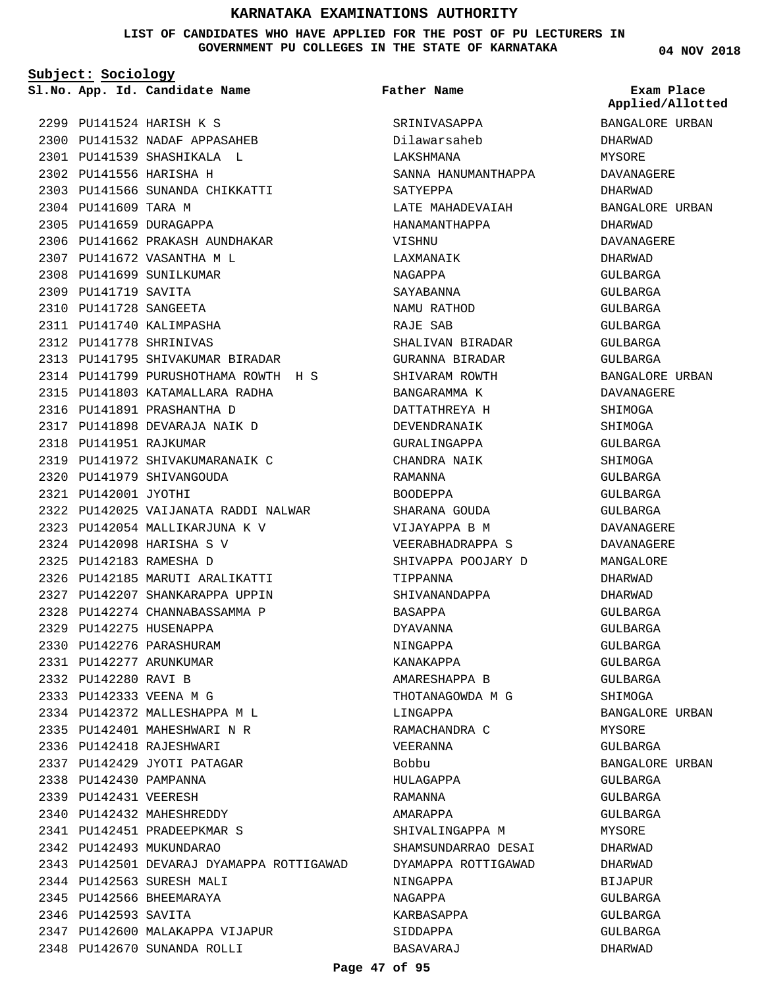**LIST OF CANDIDATES WHO HAVE APPLIED FOR THE POST OF PU LECTURERS IN GOVERNMENT PU COLLEGES IN THE STATE OF KARNATAKA**

**Subject: Sociology**

**App. Id. Candidate Name Sl.No. Exam Place**

**Father Name**

PU141524 HARISH K S 2299 2300 PU141532 NADAF APPASAHEB PU141539 SHASHIKALA L 2301 2302 PU141556 HARISHA H PU141566 SUNANDA CHIKKATTI 2303 2304 PU141609 TARA M 2305 PU141659 DURAGAPPA 2306 PU141662 PRAKASH AUNDHAKAR PU141672 VASANTHA M L 2307 2308 PU141699 SUNILKUMAR 2309 PU141719 SAVITA PU141728 SANGEETA 2310 2311 PU141740 KALIMPASHA PU141778 SHRINIVAS 2312 2313 PU141795 SHIVAKUMAR BIRADAR 2314 PU141799 PURUSHOTHAMA ROWTH H S PU141803 KATAMALLARA RADHA 2315 2316 PU141891 PRASHANTHA D PU141898 DEVARAJA NAIK D 2317 2318 PU141951 RAJKUMAR PU141972 SHIVAKUMARANAIK C 2319 PU141979 SHIVANGOUDA 2320 2321 PU142001 JYOTHI 2322 PU142025 VAIJANATA RADDI NALWAR PU142054 MALLIKARJUNA K V 2323 PU142098 HARISHA S V 2324 PU142183 RAMESHA D 2325 2326 PU142185 MARUTI ARALIKATTI 2327 PU142207 SHANKARAPPA UPPIN 2328 PU142274 CHANNABASSAMMA P 2329 PU142275 HUSENAPPA 2330 PU142276 PARASHURAM PU142277 ARUNKUMAR 2331 2332 PU142280 RAVI B PU142333 VEENA M G 2333 PU142372 MALLESHAPPA M L 2334 2335 PU142401 MAHESHWARI N R 2336 PU142418 RAJESHWARI 2337 PU142429 JYOTI PATAGAR 2338 PU142430 PAMPANNA 2339 PU142431 VEERESH 2340 PU142432 MAHESHREDDY PU142451 PRADEEPKMAR S 2341 2342 PU142493 MUKUNDARAO 2343 PU142501 DEVARAJ DYAMAPPA ROTTIGAWAD 2344 PU142563 SURESH MALI 2345 PU142566 BHEEMARAYA 2346 PU142593 SAVITA 2347 PU142600 MALAKAPPA VIJAPUR PU142670 SUNANDA ROLLI 2348

SRINIVASAPPA Dilawarsaheb LAKSHMANA SANNA HANUMANTHAPPA SATYEPPA LATE MAHADEVAIAH HANAMANTHAPPA VISHNU LAXMANAIK NAGAPPA SAYABANNA NAMU RATHOD RAJE SAB SHALIVAN BIRADAR GURANNA BIRADAR SHIVARAM ROWTH BANGARAMMA K DATTATHREYA H DEVENDRANAIK GURALINGAPPA CHANDRA NAIK RAMANNA BOODEPPA SHARANA GOUDA VIJAYAPPA B M VEERABHADRAPPA S SHIVAPPA POOJARY D TIPPANNA SHIVANANDAPPA BASAPPA DYAVANNA NINGAPPA KANAKAPPA AMARESHAPPA B THOTANAGOWDA M G LINGAPPA RAMACHANDRA C VEERANNA Bobbu HULAGAPPA RAMANNA AMARAPPA SHIVALINGAPPA M SHAMSUNDARRAO DESAI DYAMAPPA ROTTIGAWAD NINGAPPA NAGAPPA KARBASAPPA SIDDAPPA BASAVARAJ

**04 NOV 2018**

BANGALORE URBAN DHARWAD MYSORE DAVANAGERE DHARWAD BANGALORE URBAN DHARWAD DAVANAGERE DHARWAD GULBARGA GULBARGA GULBARGA GULBARGA GULBARGA GULBARGA BANGALORE URBAN DAVANAGERE **SHIMOGA** SHIMOGA GULBARGA SHIMOGA GULBARGA GULBARGA GULBARGA DAVANAGERE DAVANAGERE MANGALORE DHARWAD DHARWAD GULBARGA GULBARGA GULBARGA GULBARGA GULBARGA SHIMOGA BANGALORE URBAN MYSORE GULBARGA BANGALORE URBAN GULBARGA GULBARGA GULBARGA MYSORE DHARWAD DHARWAD BIJAPUR GULBARGA GULBARGA GULBARGA DHARWAD **Applied/Allotted**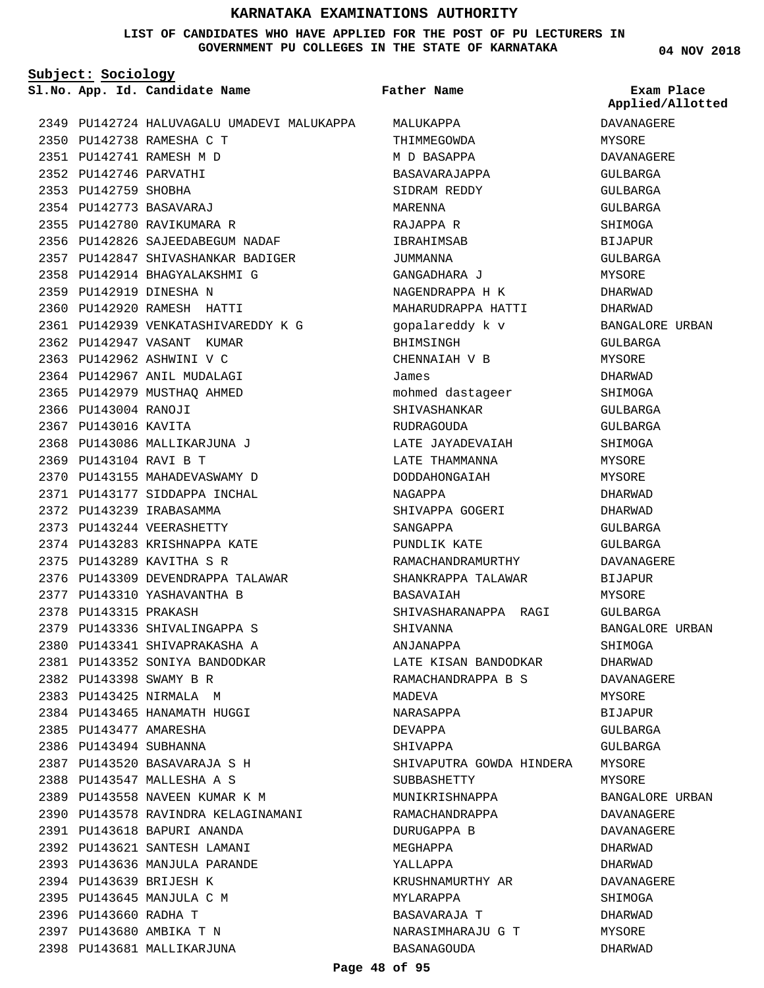## **LIST OF CANDIDATES WHO HAVE APPLIED FOR THE POST OF PU LECTURERS IN GOVERNMENT PU COLLEGES IN THE STATE OF KARNATAKA**

**Subject: Sociology**

**App. Id. Candidate Name Sl.No. Exam Place**

**Father Name**

**04 NOV 2018**

DAVANAGERE MYSORE DAVANAGERE GULBARGA GULBARGA GULBARGA SHIMOGA BIJAPUR GULBARGA MYSORE DHARWAD DHARWAD

**Applied/Allotted**

BANGALORE URBAN

BANGALORE URBAN

BANGALORE URBAN DAVANAGERE DAVANAGERE DHARWAD DHARWAD DAVANAGERE SHIMOGA DHARWAD MYSORE DHARWAD

SHIMOGA DHARWAD DAVANAGERE MYSORE BIJAPUR GULBARGA GULBARGA MYSORE MYSORE

GULBARGA MYSORE DHARWAD SHIMOGA GULBARGA GULBARGA SHIMOGA MYSORE MYSORE DHARWAD DHARWAD GULBARGA GULBARGA DAVANAGERE BIJAPUR MYSORE GULBARGA

|      |                        | 2349 PU142724 HALUVAGALU UMADEVI MALUKAPPA |
|------|------------------------|--------------------------------------------|
|      |                        | 2350 PU142738 RAMESHA C T                  |
|      |                        | 2351 PU142741 RAMESH M D                   |
|      | 2352 PU142746 PARVATHI |                                            |
|      | 2353 PU142759 SHOBHA   |                                            |
|      |                        | 2354 PU142773 BASAVARAJ                    |
|      |                        | 2355 PU142780 RAVIKUMARA R                 |
|      |                        | 2356 PU142826 SAJEEDABEGUM NADAF           |
|      |                        | 2357 PU142847 SHIVASHANKAR BADIGER         |
|      |                        | 2358 PU142914 BHAGYALAKSHMI G              |
|      |                        | 2359 PU142919 DINESHA N                    |
|      |                        | 2360 PU142920 RAMESH HATTI                 |
|      |                        | 2361 PU142939 VENKATASHIVAREDDY K G        |
|      |                        | 2362 PU142947 VASANT KUMAR                 |
|      |                        | 2363 PU142962 ASHWINI V C                  |
|      |                        | 2364 PU142967 ANIL MUDALAGI                |
|      |                        | 2365 PU142979 MUSTHAQ AHMED                |
|      | 2366 PU143004 RANOJI   |                                            |
|      | 2367 PU143016 KAVITA   |                                            |
|      |                        | 2368 PU143086 MALLIKARJUNA J               |
|      | 2369 PU143104 RAVI B T |                                            |
|      |                        | 2370 PU143155 MAHADEVASWAMY D              |
|      |                        | 2371 PU143177 SIDDAPPA INCHAL              |
|      |                        | 2372 PU143239 IRABASAMMA                   |
|      |                        | 2373 PU143244 VEERASHETTY                  |
|      |                        | 2374 PU143283 KRISHNAPPA KATE              |
|      |                        | 2375 PU143289 KAVITHA S R                  |
|      |                        | 2376 PU143309 DEVENDRAPPA TALAWAR          |
|      |                        | 2377 PU143310 YASHAVANTHA B                |
|      | 2378 PU143315 PRAKASH  |                                            |
|      |                        | 2379 PU143336 SHIVALINGAPPA S              |
|      |                        | 2380 PU143341 SHIVAPRAKASHA A              |
| 2381 |                        | PU143352 SONIYA BANDODKAR                  |
|      |                        | 2382 PU143398 SWAMY B R                    |
|      |                        | 2383 PU143425 NIRMALA M                    |
|      |                        | 2384 PU143465 HANAMATH HUGGI               |
|      | 2385 PU143477 AMARESHA |                                            |
|      | 2386 PU143494 SUBHANNA |                                            |
|      |                        | 2387 PU143520 BASAVARAJA S H               |
|      |                        | 2388 PU143547 MALLESHA A S                 |
|      |                        | 2389 PU143558 NAVEEN KUMAR K M             |
|      |                        | 2390 PU143578 RAVINDRA KELAGINAMANI        |
|      |                        | 2391 PU143618 BAPURI ANANDA                |
|      |                        | 2392 PU143621 SANTESH LAMANI               |
|      |                        | 2393 PU143636 MANJULA PARANDE              |
|      |                        | 2394 PU143639 BRIJESH K                    |
|      |                        | 2395 PU143645 MANJULA C M                  |
|      | 2396 PU143660 RADHA T  |                                            |
|      |                        | 2397 PU143680 AMBIKA T N                   |
|      |                        | 2398 PU143681 MALLIKARJUNA                 |

| MALUKAPPA                |  |  |  |  |
|--------------------------|--|--|--|--|
| THIMMEGOWDA              |  |  |  |  |
| M D BASAPPA              |  |  |  |  |
| BASAVARAJAPPA            |  |  |  |  |
| SIDRAM REDDY             |  |  |  |  |
| MARENNA                  |  |  |  |  |
| RAJAPPA R                |  |  |  |  |
| IBRAHIMSAB               |  |  |  |  |
| JUMMANNA                 |  |  |  |  |
| GANGADHARA J             |  |  |  |  |
| NAGENDRAPPA H K          |  |  |  |  |
| MAHARUDRAPPA HATTI       |  |  |  |  |
| gopalareddy k v          |  |  |  |  |
| BHIMSINGH                |  |  |  |  |
|                          |  |  |  |  |
| CHENNAIAH V B            |  |  |  |  |
| James                    |  |  |  |  |
| mohmed dastageer         |  |  |  |  |
| SHIVASHANKAR             |  |  |  |  |
| <b>RUDRAGOUDA</b>        |  |  |  |  |
| LATE JAYADEVAIAH         |  |  |  |  |
| LATE THAMMANNA           |  |  |  |  |
| DODDAHONGAIAH            |  |  |  |  |
| NAGAPPA                  |  |  |  |  |
| SHIVAPPA GOGERI          |  |  |  |  |
| SANGAPPA                 |  |  |  |  |
| PUNDLIK KATE             |  |  |  |  |
| RAMACHANDRAMURTHY        |  |  |  |  |
| SHANKRAPPA TALAWAR       |  |  |  |  |
| <b>BASAVAIAH</b>         |  |  |  |  |
| SHIVASHARANAPPA RAGI     |  |  |  |  |
| SHIVANNA                 |  |  |  |  |
| ANJANAPPA                |  |  |  |  |
| LATE KISAN BANDODKAR     |  |  |  |  |
| RAMACHANDRAPPA B S       |  |  |  |  |
| MADEVA                   |  |  |  |  |
| NARASAPPA                |  |  |  |  |
| DEVAPPA                  |  |  |  |  |
| SHIVAPPA                 |  |  |  |  |
| SHIVAPUTRA GOWDA HINDERA |  |  |  |  |
| SUBBASHETTY              |  |  |  |  |
| MUNIKRISHNAPPA           |  |  |  |  |
|                          |  |  |  |  |
| RAMACHANDRAPPA           |  |  |  |  |
| DURUGAPPA B              |  |  |  |  |
| MEGHAPPA                 |  |  |  |  |
| YALLAPPA                 |  |  |  |  |
| KRUSHNAMURTHY AR         |  |  |  |  |
| MYLARAPPA                |  |  |  |  |
| BASAVARAJA T             |  |  |  |  |
| NARASIMHARAJU G T        |  |  |  |  |
| BASANAGOUDA              |  |  |  |  |

**Page 48 of 95**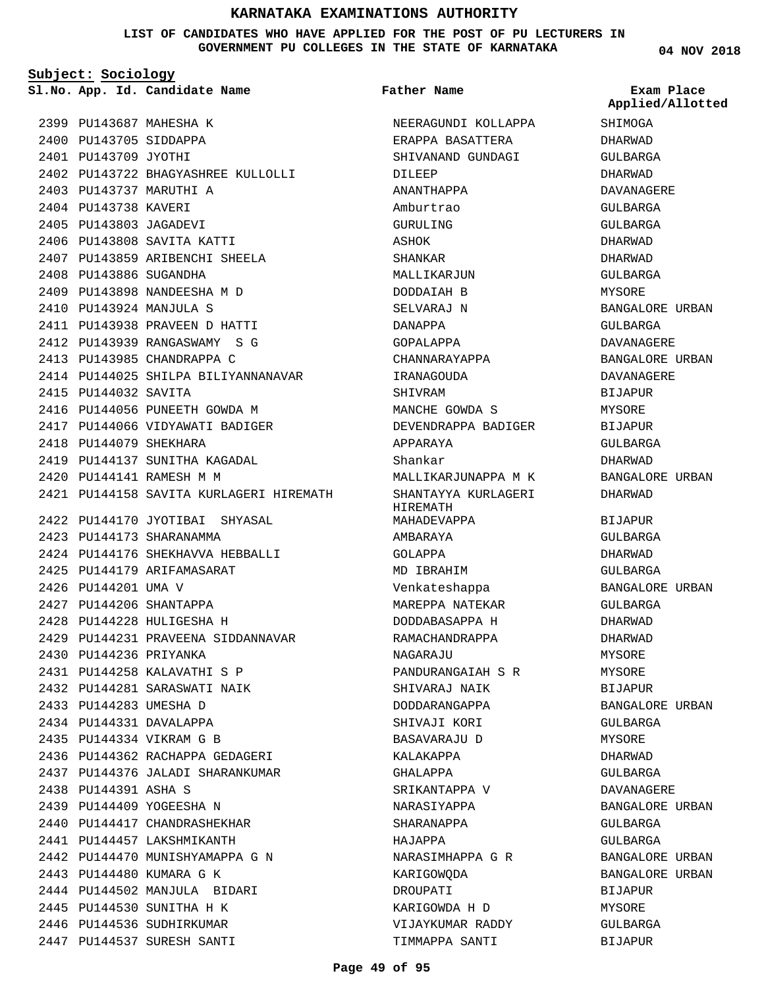**LIST OF CANDIDATES WHO HAVE APPLIED FOR THE POST OF PU LECTURERS IN GOVERNMENT PU COLLEGES IN THE STATE OF KARNATAKA**

**Subject: Sociology**

**App. Id. Candidate Name Sl.No. Exam Place**

2402 PU143722 BHAGYASHREE KULLOLLI

2399 PU143687 MAHESHA K 2400 PU143705 SIDDAPPA 2401 PU143709 JYOTHI

2403 PU143737 MARUTHI A 2404 PU143738 KAVERI 2405 PU143803 JAGADEVI 2406 PU143808 SAVITA KATTI 2407 PU143859 ARIBENCHI SHEELA

2408 PU143886 SUGANDHA

2415 PU144032 SAVITA

2418 PU144079 SHEKHARA

PU144141 RAMESH M M 2420

2423 PU144173 SHARANAMMA

2426 PU144201 UMA V 2427 PU144206 SHANTAPPA PU144228 HULIGESHA H 2428

2430 PU144236 PRIYANKA

2433 PU144283 UMESHA D 2434 PU144331 DAVALAPPA PU144334 VIKRAM G B 2435

2438 PU144391 ASHA S 2439 PU144409 YOGEESHA N 2440 PU144417 CHANDRASHEKHAR 2441 PU144457 LAKSHMIKANTH

PU144258 KALAVATHI S P 2431 2432 PU144281 SARASWATI NAIK

2436 PU144362 RACHAPPA GEDAGERI 2437 PU144376 JALADI SHARANKUMAR

2442 PU144470 MUNISHYAMAPPA G N

2444 PU144502 MANJULA BIDARI 2445 PU144530 SUNITHA H K 2446 PU144536 SUDHIRKUMAR 2447 PU144537 SURESH SANTI

2443 PU144480 KUMARA G K

2425 PU144179 ARIFAMASARAT

2409 PU143898 NANDEESHA M D PU143924 MANJULA S 2410

PU143938 PRAVEEN D HATTI 2411 2412 PU143939 RANGASWAMY S G 2413 PU143985 CHANDRAPPA C

2416 PU144056 PUNEETH GOWDA M 2417 PU144066 VIDYAWATI BADIGER

2419 PU144137 SUNITHA KAGADAL

2422 PU144170 JYOTIBAI SHYASAL

PU144176 SHEKHAVVA HEBBALLI 2424

2429 PU144231 PRAVEENA SIDDANNAVAR

2414 PU144025 SHILPA BILIYANNANAVAR

PU144158 SAVITA KURLAGERI HIREMATH 2421

**Father Name**

NEERAGUNDI KOLLAPPA ERAPPA BASATTERA SHIVANAND GUNDAGI DILEEP ANANTHAPPA Amburtrao GURULING ASHOK SHANKAR MALLIKARJUN DODDAIAH B SELVARAJ N DANAPPA GOPALAPPA CHANNARAYAPPA IRANAGOUDA SHIVRAM MANCHE GOWDA S DEVENDRAPPA BADIGER APPARAYA Shankar MALLIKARJUNAPPA M K SHANTAYYA KURLAGERI HIREMATH MAHADEVAPPA AMBARAYA GOLAPPA MD IBRAHIM Venkateshappa MAREPPA NATEKAR DODDABASAPPA H RAMACHANDRAPPA NAGARAJU PANDURANGAIAH S R SHIVARAJ NAIK DODDARANGAPPA SHIVAJI KORI BASAVARAJU D KALAKAPPA GHALAPPA SRIKANTAPPA V NARASIYAPPA SHARANAPPA HAJAPPA NARASIMHAPPA G R KARIGOWQDA DROUPATI KARIGOWDA H D VIJAYKUMAR RADDY

**04 NOV 2018**

SHIMOGA DHARWAD GULBARGA DHARWAD DAVANAGERE GULBARGA GULBARGA DHARWAD DHARWAD GULBARGA **MYSORE** BANGALORE URBAN GULBARGA DAVANAGERE BANGALORE URBAN DAVANAGERE BIJAPUR MYSORE **BIJAPUR** GULBARGA DHARWAD BANGALORE URBAN DHARWAD BIJAPUR GULBARGA DHARWAD GULBARGA BANGALORE URBAN GULBARGA DHARWAD DHARWAD MYSORE MYSORE BIJAPUR BANGALORE URBAN GULBARGA MYSORE DHARWAD GULBARGA DAVANAGERE BANGALORE URBAN GULBARGA GULBARGA BANGALORE URBAN BANGALORE URBAN BIJAPUR MYSORE GULBARGA BIJAPUR **Applied/Allotted**

TIMMAPPA SANTI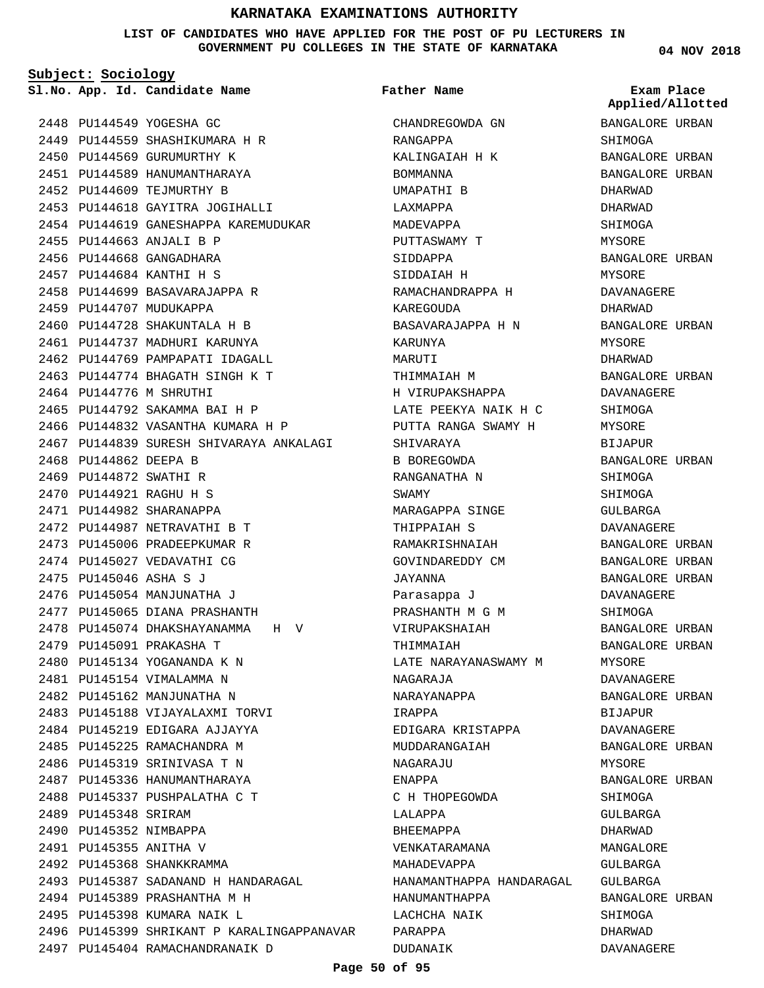**LIST OF CANDIDATES WHO HAVE APPLIED FOR THE POST OF PU LECTURERS IN GOVERNMENT PU COLLEGES IN THE STATE OF KARNATAKA**

**Subject: Sociology**

**App. Id. Candidate Name Sl.No. Exam Place**

2448 PU144549 YOGESHA GC 2449 PU144559 SHASHIKUMARA H R 2450 PU144569 GURUMURTHY K 2451 PU144589 HANUMANTHARAYA 2452 PU144609 TEJMURTHY B 2453 PU144618 GAYITRA JOGIHALLI 2454 PU144619 GANESHAPPA KAREMUDUKAR PU144663 ANJALI B P 2455 2456 PU144668 GANGADHARA PU144684 KANTHI H S 2457 2458 PU144699 BASAVARAJAPPA R 2459 PU144707 MUDUKAPPA 2460 PU144728 SHAKUNTALA H B 2461 PU144737 MADHURI KARUNYA 2462 PU144769 PAMPAPATI IDAGALL PU144774 BHAGATH SINGH K T 2463 2464 PU144776 M SHRUTHI 2465 PU144792 SAKAMMA BAI H P 2466 PU144832 VASANTHA KUMARA H P 2467 PU144839 SURESH SHIVARAYA ANKALAGI 2468 PU144862 DEEPA B 2469 PU144872 SWATHI R PU144921 RAGHU H S 2470 2471 PU144982 SHARANAPPA PU144987 NETRAVATHI B T 2472 2473 PU145006 PRADEEPKUMAR R 2474 PU145027 VEDAVATHI CG 2475 PU145046 ASHA S J 2476 PU145054 MANJUNATHA J 2477 PU145065 DIANA PRASHANTH 2478 PU145074 DHAKSHAYANAMMA H V 2479 PU145091 PRAKASHA T PU145134 YOGANANDA K N 2480 2481 PU145154 VIMALAMMA N 2482 PU145162 MANJUNATHA N 2483 PU145188 VIJAYALAXMI TORVI 2484 PU145219 EDIGARA AJJAYYA 2485 PU145225 RAMACHANDRA M 2486 PU145319 SRINIVASA T N 2487 PU145336 HANUMANTHARAYA 2488 PU145337 PUSHPALATHA C T 2489 PU145348 SRIRAM 2490 PU145352 NIMBAPPA 2491 PU145355 ANITHA V 2492 PU145368 SHANKKRAMMA 2493 PU145387 SADANAND H HANDARAGAL 2494 PU145389 PRASHANTHA M H 2495 PU145398 KUMARA NAIK L 2496 PU145399 SHRIKANT P KARALINGAPPANAVAR 2497 PU145404 RAMACHANDRANAIK D

CHANDREGOWDA GN RANGAPPA KALINGAIAH H K BOMMANNA UMAPATHI B LAXMAPPA MADEVAPPA PUTTASWAMY T SIDDAPPA SIDDAIAH H RAMACHANDRAPPA H KAREGOUDA BASAVARAJAPPA H N KARUNYA MARUTI THIMMAIAH M H VIRUPAKSHAPPA LATE PEEKYA NAIK H C PUTTA RANGA SWAMY H SHIVARAYA B BOREGOWDA RANGANATHA N SWAMY MARAGAPPA SINGE THIPPAIAH S RAMAKRISHNAIAH GOVINDAREDDY CM JAYANNA Parasappa J PRASHANTH M G M VIRUPAKSHAIAH **THIMMAIAH** LATE NARAYANASWAMY M NAGARAJA NARAYANAPPA IRAPPA EDIGARA KRISTAPPA MUDDARANGAIAH NAGARAJU ENAPPA C H THOPEGOWDA LALAPPA BHEEMAPPA VENKATARAMANA MAHADEVAPPA HANAMANTHAPPA HANDARAGAL HANUMANTHAPPA LACHCHA NAIK PARAPPA **Father Name**

**04 NOV 2018**

**Applied/Allotted**

BANGALORE URBAN SHIMOGA BANGALORE URBAN BANGALORE URBAN DHARWAD DHARWAD SHIMOGA MYSORE BANGALORE URBAN MYSORE DAVANAGERE DHARWAD BANGALORE URBAN MYSORE DHARWAD BANGALORE URBAN DAVANAGERE **SHIMOGA MYSORE** BIJAPUR BANGALORE URBAN SHIMOGA SHIMOGA GULBARGA DAVANAGERE BANGALORE URBAN BANGALORE URBAN BANGALORE URBAN DAVANAGERE SHIMOGA BANGALORE URBAN BANGALORE URBAN MYSORE DAVANAGERE BANGALORE URBAN BIJAPUR DAVANAGERE BANGALORE URBAN MYSORE BANGALORE URBAN SHIMOGA GULBARGA DHARWAD MANGALORE  $CITIRARGA$ GULBARGA BANGALORE URBAN SHIMOGA DHARWAD

DAVANAGERE

## **Page 50 of 95**

DUDANAIK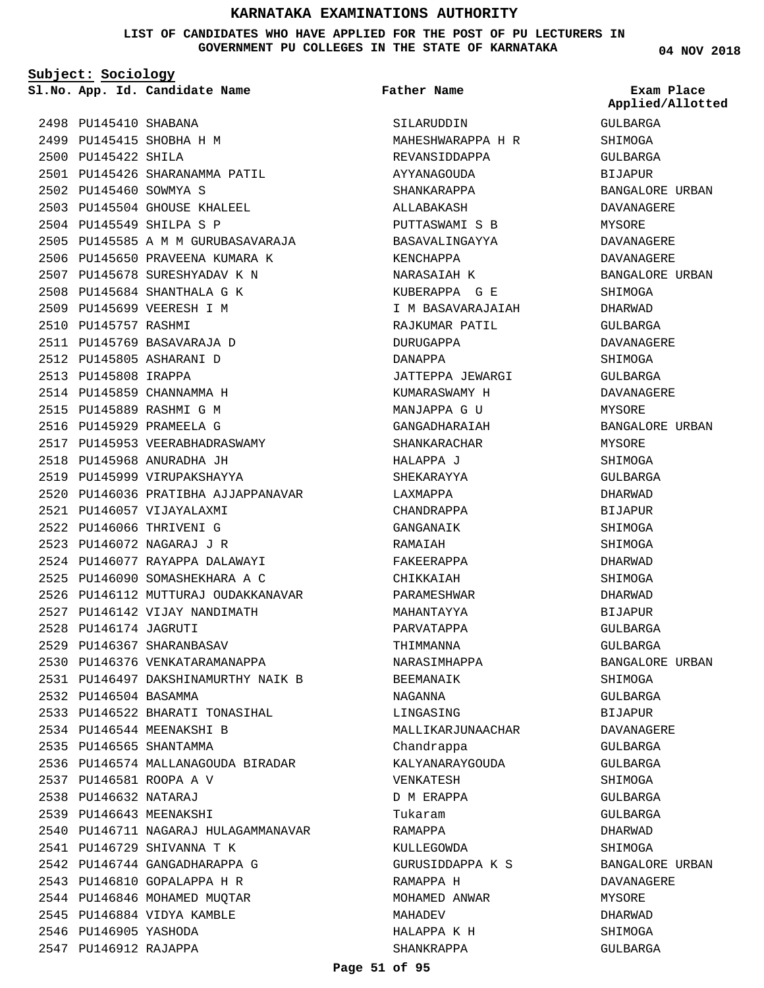**LIST OF CANDIDATES WHO HAVE APPLIED FOR THE POST OF PU LECTURERS IN GOVERNMENT PU COLLEGES IN THE STATE OF KARNATAKA**

**Subject: Sociology**

**App. Id. Candidate Name Sl.No. Exam Place**

2501 PU145426 SHARANAMMA PATIL

2505 PU145585 A M M GURUBASAVARAJA 2506 PU145650 PRAVEENA KUMARA K 2507 PU145678 SURESHYADAV K N 2508 PU145684 SHANTHALA G K 2509 PU145699 VEERESH I M

2503 PU145504 GHOUSE KHALEEL 2504 PU145549 SHILPA S P

2498 PU145410 SHABANA 2499 PU145415 SHOBHA H M

2502 PU145460 SOWMYA S

2510 PU145757 RASHMI

2511 PU145769 BASAVARAJA D 2512 PU145805 ASHARANI D 2513 PU145808 IRAPPA

2514 PU145859 CHANNAMMA H 2515 PU145889 RASHMI G M 2516 PU145929 PRAMEELA G

2518 PU145968 ANURADHA JH 2519 PU145999 VIRUPAKSHAYYA

PU146057 VIJAYALAXMI 2521 2522 PU146066 THRIVENI G PU146072 NAGARAJ J R 2523

2517 PU145953 VEERABHADRASWAMY

2524 PU146077 RAYAPPA DALAWAYI PU146090 SOMASHEKHARA A C 2525

2527 PU146142 VIJAY NANDIMATH

2530 PU146376 VENKATARAMANAPPA

2533 PU146522 BHARATI TONASIHAL

2528 PU146174 JAGRUTI 2529 PU146367 SHARANBASAV

2532 PU146504 BASAMMA

2534 PU146544 MEENAKSHI B 2535 PU146565 SHANTAMMA

PU146581 ROOPA A V 2537 PU146632 NATARAJ 2538 2539 PU146643 MEENAKSHI

2541 PU146729 SHIVANNA T K 2542 PU146744 GANGADHARAPPA G 2543 PU146810 GOPALAPPA H R 2544 PU146846 MOHAMED MUQTAR 2545 PU146884 VIDYA KAMBLE

2546 PU146905 YASHODA 2547 PU146912 RAJAPPA

2520 PU146036 PRATIBHA AJJAPPANAVAR

2526 PU146112 MUTTURAJ OUDAKKANAVAR

PU146497 DAKSHINAMURTHY NAIK B 2531

2536 PU146574 MALLANAGOUDA BIRADAR

2540 PU146711 NAGARAJ HULAGAMMANAVAR

2500 PU145422 SHILA

**Father Name**

SILARUDDIN MAHESHWARAPPA H R REVANSIDDAPPA AYYANAGOUDA SHANKARAPPA ALLABAKASH PUTTASWAMI S B BASAVALINGAYYA KENCHAPPA NARASAIAH K KUBERAPPA G E I M BASAVARAJAIAH RAJKUMAR PATIL DURUGAPPA DANAPPA JATTEPPA JEWARGI KUMARASWAMY H MANJAPPA G II GANGADHARAIAH SHANKARACHAR HALAPPA J SHEKARAYYA LAXMAPPA CHANDRAPPA GANGANAIK RAMAIAH FAKEERAPPA CHIKKAIAH PARAMESHWAR MAHANTAYYA PARVATAPPA THIMMANNA NARASIMHAPPA BEEMANAIK NAGANNA LINGASING MALLIKARJUNAACHAR Chandrappa KALYANARAYGOUDA VENKATESH D M ERAPPA Tukaram RAMAPPA KIILLEGOWDA GURUSIDDAPPA K S RAMAPPA H MOHAMED ANWAR MAHADEV HALAPPA K H SHANKRAPPA

**04 NOV 2018**

GULBARGA SHIMOGA GULBARGA BIJAPUR BANGALORE URBAN DAVANAGERE MYSORE DAVANAGERE DAVANAGERE BANGALORE URBAN SHIMOGA DHARWAD GULBARGA DAVANAGERE SHIMOGA GULBARGA DAVANAGERE MYSORE BANGALORE URBAN MYSORE SHIMOGA GULBARGA DHARWAD BIJAPUR SHIMOGA SHIMOGA DHARWAD SHIMOGA DHARWAD BIJAPUR GULBARGA GULBARGA BANGALORE URBAN SHIMOGA GULBARGA BIJAPUR DAVANAGERE GULBARGA GULBARGA SHIMOGA GULBARGA GULBARGA DHARWAD SHIMOGA BANGALORE URBAN DAVANAGERE MYSORE DHARWAD SHIMOGA GULBARGA **Applied/Allotted**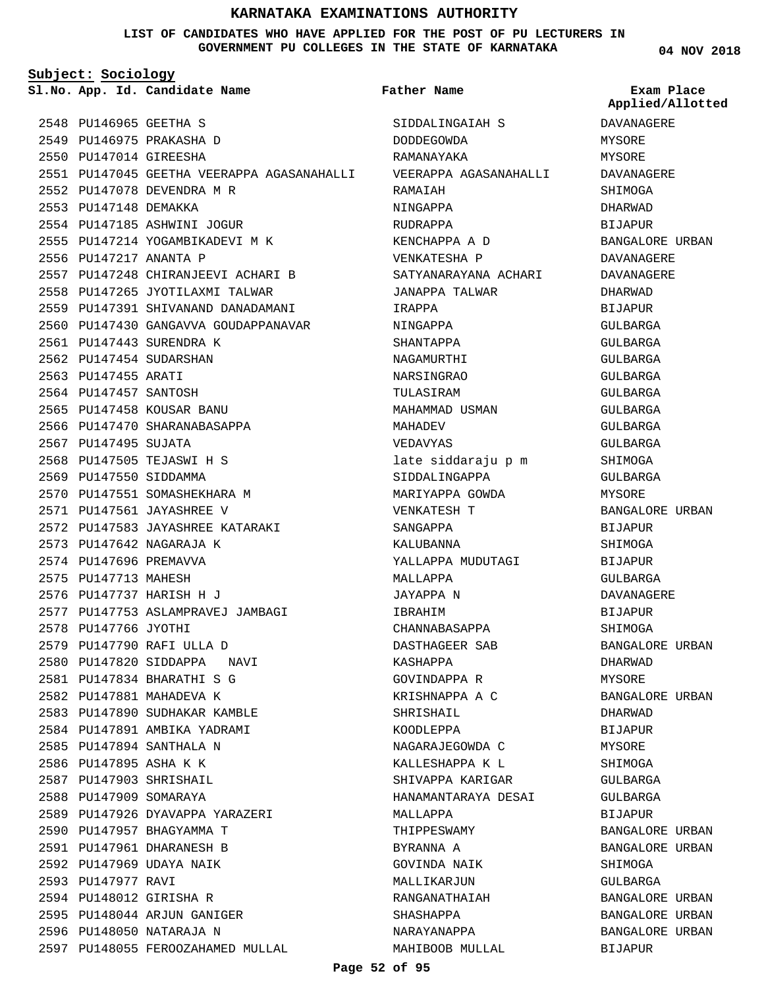## **LIST OF CANDIDATES WHO HAVE APPLIED FOR THE POST OF PU LECTURERS IN GOVERNMENT PU COLLEGES IN THE STATE OF KARNATAKA**

**Subject: Sociology**

2552 PU147078 DEVENDRA M R

2554 PU147185 ASHWINI JOGUR 2555 PU147214 YOGAMBIKADEVI M K

2557 PU147248 CHIRANJEEVI ACHARI B 2558 PU147265 JYOTILAXMI TALWAR 2559 PU147391 SHIVANAND DANADAMANI 2560 PU147430 GANGAVVA GOUDAPPANAVAR

2551 PU147045 GEETHA VEERAPPA AGASANAHALLI

2548 PU146965 GEETHA S 2549 PU146975 PRAKASHA D 2550 PU147014 GIREESHA

2553 PU147148 DEMAKKA

2556 PU147217 ANANTA P

2561 PU147443 SURENDRA K 2562 PU147454 SUDARSHAN 2563 PU147455 ARATI 2564 PU147457 SANTOSH 2565 PU147458 KOUSAR BANU 2566 PU147470 SHARANABASAPPA

2567 PU147495 SUJATA

2568 PU147505 TEJASWI H S 2569 PU147550 SIDDAMMA

2573 PU147642 NAGARAJA K 2574 PU147696 PREMAVVA 2575 PU147713 MAHESH 2576 PU147737 HARISH H J

2578 PU147766 JYOTHI

PU147790 RAFI ULLA D 2579 2580 PU147820 SIDDAPPA NAVI PU147834 BHARATHI S G 2581 2582 PU147881 MAHADEVA K

2583 PU147890 SUDHAKAR KAMBLE 2584 PU147891 AMBIKA YADRAMI 2585 PU147894 SANTHALA N 2586 PU147895 ASHA K K 2587 PU147903 SHRISHAIL 2588 PU147909 SOMARAYA

2589 PU147926 DYAVAPPA YARAZERI

2597 PU148055 FEROOZAHAMED MULLAL

2590 PU147957 BHAGYAMMA T PU147961 DHARANESH B 2591 2592 PU147969 UDAYA NAIK

2594 PU148012 GIRISHA R 2595 PU148044 ARJUN GANIGER 2596 PU148050 NATARAJA N

2593 PU147977 RAVI

2570 PU147551 SOMASHEKHARA M PU147561 JAYASHREE V 2571

PU147583 JAYASHREE KATARAKI 2572

2577 PU147753 ASLAMPRAVEJ JAMBAGI

**Father Name**

**App. Id. Candidate Name Sl.No. Exam Place** SIDDALINGAIAH S DODDEGOWDA RAMANAYAKA VEERAPPA AGASANAHALLI RAMAIAH NINGAPPA RUDRAPPA KENCHAPPA A D VENKATESHA P SATYANARAYANA ACHARI JANAPPA TALWAR IRAPPA NINGAPPA SHANTAPPA NAGAMURTHI NARSINGRAO TULASIRAM MAHAMMAD USMAN MAHADEV VEDAVYAS late siddaraju p m SIDDALINGAPPA MARIYAPPA GOWDA VENKATESH T SANGAPPA KALUBANNA YALLAPPA MUDUTAGI MALLAPPA JAYAPPA N IBRAHIM CHANNABASAPPA DASTHAGEER SAB KASHAPPA GOVINDAPPA R KRISHNAPPA A C SHRISHAIL KOODLEPPA NAGARAJEGOWDA C KALLESHAPPA K L SHIVAPPA KARIGAR HANAMANTARAYA DESAI MALLAPPA THIPPESWAMY BYRANNA A GOVINDA NAIK MALLIKARJUN RANGANATHAIAH SHASHAPPA NARAYANAPPA MAHIBOOB MULLAL DAVANAGERE **MYSORE** MYSORE DAVANAGERE SHIMOGA DHARWAD BIJAPUR BANGALORE URBAN DAVANAGERE DAVANAGERE DHARWAD BIJAPUR GULBARGA GULBARGA GULBARGA GULBARGA GULBARGA GULBARGA GULBARGA GULBARGA SHIMOGA GULBARGA MYSORE BANGALORE URBAN BIJAPUR SHIMOGA BIJAPUR GULBARGA DAVANAGERE BIJAPUR SHIMOGA BANGALORE URBAN DHARWAD MYSORE BANGALORE URBAN DHARWAD BIJAPUR MYSORE SHIMOGA GULBARGA GULBARGA BIJAPUR BANGALORE URBAN BANGALORE URBAN SHIMOGA GULBARGA BANGALORE URBAN BANGALORE URBAN BANGALORE URBAN BIJAPUR **Applied/Allotted**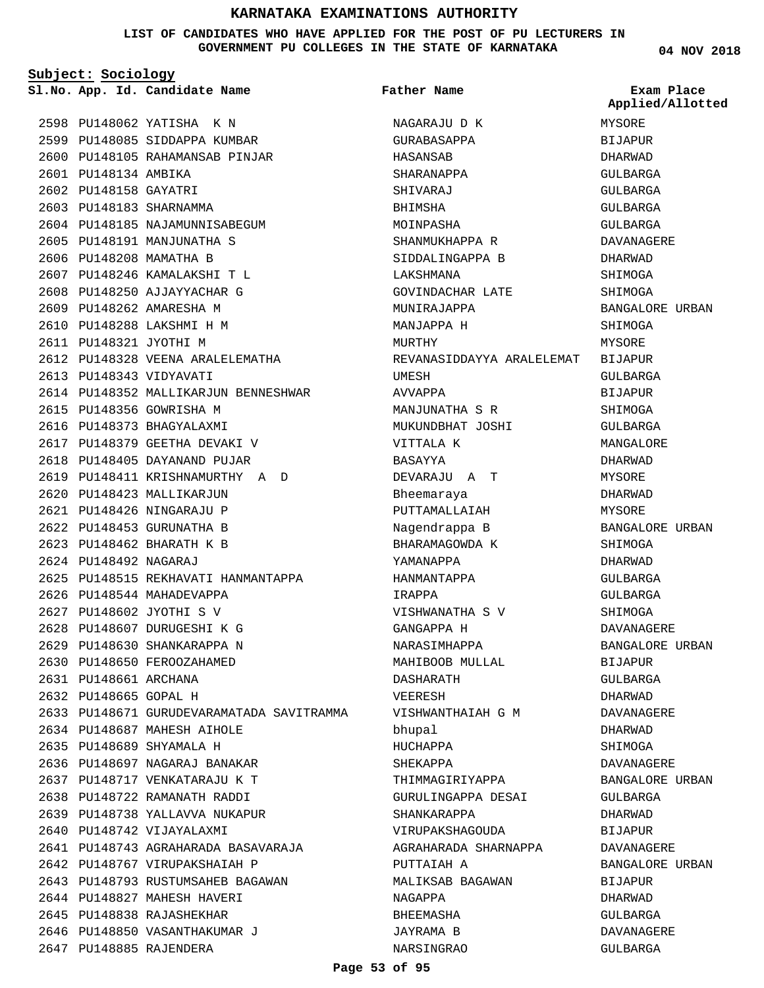## **LIST OF CANDIDATES WHO HAVE APPLIED FOR THE POST OF PU LECTURERS IN GOVERNMENT PU COLLEGES IN THE STATE OF KARNATAKA**

**Subject: Sociology**

2601 PU148134 AMBIKA 2602 PU148158 GAYATRI 2603 PU148183 SHARNAMMA

**App. Id. Candidate Name Sl.No. Exam Place**

2604 PU148185 NAJAMUNNISABEGUM 2605 PU148191 MANJUNATHA S 2606 PU148208 MAMATHA B

PU148246 KAMALAKSHI T L 2607 2608 PU148250 AJJAYYACHAR G 2609 PU148262 AMARESHA M PU148288 LAKSHMI H M 2610 2611 PU148321 JYOTHI M

2612 PU148328 VEENA ARALELEMATHA

2619 PU148411 KRISHNAMURTHY A D

2625 PU148515 REKHAVATI HANMANTAPPA

2633 PU148671 GURUDEVARAMATADA SAVITRAMMA

2614 PU148352 MALLIKARJUN BENNESHWAR

2613 PU148343 VIDYAVATI

2615 PU148356 GOWRISHA M 2616 PU148373 BHAGYALAXMI 2617 PU148379 GEETHA DEVAKI V 2618 PU148405 DAYANAND PUJAR

2620 PU148423 MALLIKARJUN PU148426 NINGARAJU P 2621 2622 PU148453 GURUNATHA B PU148462 BHARATH K B 2623 PU148492 NAGARAJ 2624

2626 PU148544 MAHADEVAPPA PU148602 JYOTHI S V 2627 PU148607 DURUGESHI K G 2628 PU148630 SHANKARAPPA N 2629 2630 PU148650 FEROOZAHAMED

2631 PU148661 ARCHANA 2632 PU148665 GOPAL H

PU148687 MAHESH AIHOLE 2634 PU148689 SHYAMALA H 2635

2640 PU148742 VIJAYALAXMI

2636 PU148697 NAGARAJ BANAKAR PU148717 VENKATARAJU K T 2637 2638 PU148722 RAMANATH RADDI 2639 PU148738 YALLAVVA NUKAPUR

2642 PU148767 VIRUPAKSHAIAH P 2643 PU148793 RUSTUMSAHEB BAGAWAN

2644 PU148827 MAHESH HAVERI 2645 PU148838 RAJASHEKHAR 2646 PU148850 VASANTHAKUMAR J

2647 PU148885 RAJENDERA

PU148743 AGRAHARADA BASAVARAJA 2641

2598 PU148062 YATISHA K N 2599 PU148085 SIDDAPPA KUMBAR 2600 PU148105 RAHAMANSAB PINJAR **Father Name**

NAGARAJU D K GURABASAPPA HASANSAB SHARANAPPA SHIVARAJ BHIMSHA MOINPASHA

SHANMUKHAPPA R SIDDALINGAPPA B

GOVINDACHAR LATE

LAKSHMANA

MURTHY

UMESH AVVAPPA

MUNIRAJAPPA MANJAPPA H

MANJUNATHA S R MUKUNDBHAT JOSHI

DEVARAJU A T

VISHWANATHA S V

VISHWANTHAIAH G M

THIMMAGIRIYAPPA GURULINGAPPA DESAI

MALIKSAB BAGAWAN

AGRAHARADA SHARNAPPA

SHANKARAPPA VIRUPAKSHAGOUDA

PUTTAIAH A

NAGAPPA BHEEMASHA JAYRAMA B NARSINGRAO

VITTALA K BASAYYA

Bheemaraya PUTTAMALLAIAH Nagendrappa B BHARAMAGOWDA K YAMANAPPA HANMANTAPPA IRAPPA

GANGAPPA H NARASIMHAPPA MAHIBOOB MULLAL

DASHARATH VEERESH

bhupal HUCHAPPA SHEKAPPA

REVANASIDDAYYA ARALELEMAT BIJAPUR MYSORE **BIJAPUR** DHARWAD GULBARGA GULBARGA GULBARGA GULBARGA DAVANAGERE DHARWAD SHIMOGA SHIMOGA BANGALORE URBAN SHIMOGA MYSORE GULBARGA BIJAPUR **SHIMOGA** GULBARGA MANGALORE DHARWAD MYSORE DHARWAD MYSORE BANGALORE URBAN SHIMOGA DHARWAD GULBARGA GULBARGA SHIMOGA DAVANAGERE BANGALORE URBAN BIJAPUR GULBARGA DHARWAD DAVANAGERE DHARWAD SHIMOGA DAVANAGERE BANGALORE URBAN GULBARGA DHARWAD BIJAPUR DAVANAGERE BANGALORE URBAN BIJAPUR DHARWAD **Applied/Allotted**

> GULBARGA DAVANAGERE GULBARGA

**04 NOV 2018**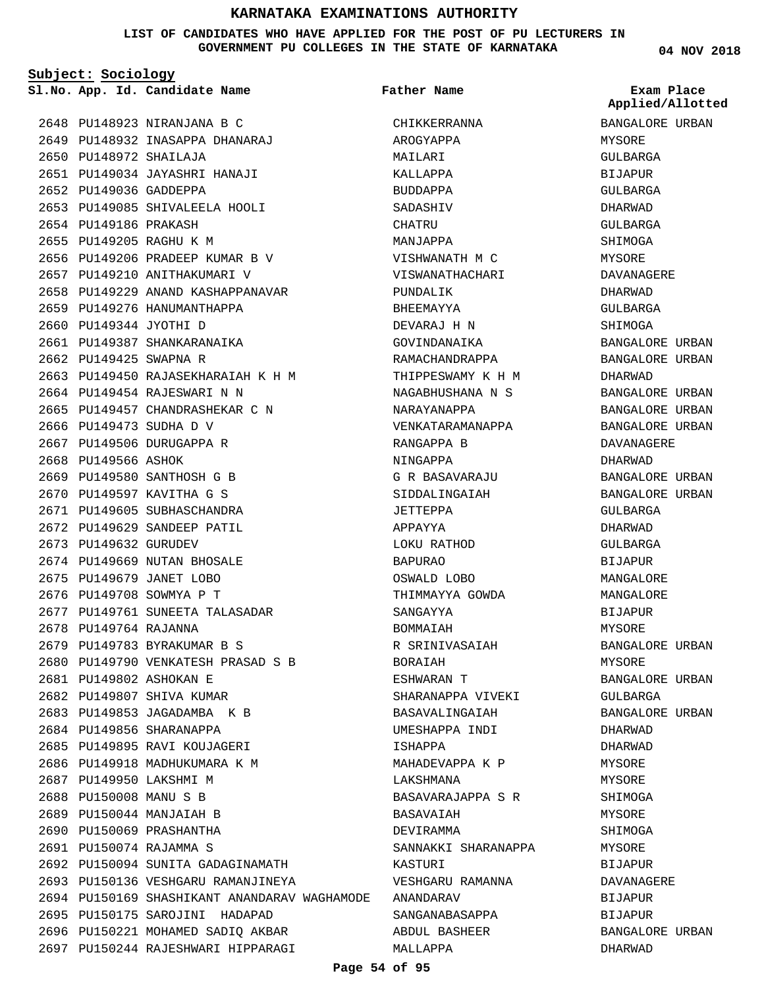## **LIST OF CANDIDATES WHO HAVE APPLIED FOR THE POST OF PU LECTURERS IN GOVERNMENT PU COLLEGES IN THE STATE OF KARNATAKA**

**Subject: Sociology**

**App. Id. Candidate Name Sl.No. Exam Place**

2648 PU148923 NIRANJANA B C 2649 PU148932 INASAPPA DHANARAJ

2651 PU149034 JAYASHRI HANAJI

2653 PU149085 SHIVALEELA HOOLI

PU149206 PRADEEP KUMAR B V 2656 2657 PU149210 ANITHAKUMARI V

2659 PU149276 HANUMANTHAPPA

2661 PU149387 SHANKARANAIKA

2664 PU149454 RAJESWARI N N 2665 PU149457 CHANDRASHEKAR C N

2669 PU149580 SANTHOSH G B 2670 PU149597 KAVITHA G S 2671 PU149605 SUBHASCHANDRA 2672 PU149629 SANDEEP PATIL

2674 PU149669 NUTAN BHOSALE 2675 PU149679 JANET LOBO 2676 PU149708 SOWMYA P T

PU149783 BYRAKUMAR B S 2679

2677 PU149761 SUNEETA TALASADAR

2680 PU149790 VENKATESH PRASAD S B

2692 PU150094 SUNITA GADAGINAMATH 2693 PU150136 VESHGARU RAMANJINEYA

2695 PU150175 SAROJINI HADAPAD 2696 PU150221 MOHAMED SADIQ AKBAR 2697 PU150244 RAJESHWARI HIPPARAGI

PU149344 JYOTHI D 2660

2662 PU149425 SWAPNA R

2666 PU149473 SUDHA D V 2667 PU149506 DURUGAPPA R

2668 PU149566 ASHOK

2673 PU149632 GURUDEV

2678 PU149764 RAJANNA

PU149802 ASHOKAN E 2681 2682 PU149807 SHIVA KUMAR 2683 PU149853 JAGADAMBA K B 2684 PU149856 SHARANAPPA 2685 PU149895 RAVI KOUJAGERI 2686 PU149918 MADHUKUMARA K M

2687 PU149950 LAKSHMI M 2688 PU150008 MANU S B 2689 PU150044 MANJAIAH B 2690 PU150069 PRASHANTHA PU150074 RAJAMMA S 2691

2658 PU149229 ANAND KASHAPPANAVAR

PU149450 RAJASEKHARAIAH K H M 2663

PU148972 SHAILAJA 2650

2652 PU149036 GADDEPPA

2654 PU149186 PRAKASH 2655 PU149205 RAGHU K M

PU150169 SHASHIKANT ANANDARAV WAGHAMODE ANANDARAV 2694 CHIKKERRANNA AROGYAPPA MAILARI KALLAPPA BUDDAPPA SADASHIV CHATRU MANJAPPA VISHWANATH M C VISWANATHACHARI PUNDALIK BHEEMAYYA DEVARAJ H N GOVINDANAIKA RAMACHANDRAPPA THIPPESWAMY K H M NAGABHUSHANA N S NARAYANAPPA VENKATARAMANAPPA RANGAPPA B NINGAPPA G R BASAVARAJU SIDDALINGAIAH JETTEPPA APPAYYA LOKU RATHOD BAPURAO OSWALD LOBO THIMMAYYA GOWDA SANGAYYA BOMMAIAH R SRINIVASAIAH BORAIAH ESHWARAN T SHARANAPPA VIVEKI BASAVALINGAIAH UMESHAPPA INDI ISHAPPA MAHADEVAPPA K P LAKSHMANA BASAVARAJAPPA S R BASAVAIAH DEVIRAMMA SANNAKKI SHARANAPPA KASTURI VESHGARU RAMANNA SANGANABASAPPA ABDUL BASHEER MALLAPPA **Father Name**

**04 NOV 2018**

| Applied/Allotted       |       |
|------------------------|-------|
| BANGALORE URBAN        |       |
| MYSORE                 |       |
| GULBARGA               |       |
| BIJAPUR                |       |
| GULBARGA               |       |
| DHARWAD                |       |
| GULBARGA               |       |
| SHIMOGA                |       |
| MYSORE                 |       |
| DAVANAGERE             |       |
| DHARWAD                |       |
| GULBARGA               |       |
| SHIMOGA                |       |
| BANGALORE URBAN        |       |
| BANGALORE              | URBAN |
| DHARWAD                |       |
| BANGALORE URBAN        |       |
| BANGALORE URBAN        |       |
| BANGALORE URBAN        |       |
| DAVANAGERE             |       |
| DHARWAD                |       |
| BANGALORE URBAN        |       |
| BANGALORE URBAN        |       |
| GULBARGA               |       |
| DHARWAD                |       |
| GULBARGA               |       |
| BIJAPUR                |       |
| MANGALORE              |       |
| MANGALORE              |       |
| BIJAPUR                |       |
| MYSORE                 |       |
| <b>BANGALORE URBAN</b> |       |
| MYSORE                 |       |
| BANGALORE URBAN        |       |
| GULBARGA               |       |
| BANGALORE              | URBAN |
| DHARWAD                |       |
| DHARWAD                |       |
| MYSORE                 |       |
| MYSORE                 |       |
| SHIMOGA                |       |
| MYSORE                 |       |
| SHIMOGA                |       |
| MYSORE                 |       |
| BIJAPUR                |       |
| DAVANAGERE             |       |
| BIJAPUR                |       |
| BIJAPUR                |       |
| BANGALORE URBAN        |       |
| DHARWAD                |       |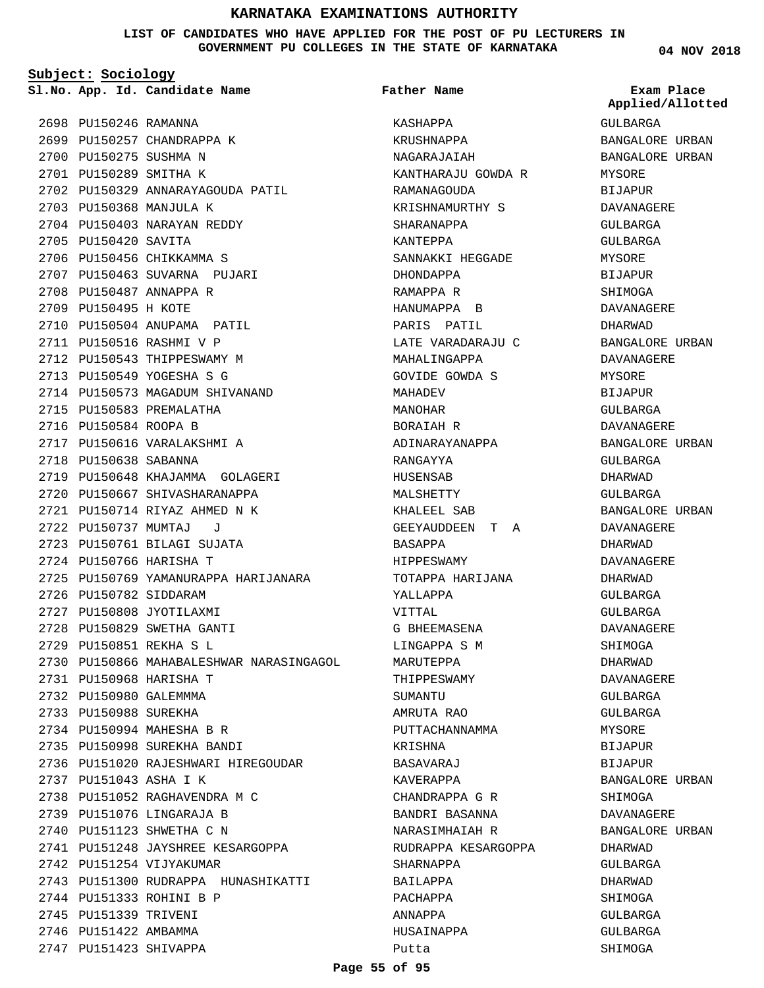**LIST OF CANDIDATES WHO HAVE APPLIED FOR THE POST OF PU LECTURERS IN GOVERNMENT PU COLLEGES IN THE STATE OF KARNATAKA**

**Subject: Sociology**

**App. Id. Candidate Name Sl.No. Exam Place**

**Father Name**

2698 PU150246 RAMANNA 2699 PU150257 CHANDRAPPA K 2700 PU150275 SUSHMA N 2701 PU150289 SMITHA K 2702 PU150329 ANNARAYAGOUDA PATIL 2703 PU150368 MANJULA K 2704 PU150403 NARAYAN REDDY 2705 PU150420 SAVITA 2706 PU150456 CHIKKAMMA S 2707 PU150463 SUVARNA PUJARI 2708 PU150487 ANNAPPA R 2709 PU150495 H KOTE 2710 PU150504 ANUPAMA PATIL 2711 PU150516 RASHMI V P 2712 PU150543 THIPPESWAMY M 2713 PU150549 YOGESHA S G 2714 PU150573 MAGADUM SHIVANAND 2715 PU150583 PREMALATHA 2716 PU150584 ROOPA B 2717 PU150616 VARALAKSHMI A 2718 PU150638 SABANNA 2719 PU150648 KHAJAMMA GOLAGERI 2720 PU150667 SHIVASHARANAPPA PU150714 RIYAZ AHMED N K 2721 PU150737 MUMTAJ J 2722 PU150761 BILAGI SUJATA 2723 2724 PU150766 HARISHA T 2725 PU150769 YAMANURAPPA HARIJANARA 2726 PU150782 SIDDARAM 2727 PU150808 JYOTILAXMI 2728 PU150829 SWETHA GANTI PU150851 REKHA S L 2729 2730 PU150866 MAHABALESHWAR NARASINGAGOL PU150968 HARISHA T 2731 2732 PU150980 GALEMMMA 2733 PU150988 SUREKHA 2734 PU150994 MAHESHA B R 2735 PU150998 SUREKHA BANDI 2736 PU151020 RAJESHWARI HIREGOUDAR PU151043 ASHA I K 2737 2738 PU151052 RAGHAVENDRA M C 2739 PU151076 LINGARAJA B 2740 PU151123 SHWETHA C N 2741 PU151248 JAYSHREE KESARGOPPA 2742 PU151254 VIJYAKUMAR 2743 PU151300 RUDRAPPA HUNASHIKATTI 2744 PU151333 ROHINI B P 2745 PU151339 TRIVENI 2746 PU151422 AMBAMMA 2747 PU151423 SHIVAPPA

KASHAPPA KRUSHNAPPA NAGARAJAIAH KANTHARAJU GOWDA R RAMANAGOUDA KRISHNAMURTHY S SHARANAPPA KANTEPPA SANNAKKI HEGGADE DHONDAPPA RAMAPPA R HANUMAPPA B PARIS PATIL LATE VARADARAJU C MAHALINGAPPA GOVIDE GOWDA S MAHADEV MANOHAR BORAIAH R ADINARAYANAPPA RANGAYYA HUSENSAB MALSHETTY KHALEEL SAB GEEYAUDDEEN T A BASAPPA HIPPESWAMY TOTAPPA HARIJANA YALLAPPA VITTAL G BHEEMASENA LINGAPPA S M MARUTEPPA THIPPESWAMY SUMANTU AMRUTA RAO PUTTACHANNAMMA KRISHNA BASAVARAJ KAVERAPPA CHANDRAPPA G R BANDRI BASANNA NARASIMHAIAH R RUDRAPPA KESARGOPPA SHARNAPPA BAILAPPA PACHAPPA ANNAPPA HUSAINAPPA Putta

**04 NOV 2018**

GULBARGA BANGALORE URBAN BANGALORE URBAN MYSORE BIJAPUR DAVANAGERE GULBARGA GULBARGA MYSORE BIJAPUR SHIMOGA DAVANAGERE DHARWAD BANGALORE URBAN DAVANAGERE MYSORE BIJAPUR GULBARGA DAVANAGERE BANGALORE URBAN GULBARGA DHARWAD GULBARGA BANGALORE URBAN DAVANAGERE DHARWAD DAVANAGERE DHARWAD GULBARGA GULBARGA DAVANAGERE SHIMOGA DHARWAD DAVANAGERE GULBARGA GULBARGA MYSORE BIJAPUR BIJAPUR BANGALORE URBAN SHIMOGA DAVANAGERE BANGALORE URBAN DHARWAD GULBARGA DHARWAD SHIMOGA GULBARGA GULBARGA SHIMOGA **Applied/Allotted**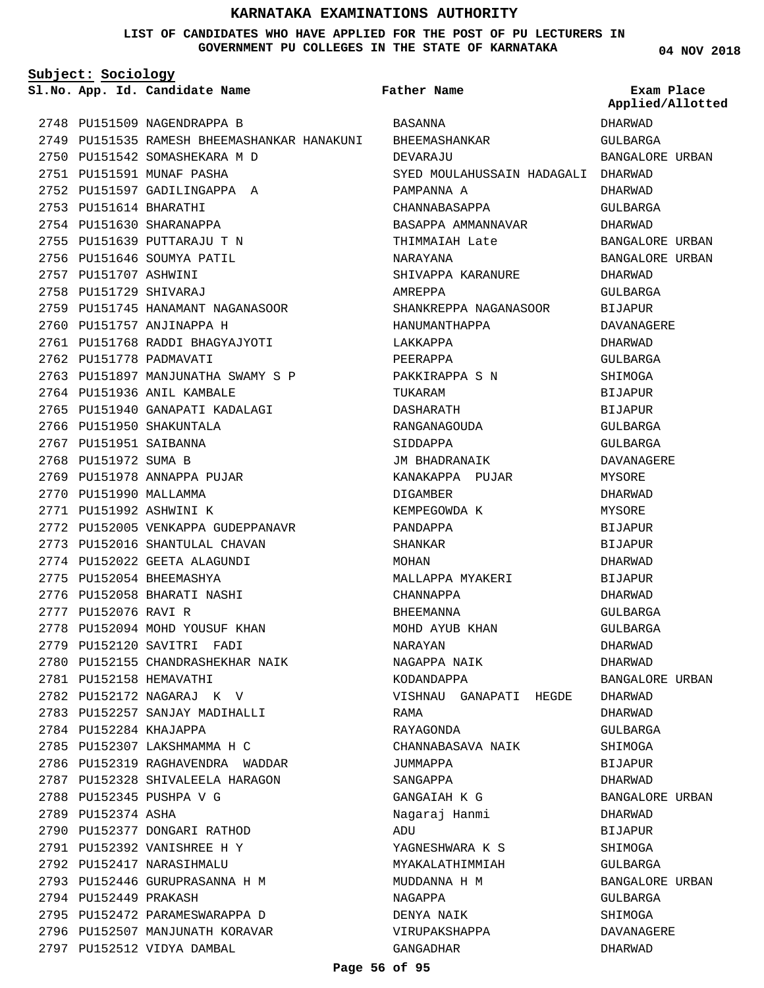## **LIST OF CANDIDATES WHO HAVE APPLIED FOR THE POST OF PU LECTURERS IN GOVERNMENT PU COLLEGES IN THE STATE OF KARNATAKA**

**04 NOV 2018**

| Subject: Sociology     |                                                           |                                    |                                |
|------------------------|-----------------------------------------------------------|------------------------------------|--------------------------------|
|                        | Sl.No. App. Id. Candidate Name                            | Father Name                        | Exam Place<br>Applied/Allotted |
|                        | 2748 PU151509 NAGENDRAPPA B                               | BASANNA                            | DHARWAD                        |
|                        | 2749 PU151535 RAMESH BHEEMASHANKAR HANAKUNI BHEEMASHANKAR |                                    | GULBARGA                       |
|                        | 2750 PU151542 SOMASHEKARA M D                             | DEVARAJU                           | BANGALORE URBAN                |
|                        | 2751 PU151591 MUNAF PASHA                                 | SYED MOULAHUSSAIN HADAGALI DHARWAD |                                |
|                        | 2752 PU151597 GADILINGAPPA A                              | PAMPANNA A                         | DHARWAD                        |
| 2753 PU151614 BHARATHI |                                                           | CHANNABASAPPA                      | GULBARGA                       |
|                        | 2754 PU151630 SHARANAPPA                                  | BASAPPA AMMANNAVAR                 | DHARWAD                        |
|                        | 2755 PU151639 PUTTARAJU T N                               | THIMMAIAH Late                     | BANGALORE URBAN                |
|                        | 2756 PU151646 SOUMYA PATIL                                | NARAYANA                           | BANGALORE URBAN                |
| 2757 PU151707 ASHWINI  |                                                           | SHIVAPPA KARANURE                  | DHARWAD                        |
| 2758 PU151729 SHIVARAJ |                                                           | AMREPPA                            | GULBARGA                       |
|                        | 2759 PU151745 HANAMANT NAGANASOOR                         | SHANKREPPA NAGANASOOR              | BIJAPUR                        |
|                        | 2760 PU151757 ANJINAPPA H                                 | HANUMANTHAPPA                      | DAVANAGERE                     |
|                        | 2761 PU151768 RADDI BHAGYAJYOTI                           | LAKKAPPA                           | DHARWAD                        |
|                        | 2762 PU151778 PADMAVATI                                   | PEERAPPA                           | GULBARGA                       |
|                        | 2763 PU151897 MANJUNATHA SWAMY S P                        | PAKKIRAPPA S N                     | SHIMOGA                        |
|                        | 2764 PU151936 ANIL KAMBALE                                | TUKARAM                            | BIJAPUR                        |
|                        | 2765 PU151940 GANAPATI KADALAGI                           | DASHARATH                          | BIJAPUR                        |
|                        | 2766 PU151950 SHAKUNTALA                                  | RANGANAGOUDA                       | GULBARGA                       |
| 2767 PU151951 SAIBANNA |                                                           | SIDDAPPA                           | GULBARGA                       |
| 2768 PU151972 SUMA B   |                                                           | JM BHADRANAIK                      | DAVANAGERE                     |
|                        | 2769 PU151978 ANNAPPA PUJAR                               | KANAKAPPA PUJAR                    | MYSORE                         |
| 2770 PU151990 MALLAMMA |                                                           | DIGAMBER                           | DHARWAD                        |
|                        | 2771 PU151992 ASHWINI K                                   | KEMPEGOWDA K                       | MYSORE                         |
|                        | 2772 PU152005 VENKAPPA GUDEPPANAVR                        | PANDAPPA                           | BIJAPUR                        |
|                        | 2773 PU152016 SHANTULAL CHAVAN                            | SHANKAR                            | BIJAPUR                        |
|                        | 2774 PU152022 GEETA ALAGUNDI                              | MOHAN                              | DHARWAD                        |
|                        | 2775 PU152054 BHEEMASHYA                                  | MALLAPPA MYAKERI                   | BIJAPUR                        |
|                        | 2776 PU152058 BHARATI NASHI                               | CHANNAPPA                          | DHARWAD                        |
| 2777 PU152076 RAVI R   |                                                           | BHEEMANNA                          | GULBARGA                       |
|                        | 2778 PU152094 MOHD YOUSUF KHAN                            | MOHD AYUB KHAN                     | <b>GULBARGA</b>                |
|                        | 2779 PU152120 SAVITRI FADI                                | NARAYAN                            | DHARWAD                        |
|                        | 2780 PU152155 CHANDRASHEKHAR NAIK                         | NAGAPPA NAIK                       | DHARWAD                        |
|                        | 2781 PU152158 HEMAVATHI                                   | KODANDAPPA                         | BANGALORE URBAN                |
|                        | 2782 PU152172 NAGARAJ K V                                 | VISHNAU GANAPATI HEGDE             | DHARWAD                        |
|                        | 2783 PU152257 SANJAY MADIHALLI                            | RAMA                               | DHARWAD                        |
|                        | 2784 PU152284 KHAJAPPA                                    | RAYAGONDA                          | GULBARGA                       |
|                        | 2785 PU152307 LAKSHMAMMA H C                              | CHANNABASAVA NAIK                  | SHIMOGA                        |
|                        | 2786 PU152319 RAGHAVENDRA WADDAR                          | JUMMAPPA                           | <b>BIJAPUR</b>                 |
|                        | 2787 PU152328 SHIVALEELA HARAGON                          | SANGAPPA                           | DHARWAD                        |
|                        | 2788 PU152345 PUSHPA V G                                  | GANGAIAH K G                       | BANGALORE URBAN                |
| 2789 PU152374 ASHA     |                                                           | Naqaraj Hanmi                      | DHARWAD                        |
|                        | 2790 PU152377 DONGARI RATHOD                              | ADU                                | BIJAPUR                        |
|                        | 2791 PU152392 VANISHREE H Y                               | YAGNESHWARA K S                    | SHIMOGA                        |
|                        | 2792 PU152417 NARASIHMALU                                 | MYAKALATHIMMIAH                    | GULBARGA                       |
|                        | 2793 PU152446 GURUPRASANNA H M                            | MUDDANNA H M                       | BANGALORE URBAN                |
| 2794 PU152449 PRAKASH  |                                                           | NAGAPPA                            | GULBARGA                       |
|                        | 2795 PU152472 PARAMESWARAPPA D                            | DENYA NAIK                         | SHIMOGA                        |
|                        | 2796 PU152507 MANJUNATH KORAVAR                           | VIRUPAKSHAPPA                      | DAVANAGERE                     |
|                        | 2797 PU152512 VIDYA DAMBAL                                | GANGADHAR                          | DHARWAD                        |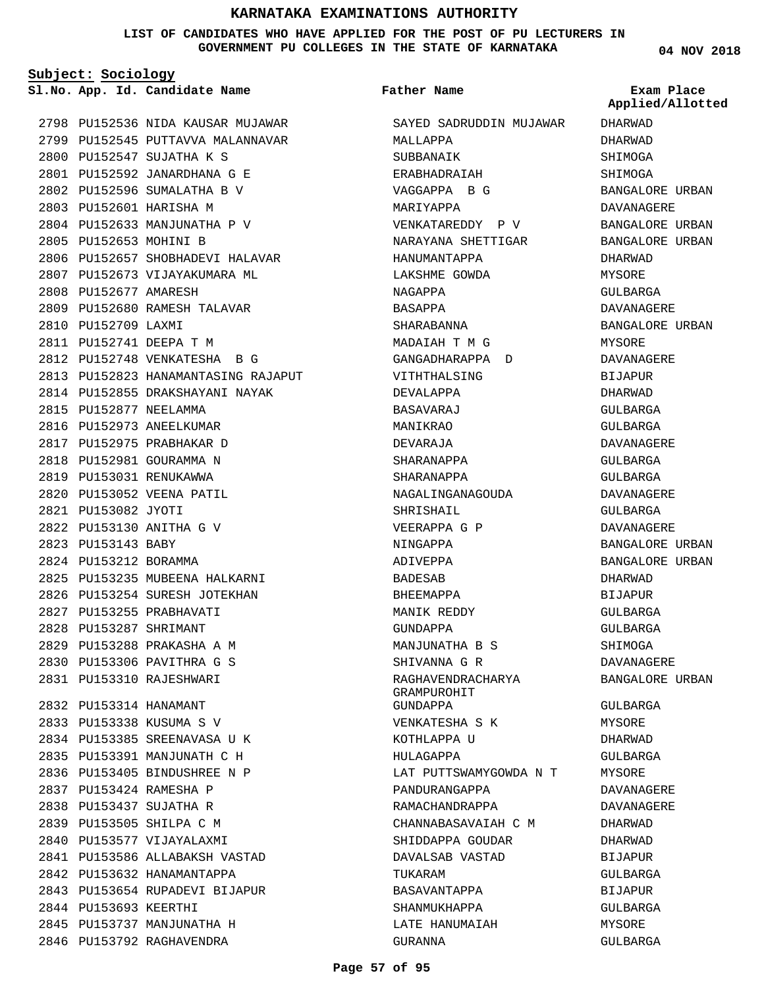## **LIST OF CANDIDATES WHO HAVE APPLIED FOR THE POST OF PU LECTURERS IN GOVERNMENT PU COLLEGES IN THE STATE OF KARNATAKA**

**Father Name**

**Subject: Sociology**

**App. Id. Candidate Name Sl.No. Exam Place**

2798 PU152536 NIDA KAUSAR MUJAWAR 2799 PU152545 PUTTAVVA MALANNAVAR PU152547 SUJATHA K S 2800 PU152592 JANARDHANA G E 2801 PU152596 SUMALATHA B V 2802 2803 PU152601 HARISHA M 2804 PU152633 MANJUNATHA P V 2805 PU152653 MOHINI B 2806 PU152657 SHOBHADEVI HALAVAR 2807 PU152673 VIJAYAKUMARA ML 2808 PU152677 AMARESH 2809 PU152680 RAMESH TALAVAR 2810 PU152709 LAXMI PU152741 DEEPA T M 2811 PU152748 VENKATESHA B G 2812 2813 PU152823 HANAMANTASING RAJAPUT 2814 PU152855 DRAKSHAYANI NAYAK 2815 PU152877 NEELAMMA 2816 PU152973 ANEELKUMAR PU152975 PRABHAKAR D 2817 2818 PU152981 GOURAMMA N 2819 PU153031 RENUKAWWA 2820 PU153052 VEENA PATIL PU153082 JYOTI 2821 PU153130 ANITHA G V 2822 2823 PU153143 BABY 2824 PU153212 BORAMMA 2825 PU153235 MUBEENA HALKARNI 2826 PU153254 SURESH JOTEKHAN 2827 PU153255 PRABHAVATI PU153287 SHRIMANT 2828 PU153288 PRAKASHA A M 2829 PU153306 PAVITHRA G S 2830 PU153310 RAJESHWARI 2831 PU153314 HANAMANT 2832 PU153338 KUSUMA S V 2833 2834 PU153385 SREENAVASA U K PU153391 MANJUNATH C H 2835 2836 PU153405 BINDUSHREE N P PU153424 RAMESHA P 2837 2838 PU153437 SUJATHA R 2839 PU153505 SHILPA C M 2840 PU153577 VIJAYALAXMI PU153586 ALLABAKSH VASTAD 2841 2842 PU153632 HANAMANTAPPA 2843 PU153654 RUPADEVI BIJAPUR 2844 PU153693 KEERTHI 2845 PU153737 MANJUNATHA H 2846 PU153792 RAGHAVENDRA

SAYED SADRUDDIN MUJAWAR MALLAPPA SUBBANAIK ERABHADRAIAH VAGGAPPA B G MARIYAPPA VENKATAREDDY P V NARAYANA SHETTIGAR HANUMANTAPPA LAKSHME GOWDA NAGAPPA BASAPPA SHARABANNA MADAIAH T M G GANGADHARAPPA D VITHTHALSING DEVALAPPA BASAVARAJ MANIKRAO DEVARAJA SHARANAPPA SHARANAPPA NAGALINGANAGOUDA SHRISHAIL VEERAPPA G P NINGAPPA ADIVEPPA BADESAB BHEEMAPPA MANIK REDDY GUNDAPPA MANJUNATHA B S SHIVANNA G R RAGHAVENDRACHARYA GRAMPUROHIT GUNDAPPA VENKATESHA S K KOTHLAPPA U HULAGAPPA LAT PUTTSWAMYGOWDA N T PANDURANGAPPA RAMACHANDRAPPA CHANNABASAVAIAH C M SHIDDAPPA GOUDAR DAVALSAB VASTAD TUKARAM BASAVANTAPPA SHANMUKHAPPA LATE HANUMAIAH GURANNA

**04 NOV 2018**

DHARWAD DHARWAD **SHIMOGA** SHIMOGA BANGALORE URBAN DAVANAGERE BANGALORE URBAN BANGALORE URBAN DHARWAD MYSORE GULBARGA DAVANAGERE BANGALORE URBAN MYSORE DAVANAGERE BIJAPUR DHARWAD GULBARGA GULBARGA DAVANAGERE GULBARGA GULBARGA DAVANAGERE GULBARGA DAVANAGERE BANGALORE URBAN BANGALORE URBAN DHARWAD BIJAPUR GULBARGA GULBARGA **SHIMOGA** DAVANAGERE BANGALORE URBAN GULBARGA MYSORE DHARWAD GULBARGA MYSORE DAVANAGERE DAVANAGERE DHARWAD DHARWAD BIJAPUR GULBARGA BIJAPUR GULBARGA MYSORE GULBARGA **Applied/Allotted**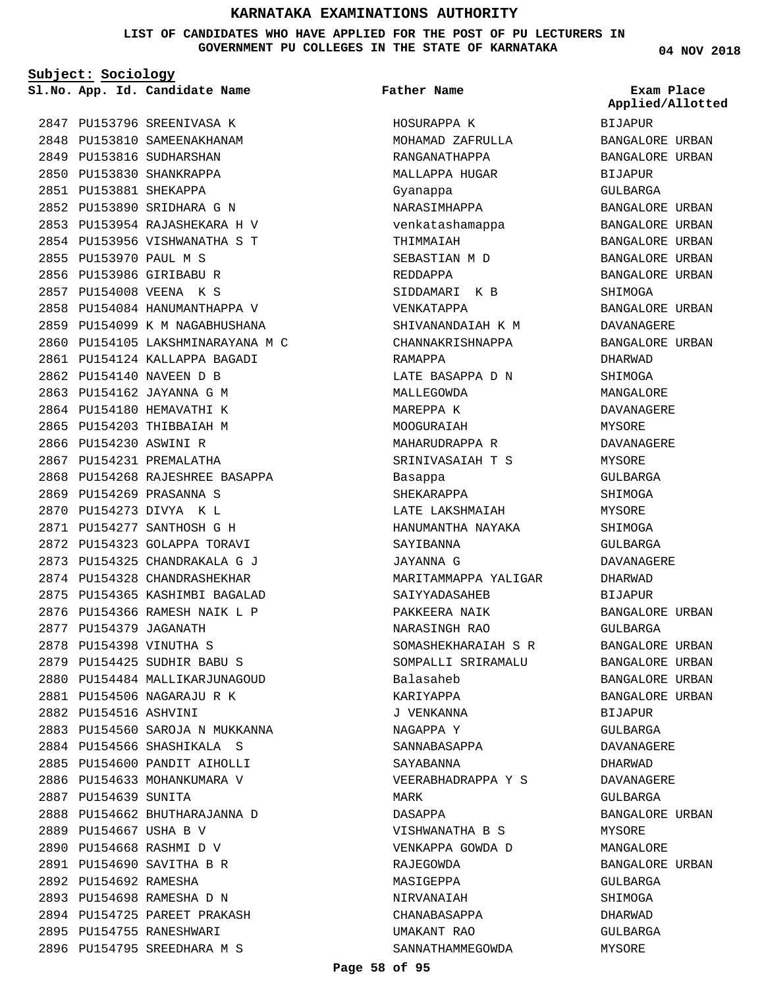**LIST OF CANDIDATES WHO HAVE APPLIED FOR THE POST OF PU LECTURERS IN GOVERNMENT PU COLLEGES IN THE STATE OF KARNATAKA**

**Subject: Sociology**

**App. Id. Candidate Name Sl.No. Exam Place**

2847 PU153796 SREENIVASA K 2848 PU153810 SAMEENAKHANAM 2849 PU153816 SUDHARSHAN 2850 PU153830 SHANKRAPPA PU153881 SHEKAPPA 2851 2852 PU153890 SRIDHARA G N 2853 PU153954 RAJASHEKARA H V PU153956 VISHWANATHA S T 2854 PU153970 PAUL M S 2855 2856 PU153986 GIRIBABU R 2857 PU154008 VEENA K S 2858 PU154084 HANUMANTHAPPA V 2859 PU154099 K M NAGABHUSHANA 2860 PU154105 LAKSHMINARAYANA M C 2861 PU154124 KALLAPPA BAGADI 2862 PU154140 NAVEEN D B 2863 PU154162 JAYANNA G M 2864 PU154180 HEMAVATHI K 2865 PU154203 THIBBAIAH M 2866 PU154230 ASWINI R 2867 PU154231 PREMALATHA 2868 PU154268 RAJESHREE BASAPPA 2869 PU154269 PRASANNA S PU154273 DIVYA K L 2870 PU154277 SANTHOSH G H 2871 2872 PU154323 GOLAPPA TORAVI PU154325 CHANDRAKALA G J 2873 2874 PU154328 CHANDRASHEKHAR 2875 PU154365 KASHIMBI BAGALAD PU154366 RAMESH NAIK L P 2876 2877 PU154379 JAGANATH PU154398 VINUTHA S 2878 PU154425 SUDHIR BABU S 2879 2880 PU154484 MALLIKARJUNAGOUD PU154506 NAGARAJU R K 2881 2882 PU154516 ASHVINI 2883 PU154560 SAROJA N MUKKANNA 2884 PU154566 SHASHIKALA S 2885 PU154600 PANDIT AIHOLLI 2886 PU154633 MOHANKUMARA V 2887 PU154639 SUNITA 2888 PU154662 BHUTHARAJANNA D 2889 PU154667 USHA B V PU154668 RASHMI D V 2890 PU154690 SAVITHA B R 2891 2892 PU154692 RAMESHA 2893 PU154698 RAMESHA D N 2894 PU154725 PAREET PRAKASH 2895 PU154755 RANESHWARI 2896 PU154795 SREEDHARA M S

# **Father Name**

HOSURAPPA K MOHAMAD ZAFRULLA RANGANATHAPPA MALLAPPA HUGAR Gyanappa NARASIMHAPPA venkatashamappa THIMMAIAH SEBASTIAN M D REDDAPPA SIDDAMARI K B VENKATAPPA SHIVANANDAIAH K M CHANNAKRISHNAPPA RAMAPPA LATE BASAPPA D N MALLEGOWDA MAREPPA K MOOGURAIAH MAHARUDRAPPA R SRINIVASAIAH T S Basappa SHEKARAPPA LATE LAKSHMAIAH HANUMANTHA NAYAKA SAYIBANNA JAYANNA G MARITAMMAPPA YALIGAR SAIYYADASAHEB PAKKEERA NAIK NARASINGH RAO SOMASHEKHARAIAH S R SOMPALLI SRIRAMALU Balasaheb KARIYAPPA J VENKANNA NAGAPPA Y SANNABASAPPA SAYABANNA VEERABHADRAPPA Y S MARK DASAPPA VISHWANATHA B S VENKAPPA GOWDA D RAJEGOWDA MASIGEPPA NIRVANAIAH CHANABASAPPA UMAKANT RAO SANNATHAMMEGOWDA

**04 NOV 2018**

BIJAPUR BANGALORE URBAN BANGALORE URBAN BIJAPUR GULBARGA BANGALORE URBAN BANGALORE URBAN BANGALORE URBAN BANGALORE URBAN BANGALORE URBAN SHIMOGA BANGALORE URBAN DAVANAGERE BANGALORE URBAN DHARWAD SHIMOGA MANGALORE DAVANAGERE MYSORE DAVANAGERE MYSORE GULBARGA SHIMOGA MYSORE SHIMOGA GULBARGA DAVANAGERE DHARWAD BIJAPUR BANGALORE URBAN GULBARGA BANGALORE URBAN BANGALORE URBAN BANGALORE URBAN BANGALORE URBAN BIJAPUR GULBARGA DAVANAGERE DHARWAD DAVANAGERE GULBARGA BANGALORE URBAN MYSORE MANGALORE BANGALORE URBAN GULBARGA SHIMOGA DHARWAD GULBARGA MYSORE **Applied/Allotted**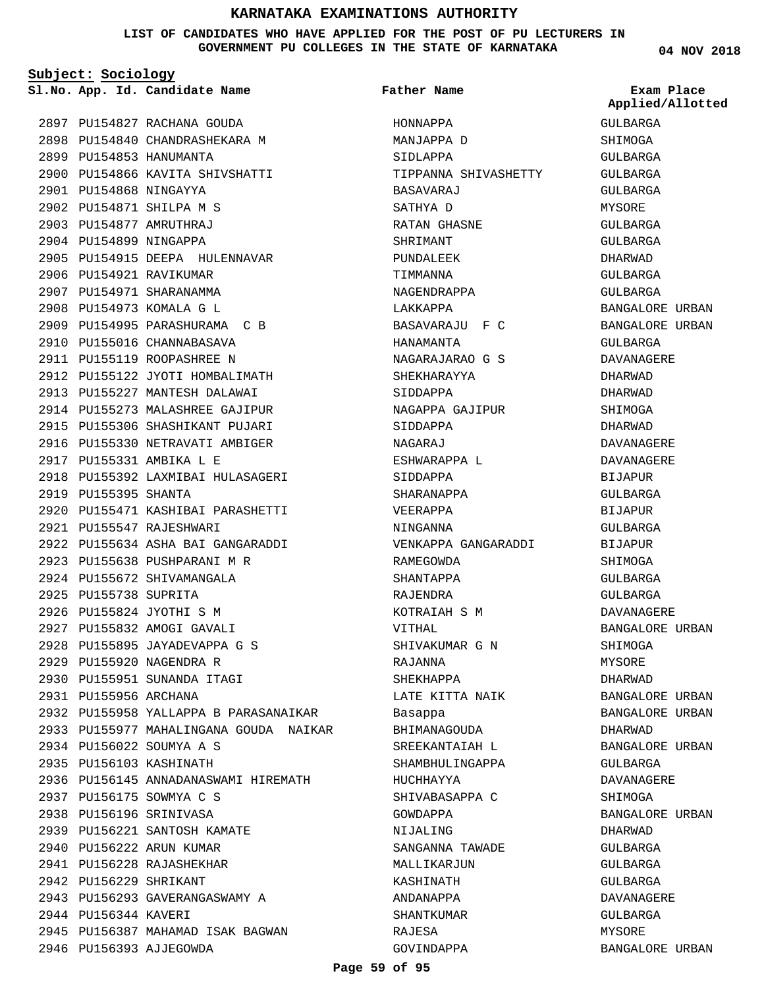## **LIST OF CANDIDATES WHO HAVE APPLIED FOR THE POST OF PU LECTURERS IN GOVERNMENT PU COLLEGES IN THE STATE OF KARNATAKA**

**Subject: Sociology**

**App. Id. Candidate Name Sl.No. Exam Place**

2897 PU154827 RACHANA GOUDA 2898 PU154840 CHANDRASHEKARA M

PU154866 KAVITA SHIVSHATTI 2900

2905 PU154915 DEEPA HULENNAVAR

2909 PU154995 PARASHURAMA C B 2910 PU155016 CHANNABASAVA 2911 PU155119 ROOPASHREE N

2912 PU155122 JYOTI HOMBALIMATH 2913 PU155227 MANTESH DALAWAI 2914 PU155273 MALASHREE GAJIPUR 2915 PU155306 SHASHIKANT PUJARI 2916 PU155330 NETRAVATI AMBIGER

2918 PU155392 LAXMIBAI HULASAGERI

PU155471 KASHIBAI PARASHETTI 2920

PU155634 ASHA BAI GANGARADDI 2922

2932 PU155958 YALLAPPA B PARASANAIKAR 2933 PU155977 MAHALINGANA GOUDA NAIKAR

2936 PU156145 ANNADANASWAMI HIREMATH

2899 PU154853 HANUMANTA

PU154868 NINGAYYA 2901 2902 PU154871 SHILPA M S PU154877 AMRUTHRAJ 2903 2904 PU154899 NINGAPPA

2906 PU154921 RAVIKUMAR 2907 PU154971 SHARANAMMA 2908 PU154973 KOMALA G L

2917 PU155331 AMBIKA L E

PU155547 RAJESHWARI 2921

2923 PU155638 PUSHPARANI M R 2924 PU155672 SHIVAMANGALA

2919 PU155395 SHANTA

2925 PU155738 SUPRITA 2926 PU155824 JYOTHI S M 2927 PU155832 AMOGI GAVALI PU155895 JAYADEVAPPA G S 2928

2929 PU155920 NAGENDRA R 2930 PU155951 SUNANDA ITAGI

PU156022 SOUMYA A S 2934 2935 PU156103 KASHINATH

PU156175 SOWMYA C S 2937 2938 PU156196 SRINIVASA

2944 PU156344 KAVERI

2946 PU156393 AJJEGOWDA

2939 PU156221 SANTOSH KAMATE 2940 PU156222 ARUN KUMAR PU156228 RAJASHEKHAR 2941 2942 PU156229 SHRIKANT

2943 PU156293 GAVERANGASWAMY A

2945 PU156387 MAHAMAD ISAK BAGWAN

2931 PU155956 ARCHANA

**Father Name**

TIPPANNA SHIVASHETTY

BASAVARAJU F C

NAGARAJARAO G S SHEKHARAYYA SIDDAPPA

NAGAPPA GAJIPUR

VENKAPPA GANGARADDI

HANAMANTA

SIDDAPPA NAGARAJ

RAMEGOWDA SHANTAPPA RAJENDRA

VITHAL

RAJANNA SHEKHAPPA

Basappa

HUCHHAYYA

GOWDAPPA NIJALING

KOTRAIAH S M

SHIVAKUMAR G N

LATE KITTA NAIK

BHIMANAGOUDA SREEKANTAIAH L SHAMBHULINGAPPA

SHIVABASAPPA C

SANGANNA TAWADE MALLIKARJUN KASHINATH ANDANAPPA SHANTKUMAR RAJESA GOVINDAPPA

ESHWARAPPA L SIDDAPPA SHARANAPPA VEERAPPA NINGANNA

HONNAPPA MANJAPPA D SIDLAPPA

BASAVARAJ SATHYA D RATAN GHASNE SHRIMANT PUNDALEEK TIMMANNA NAGENDRAPPA LAKKAPPA

**04 NOV 2018** GULBARGA SHIMOGA GULBARGA GULBARGA GULBARGA MYSORE GULBARGA GULBARGA DHARWAD GULBARGA GULBARGA BANGALORE URBAN BANGALORE URBAN GULBARGA DAVANAGERE DHARWAD DHARWAD SHIMOGA DHARWAD DAVANAGERE DAVANAGERE BIJAPUR GULBARGA BIJAPUR GULBARGA BIJAPUR **SHIMOGA** GULBARGA GULBARGA DAVANAGERE BANGALORE URBAN SHIMOGA MYSORE DHARWAD BANGALORE URBAN BANGALORE URBAN DHARWAD BANGALORE URBAN GULBARGA DAVANAGERE SHIMOGA BANGALORE URBAN **Applied/Allotted**

DHARWAD GULBARGA GULBARGA GULBARGA DAVANAGERE GULBARGA MYSORE

BANGALORE URBAN

**Page 59 of 95**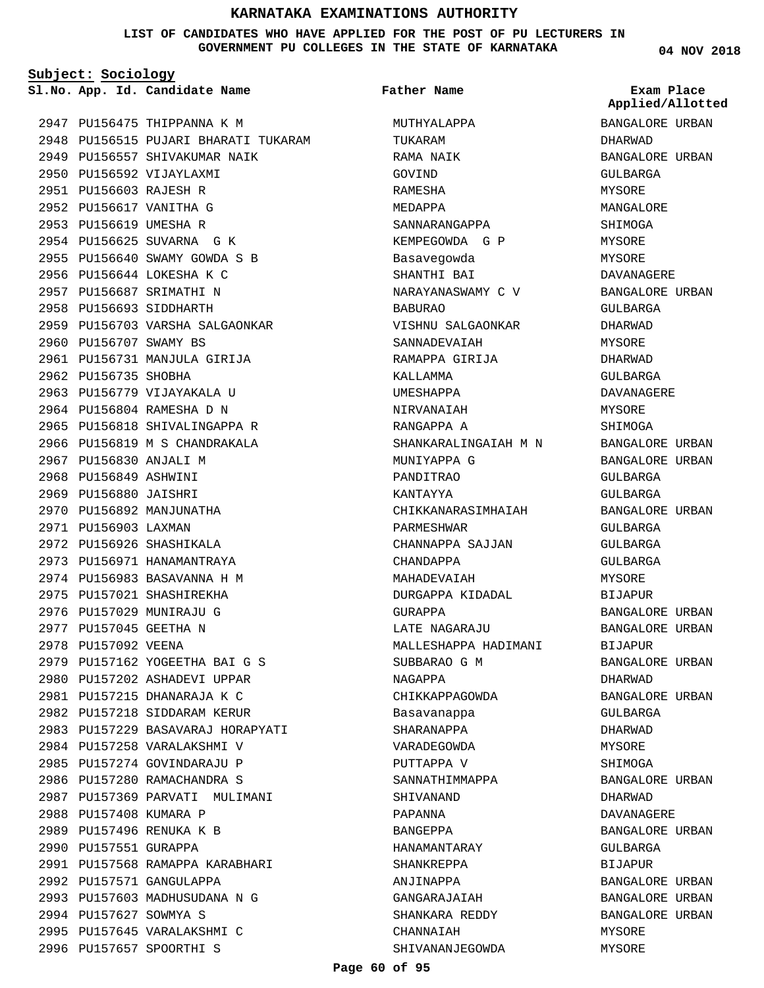## **LIST OF CANDIDATES WHO HAVE APPLIED FOR THE POST OF PU LECTURERS IN GOVERNMENT PU COLLEGES IN THE STATE OF KARNATAKA**

**Subject: Sociology**

2947 PU156475 THIPPANNA K M 2948 PU156515 PUJARI BHARATI TUKARAM 2949 PU156557 SHIVAKUMAR NAIK 2950 PU156592 VIJAYLAXMI PU156603 RAJESH R 2951 2952 PU156617 VANITHA G 2953 PU156619 UMESHA R 2954 PU156625 SUVARNA G K 2955 PU156640 SWAMY GOWDA S B 2956 PU156644 LOKESHA K C 2957 PU156687 SRIMATHI N 2958 PU156693 SIDDHARTH 2959 PU156703 VARSHA SALGAONKAR 2960 PU156707 SWAMY BS 2961 PU156731 MANJULA GIRIJA 2962 PU156735 SHOBHA 2963 PU156779 VIJAYAKALA U 2964 PU156804 RAMESHA D N 2965 PU156818 SHIVALINGAPPA R 2966 PU156819 M S CHANDRAKALA 2967 PU156830 ANJALI M 2968 PU156849 ASHWINI 2969 PU156880 JAISHRI 2970 PU156892 MANJUNATHA 2971 PU156903 LAXMAN 2972 PU156926 SHASHIKALA 2973 PU156971 HANAMANTRAYA 2974 PU156983 BASAVANNA H M 2975 PU157021 SHASHIREKHA 2976 PU157029 MUNIRAJU G 2977 PU157045 GEETHA N 2978 PU157092 VEENA 2979 PU157162 YOGEETHA BAI G S 2980 PU157202 ASHADEVI UPPAR PU157215 DHANARAJA K C 2981 2982 PU157218 SIDDARAM KERUR 2983 PU157229 BASAVARAJ HORAPYATI 2984 PU157258 VARALAKSHMI V 2985 PU157274 GOVINDARAJU P 2986 PU157280 RAMACHANDRA S 2987 PU157369 PARVATI MULIMANI 2988 PU157408 KUMARA P 2989 PU157496 RENUKA K B 2990 PU157551 GURAPPA 2991 PU157568 RAMAPPA KARABHARI 2992 PU157571 GANGULAPPA 2993 PU157603 MADHUSUDANA N G 2994 PU157627 SOWMYA S 2995 PU157645 VARALAKSHMI C 2996 PU157657 SPOORTHI S

**App. Id. Candidate Name Sl.No. Exam Place** MUTHYALAPPA TUKARAM RAMA NAIK GOVIND RAMESHA MEDAPPA SANNARANGAPPA KEMPEGOWDA G P Basavegowda SHANTHI BAI NARAYANASWAMY C V BABURAO VISHNU SALGAONKAR SANNADEVAIAH RAMAPPA GIRIJA KALLAMMA UMESHAPPA NIRVANAIAH RANGAPPA A SHANKARALINGAIAH M N MUNIYAPPA G PANDITRAO KANTAYYA CHIKKANARASIMHAIAH PARMESHWAR CHANNAPPA SAJJAN CHANDAPPA MAHADEVAIAH DURGAPPA KIDADAL GURAPPA LATE NAGARAJU MALLESHAPPA HADIMANI SUBBARAO G M NAGAPPA CHIKKAPPAGOWDA Basavanappa SHARANAPPA VARADEGOWDA PUTTAPPA V SANNATHIMMAPPA SHIVANAND PAPANNA BANGEPPA HANAMANTARAY SHANKREPPA ANJINAPPA GANGARAJAIAH SHANKARA REDDY CHANNAIAH SHIVANANJEGOWDA **Father Name**

**04 NOV 2018**

BANGALORE URBAN DHARWAD BANGALORE URBAN GULBARGA MYSORE MANGALORE SHIMOGA MYSORE MYSORE DAVANAGERE BANGALORE URBAN GULBARGA DHARWAD MYSORE DHARWAD GULBARGA DAVANAGERE MYSORE SHIMOGA BANGALORE URBAN BANGALORE URBAN GULBARGA GULBARGA BANGALORE URBAN GULBARGA GULBARGA  $CITIRARGA$ MYSORE BIJAPUR BANGALORE URBAN BANGALORE URBAN BIJAPUR BANGALORE URBAN DHARWAD BANGALORE URBAN GULBARGA DHARWAD MYSORE SHIMOGA BANGALORE URBAN DHARWAD DAVANAGERE BANGALORE URBAN GULBARGA BIJAPUR BANGALORE URBAN BANGALORE URBAN BANGALORE URBAN MYSORE MYSORE **Applied/Allotted**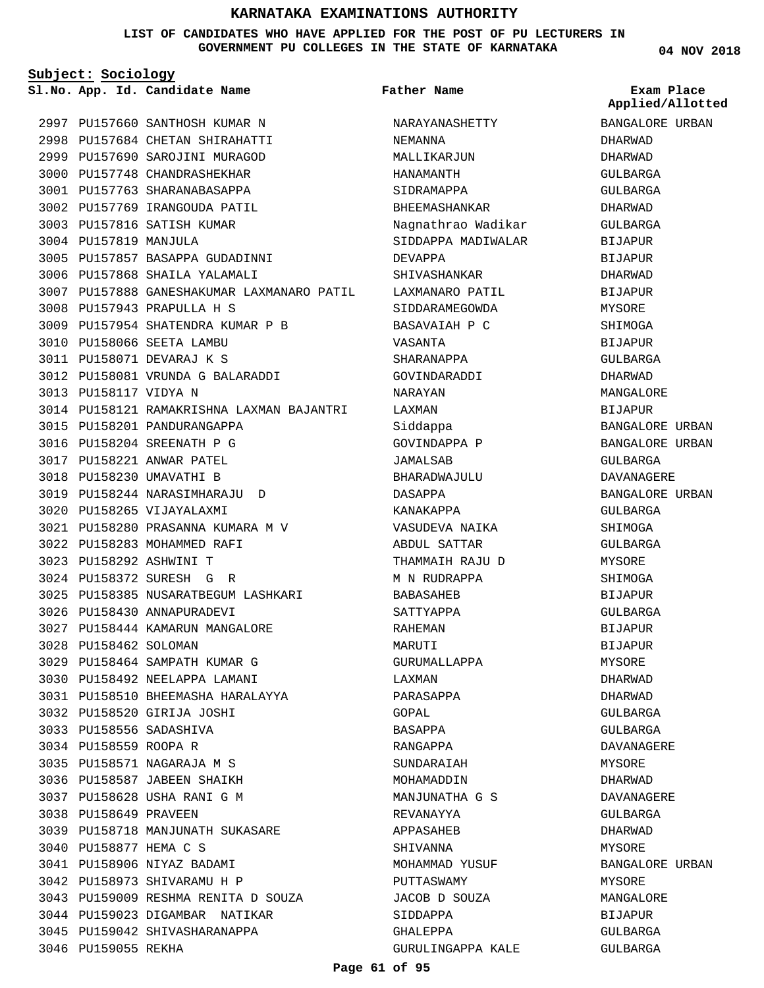**LIST OF CANDIDATES WHO HAVE APPLIED FOR THE POST OF PU LECTURERS IN GOVERNMENT PU COLLEGES IN THE STATE OF KARNATAKA**

**Subject: Sociology**

**App. Id. Candidate Name Sl.No. Exam Place**

3004 PU157819 MANJULA

2997 PU157660 SANTHOSH KUMAR N PU157684 CHETAN SHIRAHATTI 2998 2999 PU157690 SAROJINI MURAGOD 3000 PU157748 CHANDRASHEKHAR 3001 PU157763 SHARANABASAPPA 3002 PU157769 IRANGOUDA PATIL 3003 PU157816 SATISH KUMAR

3005 PU157857 BASAPPA GUDADINNI 3006 PU157868 SHAILA YALAMALI

PU157954 SHATENDRA KUMAR P B 3009

PU158081 VRUNDA G BALARADDI 3012

PU157943 PRAPULLA H S 3008

3010 PU158066 SEETA LAMBU PU158071 DEVARAJ K S 3011

3015 PU158201 PANDURANGAPPA PU158204 SREENATH P G 3016 3017 PU158221 ANWAR PATEL 3018 PU158230 UMAVATHI B

PU158244 NARASIMHARAJU D 3019

PU158280 PRASANNA KUMARA M V 3021

3025 PU158385 NUSARATBEGUM LASHKARI

PU158444 KAMARUN MANGALORE 3027

PU158464 SAMPATH KUMAR G 3029 3030 PU158492 NEELAPPA LAMANI PU158510 BHEEMASHA HARALAYYA 3031

3020 PU158265 VIJAYALAXMI

3022 PU158283 MOHAMMED RAFI PU158292 ASHWINI T 3023 PU158372 SURESH G R 3024

3026 PU158430 ANNAPURADEVI

PU158520 GIRIJA JOSHI 3032 PU158556 SADASHIVA 3033 3034 PU158559 ROOPA R

PU158571 NAGARAJA M S 3035 3036 PU158587 JABEEN SHAIKH PU158628 USHA RANI G M 3037

PU158718 MANJUNATH SUKASARE 3039

3043 PU159009 RESHMA RENITA D SOUZA 3044 PU159023 DIGAMBAR NATIKAR 3045 PU159042 SHIVASHARANAPPA

3038 PU158649 PRAVEEN

PU158877 HEMA C S 3040 3041 PU158906 NIYAZ BADAMI 3042 PU158973 SHIVARAMU H P

3046 PU159055 REKHA

3028 PU158462 SOLOMAN

3013 PU158117 VIDYA N

3007 PU157888 GANESHAKUMAR LAXMANARO PATIL

3014 PU158121 RAMAKRISHNA LAXMAN BAJANTRI

```
Father Name
```
NEMANNA

DEVAPPA

VASANTA SHARANAPPA GOVINDARADDI NARAYAN LAXMAN Siddappa GOVINDAPPA P JAMALSAB

SHIVASHANKAR LAXMANARO PATIL SIDDARAMEGOWDA BASAVAIAH P C

BHARADWAJULU

GURUMALLAPPA

LAXMAN PARASAPPA GOPAL BASAPPA RANGAPPA SUNDARAIAH MOHAMADDIN MANJUNATHA G S

REVANAYYA APPASAHEB SHIVANNA

PUTTASWAMY

SIDDAPPA GHALEPPA

MOHAMMAD YUSUF

JACOB D SOUZA

GURULINGAPPA KALE

DASAPPA KANAKAPPA VASUDEVA NAIKA ABDUL SATTAR THAMMAIH RAJU D M N RUDRAPPA BABASAHEB SATTYAPPA RAHEMAN MARUTI

NARAYANASHETTY

Nagnathrao Wadikar SIDDAPPA MADIWALAR

MALLIKARJUN HANAMANTH SIDRAMAPPA BHEEMASHANKAR

BANGALORE URBAN DHARWAD DHARWAD GULBARGA GULBARGA DHARWAD GULBARGA BIJAPUR BIJAPUR DHARWAD BIJAPUR MYSORE SHIMOGA BIJAPUR GULBARGA DHARWAD MANGALORE BIJAPUR BANGALORE URBAN BANGALORE URBAN GULBARGA DAVANAGERE BANGALORE URBAN GULBARGA SHIMOGA GULBARGA **MYSORE** SHIMOGA BIJAPUR GULBARGA BIJAPUR BIJAPUR MYSORE DHARWAD DHARWAD GULBARGA GULBARGA DAVANAGERE MYSORE DHARWAD DAVANAGERE GULBARGA DHARWAD **MYSORE** BANGALORE URBAN MYSORE MANGALORE BIJAPUR GULBARGA **Applied/Allotted**

GULBARGA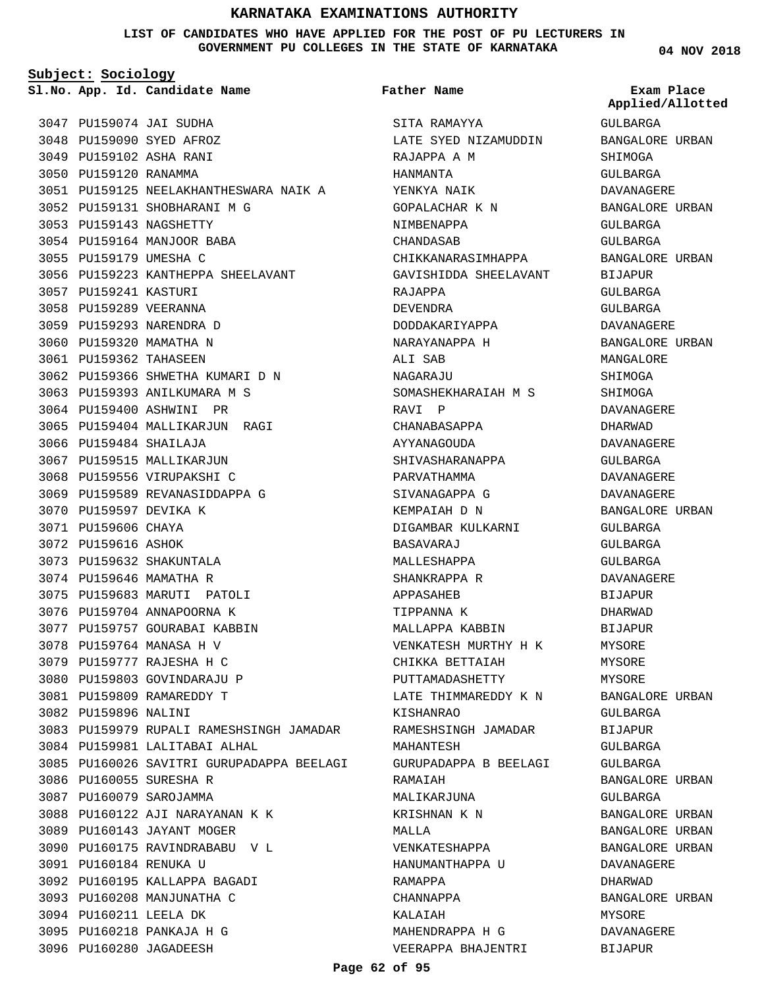**LIST OF CANDIDATES WHO HAVE APPLIED FOR THE POST OF PU LECTURERS IN GOVERNMENT PU COLLEGES IN THE STATE OF KARNATAKA**

**Father Name**

**Subject: Sociology**

**App. Id. Candidate Name Sl.No. Exam Place**

3047 PU159074 JAI SUDHA 3048 PU159090 SYED AFROZ PU159102 ASHA RANI 3049 3050 PU159120 RANAMMA PU159125 NEELAKHANTHESWARA NAIK A 3051 3052 PU159131 SHOBHARANI M G 3053 PU159143 NAGSHETTY 3054 PU159164 MANJOOR BABA 3055 PU159179 UMESHA C 3056 PU159223 KANTHEPPA SHEELAVANT 3057 PU159241 KASTURI 3058 PU159289 VEERANNA 3059 PU159293 NARENDRA D 3060 PU159320 MAMATHA N 3061 PU159362 TAHASEEN PU159366 SHWETHA KUMARI D N 3062 3063 PU159393 ANILKUMARA M S 3064 PU159400 ASHWINI PR 3065 PU159404 MALLIKARJUN RAGI 3066 PU159484 SHAILAJA 3067 PU159515 MALLIKARJUN 3068 PU159556 VIRUPAKSHI C 3069 PU159589 REVANASIDDAPPA G 3070 PU159597 DEVIKA K 3071 PU159606 CHAYA 3072 PU159616 ASHOK 3073 PU159632 SHAKUNTALA 3074 PU159646 MAMATHA R 3075 PU159683 MARUTI PATOLI 3076 PU159704 ANNAPOORNA K 3077 PU159757 GOURABAI KABBIN 3078 PU159764 MANASA H V PU159777 RAJESHA H C 3079 3080 PU159803 GOVINDARAJU P PU159809 RAMAREDDY T 3081 3082 PU159896 NALINI 3083 PU159979 RUPALI RAMESHSINGH JAMADAR 3084 PU159981 LALITABAI ALHAL 3085 PU160026 SAVITRI GURUPADAPPA BEELAGI 3086 PU160055 SURESHA R 3087 PU160079 SAROJAMMA PU160122 AJI NARAYANAN K K 3088 3089 PU160143 JAYANT MOGER 3090 PU160175 RAVINDRABABU V L PU160184 RENUKA U 3091 3092 PU160195 KALLAPPA BAGADI 3093 PU160208 MANJUNATHA C 3094 PU160211 LEELA DK PU160218 PANKAJA H G 3095 3096 PU160280 JAGADEESH

# SITA RAMAYYA LATE SYED NIZAMUDDIN RAJAPPA A M HANMANTA YENKYA NAIK GOPALACHAR K N NIMBENAPPA CHANDASAB CHIKKANARASIMHAPPA GAVISHIDDA SHEELAVANT RAJAPPA DEVENDRA DODDAKARIYAPPA NARAYANAPPA H ALI SAB NAGARAJU SOMASHEKHARAIAH M S RAVI P CHANABASAPPA AYYANAGOUDA SHIVASHARANAPPA PARVATHAMMA SIVANAGAPPA G KEMPAIAH D N DIGAMBAR KULKARNI BASAVARAJ MALLESHAPPA SHANKRAPPA R APPASAHEB TIPPANNA K MALLAPPA KABBIN VENKATESH MURTHY H K CHIKKA BETTAIAH PUTTAMADASHETTY LATE THIMMAREDDY K N KISHANRAO RAMESHSINGH JAMADAR MAHANTESH GURUPADAPPA B BEELAGI RAMAIAH MALIKARJUNA KRISHNAN K N MALLA VENKATESHAPPA HANUMANTHAPPA U RAMAPPA

**04 NOV 2018**

**Applied/Allotted**

GULBARGA BANGALORE URBAN SHIMOGA GULBARGA DAVANAGERE BANGALORE URBAN GULBARGA GULBARGA BANGALORE URBAN BIJAPUR GULBARGA GULBARGA DAVANAGERE BANGALORE URBAN MANGALORE SHIMOGA SHIMOGA DAVANAGERE DHARWAD DAVANAGERE GULBARGA DAVANAGERE DAVANAGERE BANGALORE URBAN GULBARGA GULBARGA GULBARGA DAVANAGERE BIJAPUR DHARWAD BIJAPUR MYSORE MYSORE MYSORE BANGALORE URBAN  $CIII.RAPC2$ BIJAPUR GULBARGA GULBARGA BANGALORE URBAN GULBARGA BANGALORE URBAN BANGALORE URBAN BANGALORE URBAN DAVANAGERE DHARWAD BANGALORE URBAN MYSORE DAVANAGERE BIJAPUR

CHANNAPPA KALAIAH

MAHENDRAPPA H G VEERAPPA BHAJENTRI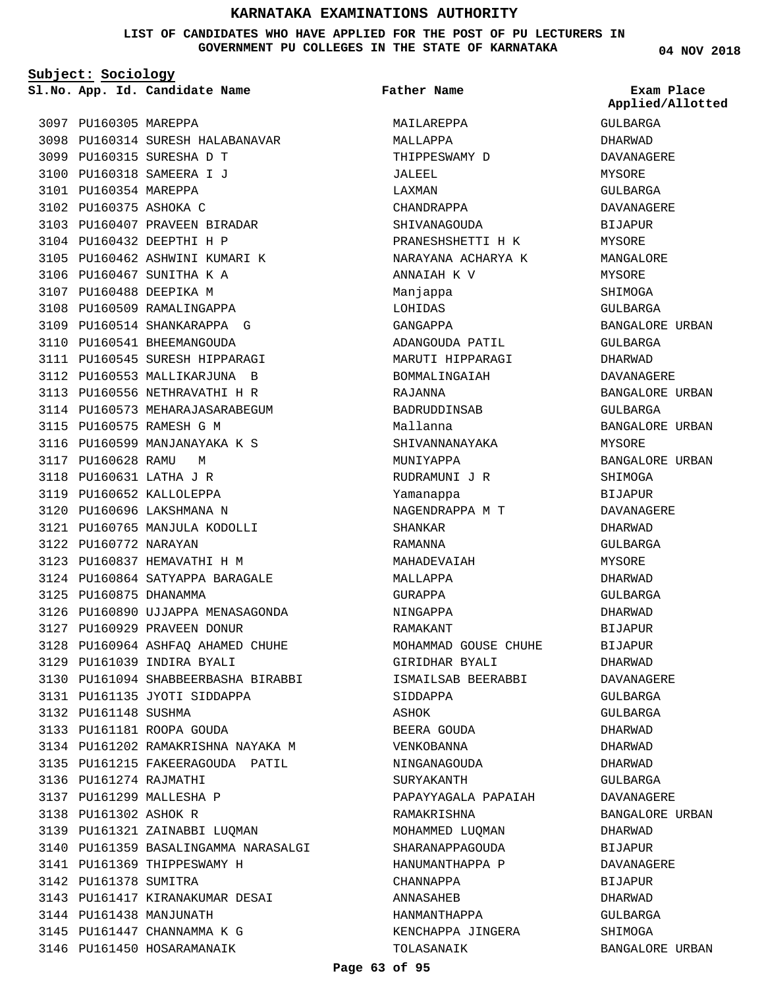## **LIST OF CANDIDATES WHO HAVE APPLIED FOR THE POST OF PU LECTURERS IN GOVERNMENT PU COLLEGES IN THE STATE OF KARNATAKA**

**Subject: Sociology**

**App. Id. Candidate Name Sl.No. Exam Place**

PU160315 SURESHA D T 3099 PU160318 SAMEERA I J 3100 3101 PU160354 MAREPPA 3102 PU160375 ASHOKA C

PU160314 SURESH HALABANAVAR 3098

3103 PU160407 PRAVEEN BIRADAR 3104 PU160432 DEEPTHI H P

3105 PU160462 ASHWINI KUMARI K

3106 PU160467 SUNITHA K A 3107 PU160488 DEEPIKA M 3108 PU160509 RAMALINGAPPA 3109 PU160514 SHANKARAPPA G 3110 PU160541 BHEEMANGOUDA 3111 PU160545 SURESH HIPPARAGI 3112 PU160553 MALLIKARJUNA B 3113 PU160556 NETHRAVATHI H R 3114 PU160573 MEHARAJASARABEGUM

3115 PU160575 RAMESH G M

3117 PU160628 RAMU M PU160631 LATHA J R 3118 3119 PU160652 KALLOLEPPA 3120 PU160696 LAKSHMANA N PU160765 MANJULA KODOLLI 3121

3122 PU160772 NARAYAN

3125 PU160875 DHANAMMA

3132 PU161148 SUSHMA

3136 PU161274 RAJMATHI 3137 PU161299 MALLESHA P 3138 PU161302 ASHOK R

3142 PU161378 SUMITRA

3144 PU161438 MANJUNATH 3145 PU161447 CHANNAMMA K G 3146 PU161450 HOSARAMANAIK

PU160837 HEMAVATHI H M 3123 PU160864 SATYAPPA BARAGALE 3124

3127 PU160929 PRAVEEN DONUR

PU161039 INDIRA BYALI 3129

3133 PU161181 ROOPA GOUDA

3131 PU161135 JYOTI SIDDAPPA

3139 PU161321 ZAINABBI LUQMAN

PU161417 KIRANAKUMAR DESAI 3143

3141 PU161369 THIPPESWAMY H

3126 PU160890 UJJAPPA MENASAGONDA

PU160964 ASHFAQ AHAMED CHUHE 3128

3130 PU161094 SHABBEERBASHA BIRABBI

3134 PU161202 RAMAKRISHNA NAYAKA M 3135 PU161215 FAKEERAGOUDA PATIL

3140 PU161359 BASALINGAMMA NARASALGI

3116 PU160599 MANJANAYAKA K S

3097 PU160305 MAREPPA

**Father Name**

MAILAREPPA MALLAPPA THIPPESWAMY D JALEEL LAXMAN CHANDRAPPA SHIVANAGOUDA PRANESHSHETTI H K NARAYANA ACHARYA K ANNAIAH K V Manjappa LOHIDAS GANGAPPA ADANGOUDA PATIL MARUTI HIPPARAGI BOMMALINGAIAH RAJANNA BADRUDDINSAB Mallanna SHIVANNANAYAKA MUNIYAPPA RUDRAMUNI J R Yamanappa NAGENDRAPPA M T SHANKAR RAMANNA MAHADEVAIAH MALLAPPA GURAPPA NINGAPPA RAMAKANT MOHAMMAD GOUSE CHUHE GIRIDHAR BYALI ISMAILSAB BEERABBI SIDDAPPA **A**SHOK BEERA GOUDA VENKOBANNA NINGANAGOUDA SURYAKANTH PAPAYYAGALA PAPAIAH RAMAKRISHNA MOHAMMED LUQMAN SHARANAPPAGOUDA HANUMANTHAPPA P CHANNAPPA ANNASAHEB HANMANTHAPPA KENCHAPPA JINGERA TOLASANAIK

**04 NOV 2018**

GULBARGA DHARWAD DAVANAGERE MYSORE GULBARGA DAVANAGERE BIJAPUR MYSORE MANGALORE MYSORE SHIMOGA GULBARGA BANGALORE URBAN GULBARGA DHARWAD DAVANAGERE BANGALORE URBAN GULBARGA BANGALORE URBAN MYSORE BANGALORE URBAN SHIMOGA BIJAPUR DAVANAGERE DHARWAD GULBARGA **MYSORE** DHARWAD GULBARGA DHARWAD BIJAPUR BIJAPUR DHARWAD DAVANAGERE GULBARGA GULBARGA DHARWAD DHARWAD DHARWAD GULBARGA DAVANAGERE BANGALORE URBAN DHARWAD BIJAPUR DAVANAGERE BIJAPUR DHARWAD GULBARGA SHIMOGA BANGALORE URBAN **Applied/Allotted**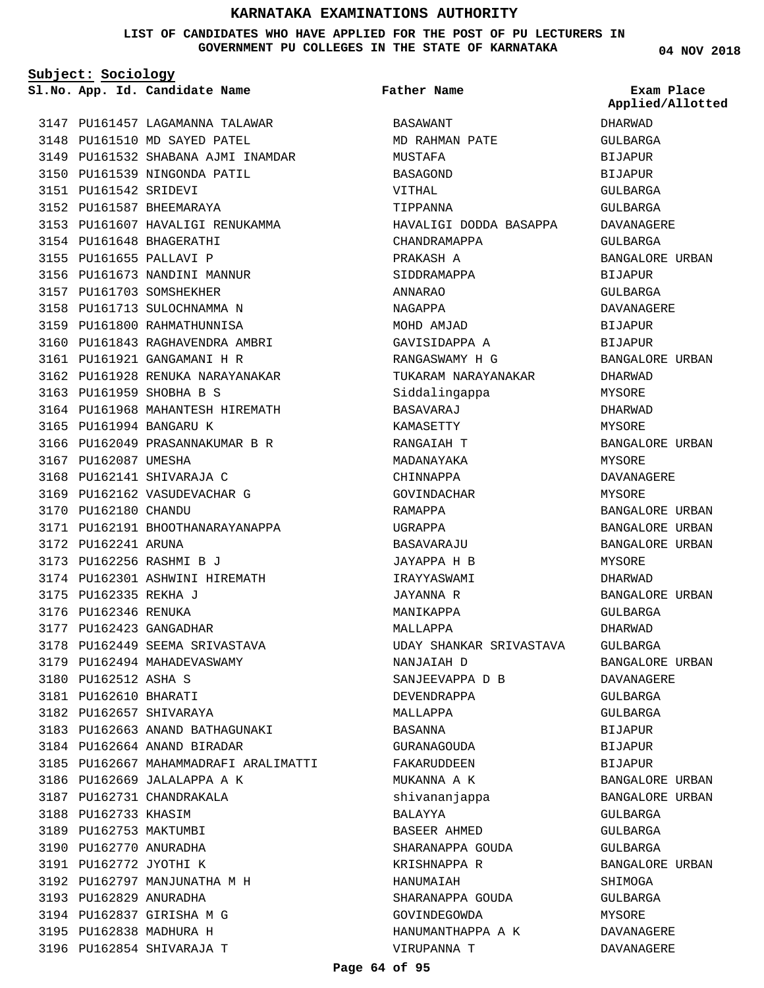## **LIST OF CANDIDATES WHO HAVE APPLIED FOR THE POST OF PU LECTURERS IN GOVERNMENT PU COLLEGES IN THE STATE OF KARNATAKA**

**Subject: Sociology**

**App. Id. Candidate Name Sl.No. Exam Place**

3147 PU161457 LAGAMANNA TALAWAR 3148 PU161510 MD SAYED PATEL 3149 PU161532 SHABANA AJMI INAMDAR 3150 PU161539 NINGONDA PATIL PU161542 SRIDEVI 3151 3152 PU161587 BHEEMARAYA 3153 PU161607 HAVALIGI RENUKAMMA 3154 PU161648 BHAGERATHI 3155 PU161655 PALLAVI P 3156 PU161673 NANDINI MANNUR 3157 PU161703 SOMSHEKHER 3158 PU161713 SULOCHNAMMA N 3159 PU161800 RAHMATHUNNISA 3160 PU161843 RAGHAVENDRA AMBRI PU161921 GANGAMANI H R 3161 3162 PU161928 RENUKA NARAYANAKAR 3163 PU161959 SHOBHA B S 3164 PU161968 MAHANTESH HIREMATH 3165 PU161994 BANGARU K 3166 PU162049 PRASANNAKUMAR B R 3167 PU162087 UMESHA 3168 PU162141 SHIVARAJA C 3169 PU162162 VASUDEVACHAR G 3170 PU162180 CHANDU 3171 PU162191 BHOOTHANARAYANAPPA 3172 PU162241 ARUNA 3173 PU162256 RASHMI B J 3174 PU162301 ASHWINI HIREMATH 3175 PU162335 REKHA J 3176 PU162346 RENUKA 3177 PU162423 GANGADHAR 3178 PU162449 SEEMA SRIVASTAVA 3179 PU162494 MAHADEVASWAMY 3180 PU162512 ASHA S 3181 PU162610 BHARATI 3182 PU162657 SHIVARAYA 3183 PU162663 ANAND BATHAGUNAKI 3184 PU162664 ANAND BIRADAR 3185 PU162667 MAHAMMADRAFI ARALIMATTI 3186 PU162669 JALALAPPA A K 3187 PU162731 CHANDRAKALA 3188 PU162733 KHASIM 3189 PU162753 MAKTUMBI 3190 PU162770 ANURADHA 3191 PU162772 JYOTHI K 3192 PU162797 MANJUNATHA M H 3193 PU162829 ANURADHA 3194 PU162837 GIRISHA M G 3195 PU162838 MADHURA H 3196 PU162854 SHIVARAJA T

BASAWANT MD RAHMAN PATE MUSTAFA BASAGOND VITHAL TIPPANNA HAVALIGI DODDA BASAPPA CHANDRAMAPPA PRAKASH A SIDDRAMAPPA ANNARAO NAGAPPA MOHD AMJAD GAVISIDAPPA A RANGASWAMY H G TUKARAM NARAYANAKAR Siddalingappa BASAVARAJ KAMASETTY RANGAIAH T MADANAYAKA CHINNAPPA GOVINDACHAR RAMAPPA UGRAPPA BASAVARAJU JAYAPPA H B IRAYYASWAMI JAYANNA R MANIKAPPA MALLAPPA UDAY SHANKAR SRIVASTAVA NANJAIAH D SANJEEVAPPA D B DEVENDRAPPA MALLAPPA BASANNA GURANAGOUDA FAKARUDDEEN MUKANNA A K shivananjappa BALAYYA BASEER AHMED SHARANAPPA GOUDA KRISHNAPPA R HANUMAIAH SHARANAPPA GOUDA GOVINDEGOWDA HANUMANTHAPPA A K VIRUPANNA T **Father Name**

**04 NOV 2018**

**Applied/Allotted**

DHARWAD GULBARGA BIJAPUR BIJAPUR GULBARGA GULBARGA DAVANAGERE GULBARGA BANGALORE URBAN BIJAPUR GULBARGA DAVANAGERE BIJAPUR BIJAPUR BANGALORE URBAN DHARWAD MYSORE DHARWAD MYSORE BANGALORE URBAN MYSORE DAVANAGERE MYSORE BANGALORE URBAN BANGALORE URBAN BANGALORE URBAN MYSORE DHARWAD BANGALORE URBAN GULBARGA DHARWAD GULBARGA BANGALORE URBAN DAVANAGERE GULBARGA GULBARGA BIJAPUR BIJAPUR BIJAPUR BANGALORE URBAN BANGALORE URBAN GULBARGA GULBARGA GULBARGA BANGALORE URBAN SHIMOGA GULBARGA MYSORE DAVANAGERE DAVANAGERE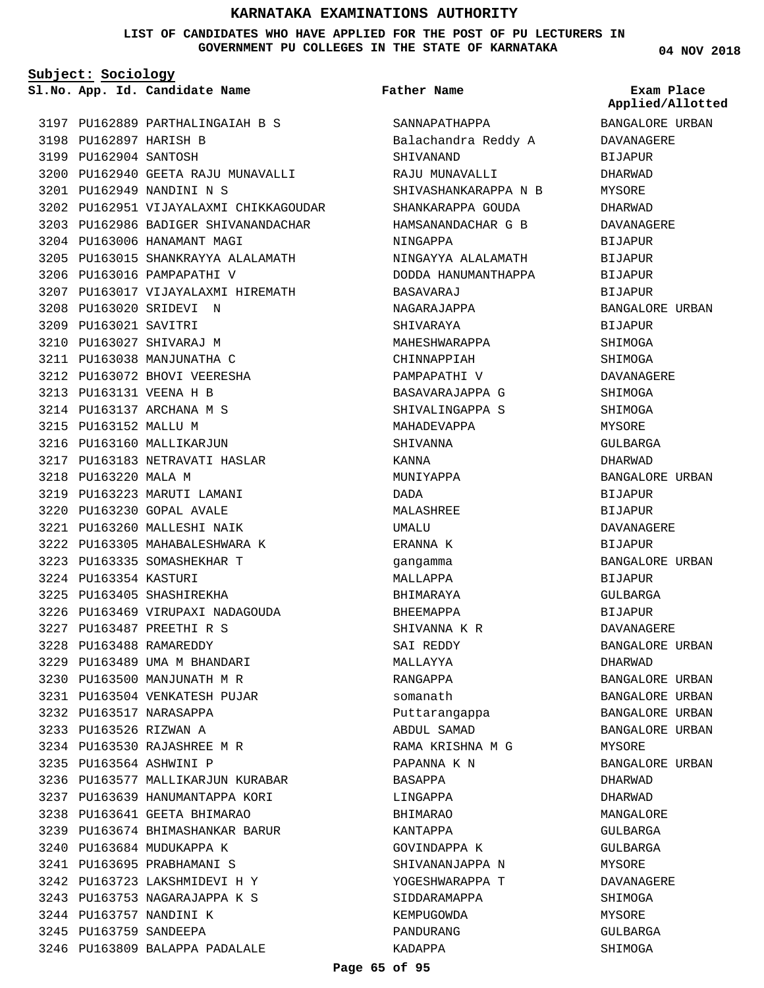**LIST OF CANDIDATES WHO HAVE APPLIED FOR THE POST OF PU LECTURERS IN GOVERNMENT PU COLLEGES IN THE STATE OF KARNATAKA**

**Subject: Sociology**

**App. Id. Candidate Name Sl.No. Exam Place**

PU162889 PARTHALINGAIAH B S 3197 3198 PU162897 HARISH B 3199 PU162904 SANTOSH 3200 PU162940 GEETA RAJU MUNAVALLI PU162949 NANDINI N S 3201 3202 PU162951 VIJAYALAXMI CHIKKAGOUDAR 3203 PU162986 BADIGER SHIVANANDACHAR 3204 PU163006 HANAMANT MAGI 3205 PU163015 SHANKRAYYA ALALAMATH 3206 PU163016 PAMPAPATHI V 3207 PU163017 VIJAYALAXMI HIREMATH 3208 PU163020 SRIDEVI N 3209 PU163021 SAVITRI 3210 PU163027 SHIVARAJ M 3211 PU163038 MANJUNATHA C 3212 PU163072 BHOVI VEERESHA PU163131 VEENA H B 3213 3214 PU163137 ARCHANA M S 3215 PU163152 MALLU M 3216 PU163160 MALLIKARJUN 3217 PU163183 NETRAVATI HASLAR 3218 PU163220 MALA M 3219 PU163223 MARUTI LAMANI PU163230 GOPAL AVALE 3220 PU163260 MALLESHI NAIK 3221 3222 PU163305 MAHABALESHWARA K PU163335 SOMASHEKHAR T 3223 3224 PU163354 KASTURI 3225 PU163405 SHASHIREKHA 3226 PU163469 VIRUPAXI NADAGOUDA PU163487 PREETHI R S 3227 PU163488 RAMAREDDY 3228 3229 PU163489 UMA M BHANDARI 3230 PU163500 MANJUNATH M R PU163504 VENKATESH PUJAR 3231 3232 PU163517 NARASAPPA 3233 PU163526 RIZWAN A PU163530 RAJASHREE M R 3234 PU163564 ASHWINI P 3235 3236 PU163577 MALLIKARJUN KURABAR 3237 PU163639 HANUMANTAPPA KORI 3238 PU163641 GEETA BHIMARAO PU163674 BHIMASHANKAR BARUR 3239 3240 PU163684 MUDUKAPPA K PU163695 PRABHAMANI S 3241 PU163723 LAKSHMIDEVI H Y 3242 PU163753 NAGARAJAPPA K S 3243 3244 PU163757 NANDINI K 3245 PU163759 SANDEEPA 3246 PU163809 BALAPPA PADALALE

## **Father Name**

SANNAPATHAPPA Balachandra Reddy A SHIVANAND RAJU MUNAVALLI SHIVASHANKARAPPA N B SHANKARAPPA GOUDA HAMSANANDACHAR G B NINGAPPA NINGAYYA ALALAMATH DODDA HANUMANTHAPPA BASAVARAJ NAGARAJAPPA SHIVARAYA MAHESHWARAPPA CHINNAPPIAH PAMPAPATHI V BASAVARAJAPPA G SHIVALINGAPPA S MAHADEVAPPA **SHIVANNA** KANNA MUNIYAPPA DADA MALASHREE UMALU ERANNA K gangamma MALLAPPA BHIMARAYA BHEEMAPPA SHIVANNA K R SAI REDDY MALLAYYA RANGAPPA somanath Puttarangappa ABDUL SAMAD RAMA KRISHNA M G PAPANNA K N BASAPPA LINGAPPA BHIMARAO KANTAPPA GOVINDAPPA K SHIVANANJAPPA N YOGESHWARAPPA T SIDDARAMAPPA KEMPUGOWDA PANDURANG KADAPPA

**04 NOV 2018**

**Applied/Allotted**

BANGALORE URBAN DAVANAGERE BIJAPUR DHARWAD MYSORE DHARWAD DAVANAGERE BIJAPUR **BIJAPUR** BIJAPUR **BIJAPUR** BANGALORE URBAN BIJAPUR SHIMOGA SHIMOGA DAVANAGERE SHIMOGA **SHIMOGA** MYSORE GULBARGA DHARWAD BANGALORE URBAN BIJAPUR BIJAPUR DAVANAGERE BIJAPUR BANGALORE URBAN BIJAPUR GULBARGA BIJAPUR DAVANAGERE BANGALORE URBAN DHARWAD BANGALORE URBAN BANGALORE URBAN BANGALORE URBAN BANGALORE URBAN MYSORE BANGALORE URBAN DHARWAD DHARWAD MANGALORE GULBARGA GULBARGA MYSORE DAVANAGERE SHIMOGA MYSORE GULBARGA SHIMOGA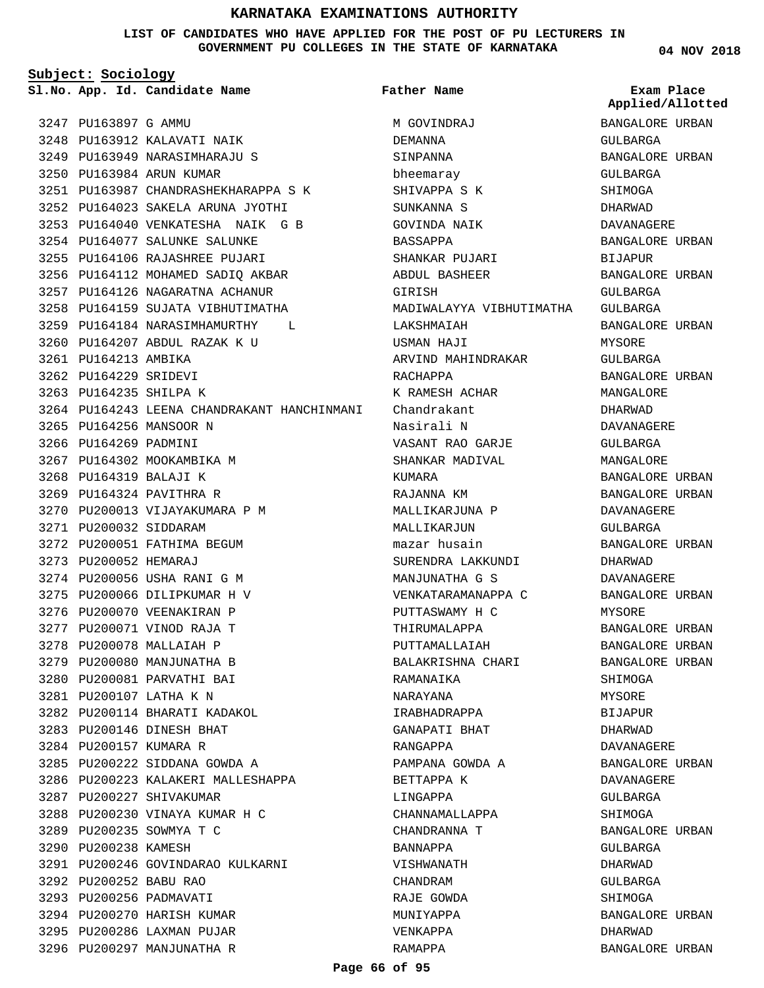**LIST OF CANDIDATES WHO HAVE APPLIED FOR THE POST OF PU LECTURERS IN GOVERNMENT PU COLLEGES IN THE STATE OF KARNATAKA**

**Subject: Sociology**

3247 PU163897 G AMMU

**App. Id. Candidate Name Sl.No. Exam Place**

3248 PU163912 KALAVATI NAIK 3249 PU163949 NARASIMHARAJU S

3254 PU164077 SALUNKE SALUNKE 3255 PU164106 RAJASHREE PUJARI 3256 PU164112 MOHAMED SADIQ AKBAR 3257 PU164126 NAGARATNA ACHANUR 3258 PU164159 SUJATA VIBHUTIMATHA 3259 PU164184 NARASIMHAMURTHY L

PU164207 ABDUL RAZAK K U 3260

3264 PU164243 LEENA CHANDRAKANT HANCHINMANI

3261 PU164213 AMBIKA 3262 PU164229 SRIDEVI 3263 PU164235 SHILPA K

3265 PU164256 MANSOOR N 3266 PU164269 PADMINI

3271 PU200032 SIDDARAM

3273 PU200052 HEMARAJ

3267 PU164302 MOOKAMBIKA M 3268 PU164319 BALAJI K 3269 PU164324 PAVITHRA R

3270 PU200013 VIJAYAKUMARA P M

3272 PU200051 FATHIMA BEGUM

3274 PU200056 USHA RANI G M 3275 PU200066 DILIPKUMAR H V 3276 PU200070 VEENAKIRAN P 3277 PU200071 VINOD RAJA T 3278 PU200078 MALLAIAH P 3279 PU200080 MANJUNATHA B 3280 PU200081 PARVATHI BAI PU200107 LATHA K N 3281

3282 PU200114 BHARATI KADAKOL PU200146 DINESH BHAT 3283 3284 PU200157 KUMARA R

3285 PU200222 SIDDANA GOWDA A

3288 PU200230 VINAYA KUMAR H C

3287 PU200227 SHIVAKUMAR

3289 PU200235 SOWMYA T C 3290 PU200238 KAMESH

PU200252 BABU RAO 3292 3293 PU200256 PADMAVATI 3294 PU200270 HARISH KUMAR 3295 PU200286 LAXMAN PUJAR 3296 PU200297 MANJUNATHA R

3286 PU200223 KALAKERI MALLESHAPPA

3291 PU200246 GOVINDARAO KULKARNI

PU163987 CHANDRASHEKHARAPPA S K 3251 PU164023 SAKELA ARUNA JYOTHI 3252 PU164040 VENKATESHA NAIK G B 3253

3250 PU163984 ARUN KUMAR

**Father Name**

M GOVINDRAJ DEMANNA SINPANNA bheemaray SHIVAPPA S K SUNKANNA S GOVINDA NAIK BASSAPPA SHANKAR PILIARI ABDUL BASHEER GIRISH MADIWALAYYA VIBHUTIMATHA LAKSHMAIAH USMAN HAJI ARVIND MAHINDRAKAR RACHAPPA K RAMESH ACHAR Chandrakant Nasirali N VASANT RAO GARJE SHANKAR MADIVAL KUMARA RAJANNA KM MALLIKARJUNA P MALLIKARJUN mazar husain SURENDRA LAKKUNDI MANJUNATHA G S VENKATARAMANAPPA C PUTTASWAMY H C THIRUMALAPPA PUTTAMALLAIAH BALAKRISHNA CHARI RAMANAIKA NARAYANA IRABHADRAPPA GANAPATI BHAT RANGAPPA PAMPANA GOWDA A BETTAPPA K LINGAPPA CHANNAMALLAPPA CHANDRANNA T BANNAPPA VISHWANATH CHANDRAM RAJE GOWDA MUNIYAPPA VENKAPPA RAMAPPA

**04 NOV 2018**

**Applied/Allotted**

BANGALORE URBAN GULBARGA BANGALORE URBAN GULBARGA SHIMOGA DHARWAD DAVANAGERE BANGALORE URBAN **BIJAPUR** BANGALORE URBAN GULBARGA GULBARGA BANGALORE URBAN MYSORE GULBARGA BANGALORE URBAN MANGALORE DHARWAD DAVANAGERE GULBARGA MANGALORE BANGALORE URBAN BANGALORE URBAN DAVANAGERE GULBARGA BANGALORE URBAN DHARWAD DAVANAGERE BANGALORE URBAN MYSORE BANGALORE URBAN BANGALORE URBAN BANGALORE URBAN SHIMOGA MYSORE BIJAPUR DHARWAD DAVANAGERE BANGALORE URBAN DAVANAGERE GULBARGA SHIMOGA BANGALORE URBAN GULBARGA DHARWAD GULBARGA SHIMOGA BANGALORE URBAN DHARWAD BANGALORE URBAN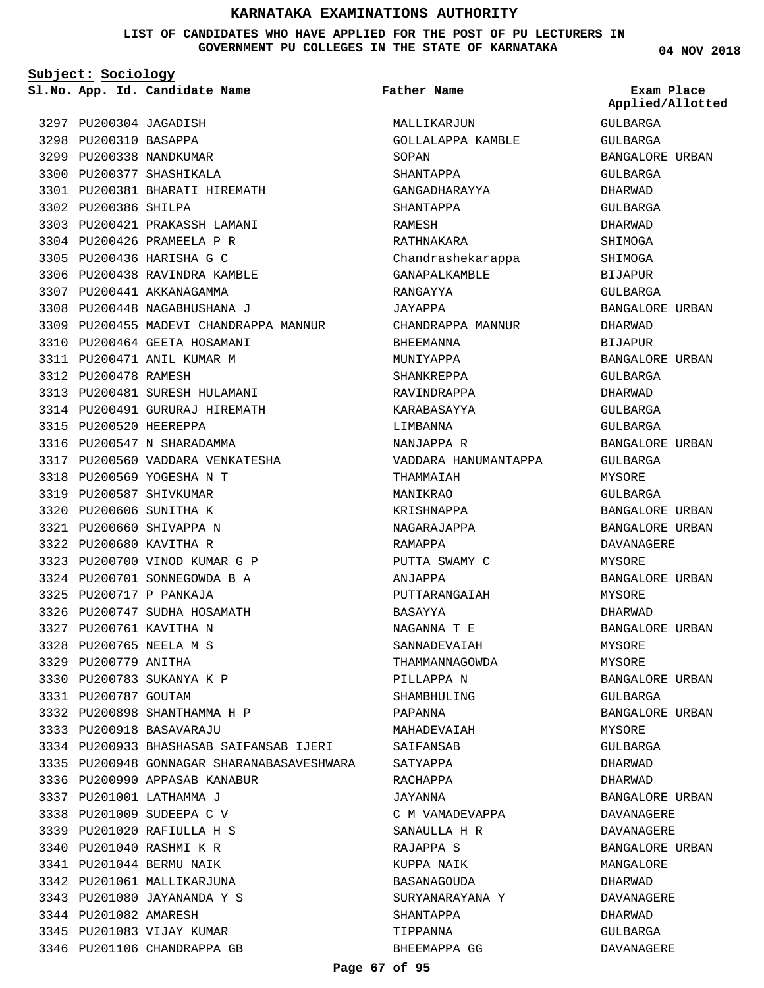**LIST OF CANDIDATES WHO HAVE APPLIED FOR THE POST OF PU LECTURERS IN GOVERNMENT PU COLLEGES IN THE STATE OF KARNATAKA**

**Subject: Sociology**

3297 PU200304 JAGADISH 3298 PU200310 BASAPPA 3299 PU200338 NANDKUMAR 3300 PU200377 SHASHIKALA PU200381 BHARATI HIREMATH 3301 3302 PU200386 SHILPA 3303 PU200421 PRAKASSH LAMANI 3304 PU200426 PRAMEELA P R 3305 PU200436 HARISHA G C 3306 PU200438 RAVINDRA KAMBLE 3307 PU200441 AKKANAGAMMA 3308 PU200448 NAGABHUSHANA J 3309 PU200455 MADEVI CHANDRAPPA MANNUR 3310 PU200464 GEETA HOSAMANI 3311 PU200471 ANIL KUMAR M 3312 PU200478 RAMESH 3313 PU200481 SURESH HULAMANI 3314 PU200491 GURURAJ HIREMATH 3315 PU200520 HEEREPPA 3316 PU200547 N SHARADAMMA 3317 PU200560 VADDARA VENKATESHA 3318 PU200569 YOGESHA N T 3319 PU200587 SHIVKUMAR 3320 PU200606 SUNITHA K 3321 PU200660 SHIVAPPA N 3322 PU200680 KAVITHA R 3323 PU200700 VINOD KUMAR G P 3324 PU200701 SONNEGOWDA B A PU200717 P PANKAJA 3325 3326 PU200747 SUDHA HOSAMATH 3327 PU200761 KAVITHA N PU200765 NEELA M S 3328 3329 PU200779 ANITHA PU200783 SUKANYA K P 3330 3331 PU200787 GOUTAM 3332 PU200898 SHANTHAMMA H P PU200918 BASAVARAJU 3333 PU200933 BHASHASAB SAIFANSAB IJERI 3334 3335 PU200948 GONNAGAR SHARANABASAVESHWARA 3336 PU200990 APPASAB KANABUR 3337 PU201001 LATHAMMA J 3338 PU201009 SUDEEPA C V PU201020 RAFIULLA H S 3339 3340 PU201040 RASHMI K R PU201044 BERMU NAIK 3341 3342 PU201061 MALLIKARJUNA PU201080 JAYANANDA Y S 3343 3344 PU201082 AMARESH 3345 PU201083 VIJAY KUMAR **App. Id. Candidate Name Sl.No. Exam Place**

3346 PU201106 CHANDRAPPA GB

MALLIKARJUN GOLLALAPPA KAMBLE SOPAN SHANTAPPA GANGADHARAYYA SHANTAPPA RAMESH RATHNAKARA Chandrashekarappa GANAPALKAMBLE RANGAYYA JAYAPPA CHANDRAPPA MANNUR BHEEMANNA MUNIYAPPA SHANKREPPA RAVINDRAPPA KARABASAYYA LIMBANNA NANJAPPA R VADDARA HANUMANTAPPA THAMMAIAH MANIKRAO KRISHNAPPA NAGARAJAPPA RAMAPPA PUTTA SWAMY C ANJAPPA PUTTARANGAIAH BASAYYA NAGANNA T E SANNADEVAIAH THAMMANNAGOWDA PILLAPPA N SHAMBHULING PAPANNA MAHADEVAIAH SAIFANSAB SATYAPPA RACHAPPA JAYANNA C M VAMADEVAPPA SANAULLA H R RAJAPPA S KUPPA NAIK BASANAGOUDA SURYANARAYANA Y SHANTAPPA TIPPANNA BHEEMAPPA GG **Father Name**

**04 NOV 2018**

GULBARGA GULBARGA BANGALORE URBAN GULBARGA DHARWAD GULBARGA DHARWAD SHIMOGA SHIMOGA BIJAPUR GULBARGA BANGALORE URBAN DHARWAD BIJAPUR BANGALORE URBAN GULBARGA DHARWAD GULBARGA GULBARGA BANGALORE URBAN GULBARGA MYSORE GULBARGA BANGALORE URBAN BANGALORE URBAN DAVANAGERE MYSORE BANGALORE URBAN MYSORE DHARWAD BANGALORE URBAN MYSORE MYSORE BANGALORE URBAN GULBARGA BANGALORE URBAN MYSORE GULBARGA DHARWAD DHARWAD BANGALORE URBAN DAVANAGERE DAVANAGERE BANGALORE URBAN MANGALORE DHARWAD DAVANAGERE DHARWAD GULBARGA DAVANAGERE **Applied/Allotted**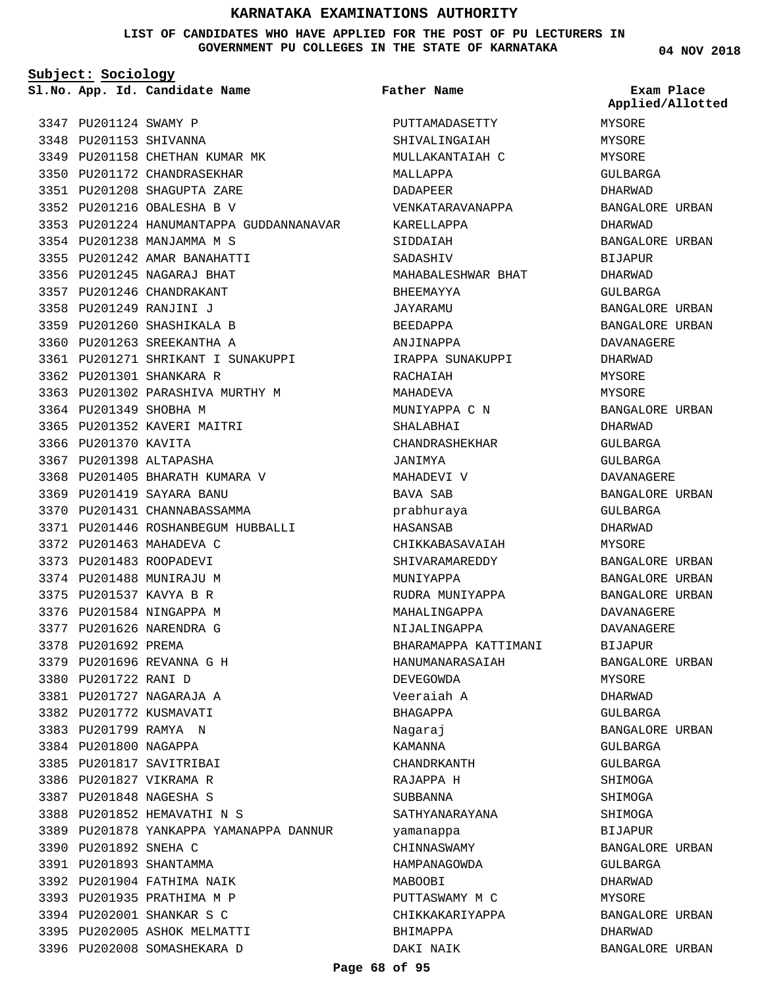## **LIST OF CANDIDATES WHO HAVE APPLIED FOR THE POST OF PU LECTURERS IN GOVERNMENT PU COLLEGES IN THE STATE OF KARNATAKA**

**Subject: Sociology**

**App. Id. Candidate Name Sl.No. Exam Place**

PU201893 SHANTAMMA 3391 3392 PU201904 FATHIMA NAIK 3393 PU201935 PRATHIMA M P 3394 PU202001 SHANKAR S C 3395 PU202005 ASHOK MELMATTI 3396 PU202008 SOMASHEKARA D

3347 PU201124 SWAMY P 3348 PU201153 SHIVANNA 3349 PU201158 CHETHAN KUMAR MK 3350 PU201172 CHANDRASEKHAR PU201208 SHAGUPTA ZARE 3351 PU201216 OBALESHA B V 3352 3353 PU201224 HANUMANTAPPA GUDDANNANAVAR 3354 PU201238 MANJAMMA M S 3355 PU201242 AMAR BANAHATTI 3356 PU201245 NAGARAJ BHAT 3357 PU201246 CHANDRAKANT PU201249 RANJINI J 3358 3359 PU201260 SHASHIKALA B 3360 PU201263 SREEKANTHA A PU201271 SHRIKANT I SUNAKUPPI 3361 3362 PU201301 SHANKARA R 3363 PU201302 PARASHIVA MURTHY M 3364 PU201349 SHOBHA M 3365 PU201352 KAVERI MAITRI 3366 PU201370 KAVITA 3367 PU201398 ALTAPASHA 3368 PU201405 BHARATH KUMARA V PU201419 SAYARA BANU 3369 3370 PU201431 CHANNABASSAMMA PU201446 ROSHANBEGUM HUBBALLI 3371 3372 PU201463 MAHADEVA C 3373 PU201483 ROOPADEVI 3374 PU201488 MUNIRAJU M 3375 PU201537 KAVYA B R 3376 PU201584 NINGAPPA M 3377 PU201626 NARENDRA G 3378 PU201692 PREMA PU201696 REVANNA G H 3379 3380 PU201722 RANI D PU201727 NAGARAJA A 3381 3382 PU201772 KUSMAVATI 3383 PU201799 RAMYA N 3384 PU201800 NAGAPPA 3385 PU201817 SAVITRIBAI 3386 PU201827 VIKRAMA R PU201848 NAGESHA S 3387 PU201852 HEMAVATHI N S 3388 3389 PU201878 YANKAPPA YAMANAPPA DANNUR 3390 PU201892 SNEHA C

PUTTAMADASETTY SHIVALINGAIAH MULLAKANTAIAH C MALLAPPA DADAPEER VENKATARAVANAPPA KARELLAPPA SIDDAIAH SADASHIV MAHABALESHWAR BHAT BHEEMAYYA JAYARAMU BEEDAPPA ANJINAPPA IRAPPA SUNAKUPPI RACHAIAH MAHADEVA MUNIYAPPA C N SHALABHAI CHANDRASHEKHAR JANIMYA MAHADEVI V BAVA SAB prabhuraya HASANSAB CHIKKABASAVAIAH SHIVARAMAREDDY MUNIYAPPA RUDRA MUNIYAPPA MAHALINGAPPA NIJALINGAPPA BHARAMAPPA KATTIMANI HANUMANARASAIAH DEVEGOWDA Veeraiah A BHAGAPPA Nagaraj KAMANNA CHANDRKANTH RAJAPPA H SUBBANNA SATHYANARAYANA yamanappa CHINNASWAMY HAMPANAGOWDA MABOOBI PUTTASWAMY M C CHIKKAKARIYAPPA BHIMAPPA DAKI NAIK **Father Name**

**04 NOV 2018**

MYSORE MYSORE MYSORE GULBARGA DHARWAD BANGALORE URBAN DHARWAD BANGALORE URBAN **BIJAPUR** DHARWAD GULBARGA BANGALORE URBAN BANGALORE URBAN DAVANAGERE DHARWAD MYSORE MYSORE BANGALORE URBAN DHARWAD GULBARGA GULBARGA DAVANAGERE BANGALORE URBAN GULBARGA DHARWAD MYSORE BANGALORE URBAN BANGALORE URBAN BANGALORE URBAN DAVANAGERE DAVANAGERE BIJAPUR BANGALORE URBAN MYSORE DHARWAD GULBARGA BANGALORE URBAN GULBARGA GULBARGA SHIMOGA SHIMOGA SHIMOGA BIJAPUR BANGALORE URBAN GULBARGA DHARWAD MYSORE BANGALORE URBAN DHARWAD BANGALORE URBAN **Applied/Allotted**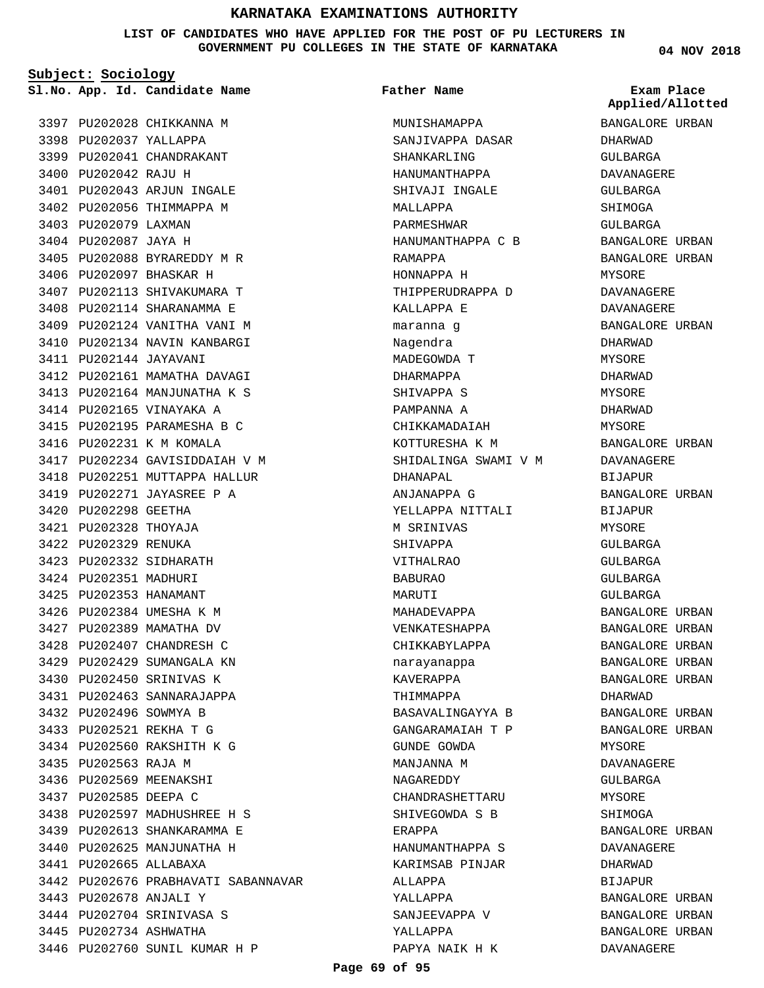**LIST OF CANDIDATES WHO HAVE APPLIED FOR THE POST OF PU LECTURERS IN GOVERNMENT PU COLLEGES IN THE STATE OF KARNATAKA**

**Subject: Sociology**

**App. Id. Candidate Name Sl.No. Exam Place**

3397 PU202028 CHIKKANNA M 3398 PU202037 YALLAPPA 3399 PU202041 CHANDRAKANT 3400 PU202042 RAJU H 3401 PU202043 ARJUN INGALE 3402 PU202056 THIMMAPPA M 3403 PU202079 LAXMAN 3404 PU202087 JAYA H 3405 PU202088 BYRAREDDY M R 3406 PU202097 BHASKAR H 3407 PU202113 SHIVAKUMARA T 3408 PU202114 SHARANAMMA E 3409 PU202124 VANITHA VANI M 3410 PU202134 NAVIN KANBARGI 3411 PU202144 JAYAVANI 3412 PU202161 MAMATHA DAVAGI 3413 PU202164 MANJUNATHA K S 3414 PU202165 VINAYAKA A PU202195 PARAMESHA B C 3415 3416 PU202231 K M KOMALA 3417 PU202234 GAVISIDDAIAH V M 3418 PU202251 MUTTAPPA HALLUR PU202271 JAYASREE P A 3419 3420 PU202298 GEETHA 3421 PU202328 THOYAJA 3422 PU202329 RENUKA 3423 PU202332 SIDHARATH 3424 PU202351 MADHURI 3425 PU202353 HANAMANT 3426 PU202384 UMESHA K M 3427 PU202389 MAMATHA DV 3428 PU202407 CHANDRESH C 3429 PU202429 SUMANGALA KN 3430 PU202450 SRINIVAS K 3431 PU202463 SANNARAJAPPA 3432 PU202496 SOWMYA B PU202521 REKHA T G 3433 PU202560 RAKSHITH K G 3434 3435 PU202563 RAJA M 3436 PU202569 MEENAKSHI 3437 PU202585 DEEPA C 3438 PU202597 MADHUSHREE H S PU202613 SHANKARAMMA E 3439 3440 PU202625 MANJUNATHA H PU202665 ALLABAXA 3441 3442 PU202676 PRABHAVATI SABANNAVAR PU202678 ANJALI Y 3443 3444 PU202704 SRINIVASA S 3445 PU202734 ASHWATHA 3446 PU202760 SUNIL KUMAR H P

# **Father Name**

MUNISHAMAPPA SANJIVAPPA DASAR SHANKARLING HANUMANTHAPPA SHIVAJI INGALE MALLAPPA PARMESHWAR HANUMANTHAPPA C B RAMAPPA HONNAPPA H THIPPERUDRAPPA D KALLAPPA E maranna g Nagendra MADEGOWDA T DHARMAPPA SHIVAPPA S PAMPANNA A CHIKKAMADAIAH KOTTURESHA K M SHIDALINGA SWAMI V M DHANAPAL ANJANAPPA G YELLAPPA NITTALI M SRINIVAS SHIVAPPA VITHALRAO BABURAO MARITTI MAHADEVAPPA VENKATESHAPPA CHIKKABYLAPPA narayanappa KAVERAPPA THIMMAPPA BASAVALINGAYYA B GANGARAMAIAH T P GUNDE GOWDA MANJANNA M NAGAREDDY CHANDRASHETTARU SHIVEGOWDA S B ERAPPA HANUMANTHAPPA S KARIMSAB PINJAR ALLAPPA YALLAPPA SANJEEVAPPA V YALLAPPA PAPYA NAIK H K

**04 NOV 2018**

BANGALORE URBAN **Applied/Allotted**

DHARWAD GULBARGA DAVANAGERE GULBARGA SHIMOGA GULBARGA BANGALORE URBAN BANGALORE URBAN MYSORE DAVANAGERE DAVANAGERE BANGALORE URBAN DHARWAD MYSORE DHARWAD MYSORE DHARWAD MYSORE BANGALORE URBAN DAVANAGERE BIJAPUR BANGALORE URBAN BIJAPUR MYSORE GULBARGA GULBARGA GULBARGA GULBARGA BANGALORE URBAN BANGALORE URBAN BANGALORE URBAN BANGALORE URBAN BANGALORE URBAN DHARWAD BANGALORE URBAN BANGALORE URBAN MYSORE DAVANAGERE GULBARGA MYSORE SHIMOGA BANGALORE URBAN DAVANAGERE DHARWAD BIJAPUR BANGALORE URBAN BANGALORE URBAN BANGALORE URBAN DAVANAGERE

**Page 69 of 95**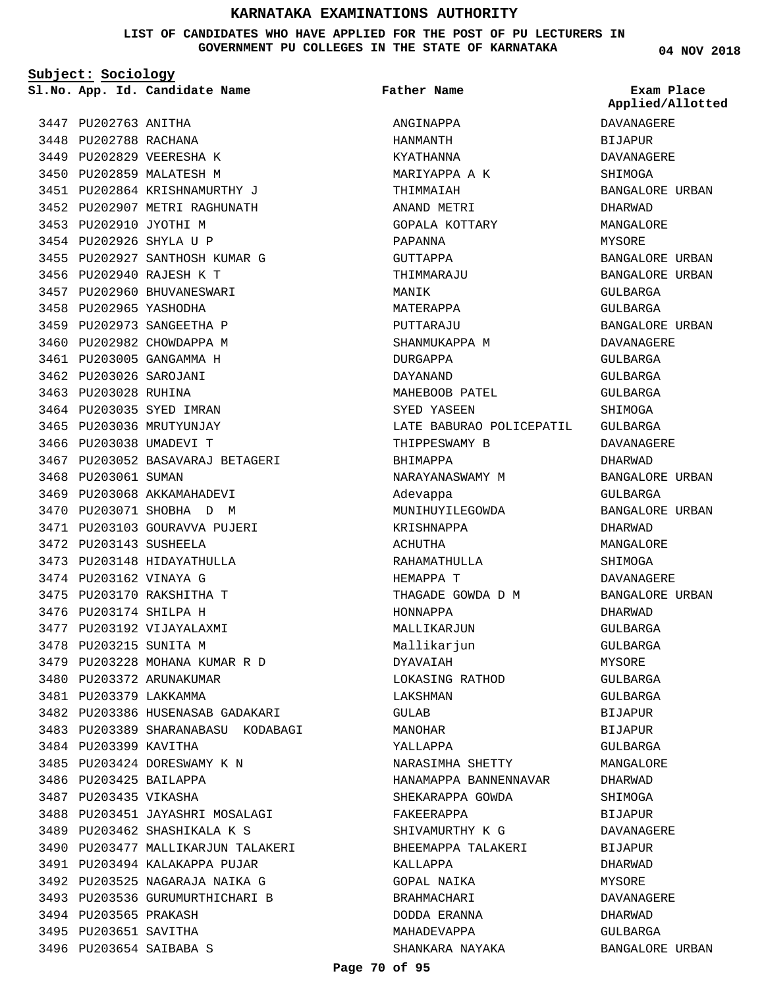**LIST OF CANDIDATES WHO HAVE APPLIED FOR THE POST OF PU LECTURERS IN GOVERNMENT PU COLLEGES IN THE STATE OF KARNATAKA**

**Subject: Sociology**

3447 PU202763 ANITHA 3448 PU202788 RACHANA

3449 PU202829 VEERESHA K 3450 PU202859 MALATESH M PU202864 KRISHNAMURTHY J 3451 3452 PU202907 METRI RAGHUNATH 3453 PU202910 JYOTHI M PU202926 SHYLA U P 3454 3455 PU202927 SANTHOSH KUMAR G 3456 PU202940 RAJESH K T 3457 PU202960 BHUVANESWARI 3458 PU202965 YASHODHA 3459 PU202973 SANGEETHA P 3460 PU202982 CHOWDAPPA M 3461 PU203005 GANGAMMA H 3462 PU203026 SAROJANI 3463 PU203028 RUHINA 3464 PU203035 SYED IMRAN 3465 PU203036 MRUTYUNJAY 3466 PU203038 UMADEVI T 3467 PU203052 BASAVARAJ BETAGERI 3468 PU203061 SUMAN 3469 PU203068 AKKAMAHADEVI 3470 PU203071 SHOBHA D M 3471 PU203103 GOURAVVA PUJERI 3472 PU203143 SUSHEELA 3473 PU203148 HIDAYATHULLA 3474 PU203162 VINAYA G 3475 PU203170 RAKSHITHA T 3476 PU203174 SHILPA H 3477 PU203192 VIJAYALAXMI 3478 PU203215 SUNITA M 3479 PU203228 MOHANA KUMAR R D 3480 PU203372 ARUNAKUMAR 3481 PU203379 LAKKAMMA 3482 PU203386 HUSENASAB GADAKARI 3483 PU203389 SHARANABASU KODABAGI 3484 PU203399 KAVITHA 3485 PU203424 DORESWAMY K N 3486 PU203425 BAILAPPA 3487 PU203435 VIKASHA 3488 PU203451 JAYASHRI MOSALAGI PU203462 SHASHIKALA K S 3489 3490 PU203477 MALLIKARJUN TALAKERI 3491 PU203494 KALAKAPPA PUJAR 3492 PU203525 NAGARAJA NAIKA G 3493 PU203536 GURUMURTHICHARI B 3494 PU203565 PRAKASH 3495 PU203651 SAVITHA 3496 PU203654 SAIBABA S

**App. Id. Candidate Name Sl.No. Exam Place** ANGINAPPA HANMANTH KYATHANNA MARIYAPPA A K THIMMAIAH ANAND METRI GOPALA KOTTARY PAPANNA GUTTAPPA THIMMARAJU MANIK MATERAPPA PUTTARAJU SHANMUKAPPA M DURGAPPA DAYANAND MAHEBOOB PATEL SYED YASEEN LATE BABURAO POLICEPATIL THIPPESWAMY B BHIMAPPA NARAYANASWAMY M Adevappa MUNIHUYILEGOWDA KRISHNAPPA ACHUTHA RAHAMATHULLA HEMAPPA T THAGADE GOWDA D M HONNAPPA MALLIKARJUN Mallikarjun DYAVAIAH LOKASING RATHOD LAKSHMAN GULAB MANOHAR YALLAPPA NARASIMHA SHETTY HANAMAPPA BANNENNAVAR SHEKARAPPA GOWDA FAKEERAPPA SHIVAMURTHY K G BHEEMAPPA TALAKERI KALLAPPA GOPAL NAIKA BRAHMACHARI DODDA ERANNA MAHADEVAPPA SHANKARA NAYAKA **Father Name**

**04 NOV 2018**

DAVANAGERE BIJAPUR DAVANAGERE SHIMOGA BANGALORE URBAN DHARWAD MANGALORE MYSORE BANGALORE URBAN BANGALORE URBAN GULBARGA GULBARGA BANGALORE URBAN DAVANAGERE GULBARGA GULBARGA GULBARGA **SHIMOGA** GULBARGA DAVANAGERE DHARWAD BANGALORE URBAN GULBARGA BANGALORE URBAN DHARWAD MANGALORE SHIMOGA DAVANAGERE BANGALORE URBAN DHARWAD GULBARGA GULBARGA MYSORE GULBARGA GULBARGA BIJAPUR **BIJAPUR** GULBARGA MANGALORE DHARWAD SHIMOGA BIJAPUR DAVANAGERE **BIJAPUR** DHARWAD **MYSORE** DAVANAGERE DHARWAD GULBARGA BANGALORE URBAN **Applied/Allotted**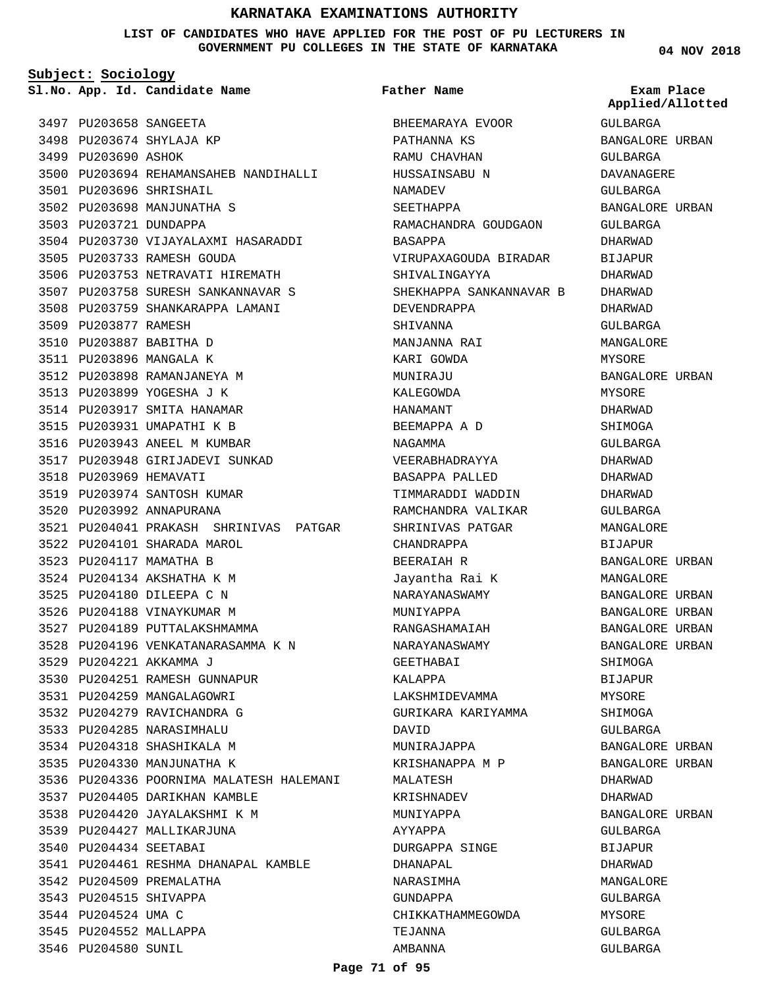**LIST OF CANDIDATES WHO HAVE APPLIED FOR THE POST OF PU LECTURERS IN GOVERNMENT PU COLLEGES IN THE STATE OF KARNATAKA**

**Subject: Sociology**

**App. Id. Candidate Name Sl.No. Exam Place**

3497 PU203658 SANGEETA 3498 PU203674 SHYLAJA KP 3499 PU203690 ASHOK 3500 PU203694 REHAMANSAHEB NANDIHALLI PU203696 SHRISHAIL 3501 3502 PU203698 MANJUNATHA S 3503 PU203721 DUNDAPPA 3504 PU203730 VIJAYALAXMI HASARADDI 3505 PU203733 RAMESH GOUDA 3506 PU203753 NETRAVATI HIREMATH 3507 PU203758 SURESH SANKANNAVAR S 3508 PU203759 SHANKARAPPA LAMANI 3509 PU203877 RAMESH 3510 PU203887 BABITHA D 3511 PU203896 MANGALA K 3512 PU203898 RAMANJANEYA M 3513 PU203899 YOGESHA J K 3514 PU203917 SMITA HANAMAR 3515 PU203931 UMAPATHI K B 3516 PU203943 ANEEL M KUMBAR 3517 PU203948 GIRIJADEVI SUNKAD 3518 PU203969 HEMAVATI 3519 PU203974 SANTOSH KUMAR 3520 PU203992 ANNAPURANA PU204041 PRAKASH SHRINIVAS PATGAR 3521 3522 PU204101 SHARADA MAROL 3523 PU204117 MAMATHA B PU204134 AKSHATHA K M 3524 PU204180 DILEEPA C N 3525 3526 PU204188 VINAYKUMAR M 3527 PU204189 PUTTALAKSHMAMMA 3528 PU204196 VENKATANARASAMMA K N PU204221 AKKAMMA J 3529 3530 PU204251 RAMESH GUNNAPUR 3531 PU204259 MANGALAGOWRI 3532 PU204279 RAVICHANDRA G 3533 PU204285 NARASIMHALU 3534 PU204318 SHASHIKALA M 3535 PU204330 MANJUNATHA K 3536 PU204336 POORNIMA MALATESH HALEMANI 3537 PU204405 DARIKHAN KAMBLE 3538 PU204420 JAYALAKSHMI K M 3539 PU204427 MALLIKARJUNA 3540 PU204434 SEETABAI 3541 PU204461 RESHMA DHANAPAL KAMBLE 3542 PU204509 PREMALATHA 3543 PU204515 SHIVAPPA 3544 PU204524 UMA C 3545 PU204552 MALLAPPA 3546 PU204580 SUNIL

# **Father Name**

BHEEMARAYA EVOOR PATHANNA KS RAMU CHAVHAN HUSSAINSABU N NAMADEV SEETHAPPA RAMACHANDRA GOUDGAON BASAPPA VIRUPAXAGOUDA BIRADAR SHIVALINGAYYA SHEKHAPPA SANKANNAVAR B DEVENDRAPPA SHIVANNA MANJANNA RAI KARI GOWDA MUNIRAJU KALEGOWDA HANAMANT BEEMAPPA A D NAGAMMA VEERABHADRAYYA BASAPPA PALLED TIMMARADDI WADDIN RAMCHANDRA VALIKAR SHRINIVAS PATGAR CHANDRAPPA BEERAIAH R Jayantha Rai K NARAYANASWAMY MUNIYAPPA RANGASHAMAIAH NARAYANASWAMY GEETHABAI KALAPPA LAKSHMIDEVAMMA GURIKARA KARIYAMMA DAVID MUNIRAJAPPA KRISHANAPPA M P MALATESH KRISHNADEV MUNIYAPPA AYYAPPA DURGAPPA SINGE DHANAPAL NARASIMHA GUNDAPPA CHIKKATHAMMEGOWDA TEJANNA AMBANNA

**04 NOV 2018**

GULBARGA BANGALORE URBAN GULBARGA DAVANAGERE GULBARGA BANGALORE URBAN GULBARGA DHARWAD **BIJAPUR** DHARWAD DHARWAD DHARWAD GULBARGA MANGALORE MYSORE BANGALORE URBAN MYSORE DHARWAD SHIMOGA GULBARGA DHARWAD DHARWAD DHARWAD GULBARGA MANGALORE BIJAPUR BANGALORE URBAN MANGALORE BANGALORE URBAN BANGALORE URBAN BANGALORE URBAN BANGALORE URBAN SHIMOGA BIJAPUR MYSORE **SHIMOGA** GULBARGA BANGALORE URBAN BANGALORE URBAN DHARWAD DHARWAD BANGALORE URBAN GULBARGA BIJAPUR DHARWAD MANGALORE GULBARGA MYSORE GULBARGA GULBARGA **Applied/Allotted**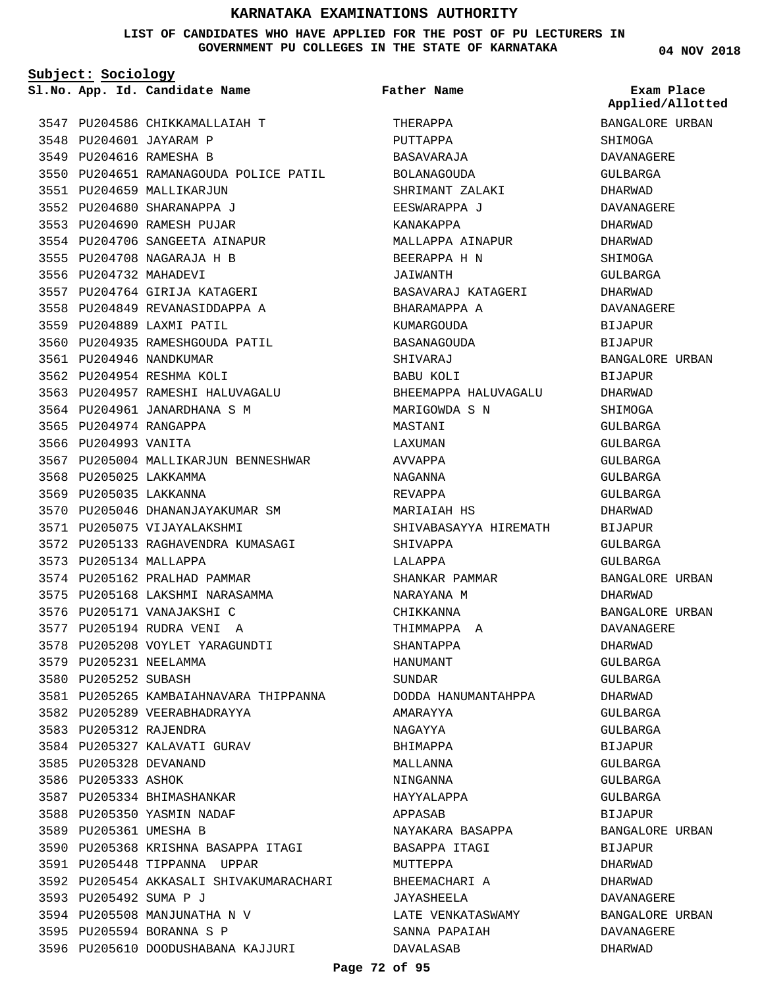## **LIST OF CANDIDATES WHO HAVE APPLIED FOR THE POST OF PU LECTURERS IN GOVERNMENT PU COLLEGES IN THE STATE OF KARNATAKA**

**Subject: Sociology**

**App. Id. Candidate Name Sl.No. Exam Place**

3548 PU204601 JAYARAM P 3549 PU204616 RAMESHA B

3551 PU204659 MALLIKARJUN PU204680 SHARANAPPA J 3552 3553 PU204690 RAMESH PUJAR 3554 PU204706 SANGEETA AINAPUR PU204708 NAGARAJA H B 3555 3556 PU204732 MAHADEVI

3557 PU204764 GIRIJA KATAGERI 3558 PU204849 REVANASIDDAPPA A

3560 PU204935 RAMESHGOUDA PATIL

3563 PU204957 RAMESHI HALUVAGALU 3564 PU204961 JANARDHANA S M

3570 PU205046 DHANANJAYAKUMAR SM

3572 PU205133 RAGHAVENDRA KUMASAGI

3581 PU205265 KAMBAIAHNAVARA THIPPANNA

3590 PU205368 KRISHNA BASAPPA ITAGI

3596 PU205610 DOODUSHABANA KAJJURI

3592 PU205454 AKKASALI SHIVAKUMARACHARI

3571 PU205075 VIJAYALAKSHMI

3574 PU205162 PRALHAD PAMMAR 3575 PU205168 LAKSHMI NARASAMMA

3582 PU205289 VEERABHADRAYYA

3584 PU205327 KALAVATI GURAV

3587 PU205334 BHIMASHANKAR 3588 PU205350 YASMIN NADAF 3589 PU205361 UMESHA B

3591 PU205448 TIPPANNA UPPAR

3594 PU205508 MANJUNATHA N V 3595 PU205594 BORANNA S P

3576 PU205171 VANAJAKSHI C PU205194 RUDRA VENI A 3577 3578 PU205208 VOYLET YARAGUNDTI

3567 PU205004 MALLIKARJUN BENNESHWAR

3559 PU204889 LAXMI PATIL

3561 PU204946 NANDKUMAR 3562 PU204954 RESHMA KOLI

3565 PU204974 RANGAPPA 3566 PU204993 VANITA

3568 PU205025 LAKKAMMA 3569 PU205035 LAKKANNA

3573 PU205134 MALLAPPA

3579 PU205231 NEELAMMA 3580 PU205252 SUBASH

3583 PU205312 RAJENDRA

3585 PU205328 DEVANAND 3586 PU205333 ASHOK

PU205492 SUMA P J 3593

3547 PU204586 CHIKKAMALLAIAH T

3550 PU204651 RAMANAGOUDA POLICE PATIL

**Father Name**

THERAPPA PUTTAPPA BASAVARAJA BOLANAGOUDA SHRIMANT ZALAKI EESWARAPPA J KANAKAPPA MALLAPPA AINAPUR BEERAPPA H N JAIWANTH BASAVARAJ KATAGERI BHARAMAPPA A KUMARGOUDA BASANAGOUDA SHIVARAJ BABU KOLI BHEEMAPPA HALUVAGALU MARIGOWDA S N MASTANI LAXUMAN AVVAPPA NAGANNA REVAPPA MARIAIAH HS SHIVABASAYYA HIREMATH SHIVAPPA LALAPPA SHANKAR PAMMAR NARAYANA M CHIKKANNA THIMMAPPA A SHANTAPPA HANUMANT SUNDAR DODDA HANUMANTAHPPA AMARAYYA NAGAYYA BHIMAPPA MALLANNA NINGANNA HAYYALAPPA APPASAB NAYAKARA BASAPPA BASAPPA ITAGI MUTTEPPA BHEEMACHARI A JAYASHEELA LATE VENKATASWAMY SANNA PAPAIAH DAVALASAB

**04 NOV 2018**

BANGALORE URBAN **Applied/Allotted**

SHIMOGA DAVANAGERE

GULBARGA DHARWAD DAVANAGERE DHARWAD DHARWAD SHIMOGA GULBARGA DHARWAD DAVANAGERE BIJAPUR BIJAPUR BANGALORE URBAN BIJAPUR DHARWAD **SHIMOGA** GULBARGA GULBARGA GULBARGA GULBARGA GULBARGA DHARWAD BIJAPUR GULBARGA GULBARGA BANGALORE URBAN DHARWAD BANGALORE URBAN DAVANAGERE DHARWAD GULBARGA GULBARGA DHARWAD GULBARGA GULBARGA BIJAPUR GULBARGA GULBARGA GULBARGA BIJAPUR BANGALORE URBAN **BIJAPUR** DHARWAD DHARWAD DAVANAGERE BANGALORE URBAN DAVANAGERE DHARWAD

#### **Page 72 of 95**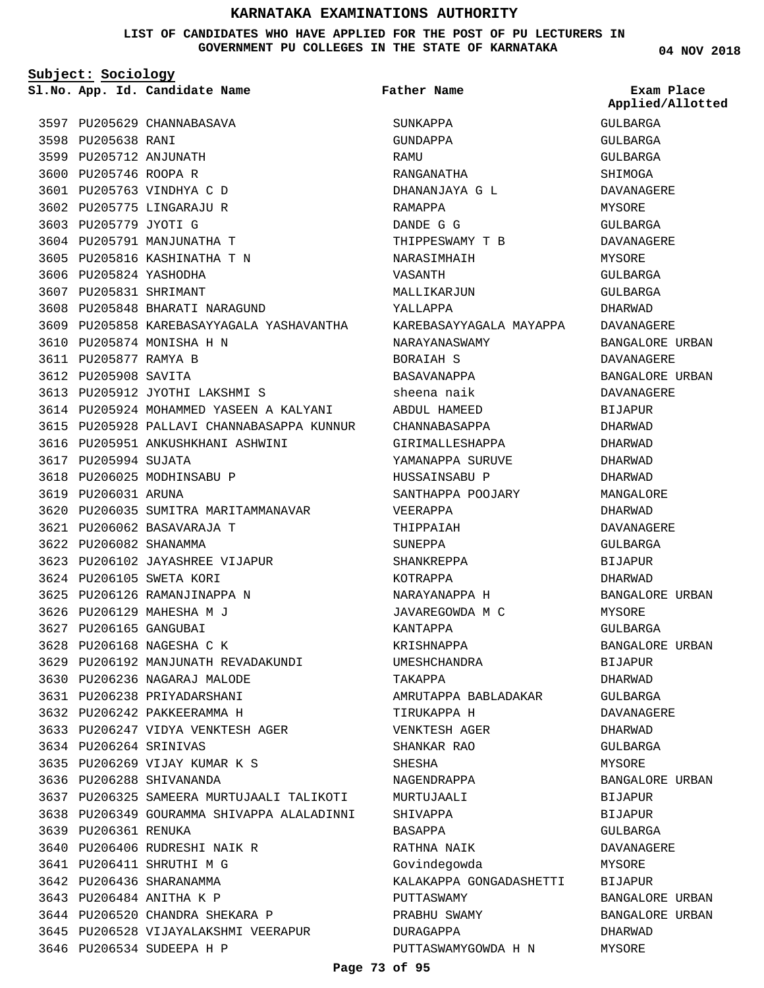#### **LIST OF CANDIDATES WHO HAVE APPLIED FOR THE POST OF PU LECTURERS IN GOVERNMENT PU COLLEGES IN THE STATE OF KARNATAKA**

**Subject: Sociology**

3598 PU205638 RANI 3599 PU205712 ANJUNATH 3600 PU205746 ROOPA R 3601 PU205763 VINDHYA C D 3602 PU205775 LINGARAJU R 3603 PU205779 JYOTI G

**App. Id. Candidate Name Sl.No. Exam Place**

3597 PU205629 CHANNABASAVA

3604 PU205791 MANJUNATHA T 3605 PU205816 KASHINATHA T N

3610 PU205874 MONISHA H N 3611 PU205877 RAMYA B 3612 PU205908 SAVITA

3617 PU205994 SUJATA

3619 PU206031 ARUNA

3618 PU206025 MODHINSABU P

PU206062 BASAVARAJA T 3621 3622 PU206082 SHANAMMA

3624 PU206105 SWETA KORI 3625 PU206126 RAMANJINAPPA N 3626 PU206129 MAHESHA M J 3627 PU206165 GANGUBAI 3628 PU206168 NAGESHA C K

PU206102 JAYASHREE VIJAPUR 3623

3608 PU205848 BHARATI NARAGUND

3613 PU205912 JYOTHI LAKSHMI S

3616 PU205951 ANKUSHKHANI ASHWINI

3620 PU206035 SUMITRA MARITAMMANAVAR

3629 PU206192 MANJUNATH REVADAKUNDI

3633 PU206247 VIDYA VENKTESH AGER

3637 PU206325 SAMEERA MURTUJAALI TALIKOTI 3638 PU206349 GOURAMMA SHIVAPPA ALALADINNI

3630 PU206236 NAGARAJ MALODE 3631 PU206238 PRIYADARSHANI 3632 PU206242 PAKKEERAMMA H

3635 PU206269 VIJAY KUMAR K S

3640 PU206406 RUDRESHI NAIK R PU206411 SHRUTHI M G 3641 3642 PU206436 SHARANAMMA 3643 PU206484 ANITHA K P

3644 PU206520 CHANDRA SHEKARA P

3646 PU206534 SUDEEPA H P

3645 PU206528 VIJAYALAKSHMI VEERAPUR

PU206264 SRINIVAS 3634

3639 PU206361 RENUKA

3636 PU206288 SHIVANANDA

3609 PU205858 KAREBASAYYAGALA YASHAVANTHA

3614 PU205924 MOHAMMED YASEEN A KALYANI 3615 PU205928 PALLAVI CHANNABASAPPA KUNNUR

3606 PU205824 YASHODHA 3607 PU205831 SHRIMANT **Father Name**

SUNKAPPA GUNDAPPA RAMU RANGANATHA DHANANJAYA G L RAMAPPA DANDE G G THIPPESWAMY T B NARASIMHAIH VASANTH MALLIKARJUN YALLAPPA KAREBASAYYAGALA MAYAPPA NARAYANASWAMY BORAIAH S BASAVANAPPA sheena naik ABDUL HAMEED CHANNABASAPPA GIRIMALLESHAPPA YAMANAPPA SURUVE HUSSAINSABU P SANTHAPPA POOJARY VEERAPPA THIPPAIAH SUNEPPA SHANKREPPA KOTRAPPA NARAYANAPPA H JAVAREGOWDA M C KANTAPPA KRISHNAPPA UMESHCHANDRA TAKAPPA AMRUTAPPA BABLADAKAR TIRUKAPPA H VENKTESH AGER SHANKAR RAO SHESHA NAGENDRAPPA MURTUJAALI SHIVAPPA BASAPPA RATHNA NAIK Govindegowda KALAKAPPA GONGADASHETTI PUTTASWAMY PRABHU SWAMY DURAGAPPA

PUTTASWAMYGOWDA H N

**04 NOV 2018**

GULBARGA GULBARGA GULBARGA SHIMOGA DAVANAGERE MYSORE GULBARGA DAVANAGERE MYSORE GULBARGA GULBARGA DHARWAD DAVANAGERE BANGALORE URBAN DAVANAGERE BANGALORE URBAN DAVANAGERE BIJAPUR DHARWAD DHARWAD DHARWAD DHARWAD MANGALORE DHARWAD DAVANAGERE GULBARGA **BIJAPUR** DHARWAD BANGALORE URBAN MYSORE GULBARGA BANGALORE URBAN BIJAPUR DHARWAD GULBARGA DAVANAGERE DHARWAD GULBARGA MYSORE BANGALORE URBAN BIJAPUR BIJAPUR GULBARGA DAVANAGERE MYSORE BIJAPUR BANGALORE URBAN BANGALORE URBAN DHARWAD MYSORE **Applied/Allotted**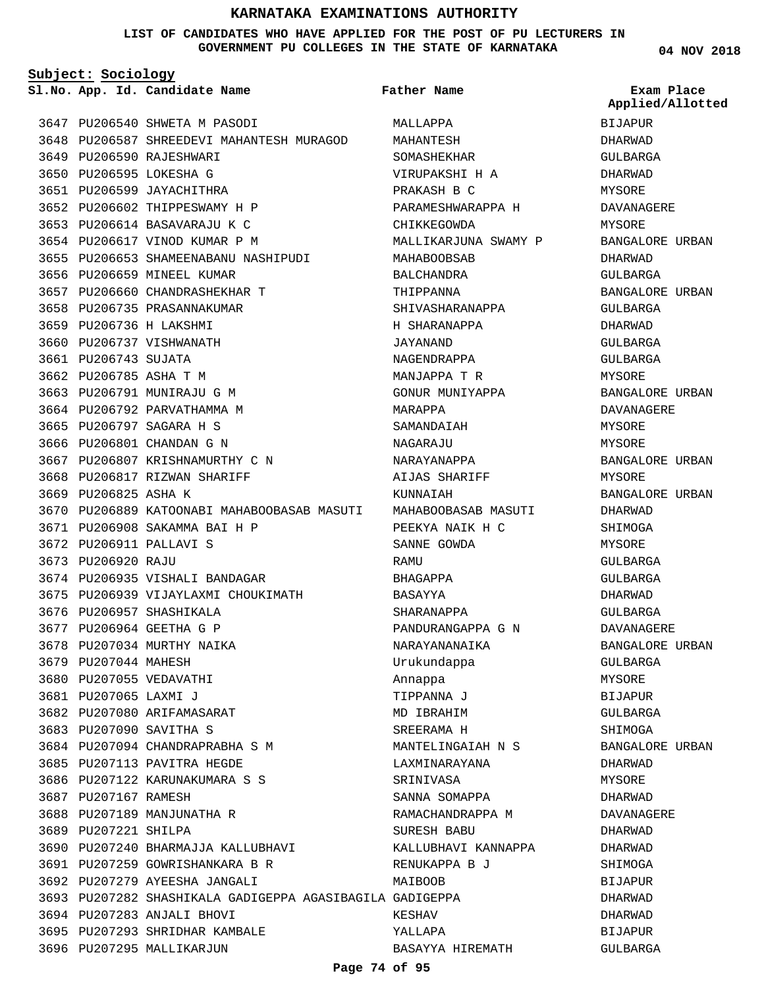#### **LIST OF CANDIDATES WHO HAVE APPLIED FOR THE POST OF PU LECTURERS IN GOVERNMENT PU COLLEGES IN THE STATE OF KARNATAKA**

**Subject: Sociology**

**App. Id. Candidate Name Sl.No. Exam Place**

3647 PU206540 SHWETA M PASODI 3648 PU206587 SHREEDEVI MAHANTESH MURAGOD 3649 PU206590 RAJESHWARI 3650 PU206595 LOKESHA G 3651 PU206599 JAYACHITHRA 3652 PU206602 THIPPESWAMY H P 3653 PU206614 BASAVARAJU K C 3654 PU206617 VINOD KUMAR P M 3655 PU206653 SHAMEENABANU NASHIPUDI 3656 PU206659 MINEEL KUMAR 3657 PU206660 CHANDRASHEKHAR T 3658 PU206735 PRASANNAKUMAR 3659 PU206736 H LAKSHMI 3660 PU206737 VISHWANATH 3661 PU206743 SUJATA 3662 PU206785 ASHA T M 3663 PU206791 MUNIRAJU G M 3664 PU206792 PARVATHAMMA M 3665 PU206797 SAGARA H S 3666 PU206801 CHANDAN G N 3667 PU206807 KRISHNAMURTHY C N 3668 PU206817 RIZWAN SHARIFF 3669 PU206825 ASHA K 3670 PU206889 KATOONABI MAHABOOBASAB MASUTI MAHABOOBASAB MASUTI 3671 PU206908 SAKAMMA BAI H P 3672 PU206911 PALLAVI S 3673 PU206920 RAJU 3674 PU206935 VISHALI BANDAGAR 3675 PU206939 VIJAYLAXMI CHOUKIMATH 3676 PU206957 SHASHIKALA 3677 PU206964 GEETHA G P 3678 PU207034 MURTHY NAIKA 3679 PU207044 MAHESH 3680 PU207055 VEDAVATHI 3681 PU207065 LAXMI J 3682 PU207080 ARIFAMASARAT 3683 PU207090 SAVITHA S 3684 PU207094 CHANDRAPRABHA S M 3685 PU207113 PAVITRA HEGDE 3686 PU207122 KARUNAKUMARA S S 3687 PU207167 RAMESH 3688 PU207189 MANJUNATHA R 3689 PU207221 SHILPA 3690 PU207240 BHARMAJJA KALLUBHAVI PU207259 GOWRISHANKARA B R 3691 3692 PU207279 AYEESHA JANGALI PU207282 SHASHIKALA GADIGEPPA AGASIBAGILA GADIGEPPA 3693 3694 PU207283 ANJALI BHOVI 3695 PU207293 SHRIDHAR KAMBALE 3696 PU207295 MALLIKARJUN

MALLAPPA MAHANTESH SOMASHEKHAR VIRUPAKSHI H A PRAKASH B C PARAMESHWARAPPA H CHIKKEGOWDA MALLIKARJUNA SWAMY P MAHABOOBSAB BALCHANDRA THIPPANNA SHIVASHARANAPPA H SHARANAPPA JAYANAND NAGENDRAPPA MANJAPPA T R GONUR MUNIYAPPA MARAPPA SAMANDAIAH NAGARAJU NARAYANAPPA AIJAS SHARIFF KUNNAIAH PEEKYA NAIK H C SANNE GOWDA **RAMIT** BHAGAPPA BASAYYA SHARANAPPA PANDURANGAPPA G N NARAYANANAIKA Urukundappa Annappa TIPPANNA J MD IBRAHIM SREERAMA H MANTELINGAIAH N S LAXMINARAYANA SRINIVASA SANNA SOMAPPA RAMACHANDRAPPA M SURESH BABU KALLUBHAVI KANNAPPA RENUKAPPA B J MATROOR KESHAV YALLAPA BASAYYA HIREMATH **Father Name**

**04 NOV 2018**

BIJAPUR DHARWAD GULBARGA DHARWAD MYSORE DAVANAGERE MYSORE BANGALORE URBAN DHARWAD GULBARGA BANGALORE URBAN GULBARGA DHARWAD GULBARGA GULBARGA MYSORE BANGALORE URBAN DAVANAGERE MYSORE MYSORE BANGALORE URBAN MYSORE BANGALORE URBAN DHARWAD SHIMOGA MYSORE  $CITIRARCA$ GULBARGA DHARWAD GULBARGA DAVANAGERE BANGALORE URBAN GULBARGA MYSORE BIJAPUR GULBARGA SHIMOGA BANGALORE URBAN DHARWAD MYSORE DHARWAD DAVANAGERE DHARWAD DHARWAD **SHIMOGA BIJAPUR** DHARWAD DHARWAD BIJAPUR GULBARGA **Applied/Allotted**

**Page 74 of 95**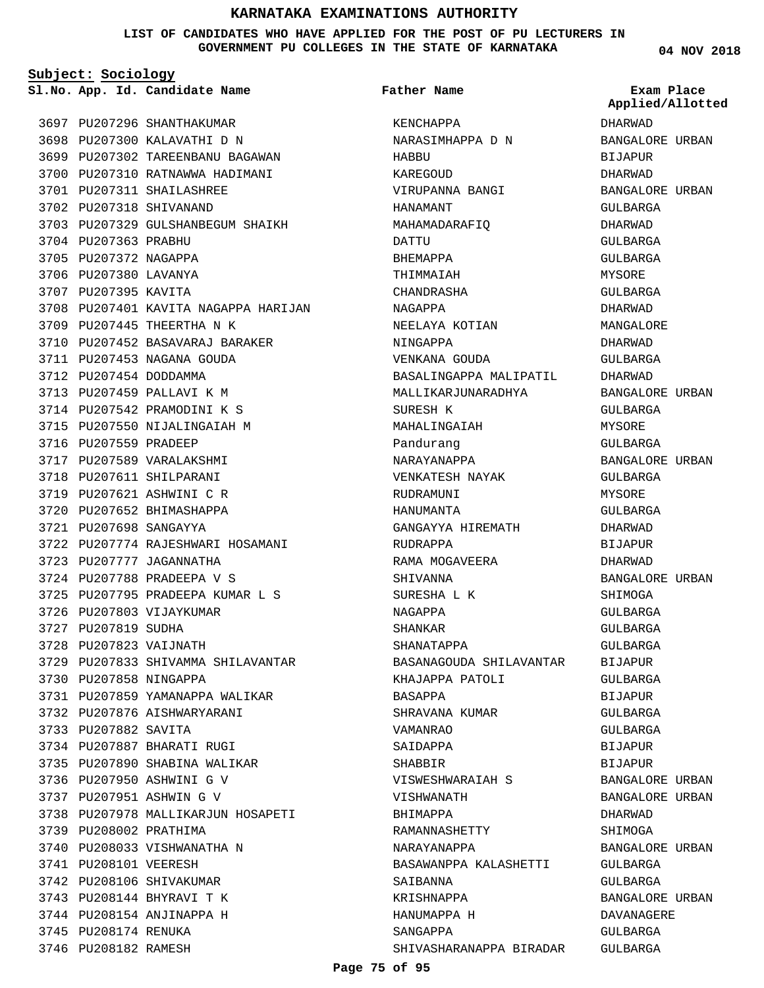**LIST OF CANDIDATES WHO HAVE APPLIED FOR THE POST OF PU LECTURERS IN GOVERNMENT PU COLLEGES IN THE STATE OF KARNATAKA**

**Subject: Sociology**

**App. Id. Candidate Name Sl.No. Exam Place**

3697 PU207296 SHANTHAKUMAR 3698 PU207300 KALAVATHI D N

PU207311 SHAILASHREE 3701 3702 PU207318 SHIVANAND

3709 PU207445 THEERTHA N K

3711 PU207453 NAGANA GOUDA 3712 PU207454 DODDAMMA 3713 PU207459 PALLAVI K M 3714 PU207542 PRAMODINI K S 3715 PU207550 NIJALINGAIAH M

3716 PU207559 PRADEEP 3717 PU207589 VARALAKSHMI 3718 PU207611 SHILPARANI 3719 PU207621 ASHWINI C R 3720 PU207652 BHIMASHAPPA PU207698 SANGAYYA 3721

3723 PU207777 JAGANNATHA 3724 PU207788 PRADEEPA V S

3726 PU207803 VIJAYKUMAR

3730 PU207858 NINGAPPA

3733 PU207882 SAVITA

3739 PU208002 PRATHIMA

3741 PU208101 VEERESH 3742 PU208106 SHIVAKUMAR 3743 PU208144 BHYRAVI T K 3744 PU208154 ANJINAPPA H

3745 PU208174 RENUKA 3746 PU208182 RAMESH

3740 PU208033 VISHWANATHA N

3732 PU207876 AISHWARYARANI

3734 PU207887 BHARATI RUGI 3735 PU207890 SHABINA WALIKAR 3736 PU207950 ASHWINI G V PU207951 ASHWIN G V 3737

3727 PU207819 SUDHA 3728 PU207823 VAIJNATH

3704 PU207363 PRABHU 3705 PU207372 NAGAPPA 3706 PU207380 LAVANYA 3707 PU207395 KAVITA

**Father Name**

3699 PU207302 TAREENBANU BAGAWAN 3700 PU207310 RATNAWWA HADIMANI 3703 PU207329 GULSHANBEGUM SHAIKH 3708 PU207401 KAVITA NAGAPPA HARIJAN 3710 PU207452 BASAVARAJ BARAKER 3722 PU207774 RAJESHWARI HOSAMANI 3725 PU207795 PRADEEPA KUMAR L S 3729 PU207833 SHIVAMMA SHILAVANTAR 3731 PU207859 YAMANAPPA WALIKAR 3738 PU207978 MALLIKARJUN HOSAPETI KENCHAPPA NARASIMHAPPA D N HABBU KAREGOUD VIRUPANNA BANGI HANAMANT MAHAMADARAFIQ DATTU BHEMAPPA THIMMAIAH CHANDRASHA NAGAPPA NEELAYA KOTIAN NINGAPPA VENKANA GOUDA BASALINGAPPA MALIPATIL MALLIKARJUNARADHYA SURESH K MAHALINGAIAH Pandurang NARAYANAPPA VENKATESH NAYAK RUDRAMUNI HANUMANTA GANGAYYA HIREMATH RUDRAPPA RAMA MOGAVEERA SHIVANNA SURESHA L K NAGAPPA SHANKAR SHANATAPPA BASANAGOUDA SHILAVANTAR KHAJAPPA PATOLI BASAPPA SHRAVANA KUMAR VAMANRAO SAIDAPPA SHABBIR VISWESHWARAIAH S VISHWANATH BHIMAPPA RAMANNASHETTY NARAYANAPPA BASAWANPPA KALASHETTI SAIRANNA KRISHNAPPA HANUMAPPA H SANGAPPA SHIVASHARANAPPA BIRADAR

DHARWAD BANGALORE URBAN BIJAPUR DHARWAD BANGALORE URBAN GULBARGA DHARWAD GULBARGA GULBARGA MYSORE GULBARGA DHARWAD MANGALORE DHARWAD GULBARGA DHARWAD BANGALORE URBAN CIILBARGA MYSORE GULBARGA BANGALORE URBAN GULBARGA MYSORE GULBARGA DHARWAD BIJAPUR DHARWAD BANGALORE URBAN SHIMOGA GULBARGA GULBARGA GULBARGA BIJAPUR GULBARGA BIJAPUR GULBARGA GULBARGA BIJAPUR BIJAPUR BANGALORE URBAN BANGALORE URBAN DHARWAD SHIMOGA BANGALORE URBAN GULBARGA GULBARGA BANGALORE URBAN DAVANAGERE GULBARGA GULBARGA **Applied/Allotted**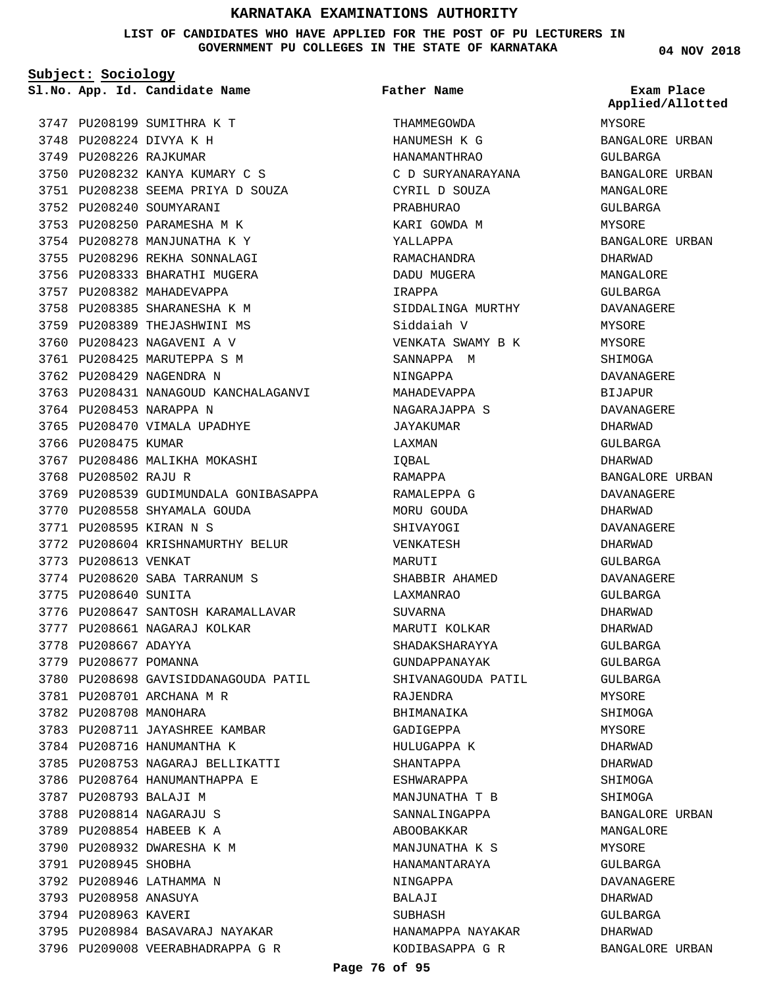**LIST OF CANDIDATES WHO HAVE APPLIED FOR THE POST OF PU LECTURERS IN GOVERNMENT PU COLLEGES IN THE STATE OF KARNATAKA**

**Subject: Sociology**

3747 PU208199 SUMITHRA K T 3748 PU208224 DIVYA K H 3749 PU208226 RAJKUMAR 3750 PU208232 KANYA KUMARY C S PU208238 SEEMA PRIYA D SOUZA 3751 3752 PU208240 SOUMYARANI 3753 PU208250 PARAMESHA M K 3754 PU208278 MANJUNATHA K Y 3755 PU208296 REKHA SONNALAGI 3756 PU208333 BHARATHI MUGERA 3757 PU208382 MAHADEVAPPA 3758 PU208385 SHARANESHA K M 3759 PU208389 THEJASHWINI MS 3760 PU208423 NAGAVENI A V 3761 PU208425 MARUTEPPA S M 3762 PU208429 NAGENDRA N 3763 PU208431 NANAGOUD KANCHALAGANVI 3764 PU208453 NARAPPA N 3765 PU208470 VIMALA UPADHYE 3766 PU208475 KUMAR 3767 PU208486 MALIKHA MOKASHI 3768 PU208502 RAJU R 3769 PU208539 GUDIMUNDALA GONIBASAPPA 3770 PU208558 SHYAMALA GOUDA PU208595 KIRAN N S 3771 3772 PU208604 KRISHNAMURTHY BELUR 3773 PU208613 VENKAT 3774 PU208620 SABA TARRANUM S 3775 PU208640 SUNITA 3776 PU208647 SANTOSH KARAMALLAVAR 3777 PU208661 NAGARAJ KOLKAR 3778 PU208667 ADAYYA 3779 PU208677 POMANNA 3780 PU208698 GAVISIDDANAGOUDA PATIL 3781 PU208701 ARCHANA M R 3782 PU208708 MANOHARA 3783 PU208711 JAYASHREE KAMBAR 3784 PU208716 HANUMANTHA K 3785 PU208753 NAGARAJ BELLIKATTI 3786 PU208764 HANUMANTHAPPA E 3787 PU208793 BALAJI M 3788 PU208814 NAGARAJU S 3789 PU208854 HABEEB K A 3790 PU208932 DWARESHA K M 3791 PU208945 SHOBHA 3792 PU208946 LATHAMMA N 3793 PU208958 ANASUYA 3794 PU208963 KAVERI 3795 PU208984 BASAVARAJ NAYAKAR 3796 PU209008 VEERABHADRAPPA G R

**App. Id. Candidate Name Sl.No. Exam Place** THAMMEGOWDA HANUMESH K G HANAMANTHRAO C D SURYANARAYANA CYRIL D SOUZA PRABHURAO KARI GOWDA M YALLAPPA RAMACHANDRA DADU MUGERA IRAPPA SIDDALINGA MURTHY Siddaiah V VENKATA SWAMY B K SANNAPPA M NINGAPPA MAHADEVAPPA NAGARAJAPPA S JAYAKUMAR LAXMAN IQBAL RAMAPPA RAMALEPPA G MORU GOUDA SHIVAYOGI VENKATESH MARIITT SHABBIR AHAMED LAXMANRAO SUVARNA MARUTI KOLKAR SHADAKSHARAYYA GUNDAPPANAYAK SHIVANAGOUDA PATIL RAJENDRA **BHIMANAIKA** GADIGEPPA HULUGAPPA K SHANTAPPA ESHWARAPPA MANJUNATHA T B SANNALINGAPPA ABOOBAKKAR MANJUNATHA K S HANAMANTARAYA NINGAPPA BALAJI SUBHASH HANAMAPPA NAYAKAR KODIBASAPPA G R **Father Name**

**04 NOV 2018**

MYSORE BANGALORE URBAN GULBARGA BANGALORE URBAN MANGALORE GULBARGA MYSORE BANGALORE URBAN DHARWAD MANGALORE GULBARGA DAVANAGERE MYSORE MYSORE SHIMOGA DAVANAGERE BIJAPUR DAVANAGERE DHARWAD GULBARGA DHARWAD BANGALORE URBAN DAVANAGERE DHARWAD DAVANAGERE DHARWAD GULBARGA DAVANAGERE GULBARGA DHARWAD DHARWAD GULBARGA GULBARGA GULBARGA MYSORE **SHIMOGA** MYSORE DHARWAD DHARWAD SHIMOGA SHIMOGA BANGALORE URBAN MANGALORE **MYSORE** GULBARGA DAVANAGERE DHARWAD GULBARGA DHARWAD BANGALORE URBAN **Applied/Allotted**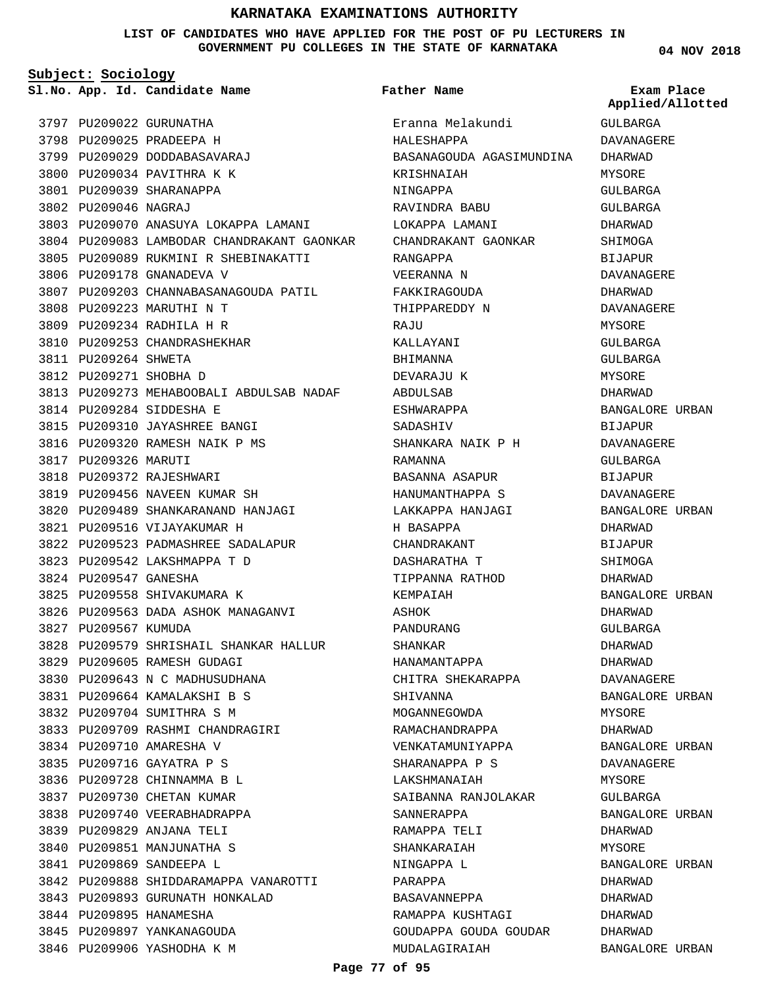#### **LIST OF CANDIDATES WHO HAVE APPLIED FOR THE POST OF PU LECTURERS IN GOVERNMENT PU COLLEGES IN THE STATE OF KARNATAKA**

**Subject: Sociology**

**App. Id. Candidate Name Sl.No. Exam Place**

```
Father Name
```
**04 NOV 2018**

| 3797 |                      | PU209022 GURUNATHA                                         |
|------|----------------------|------------------------------------------------------------|
| 3798 |                      | PU209025 PRADEEPA H                                        |
|      |                      | 3799 PU209029 DODDABASAVARAJ                               |
|      |                      | 3800 PU209034 PAVITHRA K K                                 |
| 3801 |                      | PU209039 SHARANAPPA                                        |
| 3802 | PU209046 NAGRAJ      |                                                            |
| 3803 |                      | PU209070 ANASUYA LOKAPPA LAMANI                            |
| 3804 |                      | PU209083 LAMBODAR CHANDRAKANT GAONKAR                      |
| 3805 |                      | PU209089 RUKMINI R SHEBINAKATTI                            |
| 3806 |                      | PU209178 GNANADEVA V                                       |
| 3807 |                      | PU209203 CHANNABASANAGOUDA PATIL                           |
| 3808 |                      | PU209223 MARUTHI N T                                       |
|      |                      | 3809 PU209234 RADHILA H R                                  |
| 3810 |                      | PU209253 CHANDRASHEKHAR                                    |
| 3811 | PU209264 SHWETA      |                                                            |
| 3812 |                      | PU209271 SHOBHA D                                          |
| 3813 |                      | PU209273 MEHABOOBALI ABDULSAB NADAF                        |
| 3814 |                      | PU209284 SIDDESHA E                                        |
| 3815 |                      | PU209310 JAYASHREE BANGI                                   |
|      |                      | 3816 PU209320 RAMESH NAIK P MS                             |
|      | 3817 PU209326 MARUTI |                                                            |
| 3818 |                      | PU209372 RAJESHWARI                                        |
|      |                      | 3819 PU209456 NAVEEN KUMAR SH                              |
| 3820 |                      | PU209489 SHANKARANAND HANJAGI                              |
| 3821 |                      | PU209516 VIJAYAKUMAR H                                     |
| 3822 |                      | PU209523 PADMASHREE SADALAPUR                              |
| 3823 |                      | PU209542 LAKSHMAPPA T D                                    |
| 3824 | PU209547 GANESHA     |                                                            |
|      |                      | 3825 PU209558 SHIVAKUMARA K                                |
| 3826 |                      | PU209563 DADA ASHOK MANAGANVI                              |
|      | 3827 PU209567 KUMUDA |                                                            |
|      |                      | 3828 PU209579 SHRISHAIL SHANKAR HALLUR                     |
|      |                      | 3829 PU209605 RAMESH GUDAGI                                |
|      |                      | 3830 PU209643 N C MADHUSUDHANA                             |
|      |                      |                                                            |
|      |                      | 3831 PU209664 KAMALAKSHI B S<br>3832 PU209704 SUMITHRA S M |
|      |                      | 3833 PU209709 RASHMI CHANDRAGIRI                           |
|      |                      | 3834 PU209710 AMARESHA V                                   |
|      |                      |                                                            |
|      |                      | 3835 PU209716 GAYATRA P S                                  |
|      |                      | 3836 PU209728 CHINNAMMA B L                                |
|      |                      | 3837 PU209730 CHETAN KUMAR                                 |
|      |                      | 3838 PU209740 VEERABHADRAPPA                               |
|      |                      | 3839 PU209829 ANJANA TELI                                  |
|      |                      | 3840 PU209851 MANJUNATHA S                                 |
|      |                      | 3841 PU209869 SANDEEPA L                                   |
|      |                      | 3842 PU209888 SHIDDARAMAPPA VANAROTTI                      |
|      |                      | 3843 PU209893 GURUNATH HONKALAD                            |
|      |                      | 3844 PU209895 HANAMESHA                                    |
|      |                      | 3845 PU209897 YANKANAGOUDA                                 |
|      |                      | 3846 PU209906 YASHODHA K M                                 |

Eranna Melakundi HALESHAPPA BASANAGOUDA AGASIMUNDINA KRISHNAIAH NINGAPPA RAVINDRA BABU LOKAPPA LAMANI CHANDRAKANT GAONKAR RANGAPPA VEERANNA N FAKKIRAGOUDA THIPPAREDDY N **RAJU** KALLAYANI BHIMANNA DEVARAJU K ABDULSAB **ESHWARAPPA** SADASHIV SHANKARA NAIK P H RAMANNA BASANNA ASAPUR HANUMANTHAPPA S LAKKAPPA HANJAGI H BASAPPA CHANDRAKANT DASHARATHA T TIPPANNA RATHOD KEMPAIAH ASHOK PANDURANG SHANKAR HANAMANTAPPA CHITRA SHEKARAPPA SHIVANNA MOGANNEGOWDA RAMACHANDRAPPA VENKATAMUNIYAPPA SHARANAPPA P S LAKSHMANAIAH SAIBANNA RANJOLAKAR SANNERAPPA RAMAPPA TELI SHANKARAIAH NINGAPPA L PARAPPA BASAVANNEPPA RAMAPPA KUSHTAGI GOUDAPPA GOUDA GOUDAR MUDALAGIRAIAH

DAVANAGERE DHARWAD MYSORE

**Applied/Allotted**

GULBARGA

GULBARGA GULBARGA DHARWAD SHIMOGA BIJAPUR DAVANAGERE DHARWAD DAVANAGERE MYSORE GULBARGA GULBARGA MYSORE DHARWAD BANGALORE URBAN BIJAPUR DAVANAGERE GULBARGA BIJAPUR DAVANAGERE BANGALORE URBAN DHARWAD BIJAPUR **SHIMOGA** DHARWAD BANGALORE URBAN DHARWAD GULBARGA DHARWAD DHARWAD DAVANAGERE BANGALORE URBAN MYSORE DHARWAD BANGALORE URBAN DAVANAGERE MYSORE GULBARGA BANGALORE URBAN DHARWAD MYSORE BANGALORE URBAN DHARWAD DHARWAD DHARWAD

DHARWAD

BANGALORE URBAN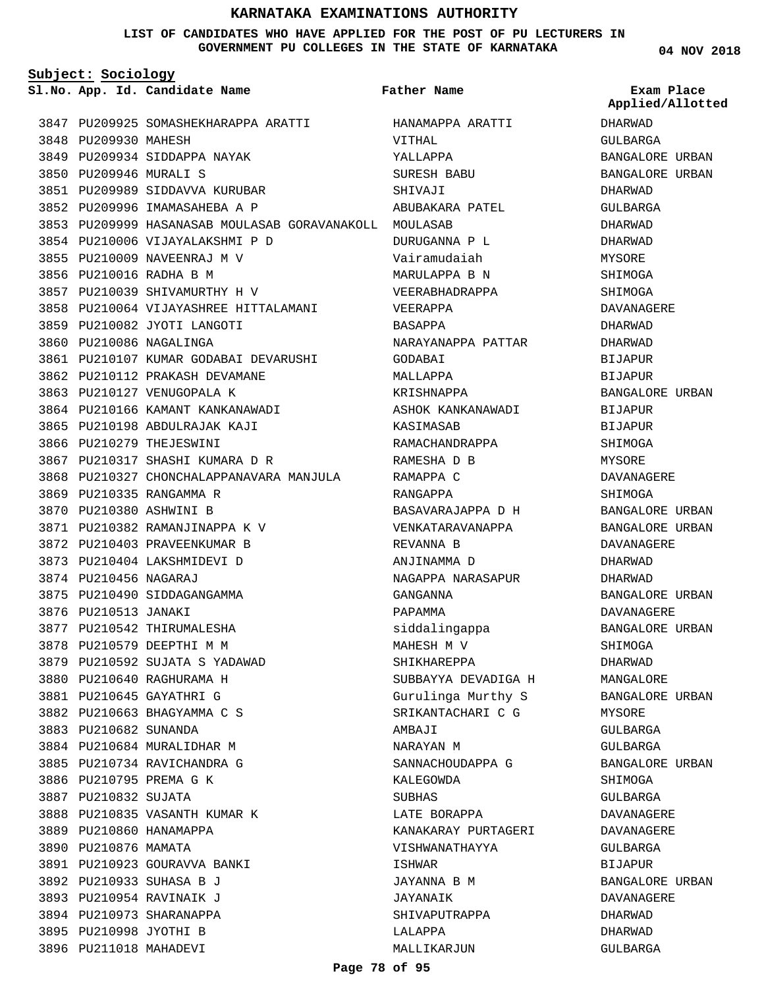#### **LIST OF CANDIDATES WHO HAVE APPLIED FOR THE POST OF PU LECTURERS IN GOVERNMENT PU COLLEGES IN THE STATE OF KARNATAKA**

**Subject: Sociology**

**App. Id. Candidate Name Sl.No. Exam Place**

3847 PU209925 SOMASHEKHARAPPA ARATTI 3848 PU209930 MAHESH 3849 PU209934 SIDDAPPA NAYAK 3850 PU209946 MURALI S 3851 PU209989 SIDDAVVA KURUBAR 3852 PU209996 IMAMASAHEBA A P PU209999 HASANASAB MOULASAB GORAVANAKOLL MOULASAB 3853 3854 PU210006 VIJAYALAKSHMI P D 3855 PU210009 NAVEENRAJ M V 3856 PU210016 RADHA B M 3857 PU210039 SHIVAMURTHY H V 3858 PU210064 VIJAYASHREE HITTALAMANI 3859 PU210082 JYOTI LANGOTI 3860 PU210086 NAGALINGA 3861 PU210107 KUMAR GODABAI DEVARUSHI 3862 PU210112 PRAKASH DEVAMANE 3863 PU210127 VENUGOPALA K 3864 PU210166 KAMANT KANKANAWADI 3865 PU210198 ABDULRAJAK KAJI 3866 PU210279 THEJESWINI 3867 PU210317 SHASHI KUMARA D R 3868 PU210327 CHONCHALAPPANAVARA MANJULA 3869 PU210335 RANGAMMA R 3870 PU210380 ASHWINI B 3871 PU210382 RAMANJINAPPA K V 3872 PU210403 PRAVEENKUMAR B 3873 PU210404 LAKSHMIDEVI D 3874 PU210456 NAGARAJ 3875 PU210490 SIDDAGANGAMMA 3876 PU210513 JANAKI 3877 PU210542 THIRUMALESHA 3878 PU210579 DEEPTHI M M 3879 PU210592 SUJATA S YADAWAD 3880 PU210640 RAGHURAMA H PU210645 GAYATHRI G 3881 PU210663 BHAGYAMMA C S 3882 3883 PU210682 SUNANDA 3884 PU210684 MURALIDHAR M 3885 PU210734 RAVICHANDRA G 3886 PU210795 PREMA G K 3887 PU210832 SUJATA 3888 PU210835 VASANTH KUMAR K 3889 PU210860 HANAMAPPA 3890 PU210876 MAMATA 3891 PU210923 GOURAVVA BANKI 3892 PU210933 SUHASA B J 3893 PU210954 RAVINAIK J 3894 PU210973 SHARANAPPA 3895 PU210998 JYOTHI B 3896 PU211018 MAHADEVI

HANAMAPPA ARATTI VITHAL YALLAPPA SURESH BABU SHIVAJI ABUBAKARA PATEL DURUGANNA P L Vairamudaiah MARULAPPA B N VEERABHADRAPPA VEERAPPA BASAPPA NARAYANAPPA PATTAR GODABAI MALLAPPA KRISHNAPPA ASHOK KANKANAWADI KASIMASAB RAMACHANDRAPPA RAMESHA D B RAMAPPA C RANGAPPA BASAVARAJAPPA D H VENKATARAVANAPPA REVANNA B ANJINAMMA D NAGAPPA NARASAPUR GANGANNA PAPAMMA siddalingappa MAHESH M V SHIKHAREPPA SUBBAYYA DEVADIGA H Gurulinga Murthy S SRIKANTACHARI C G AMBAJI NARAYAN M SANNACHOUDAPPA G KALEGOWDA SUBHAS LATE BORAPPA KANAKARAY PURTAGERI VISHWANATHAYYA ISHWAR JAYANNA B M JAYANAIK SHIVAPUTRAPPA LALAPPA MALLIKARJUN **Father Name**

**04 NOV 2018**

DHARWAD GULBARGA BANGALORE URBAN BANGALORE URBAN DHARWAD GULBARGA DHARWAD DHARWAD MYSORE SHIMOGA SHIMOGA DAVANAGERE DHARWAD DHARWAD BIJAPUR BIJAPUR BANGALORE URBAN BIJAPUR **BIJAPUR** SHIMOGA **MYSORE** DAVANAGERE SHIMOGA BANGALORE URBAN BANGALORE URBAN DAVANAGERE DHARWAD DHARWAD BANGALORE URBAN DAVANAGERE BANGALORE URBAN SHIMOGA DHARWAD MANGALORE BANGALORE URBAN MYSORE GULBARGA GULBARGA BANGALORE URBAN SHIMOGA GULBARGA DAVANAGERE DAVANAGERE GULBARGA BIJAPUR BANGALORE URBAN DAVANAGERE DHARWAD DHARWAD GULBARGA **Applied/Allotted**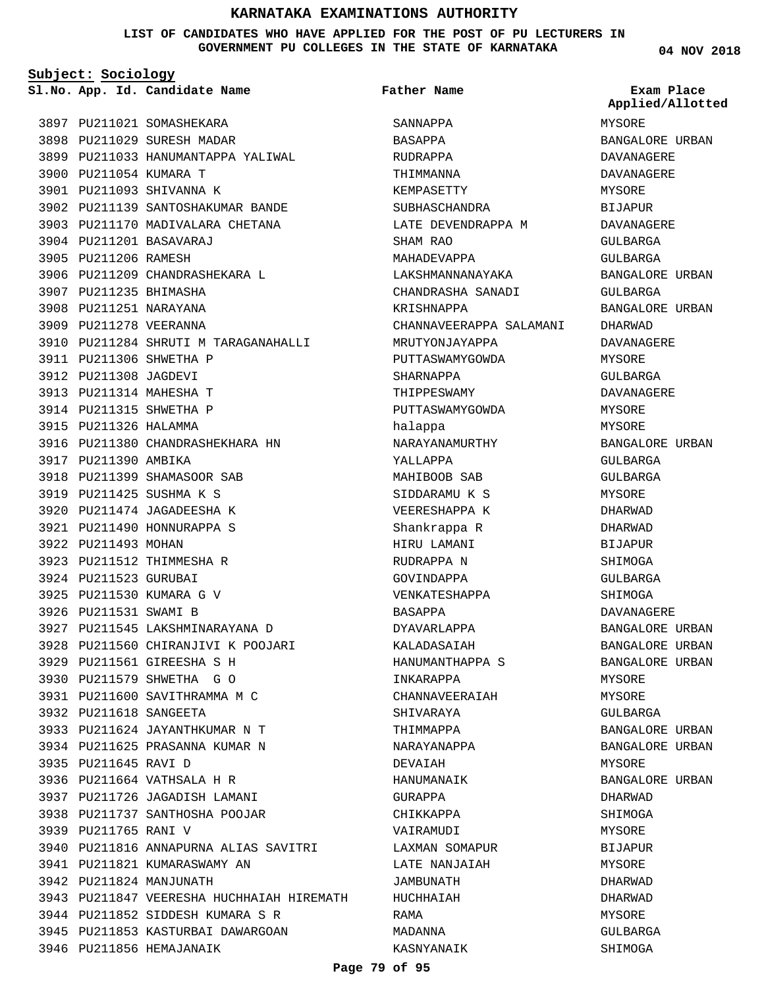#### **LIST OF CANDIDATES WHO HAVE APPLIED FOR THE POST OF PU LECTURERS IN GOVERNMENT PU COLLEGES IN THE STATE OF KARNATAKA**

**Subject: Sociology**

**App. Id. Candidate Name Sl.No. Exam Place**

**Father Name**

**04 NOV 2018** MYSORE BANGALORE URBAN **Applied/Allotted**

| 3897 | PU211021               | SOMASHEKARA                               |
|------|------------------------|-------------------------------------------|
| 3898 |                        | PU211029 SURESH MADAR                     |
|      |                        | 3899 PU211033 HANUMANTAPPA YALIWAL        |
|      | 3900 PU211054 KUMARA T |                                           |
|      |                        | 3901 PU211093 SHIVANNA K                  |
|      |                        | 3902 PU211139 SANTOSHAKUMAR BANDE         |
| 3903 |                        | PU211170 MADIVALARA CHETANA               |
|      |                        | 3904 PU211201 BASAVARAJ                   |
| 3905 | PU211206 RAMESH        |                                           |
| 3906 |                        | PU211209 CHANDRASHEKARA L                 |
|      | 3907 PU211235 BHIMASHA |                                           |
|      | 3908 PU211251 NARAYANA |                                           |
|      | 3909 PU211278 VEERANNA |                                           |
|      |                        | 3910 PU211284 SHRUTI M TARAGANAHALLI      |
|      |                        | 3911 PU211306 SHWETHA P                   |
|      | 3912 PU211308 JAGDEVI  |                                           |
|      |                        | 3913 PU211314 MAHESHA T                   |
|      |                        | 3914 PU211315 SHWETHA P                   |
|      | 3915 PU211326 HALAMMA  |                                           |
|      |                        | 3916 PU211380 CHANDRASHEKHARA HN          |
|      | 3917 PU211390 AMBIKA   |                                           |
|      |                        | 3918 PU211399 SHAMASOOR SAB               |
|      |                        | 3919 PU211425 SUSHMA K S                  |
|      |                        | 3920 PU211474 JAGADEESHA K                |
| 3921 |                        | PU211490 HONNURAPPA S                     |
| 3922 | PU211493 MOHAN         |                                           |
| 3923 |                        | PU211512 THIMMESHA R                      |
|      | 3924 PU211523 GURUBAI  |                                           |
|      |                        | 3925 PU211530 KUMARA G V                  |
|      | 3926 PU211531 SWAMI B  |                                           |
|      |                        | 3927 PU211545 LAKSHMINARAYANA D           |
|      |                        | 3928 PU211560 CHIRANJIVI K POOJARI        |
|      |                        | 3929 PU211561 GIREESHA S H                |
|      |                        | 3930 PU211579 SHWETHA G O                 |
|      |                        | 3931 PU211600 SAVITHRAMMA M C             |
|      | 3932 PU211618 SANGEETA |                                           |
|      |                        | 3933 PU211624 JAYANTHKUMAR N T            |
|      |                        | 3934 PU211625 PRASANNA KUMAR N            |
|      | 3935 PU211645 RAVI D   |                                           |
|      |                        | 3936 PU211664 VATHSALA H R                |
|      |                        | 3937 PU211726 JAGADISH LAMANI             |
|      |                        | 3938 PU211737 SANTHOSHA POOJAR            |
|      | 3939 PU211765 RANI V   |                                           |
|      |                        | 3940 PU211816 ANNAPURNA ALIAS SAVITRI     |
|      |                        | 3941 PU211821 KUMARASWAMY AN              |
|      |                        | 3942 PU211824 MANJUNATH                   |
|      |                        | 3943 PU211847 VEERESHA HUCHHAIAH HIREMATH |
|      |                        | 3944 PU211852 SIDDESH KUMARA S R          |
|      |                        | 3945 PU211853 KASTURBAI DAWARGOAN         |
|      |                        | 3946 PU211856 HEMAJANAIK                  |
|      |                        |                                           |

SANNAPPA BASAPPA RUDRAPPA THIMMANNA KEMPASETTY SUBHASCHANDRA LATE DEVENDRAPPA M SHAM RAO MAHADEVAPPA LAKSHMANNANAYAKA CHANDRASHA SANADI KRISHNAPPA CHANNAVEERAPPA SALAMANI MRUTYONJAYAPPA PUTTASWAMYGOWDA SHARNAPPA THIPPESWAMY PUTTASWAMYGOWDA halappa NARAYANAMURTHY YALLAPPA MAHIBOOB SAB SIDDARAMU K S VEERESHAPPA K Shankrappa R HIRU LAMANI RUDRAPPA N GOVINDAPPA VENKATESHAPPA BASAPPA DYAVARLAPPA KALADASAIAH HANUMANTHAPPA S INKARAPPA CHANNAVEERAIAH SHIVARAYA THIMMAPPA NARAYANAPPA DEVAIAH HANUMANAIK GURAPPA CHIKKAPPA VAIRAMUDI LAXMAN SOMAPUR LATE NANJAIAH JAMBUNATH HUCHHAIAH RAMA MADANNA KASNYANAIK

DAVANAGERE DAVANAGERE MYSORE BIJAPUR DAVANAGERE GULBARGA GULBARGA BANGALORE URBAN GULBARGA BANGALORE URBAN DHARWAD DAVANAGERE MYSORE GULBARGA DAVANAGERE MYSORE MYSORE BANGALORE URBAN GULBARGA GULBARGA MYSORE DHARWAD DHARWAD BIJAPUR **SHIMOGA** GULBARGA SHIMOGA DAVANAGERE BANGALORE URBAN BANGALORE URBAN BANGALORE URBAN MYSORE MYSORE GULBARGA BANGALORE URBAN BANGALORE URBAN MYSORE BANGALORE URBAN DHARWAD SHIMOGA MYSORE **BIJAPUR** MYSORE DHARWAD DHARWAD MYSORE GULBARGA SHIMOGA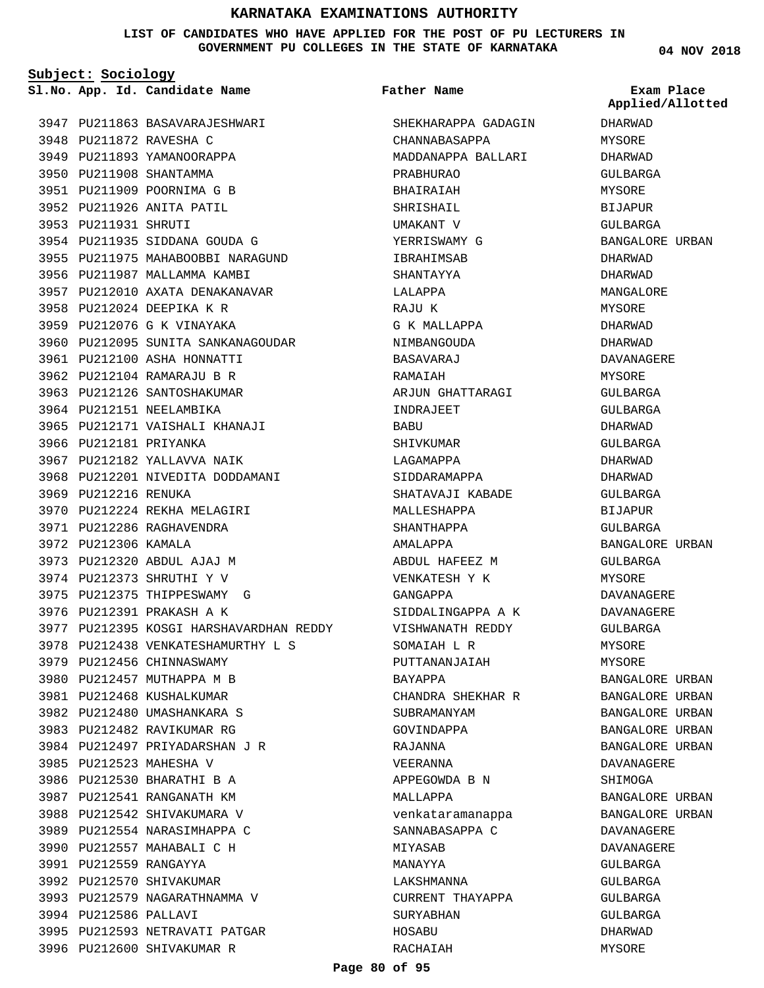**LIST OF CANDIDATES WHO HAVE APPLIED FOR THE POST OF PU LECTURERS IN GOVERNMENT PU COLLEGES IN THE STATE OF KARNATAKA**

**Subject: Sociology**

**App. Id. Candidate Name Sl.No. Exam Place**

**Father Name**

SHEKHARAPPA GADAGIN

MADDANAPPA BALLARI

CHANNABASAPPA

PRABHURAO

**04 NOV 2018** DHARWAD MYSORE DHARWAD GULBARGA MYSORE BIJAPUR GULBARGA BANGALORE URBAN DHARWAD DHARWAD MANGALORE MYSORE DHARWAD DHARWAD DAVANAGERE MYSORE GULBARGA GULBARGA DHARWAD GULBARGA DHARWAD DHARWAD GULBARGA BIJAPUR GULBARGA BANGALORE URBAN GULBARGA MYSORE DAVANAGERE DAVANAGERE GULBARGA MYSORE MYSORE BANGALORE URBAN BANGALORE URBAN BANGALORE URBAN BANGALORE URBAN BANGALORE URBAN DAVANAGERE SHIMOGA **Applied/Allotted**

BANGALORE URBAN BANGALORE URBAN DAVANAGERE DAVANAGERE GULBARGA GULBARGA GULBARGA GULBARGA DHARWAD MYSORE

3947 PU211863 BASAVARAJESHWARI 3948 PU211872 RAVESHA C 3949 PU211893 YAMANOORAPPA 3950 PU211908 SHANTAMMA PU211909 POORNIMA G B 3951 3952 PU211926 ANITA PATIL 3953 PU211931 SHRUTI 3954 PU211935 SIDDANA GOUDA G 3955 PU211975 MAHABOOBBI NARAGUND 3956 PU211987 MALLAMMA KAMBI 3957 PU212010 AXATA DENAKANAVAR 3958 PU212024 DEEPIKA K R 3959 PU212076 G K VINAYAKA 3960 PU212095 SUNITA SANKANAGOUDAR 3961 PU212100 ASHA HONNATTI 3962 PU212104 RAMARAJU B R 3963 PU212126 SANTOSHAKUMAR 3964 PU212151 NEELAMBIKA 3965 PU212171 VAISHALI KHANAJI 3966 PU212181 PRIYANKA 3967 PU212182 YALLAVVA NAIK 3968 PU212201 NIVEDITA DODDAMANI 3969 PU212216 RENUKA 3970 PU212224 REKHA MELAGIRI 3971 PU212286 RAGHAVENDRA 3972 PU212306 KAMALA 3973 PU212320 ABDUL AJAJ M 3974 PU212373 SHRUTHI Y V 3975 PU212375 THIPPESWAMY G 3976 PU212391 PRAKASH A K 3977 PU212395 KOSGI HARSHAVARDHAN REDDY 3978 PU212438 VENKATESHAMURTHY L S 3979 PU212456 CHINNASWAMY 3980 PU212457 MUTHAPPA M B 3981 PU212468 KUSHALKUMAR PU212480 UMASHANKARA S 3982 3983 PU212482 RAVIKUMAR RG 3984 PU212497 PRIYADARSHAN J R 3985 PU212523 MAHESHA V 3986 PU212530 BHARATHI B A 3987 PU212541 RANGANATH KM 3988 PU212542 SHIVAKUMARA V 3989 PU212554 NARASIMHAPPA C 3990 PU212557 MAHABALI C H 3991 PU212559 RANGAYYA 3992 PU212570 SHIVAKUMAR 3993 PU212579 NAGARATHNAMMA V 3994 PU212586 PALLAVI 3995 PU212593 NETRAVATI PATGAR 3996 PU212600 SHIVAKUMAR R

BHAIRAIAH SHRISHAIL UMAKANT V YERRISWAMY G IBRAHIMSAB SHANTAYYA LALAPPA RAJU K G K MALLAPPA NIMBANGOUDA BASAVARAJ RAMAIAH ARJUN GHATTARAGI INDRAJEET BABU SHIVKUMAR LAGAMAPPA SIDDARAMAPPA SHATAVAJI KABADE MALLESHAPPA SHANTHAPPA AMALAPPA ABDUL HAFEEZ M VENKATESH Y K GANGAPPA SIDDALINGAPPA A K VISHWANATH REDDY SOMAIAH L R PUTTANANJAIAH BAYAPPA CHANDRA SHEKHAR R SUBRAMANYAM GOVINDAPPA RAJANNA VEERANNA APPEGOWDA B N MALLAPPA venkataramanappa SANNABASAPPA C MIYASAB MANAYYA LAKSHMANNA CURRENT THAYAPPA SURYABHAN HOSABU RACHAIAH

**Page 80 of 95**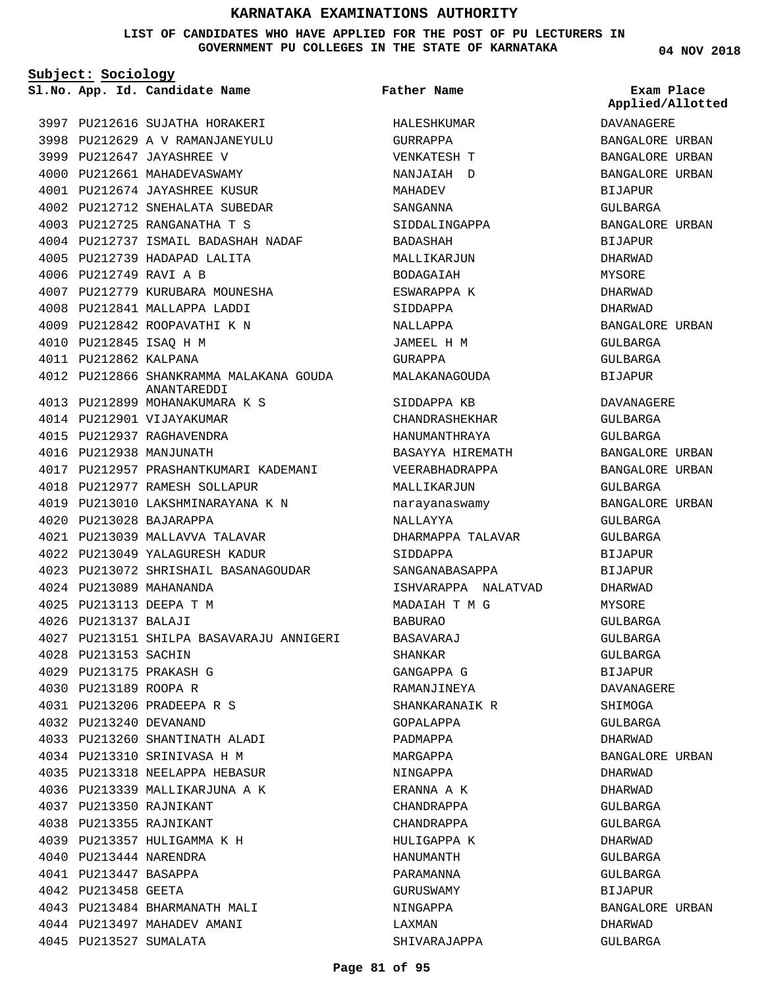**LIST OF CANDIDATES WHO HAVE APPLIED FOR THE POST OF PU LECTURERS IN GOVERNMENT PU COLLEGES IN THE STATE OF KARNATAKA**

**Subject: Sociology**

**04 NOV 2018**

|                        | Sl.No. App. Id. Candidate Name                         | Father Name         | Exam Place<br>Applied/Allotted |
|------------------------|--------------------------------------------------------|---------------------|--------------------------------|
|                        | 3997 PU212616 SUJATHA HORAKERI                         | HALESHKUMAR         | DAVANAGERE                     |
|                        | 3998 PU212629 A V RAMANJANEYULU                        | GURRAPPA            | BANGALORE URBAN                |
|                        | 3999 PU212647 JAYASHREE V                              | VENKATESH T         | BANGALORE URBAN                |
|                        | 4000 PU212661 MAHADEVASWAMY                            | NANJAIAH D          | BANGALORE URBAN                |
|                        | 4001 PU212674 JAYASHREE KUSUR                          | MAHADEV             | BIJAPUR                        |
|                        | 4002 PU212712 SNEHALATA SUBEDAR                        | SANGANNA            | GULBARGA                       |
|                        | 4003 PU212725 RANGANATHA T S                           | SIDDALINGAPPA       | BANGALORE URBAN                |
|                        | 4004 PU212737 ISMAIL BADASHAH NADAF                    | BADASHAH            | BIJAPUR                        |
|                        | 4005 PU212739 HADAPAD LALITA                           | MALLIKARJUN         | DHARWAD                        |
|                        | 4006 PU212749 RAVI A B                                 | BODAGAIAH           | MYSORE                         |
|                        | 4007 PU212779 KURUBARA MOUNESHA                        | ESWARAPPA K         | DHARWAD                        |
|                        | 4008 PU212841 MALLAPPA LADDI                           | SIDDAPPA            | DHARWAD                        |
|                        | 4009 PU212842 ROOPAVATHI K N                           | NALLAPPA            | BANGALORE URBAN                |
|                        | 4010 PU212845 ISAQ H M                                 | JAMEEL H M          | GULBARGA                       |
| 4011 PU212862 KALPANA  |                                                        | GURAPPA             | GULBARGA                       |
|                        | 4012 PU212866 SHANKRAMMA MALAKANA GOUDA<br>ANANTAREDDI | MALAKANAGOUDA       | BIJAPUR                        |
|                        | 4013 PU212899 MOHANAKUMARA K S                         | SIDDAPPA KB         | DAVANAGERE                     |
|                        | 4014 PU212901 VIJAYAKUMAR                              | CHANDRASHEKHAR      | GULBARGA                       |
|                        | 4015 PU212937 RAGHAVENDRA                              | HANUMANTHRAYA       | GULBARGA                       |
|                        | 4016 PU212938 MANJUNATH                                | BASAYYA HIREMATH    | BANGALORE URBAN                |
|                        | 4017 PU212957 PRASHANTKUMARI KADEMANI                  | VEERABHADRAPPA      | BANGALORE URBAN                |
|                        | 4018 PU212977 RAMESH SOLLAPUR                          | MALLIKARJUN         | GULBARGA                       |
|                        | 4019 PU213010 LAKSHMINARAYANA K N                      | narayanaswamy       | BANGALORE URBAN                |
|                        | 4020 PU213028 BAJARAPPA                                | NALLAYYA            | GULBARGA                       |
|                        | 4021 PU213039 MALLAVVA TALAVAR                         | DHARMAPPA TALAVAR   | GULBARGA                       |
|                        | 4022 PU213049 YALAGURESH KADUR                         | SIDDAPPA            | <b>BIJAPUR</b>                 |
|                        | 4023 PU213072 SHRISHAIL BASANAGOUDAR                   | SANGANABASAPPA      | <b>BIJAPUR</b>                 |
|                        | 4024 PU213089 MAHANANDA                                | ISHVARAPPA NALATVAD | DHARWAD                        |
|                        | 4025 PU213113 DEEPA T M                                | MADAIAH T M G       | MYSORE                         |
| 4026 PU213137 BALAJI   |                                                        | <b>BABURAO</b>      | GULBARGA                       |
|                        | 4027 PU213151 SHILPA BASAVARAJU ANNIGERI               | BASAVARAJ           | GULBARGA                       |
| 4028 PU213153 SACHIN   |                                                        | SHANKAR             | GULBARGA                       |
|                        | 4029 PU213175 PRAKASH G                                | GANGAPPA G          | BIJAPUR                        |
| 4030 PU213189 ROOPA R  |                                                        | RAMANJINEYA         | <b>DAVANAGERE</b>              |
|                        | 4031 PU213206 PRADEEPA R S                             | SHANKARANAIK R      | SHIMOGA                        |
| 4032 PU213240 DEVANAND |                                                        | GOPALAPPA           | GULBARGA                       |
|                        | 4033 PU213260 SHANTINATH ALADI                         | PADMAPPA            | DHARWAD                        |
|                        | 4034 PU213310 SRINIVASA H M                            | MARGAPPA            | BANGALORE URBAN                |
|                        | 4035 PU213318 NEELAPPA HEBASUR                         | NINGAPPA            | DHARWAD                        |
|                        | 4036 PU213339 MALLIKARJUNA A K                         | ERANNA A K          | DHARWAD                        |
|                        | 4037 PU213350 RAJNIKANT                                | CHANDRAPPA          | GULBARGA                       |
|                        | 4038 PU213355 RAJNIKANT                                | CHANDRAPPA          | GULBARGA                       |
|                        | 4039 PU213357 HULIGAMMA K H                            | HULIGAPPA K         | DHARWAD                        |
|                        | 4040 PU213444 NARENDRA                                 | HANUMANTH           | GULBARGA                       |
| 4041 PU213447 BASAPPA  |                                                        | PARAMANNA           | GULBARGA                       |
| 4042 PU213458 GEETA    |                                                        | GURUSWAMY           | BIJAPUR                        |
|                        | 4043 PU213484 BHARMANATH MALI                          | NINGAPPA            | BANGALORE URBAN                |
|                        | 4044 PU213497 MAHADEV AMANI                            | LAXMAN              | DHARWAD                        |
|                        | 4045 PU213527 SUMALATA                                 | SHIVARAJAPPA        | GULBARGA                       |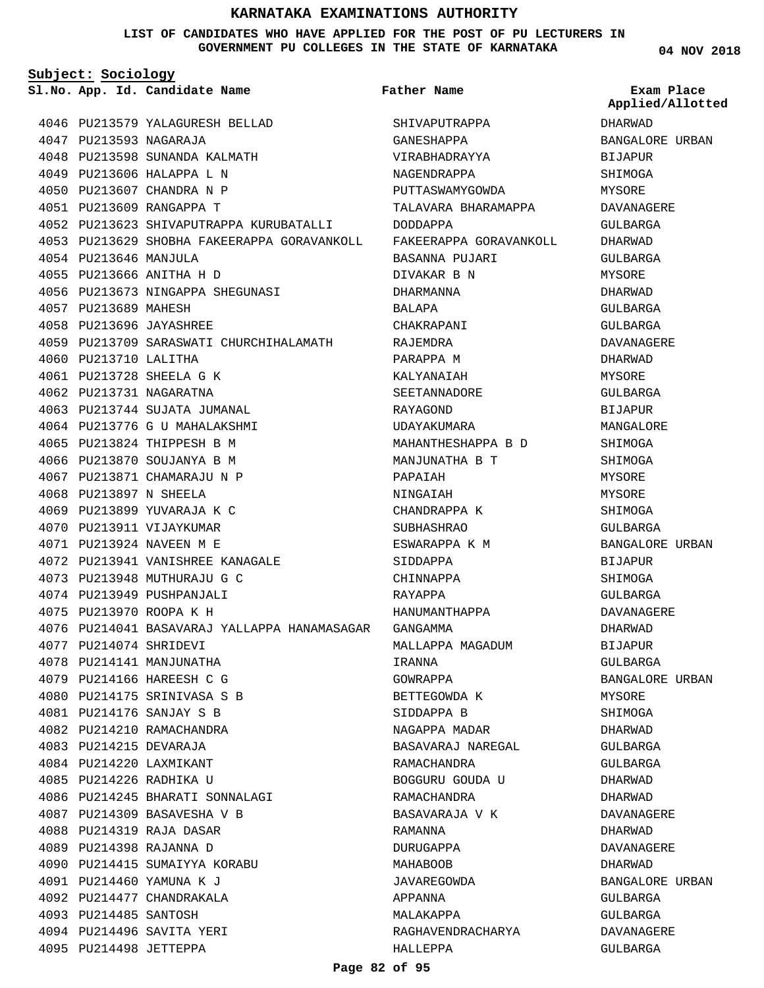#### **LIST OF CANDIDATES WHO HAVE APPLIED FOR THE POST OF PU LECTURERS IN GOVERNMENT PU COLLEGES IN THE STATE OF KARNATAKA**

**Subject: Sociology**

**App. Id. Candidate Name Sl.No. Exam Place**

PU213593 NAGARAJA 4047

4054 PU213646 MANJULA PU213666 ANITHA H D 4055

4057 PU213689 MAHESH PU213696 JAYASHREE 4058

4060 PU213710 LALITHA PU213728 SHEELA G K 4061 4062 PU213731 NAGARATNA

PU213897 N SHEELA 4068 4069 PU213899 YUVARAJA K C 4070 PU213911 VIJAYKUMAR PU213924 NAVEEN M E 4071

PU214074 SHRIDEVI 4077 4078 PU214141 MANJUNATHA PU214166 HAREESH C G 4079 4080 PU214175 SRINIVASA S B PU214176 SANJAY S B 4081 4082 PU214210 RAMACHANDRA PU214215 DEVARAJA 4083 PU214220 LAXMIKANT 4084 4085 PU214226 RADHIKA U

4063 PU213744 SUJATA JUMANAL 4064 PU213776 G U MAHALAKSHMI PU213824 THIPPESH B M 4065 4066 PU213870 SOUJANYA B M PU213871 CHAMARAJU N P 4067

PU213941 VANISHREE KANAGALE 4072

4086 PU214245 BHARATI SONNALAGI 4087 PU214309 BASAVESHA V B PU214319 RAJA DASAR 4088 PU214398 RAJANNA D 4089

4090 PU214415 SUMAIYYA KORABU

PU214460 YAMUNA K J 4091 4092 PU214477 CHANDRAKALA 4093 PU214485 SANTOSH PU214496 SAVITA YERI 4094 4095 PU214498 JETTEPPA

PU213948 MUTHURAJU G C 4073 4074 PU213949 PUSHPANJALI PU213970 ROOPA K H 4075

PU213579 YALAGURESH BELLAD 4046

4056 PU213673 NINGAPPA SHEGUNASI

4048 PU213598 SUNANDA KALMATH 4049 PU213606 HALAPPA L N 4050 PU213607 CHANDRA N P PU213609 RANGAPPA T 4051

**Father Name**

4052 PU213623 SHIVAPUTRAPPA KURUBATALLI 4053 PU213629 SHOBHA FAKEERAPPA GORAVANKOLL 4059 PU213709 SARASWATI CHURCHIHALAMATH PU214041 BASAVARAJ YALLAPPA HANAMASAGAR GANGAMMA 4076 SHIVAPUTRAPPA GANESHAPPA VIRABHADRAYYA NAGENDRAPPA PUTTASWAMYGOWDA TALAVARA BHARAMAPPA DODDAPPA FAKEERAPPA GORAVANKOLL BASANNA PUJARI DIVAKAR B N DHARMANNA BALAPA CHAKRAPANI RAJEMDRA PARAPPA M KALYANAIAH SEETANNADORE RAYAGOND UDAYAKUMARA MAHANTHESHAPPA B D MANJUNATHA B T PAPAIAH NINGAIAH CHANDRAPPA K SUBHASHRAO ESWARAPPA K M SIDDAPPA CHINNAPPA RAYAPPA HANUMANTHAPPA MALLAPPA MAGADUM IRANNA GOWRAPPA BETTEGOWDA K SIDDAPPA B NAGAPPA MADAR BASAVARAJ NAREGAL RAMACHANDRA BOGGURU GOUDA U RAMACHANDRA BASAVARAJA V K RAMANNA DURUGAPPA MAHABOOB JAVAREGOWDA APPANNA MALAKAPPA RAGHAVENDRACHARYA HALLEPPA

**04 NOV 2018**

DHARWAD **Applied/Allotted**

BANGALORE URBAN

BIJAPUR SHIMOGA MYSORE DAVANAGERE GULBARGA DHARWAD GULBARGA MYSORE DHARWAD GULBARGA GULBARGA DAVANAGERE DHARWAD MYSORE GULBARGA BIJAPUR MANGALORE SHIMOGA SHIMOGA MYSORE MYSORE SHIMOGA GULBARGA BANGALORE URBAN BIJAPUR SHIMOGA GULBARGA DAVANAGERE DHARWAD BIJAPUR GULBARGA BANGALORE URBAN MYSORE **SHIMOGA** DHARWAD GULBARGA GULBARGA DHARWAD DHARWAD DAVANAGERE DHARWAD DAVANAGERE DHARWAD BANGALORE URBAN GULBARGA GULBARGA DAVANAGERE GULBARGA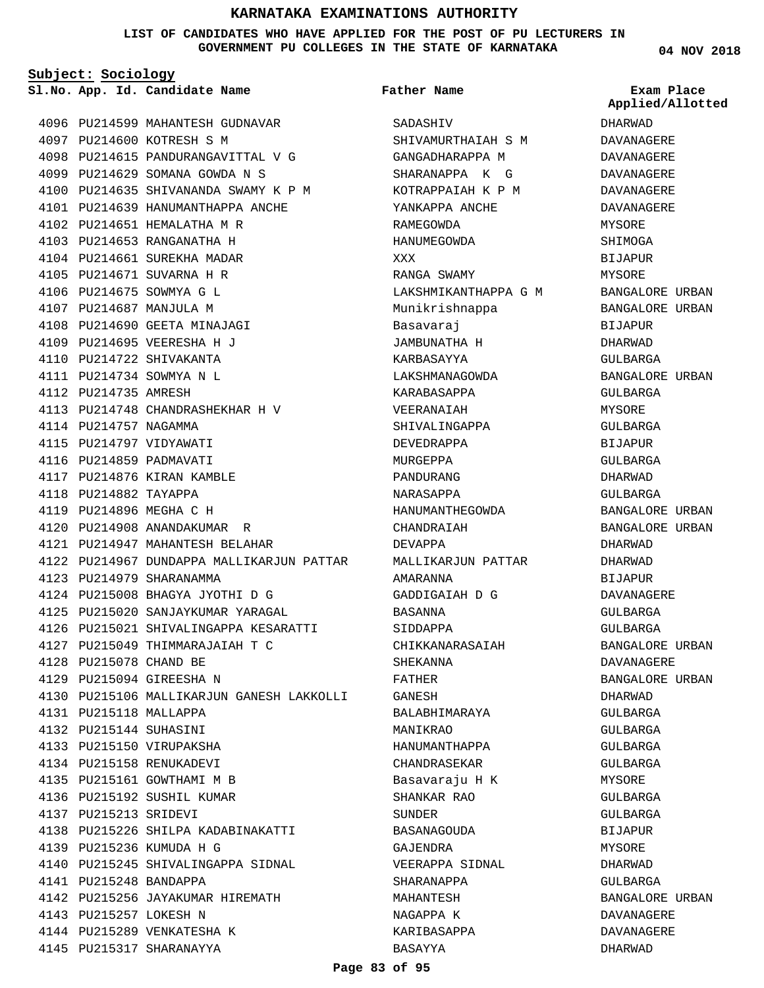**LIST OF CANDIDATES WHO HAVE APPLIED FOR THE POST OF PU LECTURERS IN GOVERNMENT PU COLLEGES IN THE STATE OF KARNATAKA**

**Subject: Sociology**

**App. Id. Candidate Name Sl.No. Exam Place**

4096 PU214599 MAHANTESH GUDNAVAR 4097 PU214600 KOTRESH S M 4098 PU214615 PANDURANGAVITTAL V G PU214629 SOMANA GOWDA N S 4099 4100 PU214635 SHIVANANDA SWAMY K P M 4101 PU214639 HANUMANTHAPPA ANCHE 4102 PU214651 HEMALATHA M R PU214653 RANGANATHA H 4103 4104 PU214661 SUREKHA MADAR 4105 PU214671 SUVARNA H R 4106 PU214675 SOWMYA G L 4107 PU214687 MANJULA M 4108 PU214690 GEETA MINAJAGI PU214695 VEERESHA H J 4109 4110 PU214722 SHIVAKANTA PU214734 SOWMYA N L 4111 4112 PU214735 AMRESH PU214748 CHANDRASHEKHAR H V 4113 4114 PU214757 NAGAMMA 4115 PU214797 VIDYAWATI 4116 PU214859 PADMAVATI 4117 PU214876 KIRAN KAMBLE 4118 PU214882 TAYAPPA 4119 PU214896 MEGHA C H 4120 PU214908 ANANDAKUMAR R PU214947 MAHANTESH BELAHAR 4121 4122 PU214967 DUNDAPPA MALLIKARJUN PATTAR PU214979 SHARANAMMA 4123 PU215008 BHAGYA JYOTHI D G 4124 4125 PU215020 SANJAYKUMAR YARAGAL PU215021 SHIVALINGAPPA KESARATTI 4126 PU215049 THIMMARAJAIAH T C 4127 PU215078 CHAND BE 4128 PU215094 GIREESHA N 4129 4130 PU215106 MALLIKARJUN GANESH LAKKOLLI PU215118 MALLAPPA 4131 PU215144 SUHASINI 4132 4133 PU215150 VIRUPAKSHA 4134 PU215158 RENUKADEVI 4135 PU215161 GOWTHAMI M B 4136 PU215192 SUSHIL KUMAR PU215213 SRIDEVI 4137 PU215226 SHILPA KADABINAKATTI 4138 PU215236 KUMUDA H G 4139 4140 PU215245 SHIVALINGAPPA SIDNAL PU215248 BANDAPPA 4141 4142 PU215256 JAYAKUMAR HIREMATH 4143 PU215257 LOKESH N 4144 PU215289 VENKATESHA K 4145 PU215317 SHARANAYYA

SADASHIV SHIVAMURTHAIAH S M GANGADHARAPPA M SHARANAPPA K G KOTRAPPAIAH K P M YANKAPPA ANCHE RAMEGOWDA HANUMEGOWDA XXX RANGA SWAMY LAKSHMIKANTHAPPA G M Munikrishnappa Basavaraj JAMBUNATHA H KARBASAYYA LAKSHMANAGOWDA KARABASAPPA VEERANAIAH SHIVALINGAPPA DEVEDRAPPA MURGEPPA PANDURANG NARASAPPA HANUMANTHEGOWDA CHANDRAIAH DEVAPPA MALLIKARJUN PATTAR AMARANNA GADDIGAIAH D G BASANNA SIDDAPPA CHIKKANARASAIAH SHEKANNA FATHER GANESH BALABHIMARAYA MANIKRAO HANUMANTHAPPA CHANDRASEKAR Basavaraju H K SHANKAR RAO SUNDER BASANAGOUDA GAJENDRA VEERAPPA SIDNAL SHARANAPPA MAHANTESH NAGAPPA K KARIBASAPPA BASAYYA **Father Name**

**04 NOV 2018**

# **Applied/Allotted**

DHARWAD DAVANAGERE DAVANAGERE DAVANAGERE DAVANAGERE DAVANAGERE MYSORE SHIMOGA **BIJAPUR** MYSORE BANGALORE URBAN BANGALORE URBAN BIJAPUR DHARWAD GULBARGA BANGALORE URBAN GULBARGA **MYSORE** GULBARGA BIJAPUR GULBARGA DHARWAD GULBARGA BANGALORE URBAN BANGALORE URBAN DHARWAD DHARWAD BIJAPUR DAVANAGERE GULBARGA GULBARGA BANGALORE URBAN DAVANAGERE BANGALORE URBAN DHARWAD GULBARGA GULBARGA GULBARGA GULBARGA MYSORE GULBARGA GULBARGA BIJAPUR **MYSORE** DHARWAD GULBARGA BANGALORE URBAN DAVANAGERE DAVANAGERE DHARWAD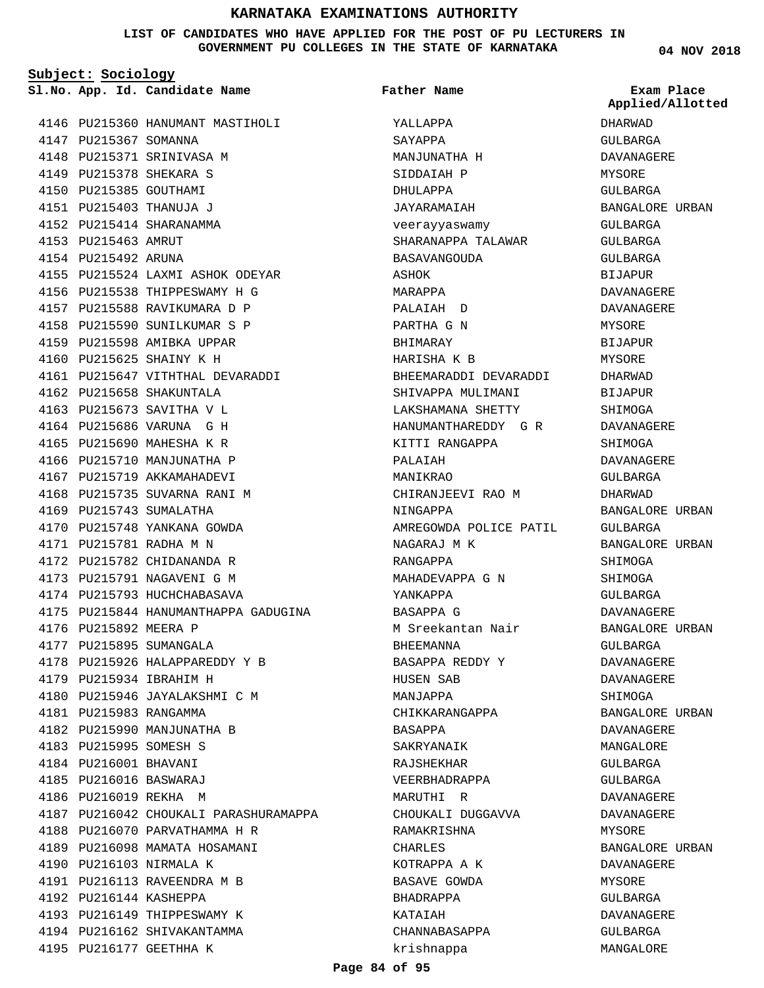#### **LIST OF CANDIDATES WHO HAVE APPLIED FOR THE POST OF PU LECTURERS IN GOVERNMENT PU COLLEGES IN THE STATE OF KARNATAKA**

**Subject: Sociology**

**App. Id. Candidate Name Sl.No. Exam Place**

4147 PU215367 SOMANNA

4153 PU215463 AMRUT 4154 PU215492 ARUNA

PU215378 SHEKARA S 4149 4150 PU215385 GOUTHAMI PU215403 THANUJA J 4151 PU215414 SHARANAMMA 4152

4160 PU215625 SHAINY K H

4162 PU215658 SHAKUNTALA

4169 PU215743 SUMALATHA

PU215781 RADHA M N 4171

4176 PU215892 MEERA P 4177 PU215895 SUMANGALA

4179 PU215934 IBRAHIM H

PU215983 RANGAMMA 4181

PU215995 SOMESH S 4183 4184 PU216001 BHAVANI PU216016 BASWARAJ 4185 4186 PU216019 REKHA M

4190 PU216103 NIRMALA K

4192 PU216144 KASHEPPA

4194 PU216162 SHIVAKANTAMMA 4195 PU216177 GEETHHA K

4146 PU215360 HANUMANT MASTIHOLI

4148 PU215371 SRINIVASA M PU215524 LAXMI ASHOK ODEYAR 4155 4156 PU215538 THIPPESWAMY H G 4157 PU215588 RAVIKUMARA D P 4158 PU215590 SUNILKUMAR S P 4159 PU215598 AMIBKA UPPAR 4161 PU215647 VITHTHAL DEVARADDI 4163 PU215673 SAVITHA V L 4164 PU215686 VARUNA G H 4165 PU215690 MAHESHA K R 4166 PU215710 MANJUNATHA P 4167 PU215719 AKKAMAHADEVI 4168 PU215735 SUVARNA RANI M 4170 PU215748 YANKANA GOWDA 4172 PU215782 CHIDANANDA R 4173 PU215791 NAGAVENI G M 4174 PU215793 HUCHCHABASAVA 4175 PU215844 HANUMANTHAPPA GADUGINA 4178 PU215926 HALAPPAREDDY Y B 4180 PU215946 JAYALAKSHMI C M 4182 PU215990 MANJUNATHA B 4187 PU216042 CHOUKALI PARASHURAMAPPA 4188 PU216070 PARVATHAMMA H R 4189 PU216098 MAMATA HOSAMANI PU216113 RAVEENDRA M B 4191 4193 PU216149 THIPPESWAMY K

YALLAPPA SAYAPPA MANJUNATHA H SIDDAIAH P DHULAPPA JAYARAMAIAH veerayyaswamy SHARANAPPA TALAWAR **BASAVANGOUDA** ASHOK MARAPPA PALAIAH D PARTHA G N BHIMARAY HARISHA K B BHEEMARADDI DEVARADDI SHIVAPPA MULIMANI LAKSHAMANA SHETTY HANUMANTHAREDDY G R KITTI RANGAPPA PALAIAH MANIKRAO CHIRANJEEVI RAO M NINGAPPA AMREGOWDA POLICE PATIL NAGARAJ M K RANGAPPA MAHADEVAPPA G N YANKAPPA BASAPPA G M Sreekantan Nair BHEEMANNA BASAPPA REDDY Y HUSEN SAB MANJAPPA CHIKKARANGAPPA BASAPPA SAKRYANAIK RAJSHEKHAR VEERBHADRAPPA MARUTHI R CHOUKALI DUGGAVVA RAMAKRISHNA CHARLES KOTRAPPA A K BASAVE GOWDA BHADRAPPA KATAIAH CHANNABASAPPA krishnappa **Father Name**

**04 NOV 2018**

DHARWAD GULBARGA DAVANAGERE MYSORE GULBARGA BANGALORE URBAN GULBARGA GULBARGA GULBARGA BIJAPUR DAVANAGERE DAVANAGERE MYSORE BIJAPUR MYSORE DHARWAD BIJAPUR **SHIMOGA** DAVANAGERE **SHIMOGA** DAVANAGERE GULBARGA DHARWAD BANGALORE URBAN GULBARGA BANGALORE URBAN SHIMOGA SHIMOGA GULBARGA DAVANAGERE BANGALORE URBAN GULBARGA DAVANAGERE DAVANAGERE SHIMOGA BANGALORE URBAN DAVANAGERE MANGALORE GULBARGA GULBARGA DAVANAGERE DAVANAGERE MYSORE BANGALORE URBAN DAVANAGERE MYSORE GULBARGA DAVANAGERE GULBARGA MANGALORE **Applied/Allotted**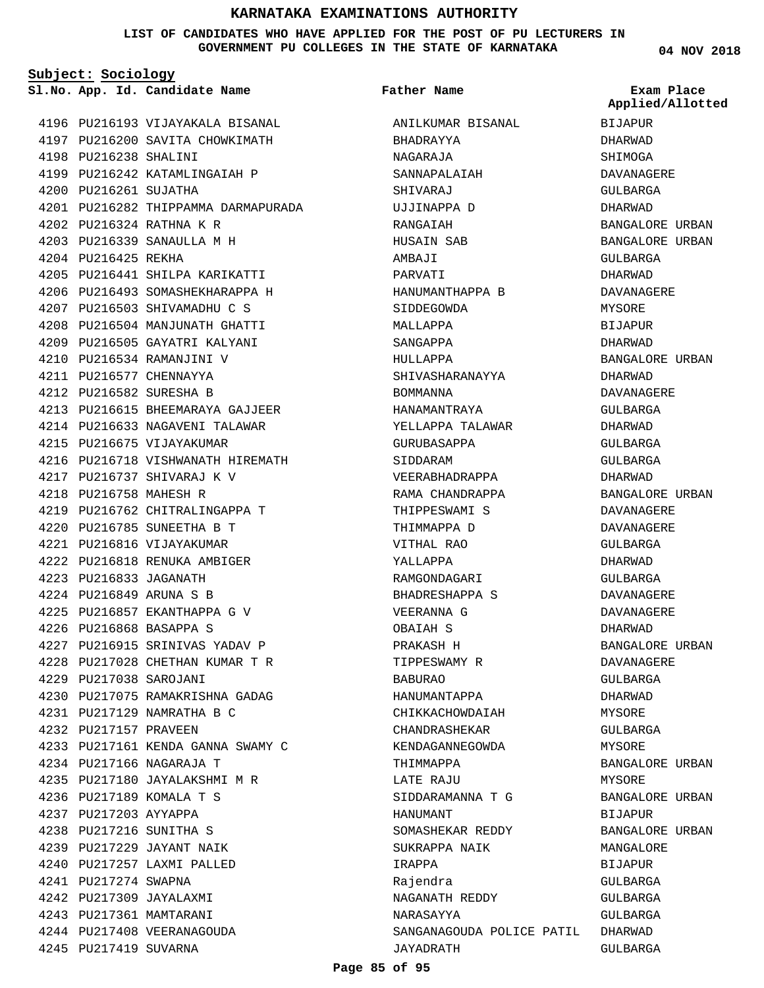#### **LIST OF CANDIDATES WHO HAVE APPLIED FOR THE POST OF PU LECTURERS IN GOVERNMENT PU COLLEGES IN THE STATE OF KARNATAKA**

**Subject: Sociology**

**App. Id. Candidate Name Sl.No. Exam Place**

4196 PU216193 VIJAYAKALA BISANAL 4197 PU216200 SAVITA CHOWKIMATH 4198 PU216238 SHALINI 4199 PU216242 KATAMLINGAIAH P 4200 PU216261 SUJATHA PU216282 THIPPAMMA DARMAPURADA 4201 PU216324 RATHNA K R 4202 PU216339 SANAULLA M H 4203 4204 PU216425 REKHA PU216441 SHILPA KARIKATTI 4205 4206 PU216493 SOMASHEKHARAPPA H 4207 PU216503 SHIVAMADHU C S PU216504 MANJUNATH GHATTI 4208 4209 PU216505 GAYATRI KALYANI PU216534 RAMANJINI V 4210 4211 PU216577 CHENNAYYA PU216582 SURESHA B 4212 PU216615 BHEEMARAYA GAJJEER 4213 4214 PU216633 NAGAVENI TALAWAR 4215 PU216675 VIJAYAKUMAR 4216 PU216718 VISHWANATH HIREMATH PU216737 SHIVARAJ K V 4217 PU216758 MAHESH R 4218 4219 PU216762 CHITRALINGAPPA T PU216785 SUNEETHA B T 4220 PU216816 VIJAYAKUMAR 4221 4222 PU216818 RENUKA AMBIGER PU216833 JAGANATH 4223 PU216849 ARUNA S B 4224 PU216857 EKANTHAPPA G V 4225 PU216868 BASAPPA S 4226 4227 PU216915 SRINIVAS YADAV P PU217028 CHETHAN KUMAR T R 4228 PU217038 SAROJANI 4229 PU217075 RAMAKRISHNA GADAG 4230 PU217129 NAMRATHA B C 4231 4232 PU217157 PRAVEEN PU217161 KENDA GANNA SWAMY C 4233 PU217166 NAGARAJA T 4234 4235 PU217180 JAYALAKSHMI M R PU217189 KOMALA T S 4236 4237 PU217203 AYYAPPA PU217216 SUNITHA S 4238 PU217229 JAYANT NAIK 4239 PU217257 LAXMI PALLED 4240 4241 PU217274 SWAPNA PU217309 JAYALAXMI 4242 4243 PU217361 MAMTARANI 4244 PU217408 VEERANAGOUDA 4245 PU217419 SUVARNA

ANILKUMAR BISANAL BHADRAYYA NAGARAJA SANNAPALAIAH SHIVARAJ UJJINAPPA D RANGAIAH HUSAIN SAB AMBAJI PARVATI HANUMANTHAPPA B SIDDEGOWDA MALLAPPA SANGAPPA HULLAPPA SHIVASHARANAYYA BOMMANNA HANAMANTRAYA YELLAPPA TALAWAR GURUBASAPPA SIDDARAM VEERABHADRAPPA RAMA CHANDRAPPA THIPPESWAMI S THIMMAPPA D VITHAL RAO YALLAPPA RAMGONDAGARI BHADRESHAPPA S VEERANNA G OBAIAH S PRAKASH H TIPPESWAMY R BABURAO HANUMANTAPPA CHIKKACHOWDAIAH CHANDRASHEKAR KENDAGANNEGOWDA THIMMAPPA LATE RAJU SIDDARAMANNA T G HANUMANT SOMASHEKAR REDDY SUKRAPPA NAIK IRAPPA Rajendra NAGANATH REDDY NARASAYYA SANGANAGOUDA POLICE PATIL DHARWAD JAYADRATH **Father Name**

**04 NOV 2018**

BIJAPUR DHARWAD SHIMOGA DAVANAGERE GULBARGA DHARWAD BANGALORE URBAN BANGALORE URBAN GULBARGA DHARWAD DAVANAGERE MYSORE BIJAPUR DHARWAD BANGALORE URBAN DHARWAD DAVANAGERE GULBARGA DHARWAD GULBARGA GULBARGA DHARWAD BANGALORE URBAN DAVANAGERE DAVANAGERE GULBARGA DHARWAD GULBARGA DAVANAGERE DAVANAGERE DHARWAD BANGALORE URBAN DAVANAGERE GULBARGA DHARWAD MYSORE GULBARGA MYSORE BANGALORE URBAN MYSORE BANGALORE URBAN BIJAPUR BANGALORE URBAN MANGALORE BIJAPUR GULBARGA GULBARGA GULBARGA GULBARGA **Applied/Allotted**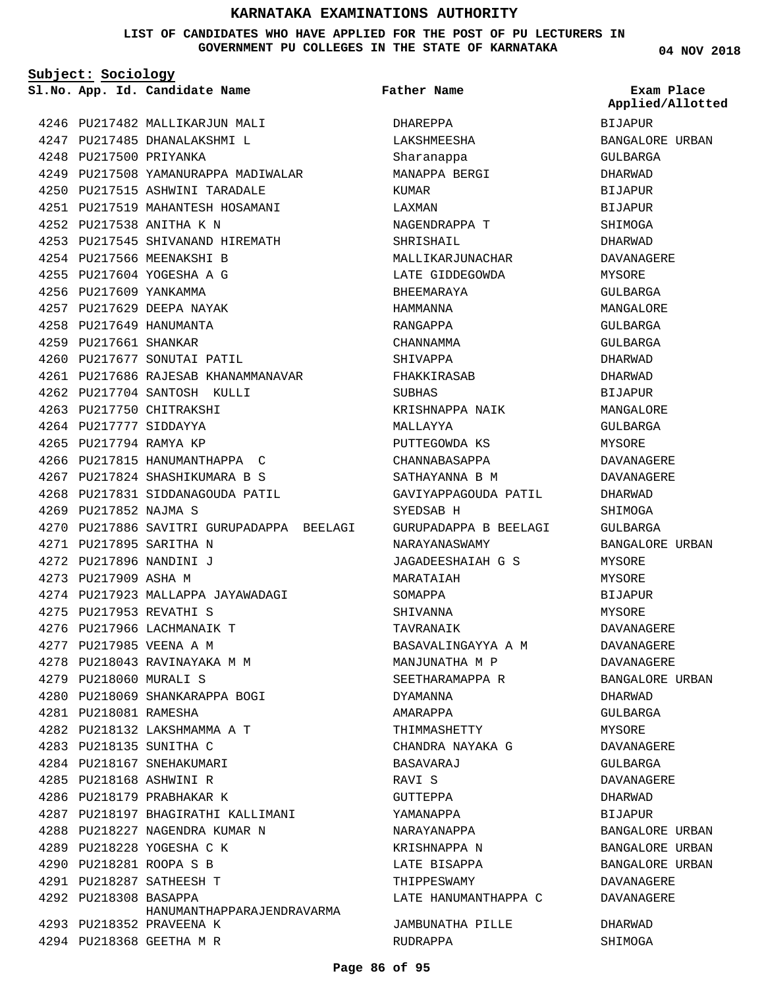#### **LIST OF CANDIDATES WHO HAVE APPLIED FOR THE POST OF PU LECTURERS IN GOVERNMENT PU COLLEGES IN THE STATE OF KARNATAKA**

**Father Name**

**Subject: Sociology**

**App. Id. Candidate Name Sl.No. Exam Place**

4246 PU217482 MALLIKARJUN MALI 4247 PU217485 DHANALAKSHMI L 4248 PU217500 PRIYANKA 4249 PU217508 YAMANURAPPA MADIWALAR 4250 PU217515 ASHWINI TARADALE PU217519 MAHANTESH HOSAMANI 4251 PU217538 ANITHA K N 4252 PU217545 SHIVANAND HIREMATH 4253 4254 PU217566 MEENAKSHI B PU217604 YOGESHA A G 4255 4256 PU217609 YANKAMMA 4257 PU217629 DEEPA NAYAK PU217649 HANUMANTA 4258 4259 PU217661 SHANKAR 4260 PU217677 SONUTAI PATIL PU217686 RAJESAB KHANAMMANAVAR 4261 4262 PU217704 SANTOSH KULLI 4263 PU217750 CHITRAKSHI 4264 PU217777 SIDDAYYA 4265 PU217794 RAMYA KP 4266 PU217815 HANUMANTHAPPA C PU217824 SHASHIKUMARA B S 4267 4268 PU217831 SIDDANAGOUDA PATIL 4269 PU217852 NAJMA S 4270 PU217886 SAVITRI GURUPADAPPA BEELAGI PU217895 SARITHA N 4271 PU217896 NANDINI J 4272 4273 PU217909 ASHA M 4274 PU217923 MALLAPPA JAYAWADAGI PU217953 REVATHI S 4275 4276 PU217966 LACHMANAIK T PU217985 VEENA A M 4277 PU218043 RAVINAYAKA M M 4278 PU218060 MURALI S 4279 4280 PU218069 SHANKARAPPA BOGI PU218081 RAMESHA 4281 4282 PU218132 LAKSHMAMMA A T PU218135 SUNITHA C 4283 4284 PU218167 SNEHAKUMARI PU218168 ASHWINI R 4285 4286 PU218179 PRABHAKAR K 4287 PU218197 BHAGIRATHI KALLIMANI 4288 PU218227 NAGENDRA KUMAR N 4289 PU218228 YOGESHA C K PU218281 ROOPA S B 4290 PU218287 SATHEESH T 4291 4292 PU218308 BASAPPA 4293 PU218352 PRAVEENA K PU218368 GEETHA M R 4294 HANUMANTHAPPARAJENDRAVARMA

DHAREPPA LAKSHMEESHA Sharanappa MANAPPA BERGI KUMAR LAXMAN NAGENDRAPPA T SHRISHAIL MALLIKARJUNACHAR LATE GIDDEGOWDA BHEEMARAYA HAMMANNA RANGAPPA CHANNAMMA SHIVAPPA FHAKKIRASAB SUBHAS KRISHNAPPA NAIK MALLAYYA PUTTEGOWDA KS CHANNABASAPPA SATHAYANNA B M GAVIYAPPAGOUDA PATIL SYEDSAB H GURUPADAPPA B BEELAGI NARAYANASWAMY JAGADEESHAIAH G S MARATAIAH SOMAPPA SHIVANNA TAVRANAIK BASAVALINGAYYA A M MANJUNATHA M P SEETHARAMAPPA R DYAMANNA AMARAPPA THIMMASHETTY CHANDRA NAYAKA G BASAVARAJ RAVI S GUTTEPPA YAMANAPPA NARAYANAPPA KRISHNAPPA N LATE BISAPPA THIPPESWAMY LATE HANUMANTHAPPA C JAMBUNATHA PILLE RUDRAPPA

**04 NOV 2018**

BIJAPUR BANGALORE URBAN GULBARGA DHARWAD BIJAPUR **BIJAPUR** SHIMOGA DHARWAD DAVANAGERE MYSORE GULBARGA MANGALORE GULBARGA GULBARGA DHARWAD DHARWAD BIJAPUR MANCALORE GULBARGA **MYSORE** DAVANAGERE DAVANAGERE DHARWAD SHIMOGA GULBARGA BANGALORE URBAN MYSORE MYSORE BIJAPUR MYSORE DAVANAGERE DAVANAGERE DAVANAGERE BANGALORE URBAN DHARWAD GULBARGA MYSORE DAVANAGERE GULBARGA DAVANAGERE DHARWAD BIJAPUR BANGALORE URBAN BANGALORE URBAN BANGALORE URBAN DAVANAGERE DAVANAGERE DHARWAD **Applied/Allotted**

SHIMOGA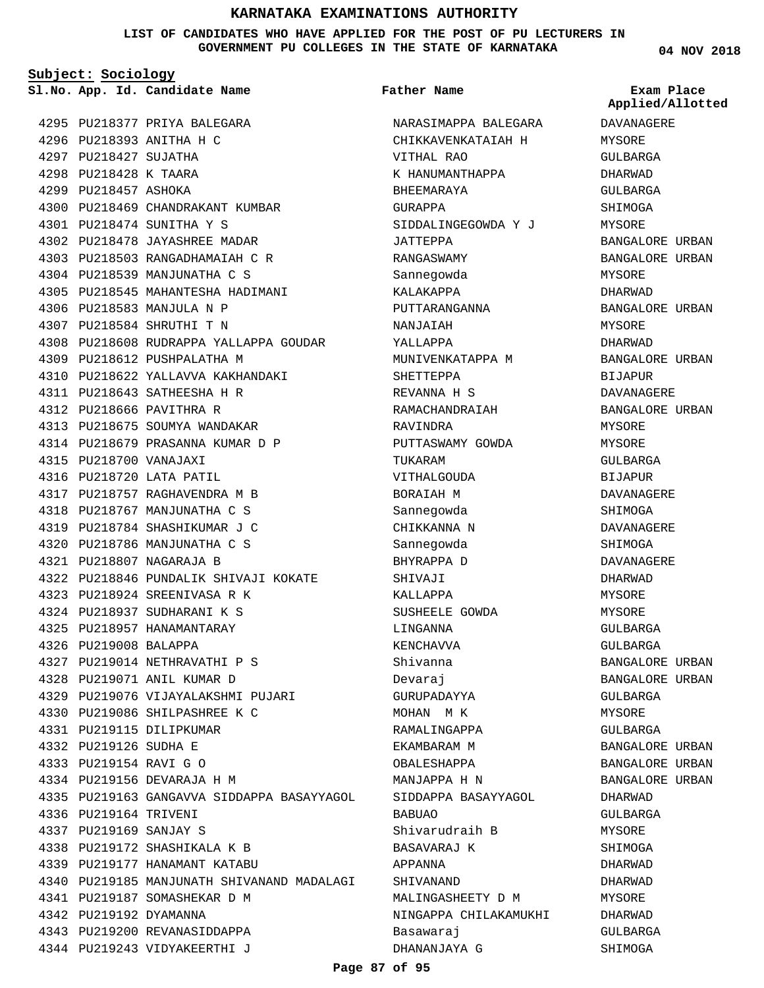**LIST OF CANDIDATES WHO HAVE APPLIED FOR THE POST OF PU LECTURERS IN GOVERNMENT PU COLLEGES IN THE STATE OF KARNATAKA**

**Subject: Sociology**

**App. Id. Candidate Name Sl.No. Exam Place**

4295 PU218377 PRIYA BALEGARA 4296 PU218393 ANITHA H C 4297 PU218427 SUJATHA 4298 PU218428 K TAARA 4299 PU218457 ASHOKA 4300 PU218469 CHANDRAKANT KUMBAR PU218474 SUNITHA Y S 4301 4302 PU218478 JAYASHREE MADAR PU218503 RANGADHAMAIAH C R 4303 4304 PU218539 MANJUNATHA C S 4305 PU218545 MAHANTESHA HADIMANI 4306 PU218583 MANJULA N P PU218584 SHRUTHI T N 4307 4308 PU218608 RUDRAPPA YALLAPPA GOUDAR PU218612 PUSHPALATHA M 4309 4310 PU218622 YALLAVVA KAKHANDAKI PU218643 SATHEESHA H R 4311 PU218666 PAVITHRA R 4312 4313 PU218675 SOUMYA WANDAKAR 4314 PU218679 PRASANNA KUMAR D P PU218700 VANAJAXI 4315 4316 PU218720 LATA PATIL 4317 PU218757 RAGHAVENDRA M B 4318 PU218767 MANJUNATHA C S 4319 PU218784 SHASHIKUMAR J C 4320 PU218786 MANJUNATHA C S PU218807 NAGARAJA B 4321 PU218846 PUNDALIK SHIVAJI KOKATE 4322 PU218924 SREENIVASA R K 4323 PU218937 SUDHARANI K S 4324 4325 PU218957 HANAMANTARAY 4326 PU219008 BALAPPA PU219014 NETHRAVATHI P S 4327 PU219071 ANIL KUMAR D 4328 4329 PU219076 VIJAYALAKSHMI PUJARI PU219086 SHILPASHREE K C 4330 PU219115 DILIPKUMAR 4331 PU219126 SUDHA E 4332 PU219154 RAVI G O 4333 PU219156 DEVARAJA H M 4334 4335 PU219163 GANGAVVA SIDDAPPA BASAYYAGOL 4336 PU219164 TRIVENI PU219169 SANJAY S 4337 4338 PU219172 SHASHIKALA K B 4339 PU219177 HANAMANT KATABU 4340 PU219185 MANJUNATH SHIVANAND MADALAGI 4341 PU219187 SOMASHEKAR D M 4342 PU219192 DYAMANNA 4343 PU219200 REVANASIDDAPPA

4344 PU219243 VIDYAKEERTHI J

**Father Name**

NARASIMAPPA BALEGARA CHIKKAVENKATAIAH H VITHAL RAO K HANUMANTHAPPA BHEEMARAYA GURAPPA SIDDALINGEGOWDA Y J JATTEPPA RANGASWAMY Sannegowda KALAKAPPA PUTTARANGANNA NANJAIAH YALLAPPA MUNIVENKATAPPA M SHETTEPPA REVANNA H S RAMACHANDRAIAH RAVINDRA PUTTASWAMY GOWDA TUKARAM VITHALGOUDA BORAIAH M Sannegowda CHIKKANNA N Sannegowda BHYRAPPA D SHIVAJI KALLAPPA SUSHEELE GOWDA LINGANNA KENCHAVVA Shivanna Devaraj GURUPADAYYA MOHAN M K RAMALINGAPPA EKAMBARAM M OBALESHAPPA MANJAPPA H N SIDDAPPA BASAYYAGOL BABUAO Shivarudraih B BASAVARAJ K APPANNA SHIVANAND MALINGASHEETY D M NINGAPPA CHILAKAMUKHI Basawaraj DHANANJAYA G

**04 NOV 2018**

**Applied/Allotted**

DAVANAGERE MYSORE GULBARGA DHARWAD GULBARGA SHIMOGA MYSORE BANGALORE URBAN BANGALORE URBAN MYSORE DHARWAD BANGALORE URBAN MYSORE DHARWAD BANGALORE URBAN BIJAPUR DAVANAGERE BANGALORE URBAN MYSORE MYSORE GULBARGA BIJAPUR DAVANAGERE SHIMOGA DAVANAGERE SHIMOGA DAVANAGERE DHARWAD MYSORE MYSORE GULBARGA GULBARGA BANGALORE URBAN BANGALORE URBAN GULBARGA MYSORE GULBARGA BANGALORE URBAN BANGALORE URBAN BANGALORE URBAN DHARWAD GULBARGA MYSORE SHIMOGA DHARWAD DHARWAD MYSORE DHARWAD GULBARGA

SHIMOGA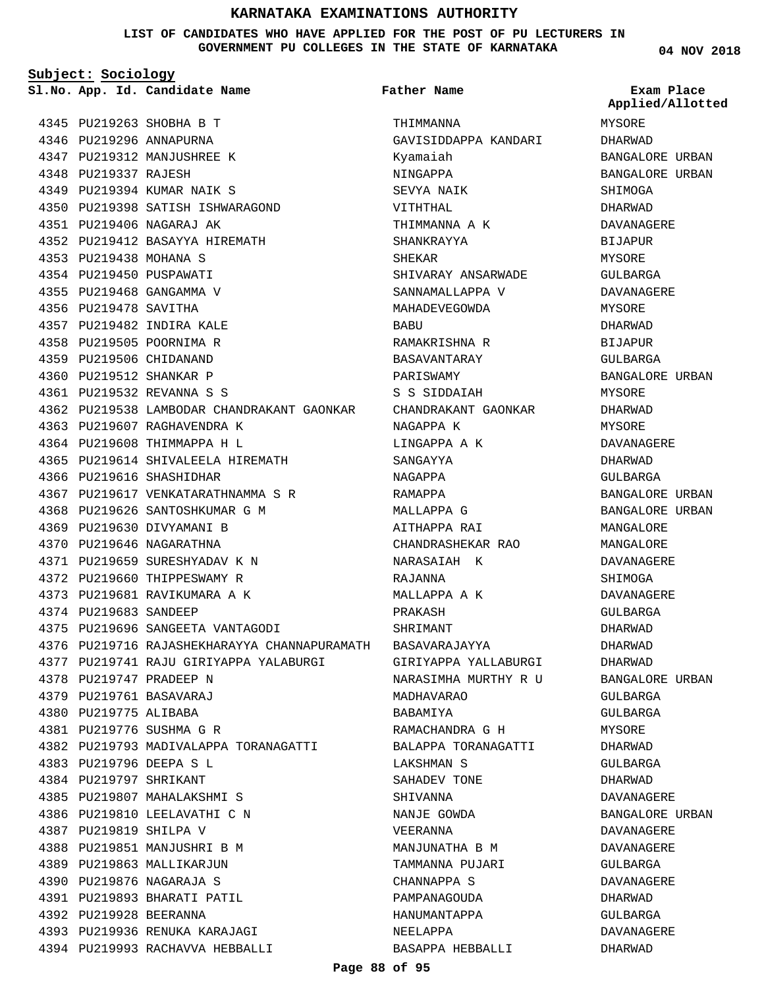**LIST OF CANDIDATES WHO HAVE APPLIED FOR THE POST OF PU LECTURERS IN GOVERNMENT PU COLLEGES IN THE STATE OF KARNATAKA**

**Subject: Sociology**

**Father Name**

**04 NOV 2018**

|                        | Sl.No. App. Id. Candidate Name                             | Father Name                    | Exam Place<br>Applied/Allotted |
|------------------------|------------------------------------------------------------|--------------------------------|--------------------------------|
|                        | 4345 PU219263 SHOBHA B T                                   | THIMMANNA                      | MYSORE                         |
|                        | 4346 PU219296 ANNAPURNA                                    | GAVISIDDAPPA KANDARI           | DHARWAD                        |
|                        | 4347 PU219312 MANJUSHREE K                                 | Kyamaiah                       | BANGALORE URBAN                |
| 4348 PU219337 RAJESH   |                                                            | NINGAPPA                       | BANGALORE URBAN                |
|                        | 4349 PU219394 KUMAR NAIK S                                 | SEVYA NAIK                     | SHIMOGA                        |
|                        | 4350 PU219398 SATISH ISHWARAGOND                           | VITHTHAL                       | DHARWAD                        |
|                        | 4351 PU219406 NAGARAJ AK                                   | THIMMANNA A K                  | DAVANAGERE                     |
|                        | 4352 PU219412 BASAYYA HIREMATH                             | SHANKRAYYA                     | BIJAPUR                        |
| 4353 PU219438 MOHANA S |                                                            | SHEKAR                         | MYSORE                         |
|                        | 4354 PU219450 PUSPAWATI                                    | SHIVARAY ANSARWADE             | GULBARGA                       |
|                        | 4355 PU219468 GANGAMMA V                                   | SANNAMALLAPPA V                | DAVANAGERE                     |
| 4356 PU219478 SAVITHA  |                                                            | MAHADEVEGOWDA                  | MYSORE                         |
|                        | 4357 PU219482 INDIRA KALE                                  | BABU                           | DHARWAD                        |
|                        | 4358 PU219505 POORNIMA R                                   | RAMAKRISHNA R                  | <b>BIJAPUR</b>                 |
|                        | 4359 PU219506 CHIDANAND                                    | BASAVANTARAY                   | GULBARGA                       |
|                        | 4360 PU219512 SHANKAR P                                    | PARISWAMY                      | BANGALORE URBAN                |
|                        | 4361 PU219532 REVANNA S S                                  | S S SIDDAIAH                   | MYSORE                         |
|                        | 4362 PU219538 LAMBODAR CHANDRAKANT GAONKAR                 | CHANDRAKANT GAONKAR            | DHARWAD                        |
|                        | 4363 PU219607 RAGHAVENDRA K                                | NAGAPPA K                      | MYSORE                         |
|                        | 4364 PU219608 THIMMAPPA H L                                | LINGAPPA A K                   | DAVANAGERE                     |
|                        | 4365 PU219614 SHIVALEELA HIREMATH                          | SANGAYYA                       | DHARWAD                        |
|                        | 4366 PU219616 SHASHIDHAR                                   | NAGAPPA                        | GULBARGA                       |
|                        | 4367 PU219617 VENKATARATHNAMMA S R                         | RAMAPPA                        | BANGALORE URBAN                |
|                        | 4368 PU219626 SANTOSHKUMAR G M                             | MALLAPPA G                     | BANGALORE URBAN                |
|                        | 4369 PU219630 DIVYAMANI B                                  | AITHAPPA RAI                   | MANGALORE                      |
|                        | 4370 PU219646 NAGARATHNA                                   | CHANDRASHEKAR RAO              | MANGALORE                      |
|                        | 4371 PU219659 SURESHYADAV K N                              | NARASAIAH K                    | DAVANAGERE                     |
|                        | 4372 PU219660 THIPPESWAMY R                                | RAJANNA                        | SHIMOGA                        |
|                        | 4373 PU219681 RAVIKUMARA A K                               | MALLAPPA A K                   | DAVANAGERE                     |
| 4374 PU219683 SANDEEP  |                                                            | PRAKASH                        | <b>GULBARGA</b>                |
|                        | 4375 PU219696 SANGEETA VANTAGODI                           | SHRIMANT                       | DHARWAD                        |
|                        | 4376 PU219716 RAJASHEKHARAYYA CHANNAPURAMATH BASAVARAJAYYA |                                | DHARWAD                        |
|                        | 4377 PU219741 RAJU GIRIYAPPA YALABURGI                     | GIRIYAPPA YALLABURGI           | DHARWAD                        |
|                        | 4378 PU219747 PRADEEP N                                    | NARASIMHA MURTHY R U           | BANGALORE URBAN                |
|                        | 4379 PU219761 BASAVARAJ                                    | MADHAVARAO                     | GULBARGA                       |
| 4380 PU219775 ALIBABA  |                                                            | BABAMIYA                       | GULBARGA                       |
|                        | 4381 PU219776 SUSHMA G R                                   | RAMACHANDRA G H                | MYSORE                         |
|                        | 4382 PU219793 MADIVALAPPA TORANAGATTI                      | BALAPPA TORANAGATTI            | DHARWAD                        |
|                        | 4383 PU219796 DEEPA S L                                    | LAKSHMAN S                     | GULBARGA                       |
| 4384 PU219797 SHRIKANT |                                                            | SAHADEV TONE                   | DHARWAD                        |
|                        | 4385 PU219807 MAHALAKSHMI S                                | SHIVANNA                       | DAVANAGERE                     |
|                        | 4386 PU219810 LEELAVATHI C N                               | NANJE GOWDA                    | BANGALORE URBAN                |
| 4387 PU219819 SHILPA V |                                                            | VEERANNA                       | DAVANAGERE                     |
|                        | 4388 PU219851 MANJUSHRI B M                                | MANJUNATHA B M                 | DAVANAGERE                     |
|                        | 4389 PU219863 MALLIKARJUN<br>4390 PU219876 NAGARAJA S      | TAMMANNA PUJARI<br>CHANNAPPA S | GULBARGA<br>DAVANAGERE         |
|                        | 4391 PU219893 BHARATI PATIL                                | PAMPANAGOUDA                   | DHARWAD                        |
| 4392 PU219928 BEERANNA |                                                            | HANUMANTAPPA                   | GULBARGA                       |
|                        | 4393 PU219936 RENUKA KARAJAGI                              | NEELAPPA                       | DAVANAGERE                     |
|                        | 4394 PU219993 RACHAVVA HEBBALLI                            | BASAPPA HEBBALLI               | DHARWAD                        |
|                        |                                                            |                                |                                |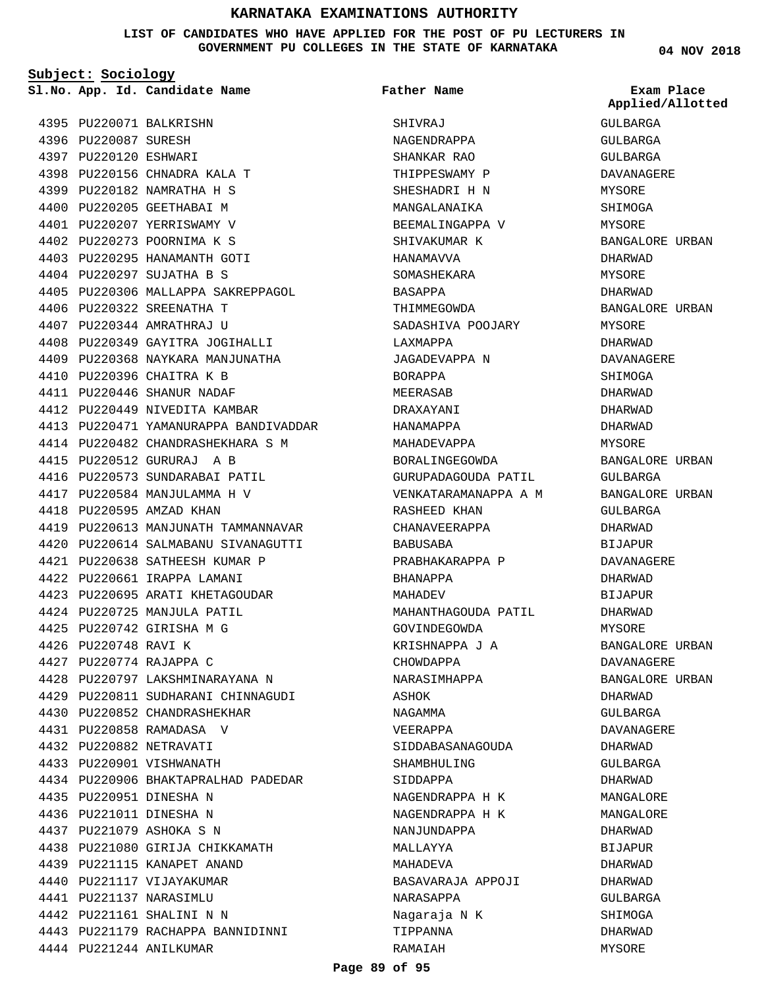**LIST OF CANDIDATES WHO HAVE APPLIED FOR THE POST OF PU LECTURERS IN GOVERNMENT PU COLLEGES IN THE STATE OF KARNATAKA**

**Subject: Sociology** PU220071 BALKRISHN 4395 4396 PU220087 SURESH 4397 PU220120 ESHWARI 4398 PU220156 CHNADRA KALA T PU220182 NAMRATHA H S 4399 4400 PU220205 GEETHABAI M 4401 PU220207 YERRISWAMY V PU220273 POORNIMA K S 4402 4403 PU220295 HANAMANTH GOTI PU220297 SUJATHA B S 4404 4405 PU220306 MALLAPPA SAKREPPAGOL 4406 PU220322 SREENATHA T PU220344 AMRATHRAJ U 4407 4408 PU220349 GAYITRA JOGIHALLI 4409 PU220368 NAYKARA MANJUNATHA 4410 PU220396 CHAITRA K B PU220446 SHANUR NADAF 4411 4412 PU220449 NIVEDITA KAMBAR 4413 PU220471 YAMANURAPPA BANDIVADDAR PU220482 CHANDRASHEKHARA S M 4414 PU220512 GURURAJ A B 4415 4416 PU220573 SUNDARABAI PATIL 4417 PU220584 MANJULAMMA H V 4418 PU220595 AMZAD KHAN 4422 PU220661 IRAPPA LAMANI 4424 PU220725 MANJULA PATIL PU220742 GIRISHA M G 4425 **App. Id. Candidate Name Sl.No. Exam Place**

4419 PU220613 MANJUNATH TAMMANNAVAR PU220614 SALMABANU SIVANAGUTTI 4420 PU220638 SATHEESH KUMAR P 4421 4423 PU220695 ARATI KHETAGOUDAR 4426 PU220748 RAVI K PU220774 RAJAPPA C 4427 4428 PU220797 LAKSHMINARAYANA N 4429 PU220811 SUDHARANI CHINNAGUDI 4430 PU220852 CHANDRASHEKHAR PU220858 RAMADASA V 4431 PU220882 NETRAVATI 4432 4433 PU220901 VISHWANATH 4434 PU220906 BHAKTAPRALHAD PADEDAR PU220951 DINESHA N 4435 4436 PU221011 DINESHA N PU221079 ASHOKA S N 4437 PU221080 GIRIJA CHIKKAMATH 4438 PU221115 KANAPET ANAND 4439 4440 PU221117 VIJAYAKUMAR PU221137 NARASIMLU 4441 PU221161 SHALINI N N 4442 4443 PU221179 RACHAPPA BANNIDINNI 4444 PU221244 ANILKUMAR

SHIVRAJ NAGENDRAPPA SHANKAR RAO THIPPESWAMY P SHESHADRI H N MANGALANAIKA BEEMALINGAPPA V SHIVAKUMAR K HANAMAVVA SOMASHEKARA BASAPPA THIMMEGOWDA SADASHIVA POOJARY LAXMAPPA JAGADEVAPPA N BORAPPA MEERASAB DRAXAYANI HANAMAPPA MAHADEVAPPA BORALINGEGOWDA GURUPADAGOUDA PATIL VENKATARAMANAPPA A M RASHEED KHAN CHANAVEERAPPA BABUSABA PRABHAKARAPPA P BHANAPPA MAHADEV MAHANTHAGOUDA PATIL GOVINDEGOWDA KRISHNAPPA J A CHOWDAPPA NARASIMHAPPA ASHOK NAGAMMA VEERAPPA SIDDABASANAGOUDA SHAMBHULING SIDDAPPA NAGENDRAPPA H K NAGENDRAPPA H K NANJUNDAPPA MALLAYYA MAHADEVA BASAVARAJA APPOJI NARASAPPA Nagaraja N K TIPPANNA RAMAIAH **Father Name**

**04 NOV 2018**

GULBARGA GULBARGA GULBARGA DAVANAGERE MYSORE SHIMOGA MYSORE BANGALORE URBAN DHARWAD MYSORE DHARWAD BANGALORE URBAN MYSORE DHARWAD DAVANAGERE SHIMOGA DHARWAD DHARWAD DHARWAD MYSORE BANGALORE URBAN GULBARGA BANGALORE URBAN GULBARGA DHARWAD BIJAPUR DAVANAGERE DHARWAD BIJAPUR DHARWAD MYSORE BANGALORE URBAN DAVANAGERE BANGALORE URBAN DHARWAD GULBARGA DAVANAGERE DHARWAD GULBARGA DHARWAD MANGALORE MANGALORE DHARWAD **BIJAPUR** DHARWAD DHARWAD GULBARGA SHIMOGA DHARWAD MYSORE **Applied/Allotted**

#### **Page 89 of 95**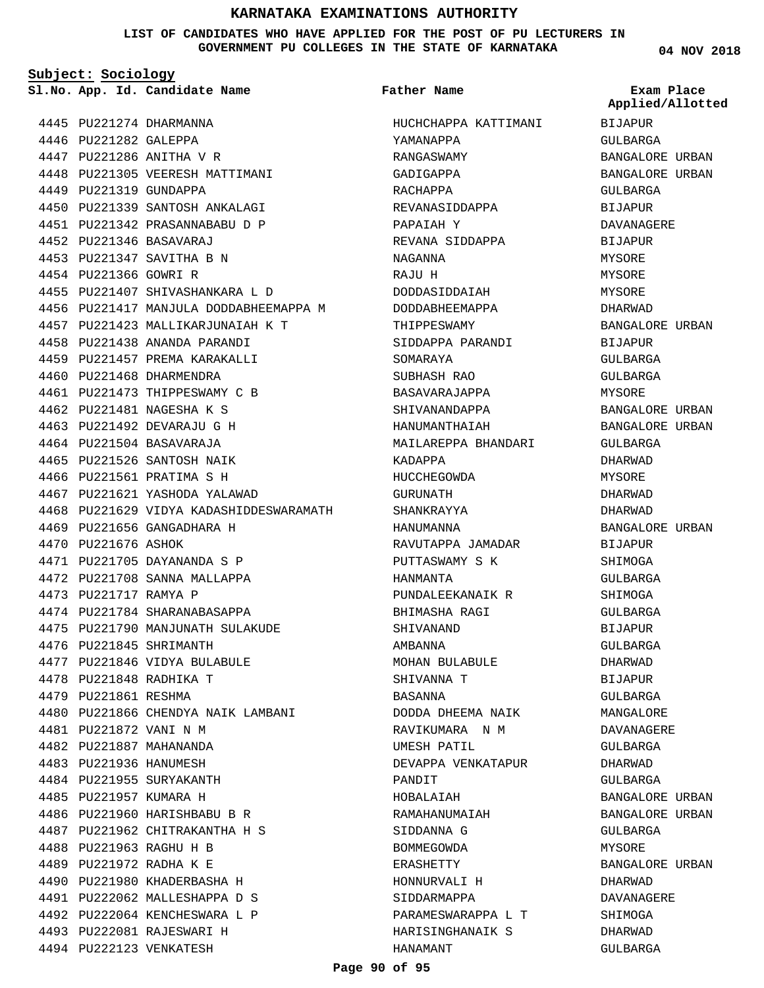#### **LIST OF CANDIDATES WHO HAVE APPLIED FOR THE POST OF PU LECTURERS IN GOVERNMENT PU COLLEGES IN THE STATE OF KARNATAKA**

**Subject: Sociology**

**App. Id. Candidate Name Sl.No. Exam Place**

**Father Name**

4445 PU221274 DHARMANNA 4446 PU221282 GALEPPA 4447 PU221286 ANITHA V R 4448 PU221305 VEERESH MATTIMANI 4449 PU221319 GUNDAPPA 4450 PU221339 SANTOSH ANKALAGI PU221342 PRASANNABABU D P 4451 PU221346 BASAVARAJ 4452 PU221347 SAVITHA B N 4453 4454 PU221366 GOWRI R 4455 PU221407 SHIVASHANKARA L D 4456 PU221417 MANJULA DODDABHEEMAPPA M 4457 PU221423 MALLIKARJUNAIAH K T 4458 PU221438 ANANDA PARANDI 4459 PU221457 PREMA KARAKALLI 4460 PU221468 DHARMENDRA 4461 PU221473 THIPPESWAMY C B PU221481 NAGESHA K S 4462 PU221492 DEVARAJU G H 4463 4464 PU221504 BASAVARAJA 4465 PU221526 SANTOSH NAIK 4466 PU221561 PRATIMA S H 4467 PU221621 YASHODA YALAWAD 4468 PU221629 VIDYA KADASHIDDESWARAMATH 4469 PU221656 GANGADHARA H 4470 PU221676 ASHOK PU221705 DAYANANDA S P 4471 4472 PU221708 SANNA MALLAPPA 4473 PU221717 RAMYA P 4474 PU221784 SHARANABASAPPA PU221790 MANJUNATH SULAKUDE 4475 4476 PU221845 SHRIMANTH 4477 PU221846 VIDYA BULABULE PU221848 RADHIKA T 4478 4479 PU221861 RESHMA 4480 PU221866 CHENDYA NAIK LAMBANI PU221872 VANI N M 4481 PU221887 MAHANANDA 4482 4483 PU221936 HANUMESH 4484 PU221955 SURYAKANTH 4485 PU221957 KUMARA H 4486 PU221960 HARISHBABU B R 4487 PU221962 CHITRAKANTHA H S PU221963 RAGHU H B 4488 PU221972 RADHA K E 4489 4490 PU221980 KHADERBASHA H 4491 PU222062 MALLESHAPPA D S PU222064 KENCHESWARA L P 4492 4493 PU222081 RAJESWARI H 4494 PU222123 VENKATESH

HUCHCHAPPA KATTIMANI YAMANAPPA RANGASWAMY GADIGAPPA RACHAPPA REVANASIDDAPPA PAPAIAH Y REVANA SIDDAPPA NAGANNA RAJU H DODDASIDDAIAH DODDABHEEMAPPA THIPPESWAMY SIDDAPPA PARANDI SOMARAYA SUBHASH RAO BASAVARAJAPPA SHIVANANDAPPA HANUMANTHAIAH MAILAREPPA BHANDARI KADAPPA HUCCHEGOWDA GURUNATH SHANKRAYYA HANUMANNA RAVUTAPPA JAMADAR PUTTASWAMY S K HANMANTA PUNDALEEKANAIK R BHIMASHA RAGI SHIVANAND AMBANNA MOHAN BULABULE SHIVANNA T BASANNA DODDA DHEEMA NAIK RAVIKUMARA N M UMESH PATIL DEVAPPA VENKATAPUR PANDIT HOBALAIAH RAMAHANUMAIAH SIDDANNA G BOMMEGOWDA ERASHETTY HONNURVALI H SIDDARMAPPA PARAMESWARAPPA L T HARISINGHANAIK S HANAMANT

**04 NOV 2018**

BIJAPUR GULBARGA BANGALORE URBAN BANGALORE URBAN GULBARGA BIJAPUR DAVANAGERE BIJAPUR MYSORE MYSORE **MYSORE** DHARWAD BANGALORE URBAN BIJAPUR GULBARGA GULBARGA MYSORE BANGALORE URBAN BANGALORE URBAN GULBARGA DHARWAD MYSORE DHARWAD DHARWAD BANGALORE URBAN BIJAPUR **SHIMOGA** GULBARGA SHIMOGA GULBARGA BIJAPUR GULBARGA DHARWAD BIJAPUR GIILBARGA MANGALOR**E** DAVANAGERE GULBARGA DHARWAD GULBARGA BANGALORE URBAN BANGALORE URBAN GULBARGA MYSORE BANGALORE URBAN DHARWAD DAVANAGERE SHIMOGA DHARWAD GULBARGA **Applied/Allotted**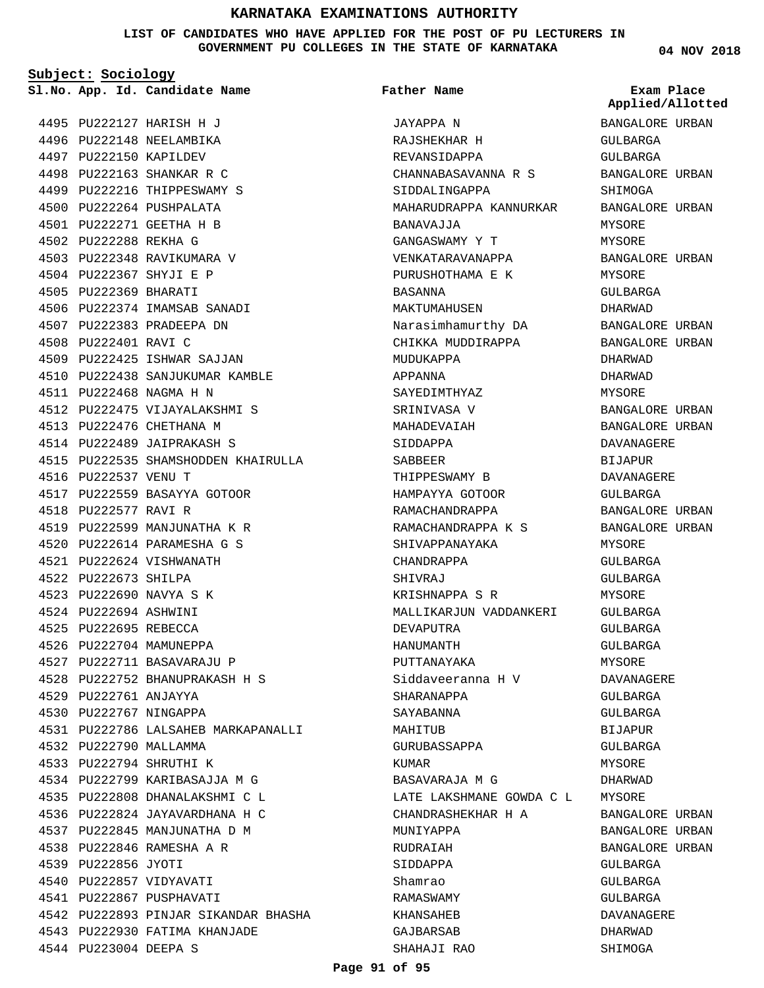**LIST OF CANDIDATES WHO HAVE APPLIED FOR THE POST OF PU LECTURERS IN GOVERNMENT PU COLLEGES IN THE STATE OF KARNATAKA**

JAYAPPA N

**Father Name**

**Subject: Sociology**

4495 PU222127 HARISH H J 4496 PU222148 NEELAMBIKA 4497 PU222150 KAPILDEV 4498 PU222163 SHANKAR R C 4499 PU222216 THIPPESWAMY S 4500 PU222264 PUSHPALATA PU222271 GEETHA H B 4501 4502 PU222288 REKHA G 4503 PU222348 RAVIKUMARA V PU222367 SHYJI E P 4504 4505 PU222369 BHARATI 4506 PU222374 IMAMSAB SANADI 4507 PU222383 PRADEEPA DN 4508 PU222401 RAVI C 4509 PU222425 ISHWAR SAJJAN 4510 PU222438 SANJUKUMAR KAMBLE PU222468 NAGMA H N 4511 4512 PU222475 VIJAYALAKSHMI S 4513 PU222476 CHETHANA M 4514 PU222489 JAIPRAKASH S 4515 PU222535 SHAMSHODDEN KHAIRULLA 4516 PU222537 VENU T 4517 PU222559 BASAYYA GOTOOR 4518 PU222577 RAVI R 4519 PU222599 MANJUNATHA K R PU222614 PARAMESHA G S 4520 PU222624 VISHWANATH 4521 4522 PU222673 SHILPA PU222690 NAVYA S K 4523 PU222694 ASHWINI 4524 4525 PU222695 REBECCA 4526 PU222704 MAMUNEPPA 4527 PU222711 BASAVARAJU P PU222752 BHANUPRAKASH H S 4528 4529 PU222761 ANJAYYA 4530 PU222767 NINGAPPA PU222786 LALSAHEB MARKAPANALLI 4531 4532 PU222790 MALLAMMA PU222794 SHRUTHI K 4533 4534 PU222799 KARIBASAJJA M G PU222808 DHANALAKSHMI C L 4535 4536 PU222824 JAYAVARDHANA H C 4537 PU222845 MANJUNATHA D M PU222846 RAMESHA A R 4538 4539 PU222856 JYOTI 4540 PU222857 VIDYAVATI 4541 PU222867 PUSPHAVATI 4542 PU222893 PINJAR SIKANDAR BHASHA 4543 PU222930 FATIMA KHANJADE **App. Id. Candidate Name Sl.No. Exam Place**

4544 PU223004 DEEPA S

RAJSHEKHAR H REVANSIDAPPA CHANNABASAVANNA R S SIDDALINGAPPA MAHARUDRAPPA KANNURKAR BANAVAJJA GANGASWAMY Y T VENKATARAVANAPPA PURUSHOTHAMA E K BASANNA MAKTUMAHUSEN Narasimhamurthy DA CHIKKA MUDDIRAPPA MUDUKAPPA APPANNA SAYEDIMTHYAZ SRINIVASA V MAHADEVAIAH SIDDAPPA SABBEER THIPPESWAMY B HAMPAYYA GOTOOR RAMACHANDRAPPA RAMACHANDRAPPA K S SHIVAPPANAYAKA CHANDRAPPA SHIVRAJ KRISHNAPPA S R MALLIKARJUN VADDANKERI DEVAPUTRA HANUMANTH PUTTANAYAKA Siddaveeranna H V SHARANAPPA SAYABANNA MAHITUB GURUBASSAPPA KUMAR BASAVARAJA M G LATE LAKSHMANE GOWDA C L CHANDRASHEKHAR H A MUNIYAPPA RUDRAIAH SIDDAPPA Shamrao RAMASWAMY KHANSAHEB GAJBARSAB SHAHAJI RAO

**04 NOV 2018**

**Applied/Allotted**

# BANGALORE URBAN GULBARGA GULBARGA BANGALORE URBAN SHIMOGA BANGALORE URBAN MYSORE MYSORE BANGALORE URBAN MYSORE GULBARGA DHARWAD BANGALORE URBAN BANGALORE URBAN DHARWAD DHARWAD MYSORE BANGALORE URBAN BANGALORE URBAN DAVANAGERE BIJAPUR DAVANAGERE GULBARGA BANGALORE URBAN BANGALORE URBAN MYSORE  $CITIRARCA$ GULBARGA MYSORE GULBARGA GULBARGA GULBARGA MYSORE DAVANAGERE GULBARGA GULBARGA **BIJAPUR** GULBARGA MYSORE DHARWAD MYSORE BANGALORE URBAN BANGALORE URBAN BANGALORE URBAN CIILBARGA GULBARGA GULBARGA DAVANAGERE DHARWAD SHIMOGA

#### **Page 91 of 95**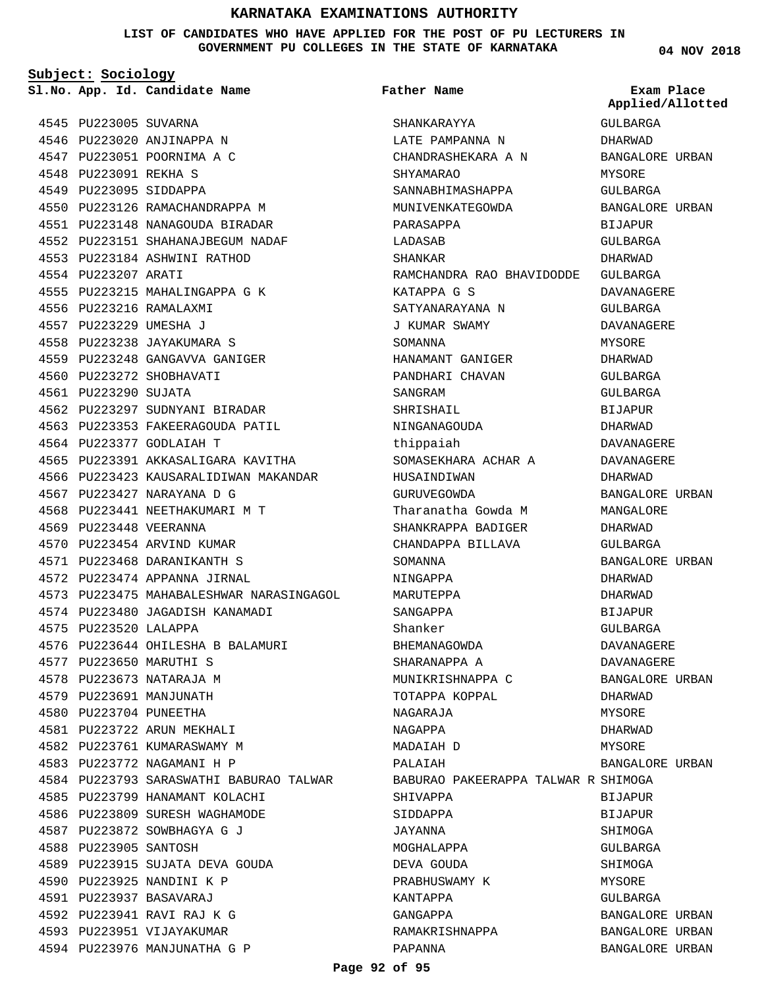**LIST OF CANDIDATES WHO HAVE APPLIED FOR THE POST OF PU LECTURERS IN GOVERNMENT PU COLLEGES IN THE STATE OF KARNATAKA**

**Father Name**

**Subject: Sociology**

4545 PU223005 SUVARNA 4546 PU223020 ANJINAPPA N 4547 PU223051 POORNIMA A C 4548 PU223091 REKHA S 4549 PU223095 SIDDAPPA 4550 PU223126 RAMACHANDRAPPA M PU223148 NANAGOUDA BIRADAR 4551 PU223151 SHAHANAJBEGUM NADAF 4552 4553 PU223184 ASHWINI RATHOD 4554 PU223207 ARATI 4555 PU223215 MAHALINGAPPA G K 4556 PU223216 RAMALAXMI PU223229 UMESHA J 4557 PU223238 JAYAKUMARA S 4558 4559 PU223248 GANGAVVA GANIGER 4560 PU223272 SHOBHAVATI 4561 PU223290 SUJATA 4562 PU223297 SUDNYANI BIRADAR 4563 PU223353 FAKEERAGOUDA PATIL 4564 PU223377 GODLAIAH T 4565 PU223391 AKKASALIGARA KAVITHA 4566 PU223423 KAUSARALIDIWAN MAKANDAR 4567 PU223427 NARAYANA D G 4568 PU223441 NEETHAKUMARI M T 4569 PU223448 VEERANNA 4570 PU223454 ARVIND KUMAR PU223468 DARANIKANTH S 4571 4572 PU223474 APPANNA JIRNAL 4573 PU223475 MAHABALESHWAR NARASINGAGOL 4574 PU223480 JAGADISH KANAMADI 4575 PU223520 LALAPPA PU223644 OHILESHA B BALAMURI 4576 4577 PU223650 MARUTHI S 4578 PU223673 NATARAJA M 4579 PU223691 MANJUNATH 4580 PU223704 PUNEETHA 4581 PU223722 ARUN MEKHALI 4582 PU223761 KUMARASWAMY M 4583 PU223772 NAGAMANI H P 4584 PU223793 SARASWATHI BABURAO TALWAR 4585 PU223799 HANAMANT KOLACHI 4586 PU223809 SURESH WAGHAMODE PU223872 SOWBHAGYA G J 4587 4588 PU223905 SANTOSH 4589 PU223915 SUJATA DEVA GOUDA 4590 PU223925 NANDINI K P PU223937 BASAVARAJ 4591 PU223941 RAVI RAJ K G 4592 4593 PU223951 VIJAYAKUMAR 4594 PU223976 MANJUNATHA G P

SHANKARAYYA LATE PAMPANNA N CHANDRASHEKARA A N SHYAMARAO SANNABHIMASHAPPA MUNIVENKATEGOWDA PARASAPPA LADASAB SHANKAR RAMCHANDRA RAO BHAVIDODDE KATAPPA G S SATYANARAYANA N J KUMAR SWAMY SOMANNA HANAMANT GANIGER PANDHARI CHAVAN SANGRAM SHRISHAIL NINGANAGOUDA thippaiah SOMASEKHARA ACHAR A HUSAINDIWAN GURUVEGOWDA Tharanatha Gowda M SHANKRAPPA BADIGER CHANDAPPA BILLAVA SOMANNA NINGAPPA MARUTEPPA SANGAPPA Shanker BHEMANAGOWDA SHARANAPPA A MUNIKRISHNAPPA C TOTAPPA KOPPAL NAGARAJA NAGAPPA MADAIAH D PALAIAH BABURAO PAKEERAPPA TALWAR R SHIMOGA SHIVAPPA SIDDAPPA JAYANNA MOGHALAPPA DEVA GOUDA PRABHUSWAMY K KANTAPPA GANGAPPA GULBARGA DHARWAD BANGALORE URBAN MYSORE GULBARGA BANGALORE URBAN BIJAPUR GULBARGA DHARWAD GULBARGA DAVANAGERE GULBARGA DAVANAGERE MYSORE DHARWAD GULBARGA GULBARGA **BIJAPUR** DHARWAD DAVANAGERE DAVANAGERE DHARWAD BANGALORE URBAN MANGALORE DHARWAD GULBARGA BANGALORE URBAN DHARWAD DHARWAD BIJAPUR GULBARGA DAVANAGERE DAVANAGERE BANGALORE URBAN DHARWAD MYSORE DHARWAD MYSORE BANGALORE URBAN BIJAPUR BIJAPUR SHIMOGA GULBARGA **SHIMOGA** MYSORE GULBARGA BANGALORE URBAN

RAMAKRISHNAPPA

**App. Id. Candidate Name Sl.No. Exam Place Applied/Allotted**

> BANGALORE URBAN BANGALORE URBAN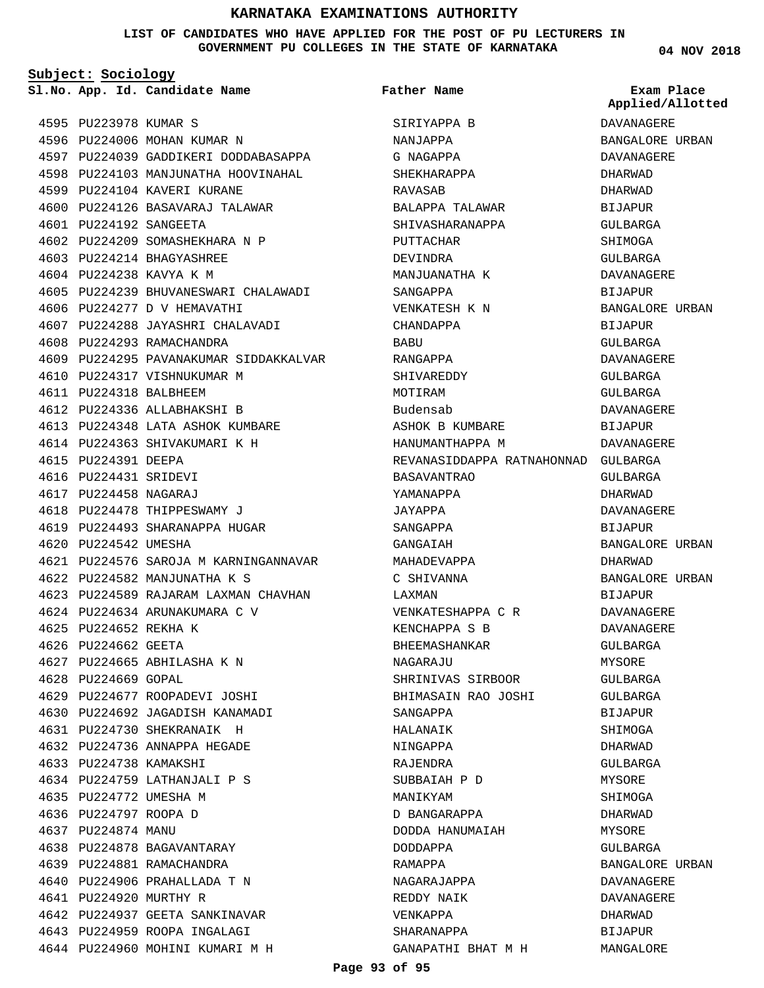#### **LIST OF CANDIDATES WHO HAVE APPLIED FOR THE POST OF PU LECTURERS IN GOVERNMENT PU COLLEGES IN THE STATE OF KARNATAKA**

**Subject: Sociology**

**App. Id. Candidate Name Sl.No. Exam Place**

**Father Name**

DHARWAD DHARWAD BIJAPUR GULBARGA SHIMOGA GULBARGA DAVANAGERE BIJAPUR BANGALORE URBAN BIJAPUR GULBARGA DAVANAGERE GULBARGA GULBARGA DAVANAGERE **BIJAPUR** 

DAVANAGERE

BANGALORE URBAN

BANGALORE URBAN

BANGALORE URBAN DAVANAGERE DAVANAGERE DHARWAD BIJAPUR MANGALORE

GULBARGA DHARWAD DAVANAGERE BIJAPUR

DHARWAD

BIJAPUR DAVANAGERE DAVANAGERE GULBARGA MYSORE GULBARGA GULBARGA BIJAPUR SHIMOGA DHARWAD GULBARGA MYSORE SHIMOGA DHARWAD MYSORE GULBARGA

| 4595 | PU223978               | KUMAR<br>S                      |
|------|------------------------|---------------------------------|
| 4596 | PU224006               | MOHAN KUMAR N                   |
| 4597 | PU224039               | GADDIKERI DODDABASAPPA          |
| 4598 | PU224103               | MANJUNATHA HOOVINAHAL           |
| 4599 | PU224104               | KAVERI KURANE                   |
| 4600 | PU224126               | BASAVARAJ TALAWAR               |
| 4601 | PU224192               | SANGEETA                        |
| 4602 | PU224209               | SOMASHEKHARA N P                |
| 4603 | PU224214               | BHAGYASHREE                     |
| 4604 | PU224238               | KAVYA K M                       |
| 4605 | PU224239               | BHUVANESWARI CHALAWADI          |
| 4606 | PU224277               | D V HEMAVATHI                   |
| 4607 | PU224288               | JAYASHRI CHALAVADI              |
| 4608 | PU224293               | RAMACHANDRA                     |
| 4609 | PU224295               | PAVANAKUMAR SIDDAKKALVAR        |
| 4610 | PU224317               | VISHNUKUMAR M                   |
| 4611 | PU224318               | BALBHEEM                        |
| 4612 | PU224336               | ALLABHAKSHI B                   |
| 4613 | PU224348               | LATA ASHOK KUMBARE              |
| 4614 | PU224363               | SHIVAKUMARI K H                 |
| 4615 | PU224391               | DEEPA                           |
| 4616 | PU224431               | SRIDEVI                         |
| 4617 | PU224458               | NAGARAJ                         |
| 4618 | PU224478               | THIPPESWAMY J                   |
| 4619 | PU224493               | SHARANAPPA HUGAR                |
| 4620 | PU224542               | UMESHA                          |
| 4621 | PU224576               | SAROJA M KARNINGANNAVAR         |
| 4622 | PU224582               | MANJUNATHA K S                  |
| 4623 | PU224589               | RAJARAM LAXMAN CHAVHAN          |
| 4624 |                        | PU224634 ARUNAKUMARA C V        |
| 4625 | PU224652               | REKHA K                         |
| 4626 | PU224662 GEETA         |                                 |
| 4627 |                        | PU224665 ABHILASHA K N          |
|      | 4628 PU224669 GOPAL    |                                 |
|      |                        | 4629 PU224677 ROOPADEVI JOSHI   |
|      |                        | 4630 PU224692 JAGADISH KANAMADI |
| 4631 |                        | PU224730 SHEKRANAIK H           |
| 4632 |                        | PU224736 ANNAPPA HEGADE         |
|      | 4633 PU224738          | KAMAKSHI                        |
|      | 4634 PU224759          | LATHANJALI P S                  |
|      | 4635 PU224772 UMESHA M |                                 |
|      | 4636 PU224797          | ROOPA D                         |
|      | 4637 PU224874          | MANU                            |
|      | 4638 PU224878          | BAGAVANTARAY                    |
| 4639 | PU224881               | RAMACHANDRA                     |
| 4640 |                        | PU224906 PRAHALLADA T N         |
|      | 4641 PU224920 MURTHY R |                                 |
|      |                        | 4642 PU224937 GEETA SANKINAVAR  |
|      |                        | 4643 PU224959 ROOPA INGALAGI    |
|      |                        | 4644 PU224960 MOHINI KUMARI M H |

SIRIYAPPA B NANJAPPA G NAGAPPA SHEKHARAPPA RAVASAB BALAPPA TALAWAR SHIVASHARANAPPA PUTTACHAR DEVINDRA MANJUANATHA K SANGAPPA VENKATESH K N CHANDAPPA BABU RANGAPPA SHIVAREDDY MOTIRAM Budensab ASHOK B KUMBARE HANUMANTHAPPA M REVANASIDDAPPA RATNAHONNAD GULBARGA BASAVANTRAO YAMANAPPA JAYAPPA SANGAPPA GANGAIAH MAHADEVAPPA C SHIVANNA LAXMAN VENKATESHAPPA C R KENCHAPPA S B BHEEMASHANKAR NAGARAJU SHRINIVAS SIRBOOR BHIMASAIN RAO JOSHI SANGAPPA HALANAIK NINGAPPA RAJENDRA SUBBAIAH P D MANIKYAM D BANGARAPPA DODDA HANUMAIAH DODDAPPA RAMAPPA NAGARAJAPPA REDDY NAIK VENKAPPA SHARANAPPA GANAPATHI BHAT M H

**04 NOV 2018**

DAVANAGERE BANGALORE URBAN DAVANAGERE **Applied/Allotted**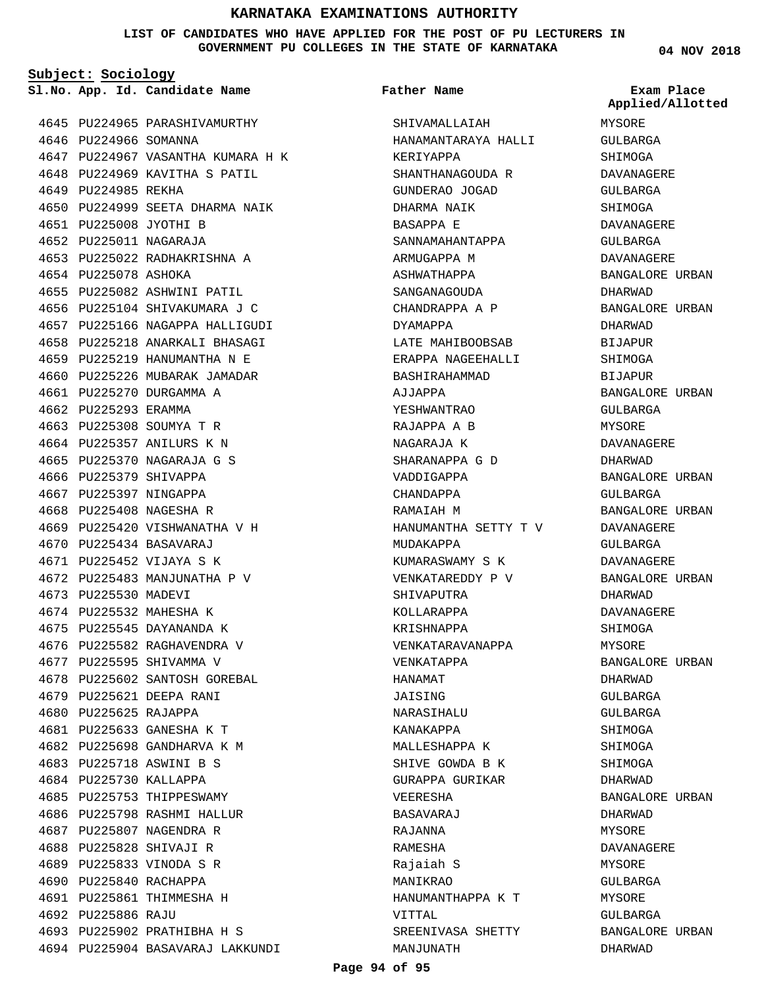**LIST OF CANDIDATES WHO HAVE APPLIED FOR THE POST OF PU LECTURERS IN GOVERNMENT PU COLLEGES IN THE STATE OF KARNATAKA**

**Subject: Sociology**

**App. Id. Candidate Name Sl.No. Exam Place**

4645 PU224965 PARASHIVAMURTHY 4646 PU224966 SOMANNA 4647 PU224967 VASANTHA KUMARA H K 4648 PU224969 KAVITHA S PATIL 4649 PU224985 REKHA 4650 PU224999 SEETA DHARMA NAIK PU225008 JYOTHI B 4651 PU225011 NAGARAJA 4652 4653 PU225022 RADHAKRISHNA A 4654 PU225078 ASHOKA 4655 PU225082 ASHWINI PATIL 4656 PU225104 SHIVAKUMARA J C 4657 PU225166 NAGAPPA HALLIGUDI 4658 PU225218 ANARKALI BHASAGI 4659 PU225219 HANUMANTHA N E 4660 PU225226 MUBARAK JAMADAR 4661 PU225270 DURGAMMA A 4662 PU225293 ERAMMA PU225308 SOUMYA T R 4663 4664 PU225357 ANILURS K N PU225370 NAGARAJA G S 4665 4666 PU225379 SHIVAPPA 4667 PU225397 NINGAPPA 4668 PU225408 NAGESHA R 4669 PU225420 VISHWANATHA V H PU225434 BASAVARAJ 4670 4671 PU225452 VIJAYA S K 4672 PU225483 MANJUNATHA P V 4673 PU225530 MADEVI 4674 PU225532 MAHESHA K 4675 PU225545 DAYANANDA K 4676 PU225582 RAGHAVENDRA V 4677 PU225595 SHIVAMMA V 4678 PU225602 SANTOSH GOREBAL 4679 PU225621 DEEPA RANI 4680 PU225625 RAJAPPA PU225633 GANESHA K T 4681 PU225698 GANDHARVA K M 4682 PU225718 ASWINI B S 4683 4684 PU225730 KALLAPPA 4685 PU225753 THIPPESWAMY 4686 PU225798 RASHMI HALLUR 4687 PU225807 NAGENDRA R 4688 PU225828 SHIVAJI R PU225833 VINODA S R 4689 4690 PU225840 RACHAPPA 4691 PU225861 THIMMESHA H PU225886 RAJU 4692 PU225902 PRATHIBHA H S 4693 PU225904 BASAVARAJ LAKKUNDI 4694

### **Father Name**

SHIVAMALLAIAH HANAMANTARAYA HALLI KERIYAPPA SHANTHANAGOUDA R GUNDERAO JOGAD DHARMA NAIK BASAPPA E SANNAMAHANTAPPA ARMUGAPPA M ASHWATHAPPA SANGANAGOUDA CHANDRAPPA A P DYAMAPPA LATE MAHIBOOBSAB ERAPPA NAGEEHALLI BASHIRAHAMMAD AJJAPPA YESHWANTRAO RAJAPPA A B NAGARAJA K SHARANAPPA G D VADDIGAPPA CHANDAPPA RAMAIAH M HANUMANTHA SETTY T V MUDAKAPPA KUMARASWAMY S K VENKATAREDDY P V SHIVAPUTRA KOLLARAPPA KRISHNAPPA VENKATARAVANAPPA VENKATAPPA HANAMAT JAISING **NARASIHALU** KANAKAPPA MALLESHAPPA K SHIVE GOWDA B K GURAPPA GURIKAR VEERESHA BASAVARAJ RAJANNA RAMESHA Rajaiah S MANIKRAO HANUMANTHAPPA K T VITTAL SREENIVASA SHETTY MANJUNATH

**04 NOV 2018**

MYSORE GULBARGA SHIMOGA DAVANAGERE GULBARGA SHIMOGA DAVANAGERE GULBARGA DAVANAGERE BANGALORE URBAN DHARWAD BANGALORE URBAN DHARWAD BIJAPUR SHIMOGA BIJAPUR BANGALORE URBAN GULBARGA MYSORE DAVANAGERE DHARWAD BANGALORE URBAN GULBARGA BANGALORE URBAN DAVANAGERE GULBARGA DAVANAGERE BANGALORE URBAN DHARWAD DAVANAGERE SHIMOGA MYSORE BANGALORE URBAN DHARWAD GULBARGA GULBARGA SHIMOGA SHIMOGA SHIMOGA DHARWAD BANGALORE URBAN DHARWAD MYSORE DAVANAGERE MYSORE GULBARGA MYSORE GULBARGA BANGALORE URBAN DHARWAD **Applied/Allotted**